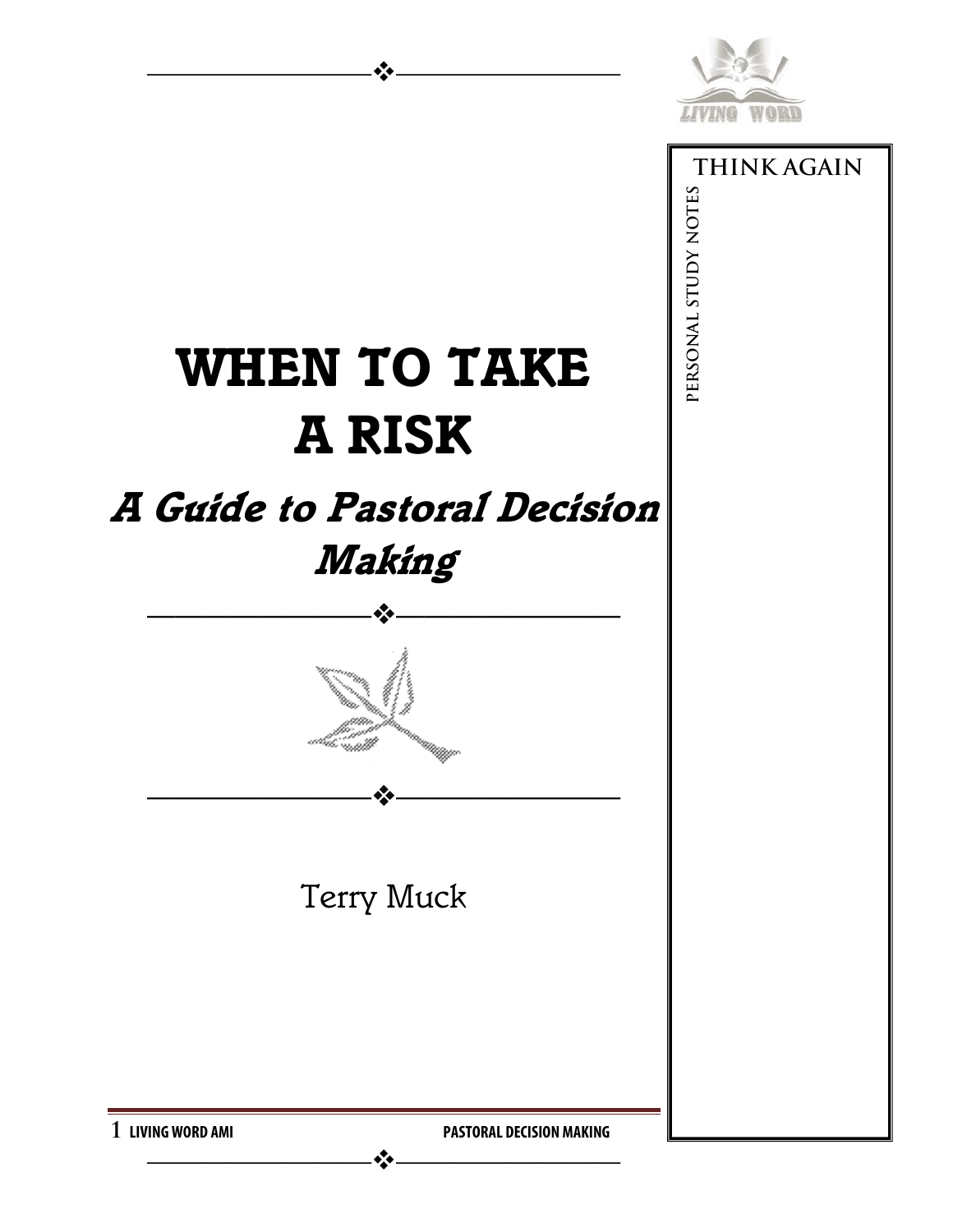

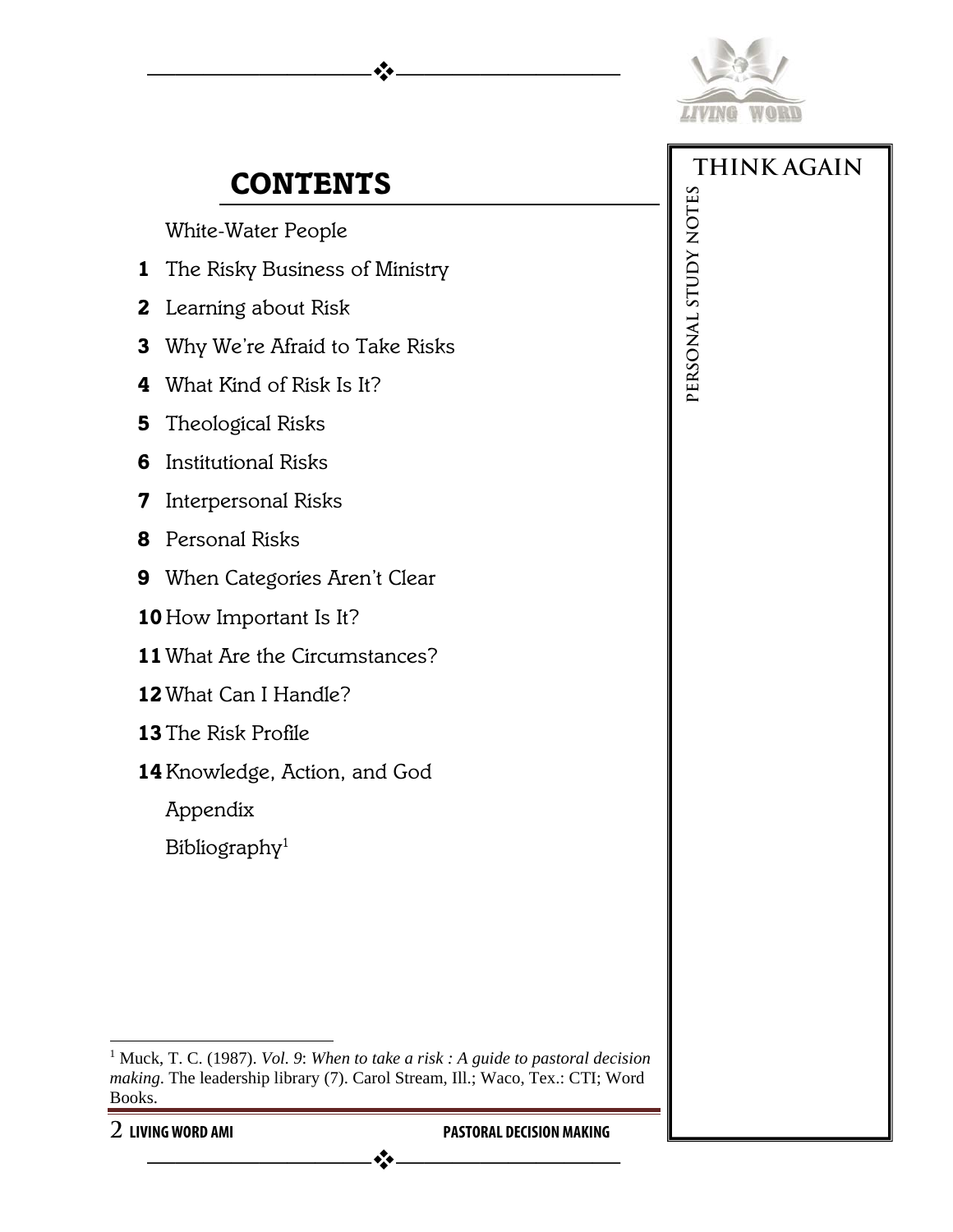

# **PERSONAL STUDY NOTES CONTENTS**<br>
Water People<br>
sky Business of Ministry<br>
ng about Risk<br>
le're Afraid to Take Risks<br>
Kind of Risk Is It?

————————————————

 *White-Water People* 

- *1 The Risky Business of Ministry*
- *2 Learning about Risk*
- *3 Why We're Afraid to Take Risks*
- *4 What Kind of Risk Is It?*
- *5 Theological Risks*
- *6 Institutional Risks*
- *7 Interpersonal Risks*
- *8 Personal Risks*
- *9 When Categories Aren't Clear*
- *10 How Important Is It?*
- *11 What Are the Circumstances?*
- *12 What Can I Handle?*
- *13 The Risk Profile*
- *14 Knowledge, Action, and God*

 *Appendix* 

 *Bibliography1*

————————————————

l

<sup>&</sup>lt;sup>1</sup> Muck, T. C. (1987). *Vol.* 9: *When to take a risk* : A guide to pastoral decision *making*. The leadership library (7). Carol Stream, Ill.; Waco, Tex.: CTI; Word Books.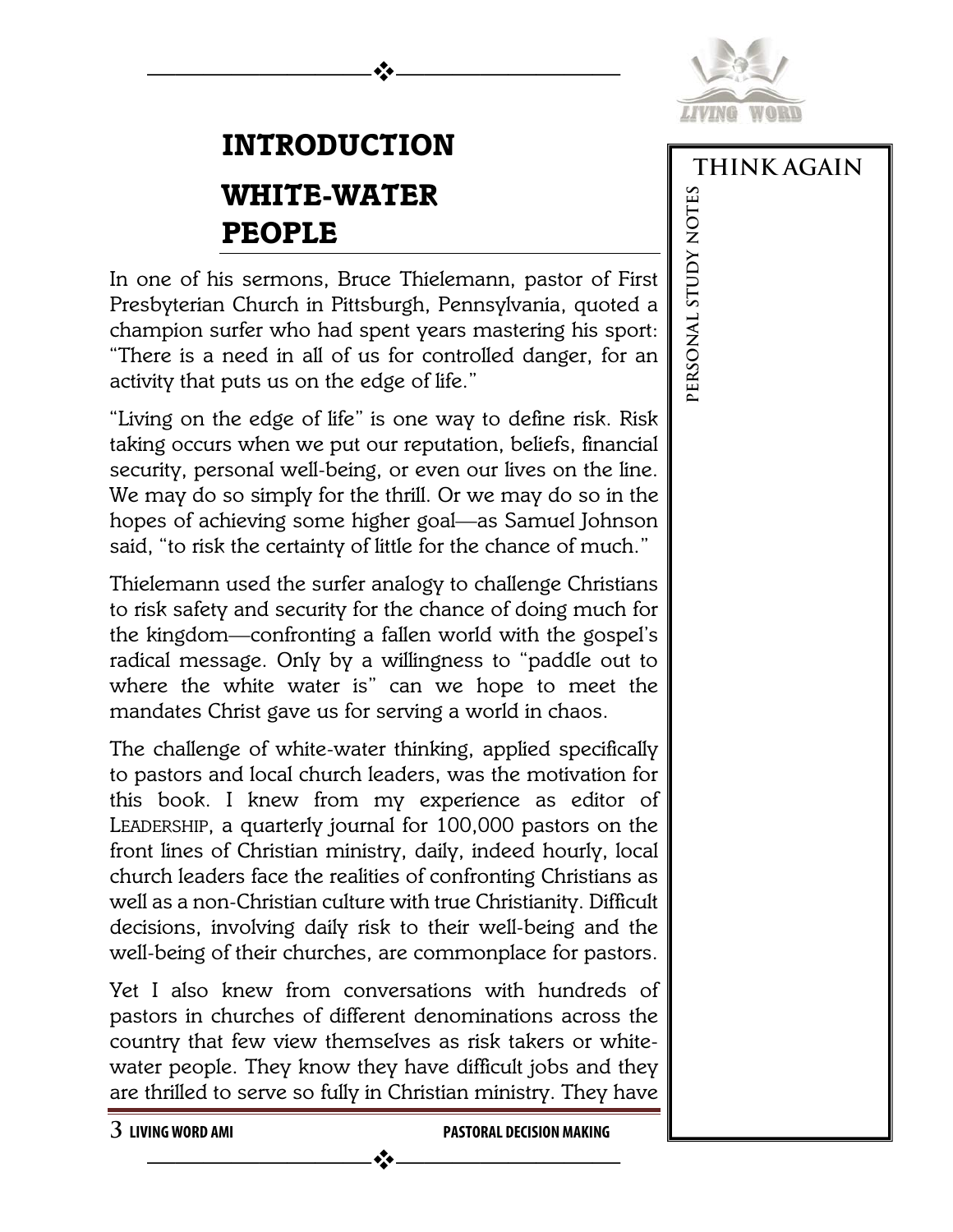

 **PERSONAL STUDY NOTES** 

PERSONAL STUDY NOTES

# *INTRODUCTION WHITE-WATER PEOPLE*

*In one of his sermons, Bruce Thielemann, pastor of First Presbyterian Church in Pittsburgh, Pennsylvania, quoted a champion surfer who had spent years mastering his sport: "There is a need in all of us for controlled danger, for an activity that puts us on the edge of life."* 

————————————————

*"Living on the edge of life" is one way to define risk. Risk taking occurs when we put our reputation, beliefs, financial security, personal well-being, or even our lives on the line. We may do so simply for the thrill. Or we may do so in the hopes of achieving some higher goal—as Samuel Johnson said, "to risk the certainty of little for the chance of much."* 

*Thielemann used the surfer analogy to challenge Christians to risk safety and security for the chance of doing much for the kingdom—confronting a fallen world with the gospel's radical message. Only by a willingness to "paddle out to where the white water is" can we hope to meet the mandates Christ gave us for serving a world in chaos.* 

*The challenge of white-water thinking, applied specifically to pastors and local church leaders, was the motivation for this book. I knew from my experience as editor of LEADERSHIP, a quarterly journal for 100,000 pastors on the front lines of Christian ministry, daily, indeed hourly, local church leaders face the realities of confronting Christians as*  well as a non-Christian culture with true Christianity. Difficult *decisions, involving daily risk to their well-being and the well-being of their churches, are commonplace for pastors.* 

*Yet I also knew from conversations with hundreds of pastors in churches of different denominations across the country that few view themselves as risk takers or whitewater people. They know they have difficult jobs and they are thrilled to serve so fully in Christian ministry. They have*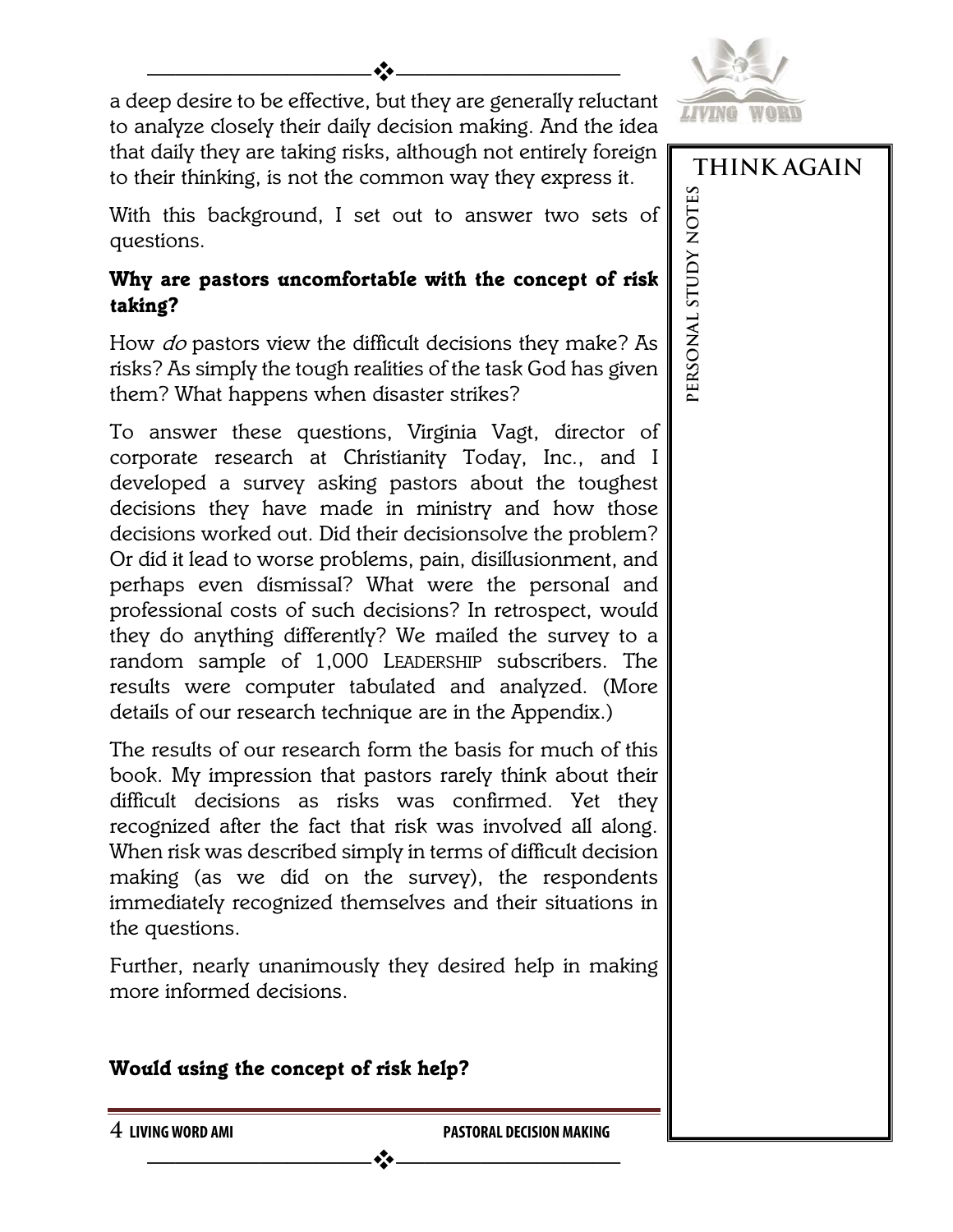

 **PERSONAL STUDY NOTES** 

PERSONAL STUDY NOTES

*a deep desire to be effective, but they are generally reluctant to analyze closely their daily decision making. And the idea that daily they are taking risks, although not entirely foreign* 

————————————————

*to their thinking, is not the common way they express it.* 

*With this background, I set out to answer two sets of questions.* 

### *Why are pastors uncomfortable with the concept of risk taking?*

*How do pastors view the difficult decisions they make? As risks? As simply the tough realities of the task God has given them? What happens when disaster strikes?* 

*To answer these questions, Virginia Vagt, director of corporate research at Christianity Today, Inc., and I developed a survey asking pastors about the toughest decisions they have made in ministry and how those decisions worked out. Did their decisionsolve the problem? Or did it lead to worse problems, pain, disillusionment, and perhaps even dismissal? What were the personal and professional costs of such decisions? In retrospect, would they do anything differently? We mailed the survey to a random sample of 1,000 LEADERSHIP subscribers. The results were computer tabulated and analyzed. (More details of our research technique are in the Appendix.)* 

*The results of our research form the basis for much of this book. My impression that pastors rarely think about their difficult decisions as risks was confirmed. Yet they recognized after the fact that risk was involved all along. When risk was described simply in terms of difficult decision making (as we did on the survey), the respondents immediately recognized themselves and their situations in the questions.* 

*Further, nearly unanimously they desired help in making more informed decisions.* 

————————————————

### *Would using the concept of risk help?*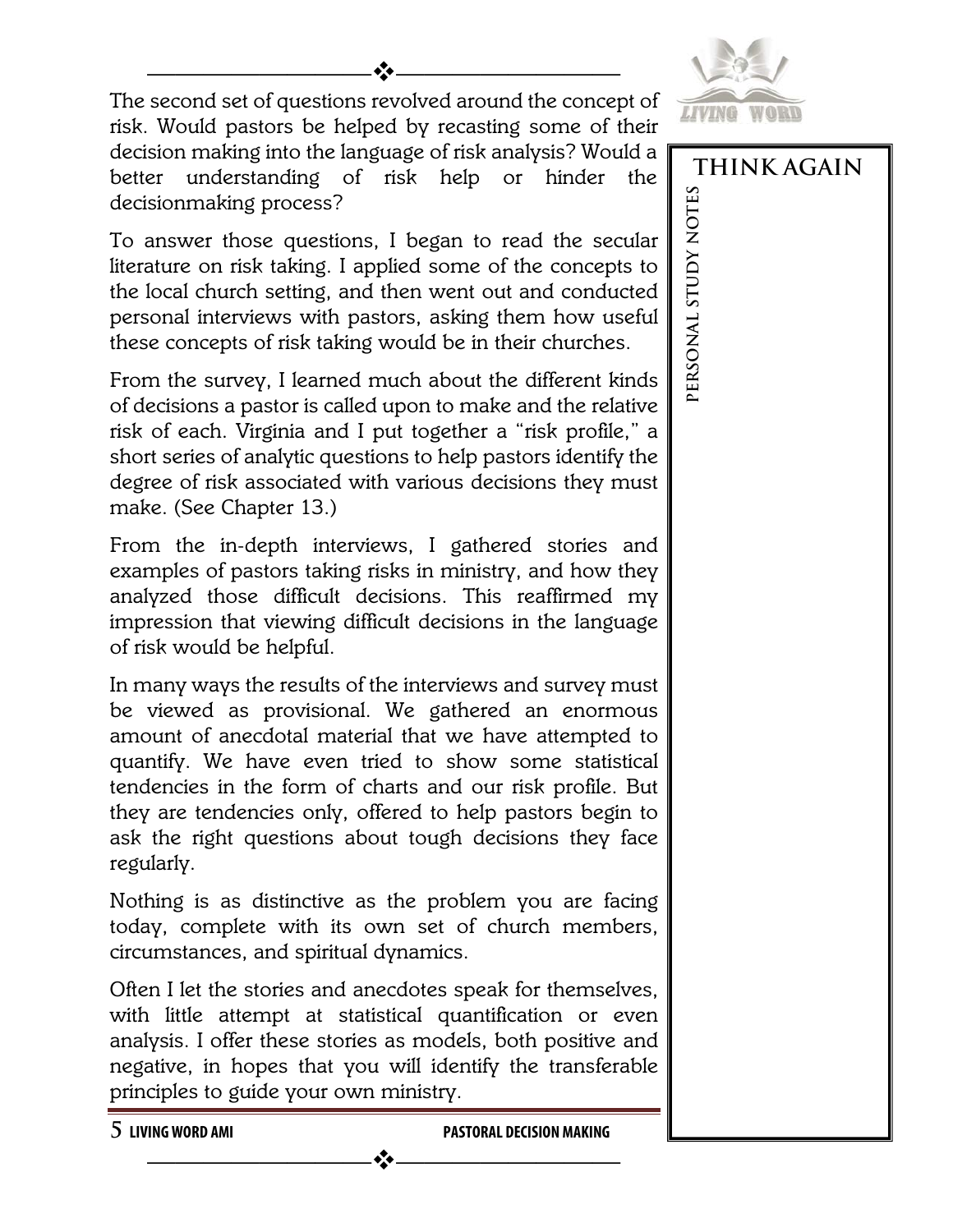

*The second set of questions revolved around the concept of risk. Would pastors be helped by recasting some of their decision making into the language of risk analysis? Would a better understanding of risk help or hinder the decisionmaking process?* 

————————————————

*To answer those questions, I began to read the secular literature on risk taking. I applied some of the concepts to the local church setting, and then went out and conducted personal interviews with pastors, asking them how useful these concepts of risk taking would be in their churches.* 

*From the survey, I learned much about the different kinds of decisions a pastor is called upon to make and the relative risk of each. Virginia and I put together a "risk profile," a short series of analytic questions to help pastors identify the degree of risk associated with various decisions they must make. (See Chapter 13.)* 

*From the in-depth interviews, I gathered stories and examples of pastors taking risks in ministry, and how they analyzed those difficult decisions. This reaffirmed my impression that viewing difficult decisions in the language of risk would be helpful.* 

*In many ways the results of the interviews and survey must be viewed as provisional. We gathered an enormous amount of anecdotal material that we have attempted to quantify. We have even tried to show some statistical tendencies in the form of charts and our risk profile. But they are tendencies only, offered to help pastors begin to ask the right questions about tough decisions they face regularly.* 

*Nothing is as distinctive as the problem you are facing today, complete with its own set of church members, circumstances, and spiritual dynamics.* 

*Often I let the stories and anecdotes speak for themselves, with little attempt at statistical quantification or even analysis. I offer these stories as models, both positive and negative, in hopes that you will identify the transferable principles to guide your own ministry.* 

————————————————

 **PERSONAL STUDY NOTES**  PERSONAL STUDY NOTES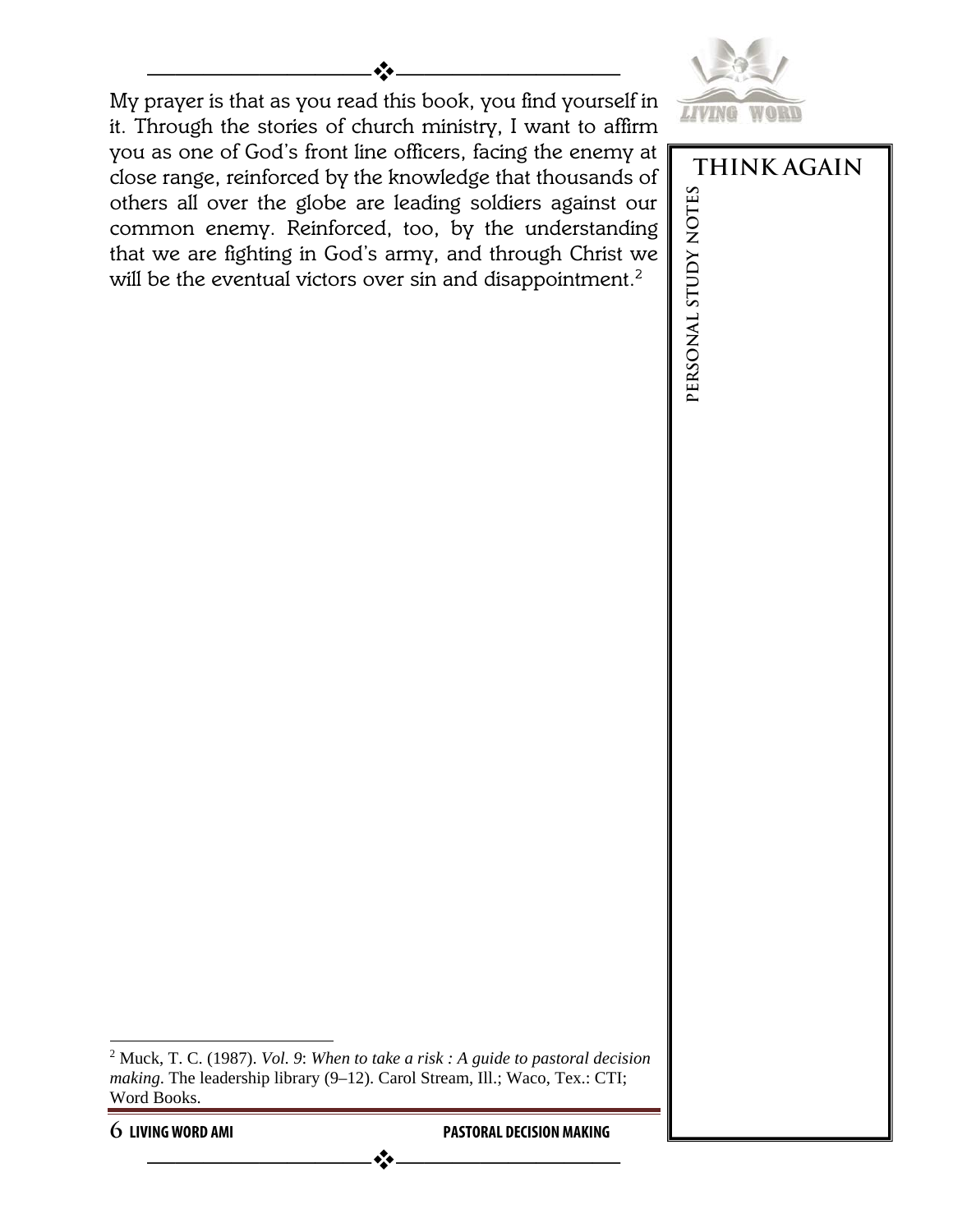

*My prayer is that as you read this book, you find yourself in it. Through the stories of church ministry, I want to affirm you as one of God's front line officers, facing the enemy at close range, reinforced by the knowledge that thousands of others all over the globe are leading soldiers against our common enemy. Reinforced, too, by the understanding that we are fighting in God's army, and through Christ we will be the eventual victors over sin and disappointment.2*

————————————————

**THINK AGAIN PERSONAL STUDY NOTES**  PERSONAL STUDY NOTES

————————————————

l

<sup>2</sup> Muck, T. C. (1987). *Vol. 9*: *When to take a risk : A guide to pastoral decision making*. The leadership library (9–12). Carol Stream, Ill.; Waco, Tex.: CTI; Word Books.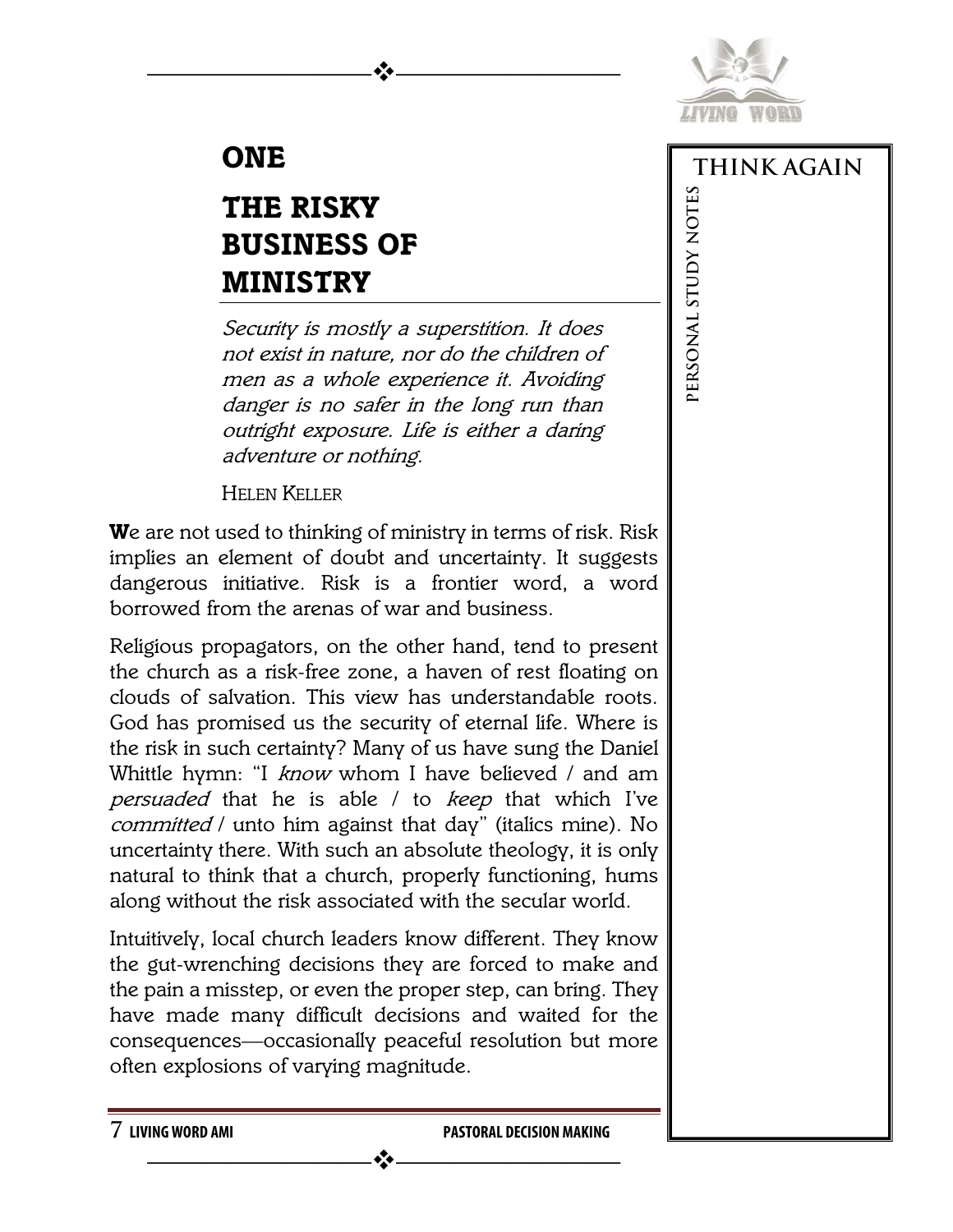

## **ONE** THINK AGAIN *THE RISKY BUSINESS OF MINISTRY*

————————————————

*Security is mostly a superstition. It does not exist in nature, nor do the children of men as a whole experience it. Avoiding danger is no safer in the long run than outright exposure. Life is either a daring adventure or nothing.*

*HELEN KELLER*

*We are not used to thinking of ministry in terms of risk. Risk implies an element of doubt and uncertainty. It suggests dangerous initiative. Risk is a frontier word, a word borrowed from the arenas of war and business.* 

*Religious propagators, on the other hand, tend to present the church as a risk-free zone, a haven of rest floating on clouds of salvation. This view has understandable roots. God has promised us the security of eternal life. Where is the risk in such certainty? Many of us have sung the Daniel Whittle hymn: "I know whom I have believed / and am persuaded that he is able / to keep that which I've committed / unto him against that day" (italics mine). No uncertainty there. With such an absolute theology, it is only natural to think that a church, properly functioning, hums along without the risk associated with the secular world.* 

*Intuitively, local church leaders know different. They know the gut-wrenching decisions they are forced to make and the pain a misstep, or even the proper step, can bring. They have made many difficult decisions and waited for the consequences—occasionally peaceful resolution but more often explosions of varying magnitude.* 

————————————————

 **PERSONAL STUDY NOTES**  PERSONAL STUDY NOTES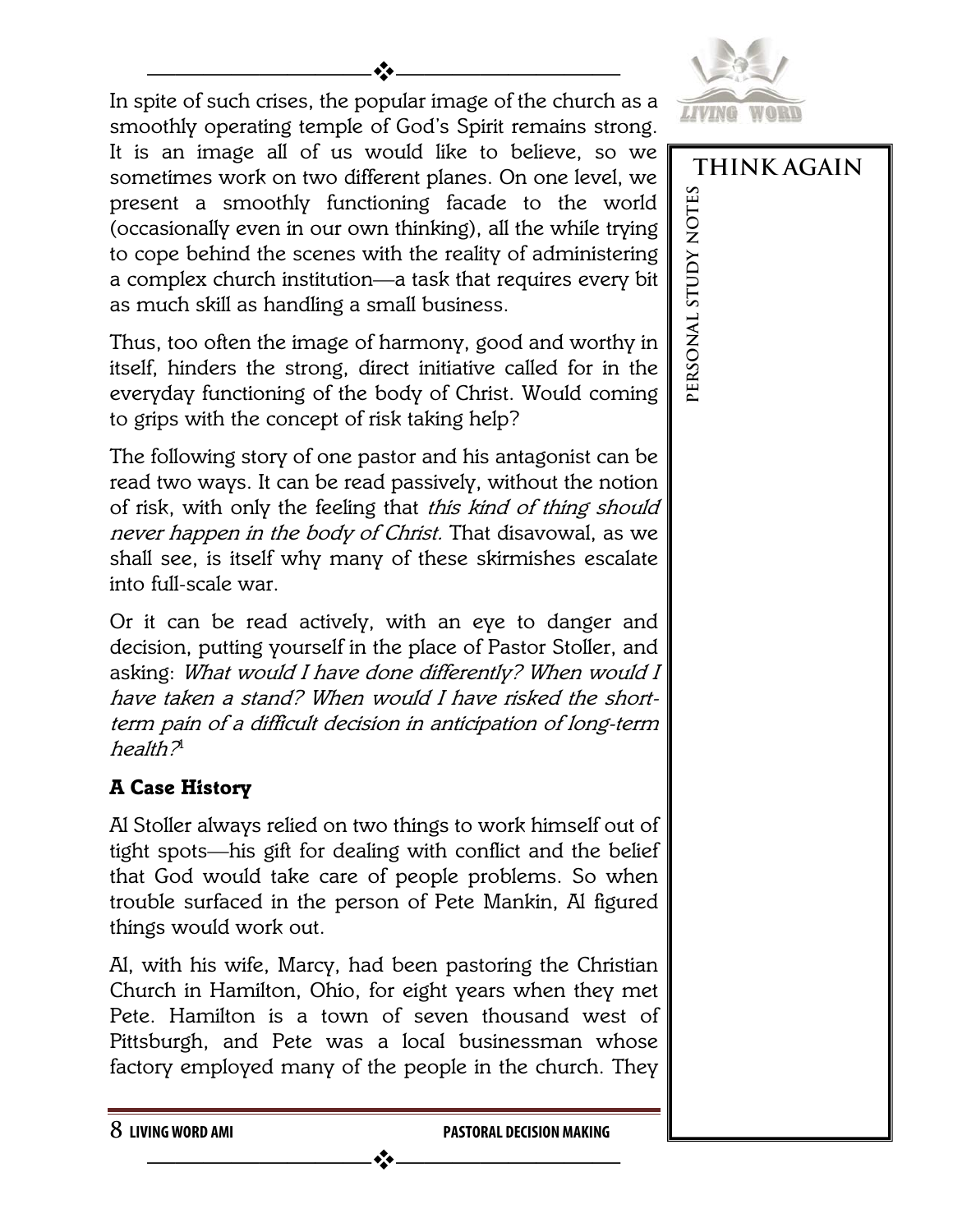

———————————————— In spite of such crises, the popular image of the church as a *smoothly operating temple of God's Spirit remains strong. It is an image all of us would like to believe, so we* 

*sometimes work on two different planes. On one level, we present a smoothly functioning facade to the world (occasionally even in our own thinking), all the while trying to cope behind the scenes with the reality of administering a complex church institution—a task that requires every bit as much skill as handling a small business.* 

*Thus, too often the image of harmony, good and worthy in itself, hinders the strong, direct initiative called for in the everyday functioning of the body of Christ. Would coming to grips with the concept of risk taking help?* 

*The following story of one pastor and his antagonist can be read two ways. It can be read passively, without the notion of risk, with only the feeling that this kind of thing should never happen in the body of Christ. That disavowal, as we shall see, is itself why many of these skirmishes escalate into full-scale war.* 

*Or it can be read actively, with an eye to danger and decision, putting yourself in the place of Pastor Stoller, and asking: What would I have done differently? When would I have taken a stand? When would I have risked the shortterm pain of a difficult decision in anticipation of long-term health?1*

### *A Case History*

*Al Stoller always relied on two things to work himself out of tight spots—his gift for dealing with conflict and the belief that God would take care of people problems. So when trouble surfaced in the person of Pete Mankin, Al figured things would work out.* 

*Al, with his wife, Marcy, had been pastoring the Christian Church in Hamilton, Ohio, for eight years when they met Pete. Hamilton is a town of seven thousand west of Pittsburgh, and Pete was a local businessman whose factory employed many of the people in the church. They* 

————————————————

**THINK AGAIN** 

 **PERSONAL STUDY NOTES**  PERSONAL STUDY NOTES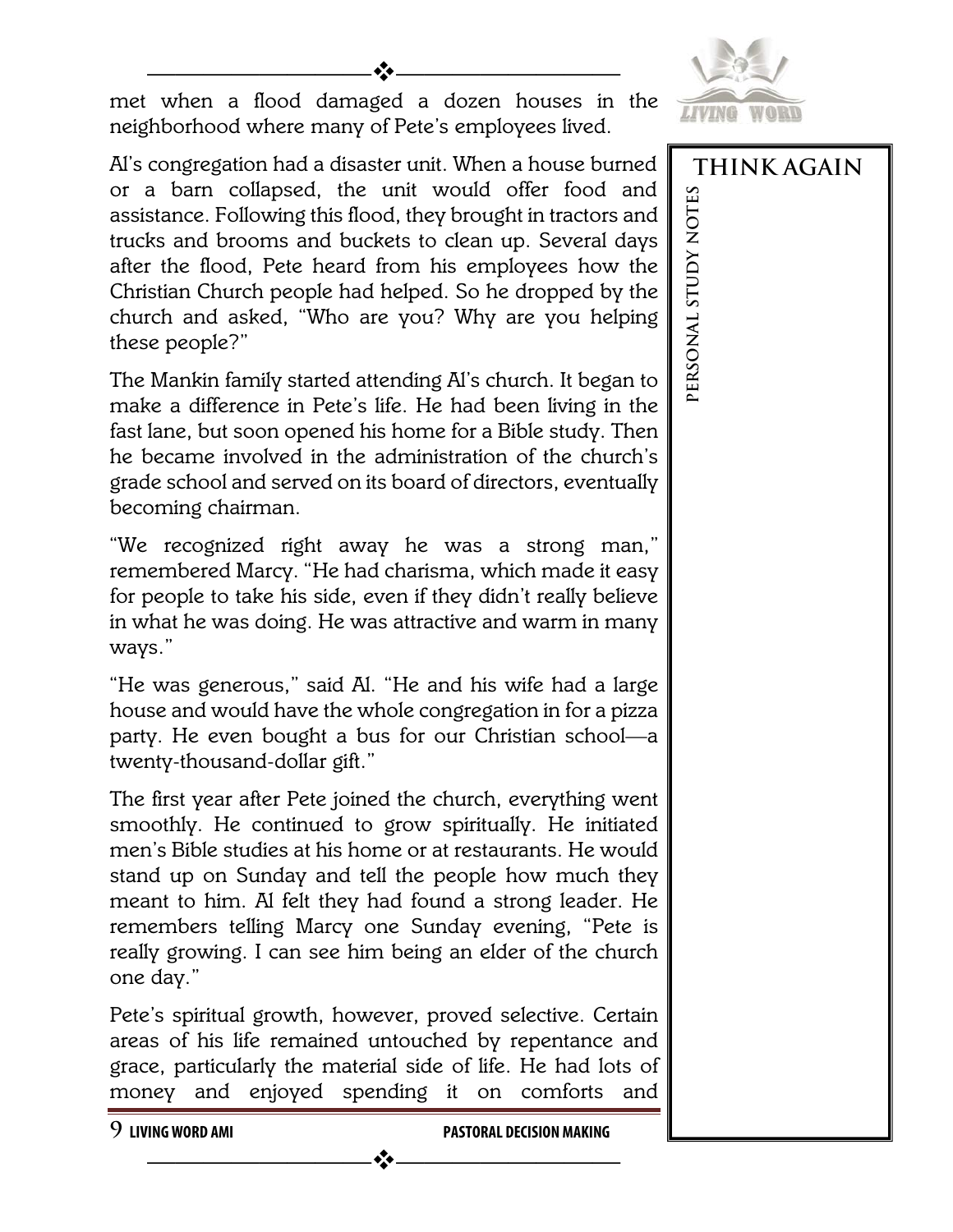

 **PERSONAL STUDY NOTES** 

PERSONAL STUDY NOTES

*met when a flood damaged a dozen houses in the neighborhood where many of Pete's employees lived.* 

————————————————

*Al's congregation had a disaster unit. When a house burned or a barn collapsed, the unit would offer food and assistance. Following this flood, they brought in tractors and trucks and brooms and buckets to clean up. Several days after the flood, Pete heard from his employees how the Christian Church people had helped. So he dropped by the church and asked, "Who are you? Why are you helping these people?"* 

*The Mankin family started attending Al's church. It began to make a difference in Pete's life. He had been living in the*  fast lane, but soon opened his home for a Bible study. Then *he became involved in the administration of the church's grade school and served on its board of directors, eventually becoming chairman.* 

*"We recognized right away he was a strong man," remembered Marcy. "He had charisma, which made it easy for people to take his side, even if they didn't really believe in what he was doing. He was attractive and warm in many ways."* 

*"He was generous," said Al. "He and his wife had a large house and would have the whole congregation in for a pizza party. He even bought a bus for our Christian school—a twenty-thousand-dollar gift."* 

*The first year after Pete joined the church, everything went smoothly. He continued to grow spiritually. He initiated men's Bible studies at his home or at restaurants. He would stand up on Sunday and tell the people how much they meant to him. Al felt they had found a strong leader. He remembers telling Marcy one Sunday evening, "Pete is really growing. I can see him being an elder of the church one day."* 

*Pete's spiritual growth, however, proved selective. Certain areas of his life remained untouched by repentance and grace, particularly the material side of life. He had lots of money and enjoyed spending it on comforts and* 

————————————————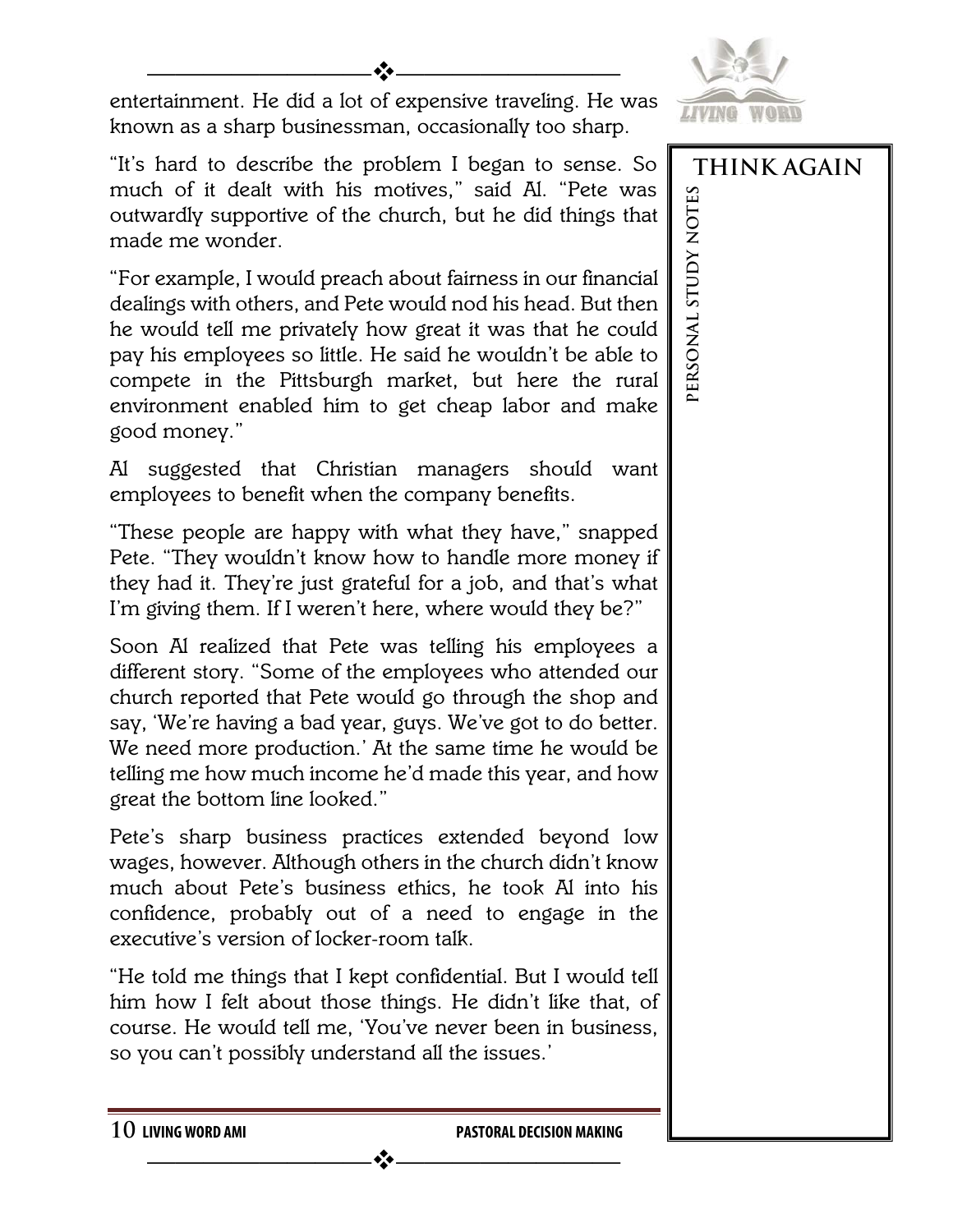

*entertainment. He did a lot of expensive traveling. He was known as a sharp businessman, occasionally too sharp.* 

————————————————

*"It's hard to describe the problem I began to sense. So much of it dealt with his motives," said Al. "Pete was outwardly supportive of the church, but he did things that made me wonder.* 

*"For example, I would preach about fairness in our financial dealings with others, and Pete would nod his head. But then he would tell me privately how great it was that he could pay his employees so little. He said he wouldn't be able to compete in the Pittsburgh market, but here the rural environment enabled him to get cheap labor and make good money."* 

*Al suggested that Christian managers should want employees to benefit when the company benefits.* 

*"These people are happy with what they have," snapped Pete. "They wouldn't know how to handle more money if they had it. They're just grateful for a job, and that's what I'm giving them. If I weren't here, where would they be?"* 

*Soon Al realized that Pete was telling his employees a different story. "Some of the employees who attended our church reported that Pete would go through the shop and say, 'We're having a bad year, guys. We've got to do better. We need more production.' At the same time he would be telling me how much income he'd made this year, and how great the bottom line looked."* 

*Pete's sharp business practices extended beyond low wages, however. Although others in the church didn't know much about Pete's business ethics, he took Al into his confidence, probably out of a need to engage in the executive's version of locker-room talk.* 

*"He told me things that I kept confidential. But I would tell him how I felt about those things. He didn't like that, of course. He would tell me, 'You've never been in business, so you can't possibly understand all the issues.'* 

————————————————

**THINK AGAIN** 

 **PERSONAL STUDY NOTES**  PERSONAL STUDY NOTES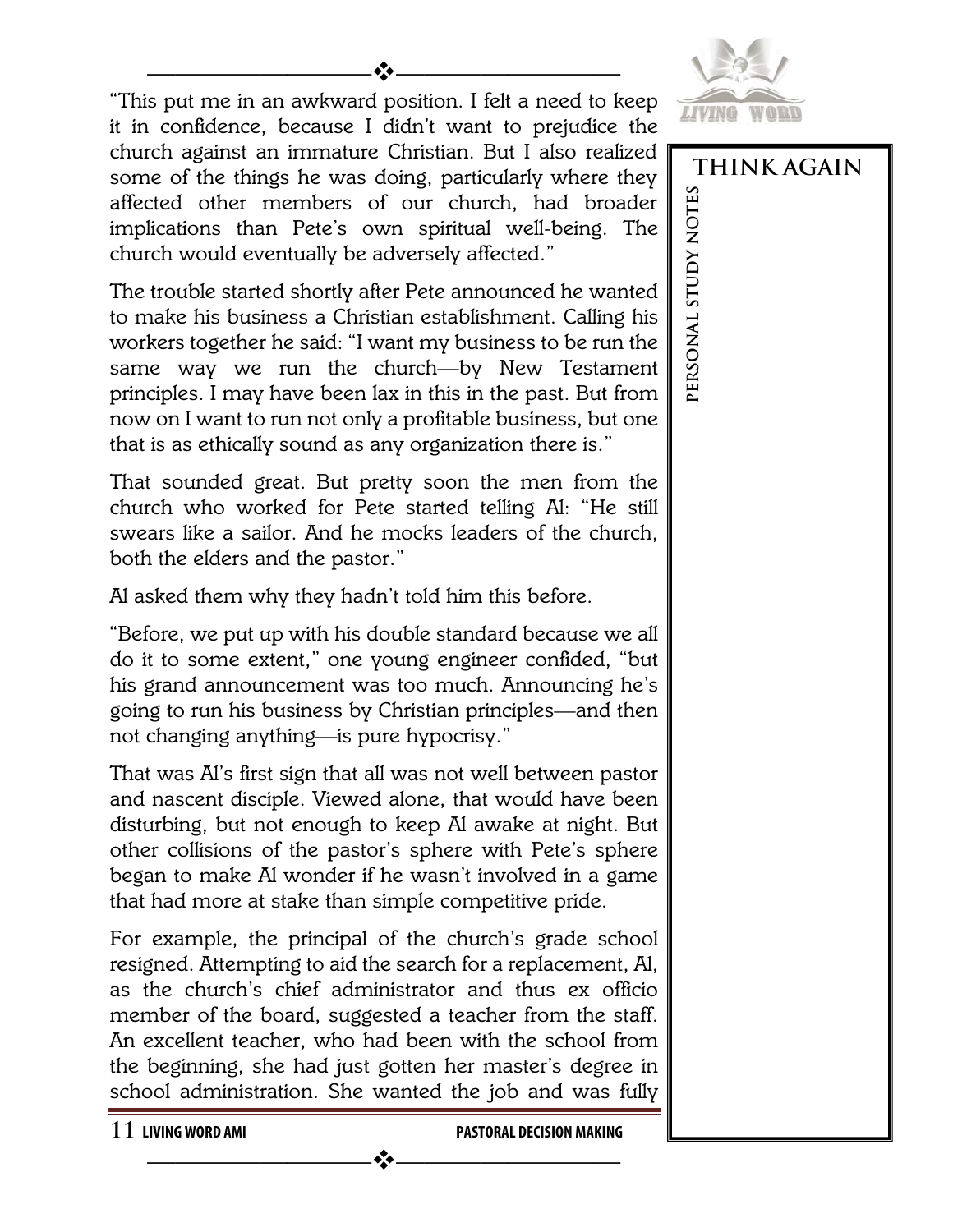

 **PERSONAL STUDY NOTES** 

PERSONAL STUDY NOTES

*"This put me in an awkward position. I felt a need to keep it in confidence, because I didn't want to prejudice the* 

————————————————

*church against an immature Christian. But I also realized some of the things he was doing, particularly where they affected other members of our church, had broader implications than Pete's own spiritual well-being. The church would eventually be adversely affected."* 

*The trouble started shortly after Pete announced he wanted to make his business a Christian establishment. Calling his workers together he said: "I want my business to be run the same way we run the church—by New Testament principles. I may have been lax in this in the past. But from now on I want to run not only a profitable business, but one that is as ethically sound as any organization there is."* 

*That sounded great. But pretty soon the men from the church who worked for Pete started telling Al: "He still swears like a sailor. And he mocks leaders of the church, both the elders and the pastor."* 

*Al asked them why they hadn't told him this before.* 

*"Before, we put up with his double standard because we all do it to some extent," one young engineer confided, "but his grand announcement was too much. Announcing he's going to run his business by Christian principles—and then not changing anything—is pure hypocrisy."* 

*That was Al's first sign that all was not well between pastor and nascent disciple. Viewed alone, that would have been disturbing, but not enough to keep Al awake at night. But other collisions of the pastor's sphere with Pete's sphere began to make Al wonder if he wasn't involved in a game that had more at stake than simple competitive pride.* 

For example, the principal of the church's grade school *resigned. Attempting to aid the search for a replacement, Al, as the church's chief administrator and thus ex officio member of the board, suggested a teacher from the staff. An excellent teacher, who had been with the school from the beginning, she had just gotten her master's degree in school administration. She wanted the job and was fully* 

————————————————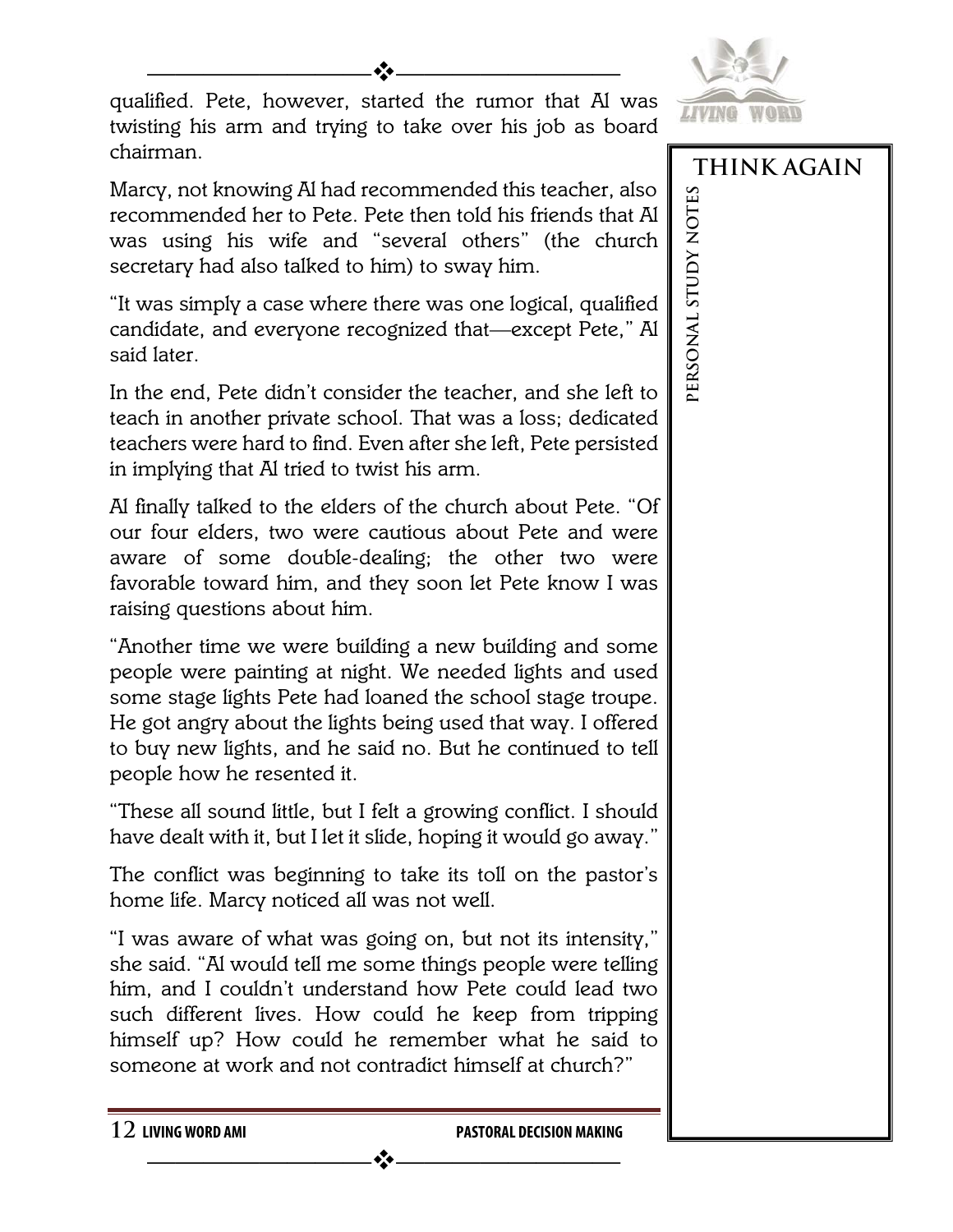

PERSONAL STUDY NOTES

*qualified. Pete, however, started the rumor that Al was twisting his arm and trying to take over his job as board chairman.* 

————————————————

*Marcy, not knowing Al had recommended this teacher, also recommended her to Pete. Pete then told his friends that Al was using his wife and "several others" (the church secretary had also talked to him) to sway him.* 

*"It was simply a case where there was one logical, qualified candidate, and everyone recognized that—except Pete," Al said later.* 

In the end, Pete didn't consider the teacher, and she left to *teach in another private school. That was a loss; dedicated teachers were hard to find. Even after she left, Pete persisted in implying that Al tried to twist his arm.* 

*Al finally talked to the elders of the church about Pete. "Of our four elders, two were cautious about Pete and were aware of some double-dealing; the other two were favorable toward him, and they soon let Pete know I was raising questions about him.* 

*"Another time we were building a new building and some people were painting at night. We needed lights and used some stage lights Pete had loaned the school stage troupe. He got angry about the lights being used that way. I offered to buy new lights, and he said no. But he continued to tell people how he resented it.* 

*"These all sound little, but I felt a growing conflict. I should have dealt with it, but I let it slide, hoping it would go away."* 

*The conflict was beginning to take its toll on the pastor's home life. Marcy noticed all was not well.* 

*"I was aware of what was going on, but not its intensity," she said. "Al would tell me some things people were telling him, and I couldn't understand how Pete could lead two such different lives. How could he keep from tripping himself up? How could he remember what he said to someone at work and not contradict himself at church?"*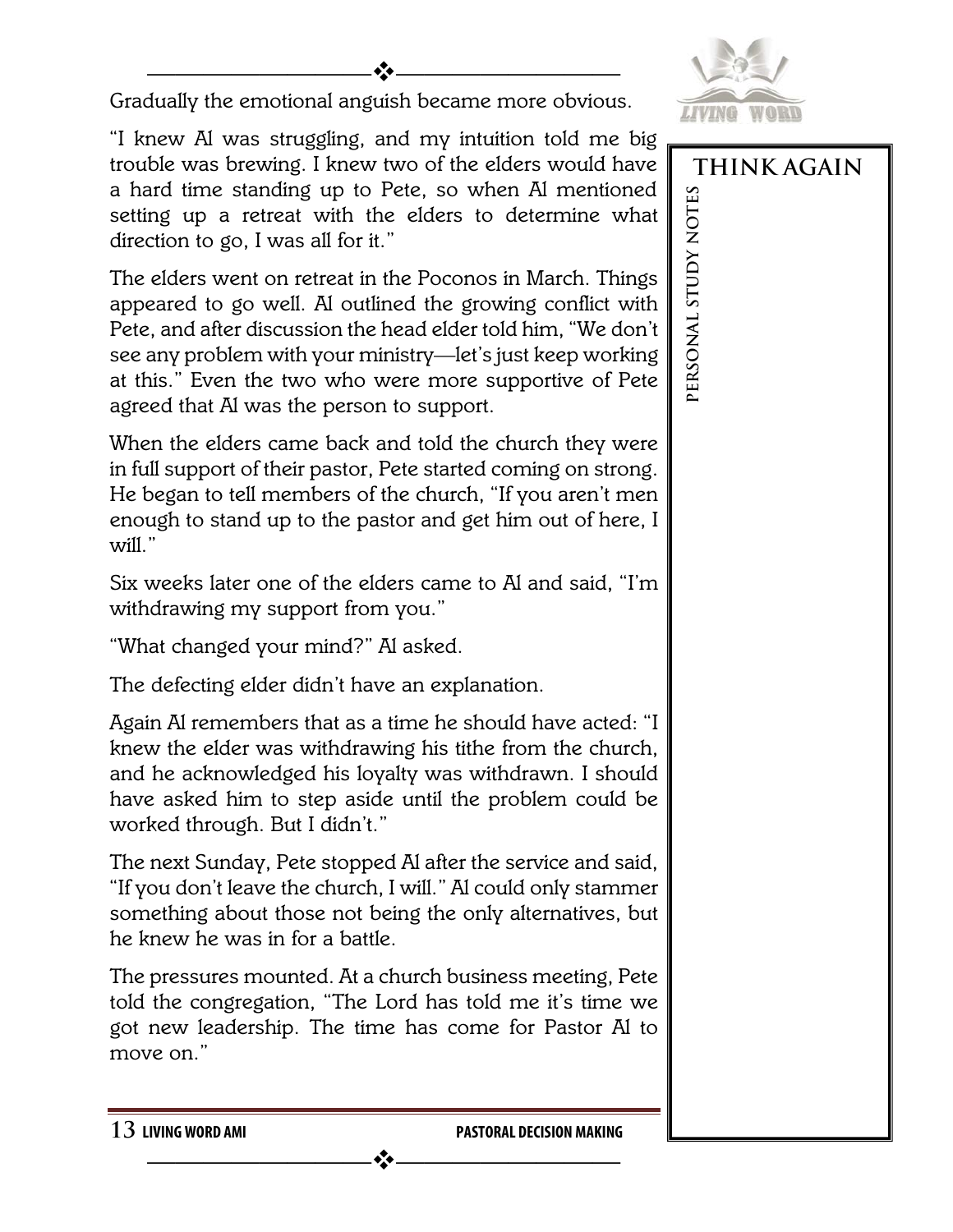

*Gradually the emotional anguish became more obvious.* 

————————————————

*"I knew Al was struggling, and my intuition told me big trouble was brewing. I knew two of the elders would have a hard time standing up to Pete, so when Al mentioned setting up a retreat with the elders to determine what direction to go, I was all for it."* 

*The elders went on retreat in the Poconos in March. Things appeared to go well. Al outlined the growing conflict with Pete, and after discussion the head elder told him, "We don't see any problem with your ministry—let's just keep working at this." Even the two who were more supportive of Pete agreed that Al was the person to support.* 

*When the elders came back and told the church they were in full support of their pastor, Pete started coming on strong. He began to tell members of the church, "If you aren't men enough to stand up to the pastor and get him out of here, I will."* 

*Six weeks later one of the elders came to Al and said, "I'm withdrawing my support from you."* 

*"What changed your mind?" Al asked.* 

*The defecting elder didn't have an explanation.* 

*Again Al remembers that as a time he should have acted: "I knew the elder was withdrawing his tithe from the church, and he acknowledged his loyalty was withdrawn. I should have asked him to step aside until the problem could be worked through. But I didn't."* 

*The next Sunday, Pete stopped Al after the service and said, "If you don't leave the church, I will." Al could only stammer something about those not being the only alternatives, but he knew he was in for a battle.* 

*The pressures mounted. At a church business meeting, Pete told the congregation, "The Lord has told me it's time we got new leadership. The time has come for Pastor Al to move on."* 

————————————————

**THINK AGAIN PERSONAL STUDY NOTES**  PERSONAL STUDY NOTES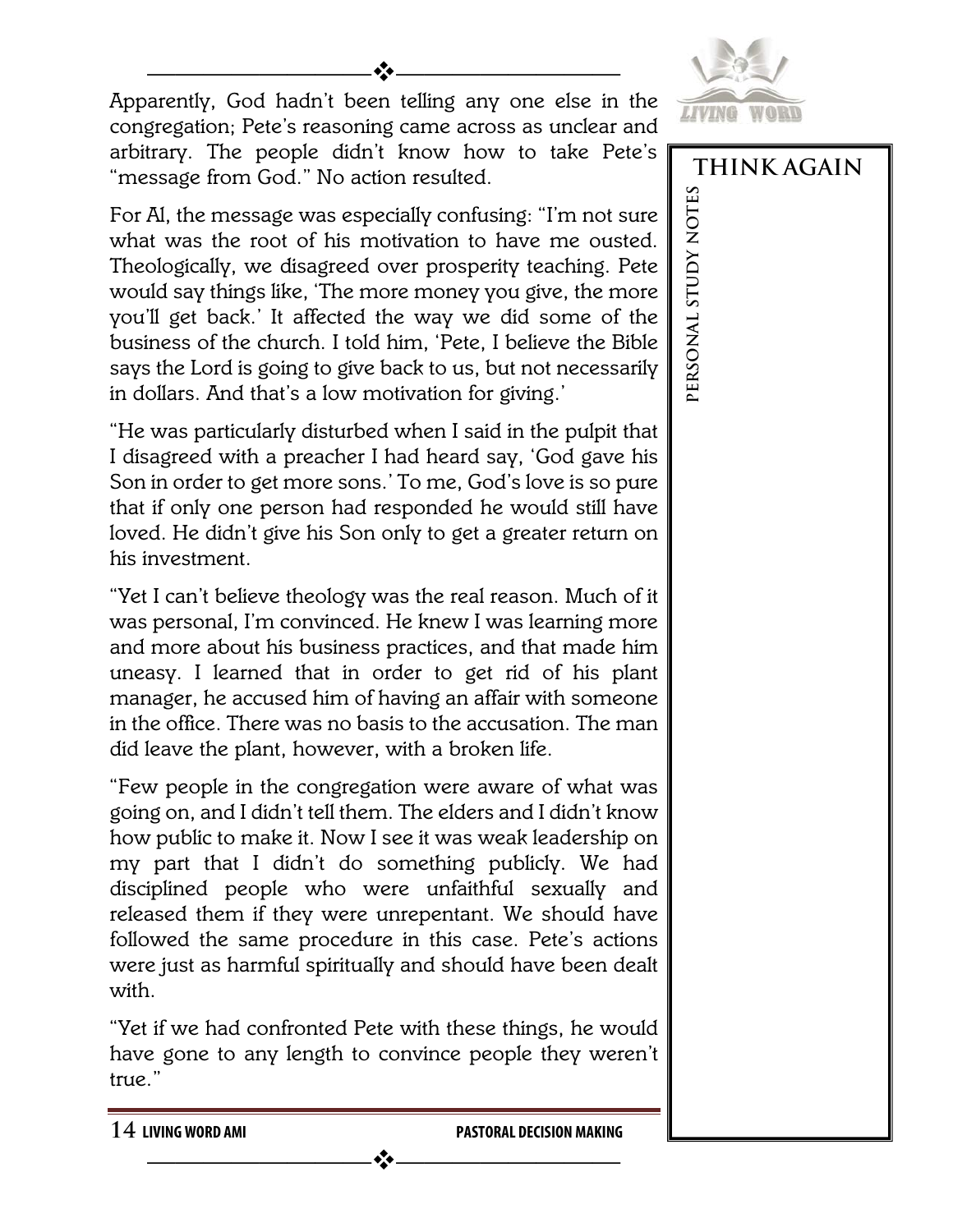

*Apparently, God hadn't been telling any one else in the congregation; Pete's reasoning came across as unclear and arbitrary. The people didn't know how to take Pete's "message from God." No action resulted.* 

————————————————

*For Al, the message was especially confusing: "I'm not sure what was the root of his motivation to have me ousted. Theologically, we disagreed over prosperity teaching. Pete would say things like, 'The more money you give, the more you'll get back.' It affected the way we did some of the business of the church. I told him, 'Pete, I believe the Bible says the Lord is going to give back to us, but not necessarily in dollars. And that's a low motivation for giving.'* 

*"He was particularly disturbed when I said in the pulpit that I disagreed with a preacher I had heard say, 'God gave his Son in order to get more sons.' To me, God's love is so pure that if only one person had responded he would still have*  loved. He didn't give his Son only to get a greater return on *his investment.* 

*"Yet I can't believe theology was the real reason. Much of it was personal, I'm convinced. He knew I was learning more and more about his business practices, and that made him uneasy. I learned that in order to get rid of his plant manager, he accused him of having an affair with someone*  in the office. There was no basis to the accusation. The man *did leave the plant, however, with a broken life.* 

*"Few people in the congregation were aware of what was going on, and I didn't tell them. The elders and I didn't know how public to make it. Now I see it was weak leadership on my part that I didn't do something publicly. We had disciplined people who were unfaithful sexually and released them if they were unrepentant. We should have followed the same procedure in this case. Pete's actions were just as harmful spiritually and should have been dealt with.* 

*"Yet if we had confronted Pete with these things, he would have gone to any length to convince people they weren't true."* 

————————————————

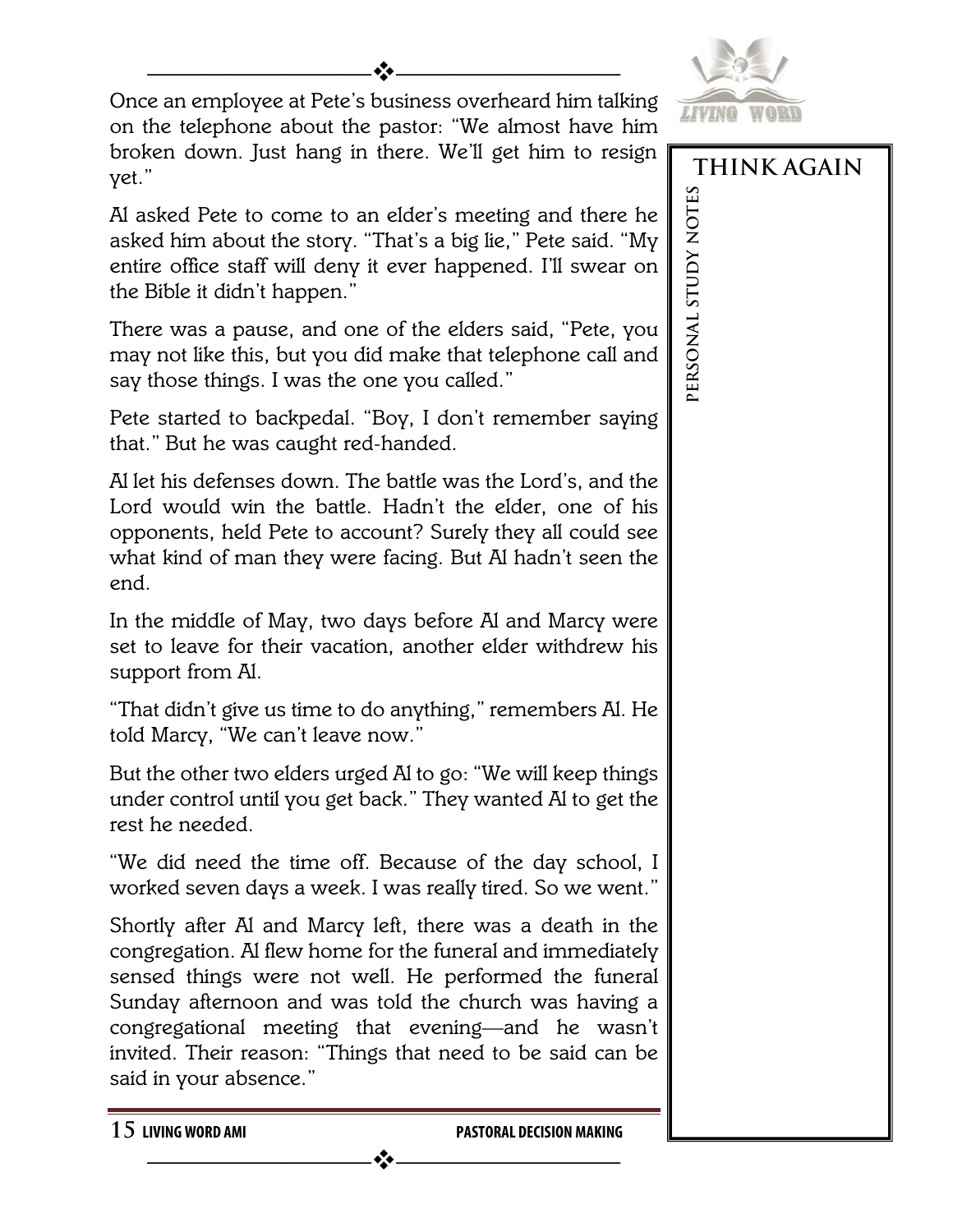

*Once an employee at Pete's business overheard him talking on the telephone about the pastor: "We almost have him broken down. Just hang in there. We'll get him to resign yet."* 

————————————————

*Al asked Pete to come to an elder's meeting and there he asked him about the story. "That's a big lie," Pete said. "My entire office staff will deny it ever happened. I'll swear on the Bible it didn't happen."* 

*There was a pause, and one of the elders said, "Pete, you may not like this, but you did make that telephone call and say those things. I was the one you called."* 

*Pete started to backpedal. "Boy, I don't remember saying that." But he was caught red-handed.* 

*Al let his defenses down. The battle was the Lord's, and the*  Lord would win the battle. Hadn't the elder, one of his *opponents, held Pete to account? Surely they all could see what kind of man they were facing. But Al hadn't seen the end.* 

*In the middle of May, two days before Al and Marcy were set to leave for their vacation, another elder withdrew his support from Al.* 

*"That didn't give us time to do anything," remembers Al. He told Marcy, "We can't leave now."* 

*But the other two elders urged Al to go: "We will keep things under control until you get back." They wanted Al to get the rest he needed.* 

*"We did need the time off. Because of the day school, I worked seven days a week. I was really tired. So we went."* 

*Shortly after Al and Marcy left, there was a death in the congregation. Al flew home for the funeral and immediately sensed things were not well. He performed the funeral Sunday afternoon and was told the church was having a congregational meeting that evening—and he wasn't invited. Their reason: "Things that need to be said can be said in your absence."* 

————————————————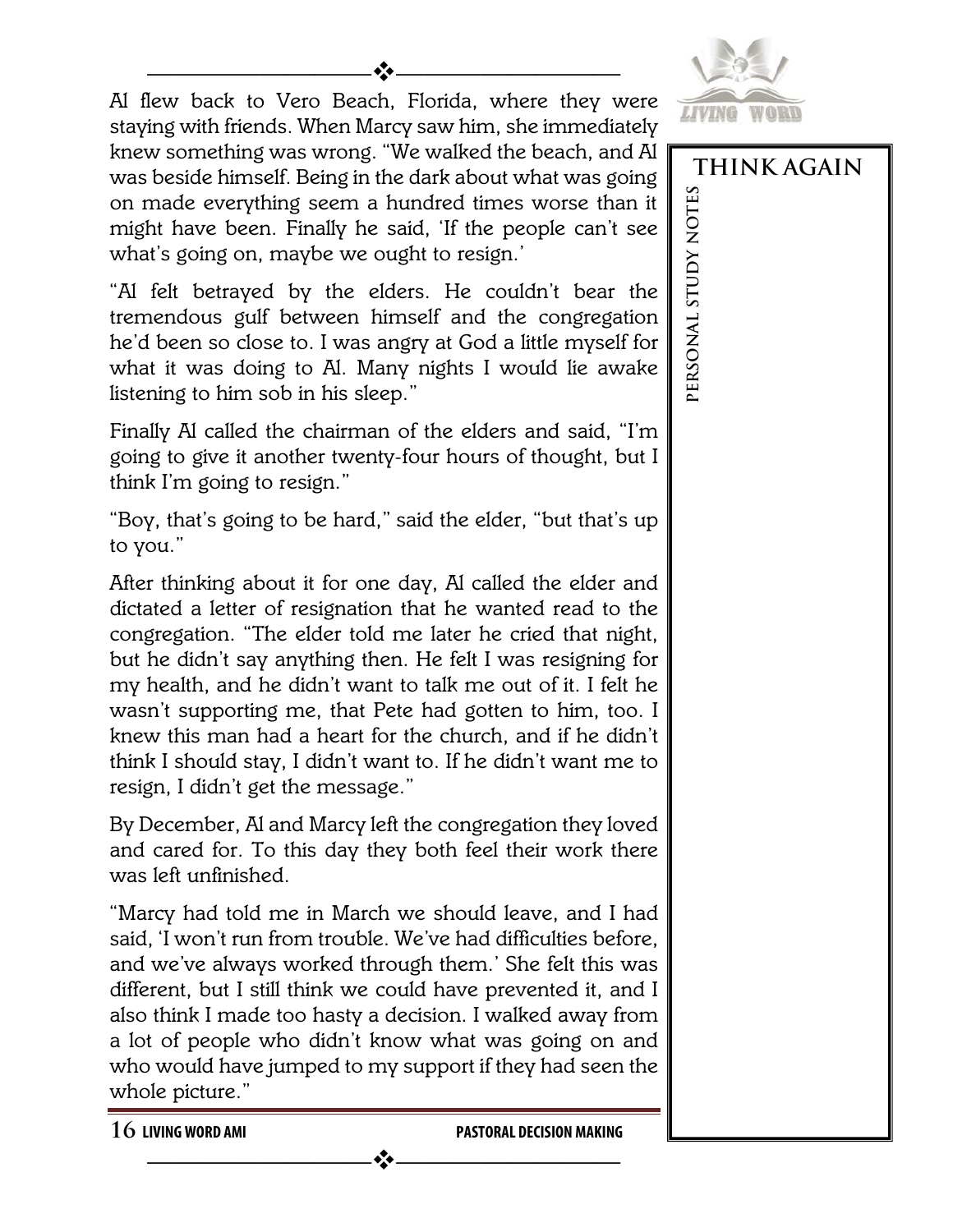

*Al flew back to Vero Beach, Florida, where they were staying with friends. When Marcy saw him, she immediately knew something was wrong. "We walked the beach, and Al was beside himself. Being in the dark about what was going on made everything seem a hundred times worse than it might have been. Finally he said, 'If the people can't see what's going on, maybe we ought to resign.'* 

————————————————

*"Al felt betrayed by the elders. He couldn't bear the tremendous gulf between himself and the congregation he'd been so close to. I was angry at God a little myself for what it was doing to Al. Many nights I would lie awake listening to him sob in his sleep."* 

*Finally Al called the chairman of the elders and said, "I'm going to give it another twenty-four hours of thought, but I think I'm going to resign."* 

*"Boy, that's going to be hard," said the elder, "but that's up to you."* 

*After thinking about it for one day, Al called the elder and dictated a letter of resignation that he wanted read to the congregation. "The elder told me later he cried that night, but he didn't say anything then. He felt I was resigning for my health, and he didn't want to talk me out of it. I felt he wasn't supporting me, that Pete had gotten to him, too. I knew this man had a heart for the church, and if he didn't think I should stay, I didn't want to. If he didn't want me to resign, I didn't get the message."* 

*By December, Al and Marcy left the congregation they loved and cared for. To this day they both feel their work there was left unfinished.* 

*"Marcy had told me in March we should leave, and I had said, 'I won't run from trouble. We've had difficulties before, and we've always worked through them.' She felt this was different, but I still think we could have prevented it, and I also think I made too hasty a decision. I walked away from a lot of people who didn't know what was going on and who would have jumped to my support if they had seen the whole picture."* 

————————————————

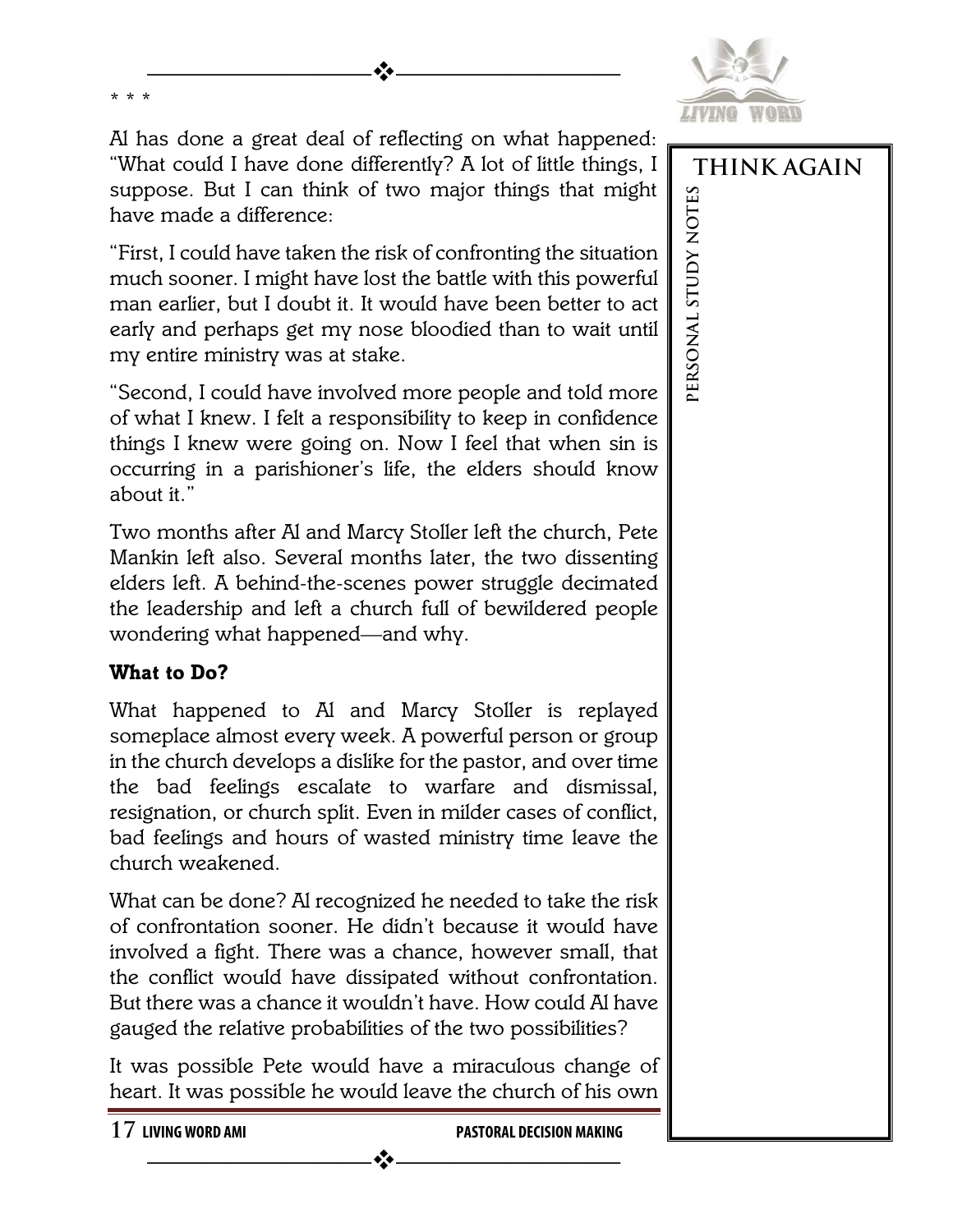

**THINK AGAIN PERSONAL STUDY NOTES**  PERSONAL STUDY NOTES

*Al has done a great deal of reflecting on what happened: "What could I have done differently? A lot of little things, I suppose. But I can think of two major things that might have made a difference:* 

————————————————

*"First, I could have taken the risk of confronting the situation much sooner. I might have lost the battle with this powerful man earlier, but I doubt it. It would have been better to act*  early and perhaps get my nose bloodied than to wait until *my entire ministry was at stake.* 

*"Second, I could have involved more people and told more of what I knew. I felt a responsibility to keep in confidence things I knew were going on. Now I feel that when sin is occurring in a parishioner's life, the elders should know about it."* 

*Two months after Al and Marcy Stoller left the church, Pete Mankin left also. Several months later, the two dissenting elders left. A behind-the-scenes power struggle decimated the leadership and left a church full of bewildered people wondering what happened—and why.* 

### *What to Do?*

*\* \* \** 

*What happened to Al and Marcy Stoller is replayed someplace almost every week. A powerful person or group in the church develops a dislike for the pastor, and over time the bad feelings escalate to warfare and dismissal, resignation, or church split. Even in milder cases of conflict, bad feelings and hours of wasted ministry time leave the church weakened.* 

*What can be done? Al recognized he needed to take the risk of confrontation sooner. He didn't because it would have involved a fight. There was a chance, however small, that the conflict would have dissipated without confrontation. But there was a chance it wouldn't have. How could Al have gauged the relative probabilities of the two possibilities?* 

*It was possible Pete would have a miraculous change of heart. It was possible he would leave the church of his own*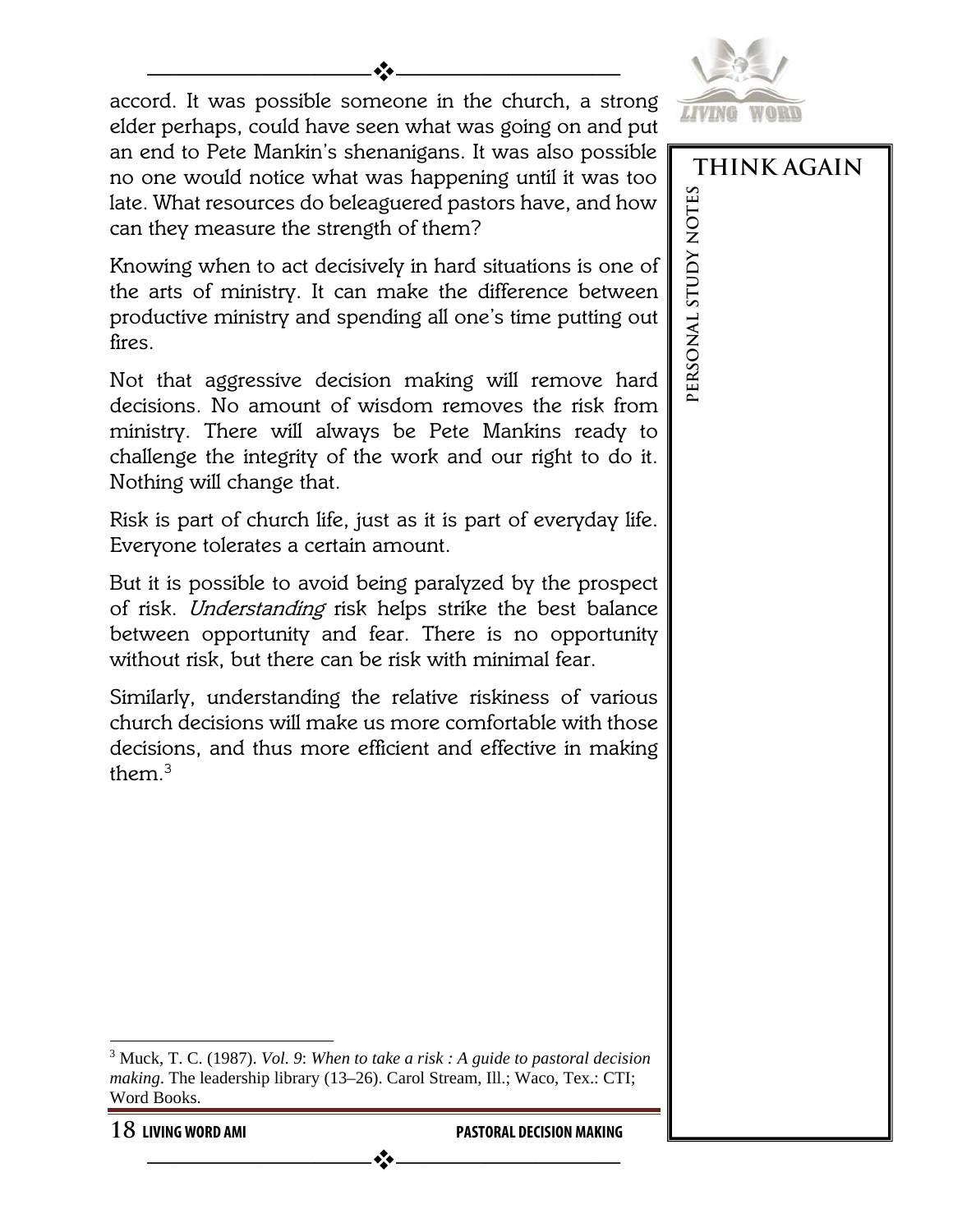

 **PERSONAL STUDY NOTES** 

PERSONAL STUDY NOTES

*accord. It was possible someone in the church, a strong elder perhaps, could have seen what was going on and put* 

————————————————

*an end to Pete Mankin's shenanigans. It was also possible no one would notice what was happening until it was too late. What resources do beleaguered pastors have, and how can they measure the strength of them?* 

*Knowing when to act decisively in hard situations is one of the arts of ministry. It can make the difference between productive ministry and spending all one's time putting out fires.* 

*Not that aggressive decision making will remove hard decisions. No amount of wisdom removes the risk from ministry. There will always be Pete Mankins ready to challenge the integrity of the work and our right to do it. Nothing will change that.* 

*Risk is part of church life, just as it is part of everyday life. Everyone tolerates a certain amount.* 

*But it is possible to avoid being paralyzed by the prospect of risk. Understanding risk helps strike the best balance between opportunity and fear. There is no opportunity without risk, but there can be risk with minimal fear.* 

*Similarly, understanding the relative riskiness of various church decisions will make us more comfortable with those decisions, and thus more efficient and effective in making them.3*

l 3 Muck, T. C. (1987). *Vol. 9*: *When to take a risk : A guide to pastoral decision making*. The leadership library (13–26). Carol Stream, Ill.; Waco, Tex.: CTI; Word Books.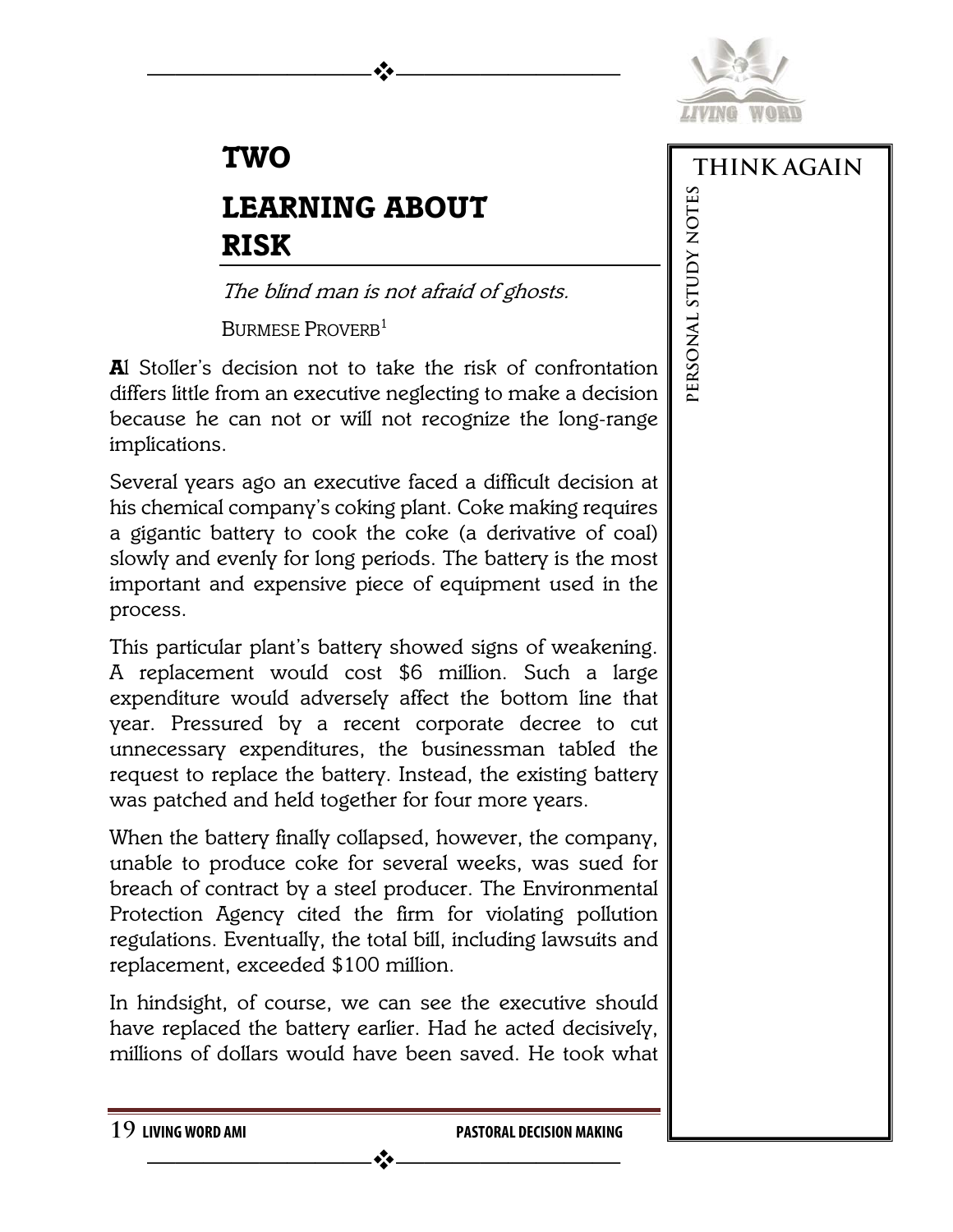

**ERSONAL STUDY NOTES** 

# **TWO THINK AGAIN** *LEARNING ABOUT RISK*

————————————————

*The blind man is not afraid of ghosts.*

*BURMESE PROVERB1*

*Al Stoller's decision not to take the risk of confrontation differs little from an executive neglecting to make a decision because he can not or will not recognize the long-range implications.* 

*Several years ago an executive faced a difficult decision at his chemical company's coking plant. Coke making requires a gigantic battery to cook the coke (a derivative of coal) slowly and evenly for long periods. The battery is the most important and expensive piece of equipment used in the process.* 

*This particular plant's battery showed signs of weakening. A replacement would cost \$6 million. Such a large expenditure would adversely affect the bottom line that year. Pressured by a recent corporate decree to cut unnecessary expenditures, the businessman tabled the request to replace the battery. Instead, the existing battery was patched and held together for four more years.* 

*When the battery finally collapsed, however, the company, unable to produce coke for several weeks, was sued for breach of contract by a steel producer. The Environmental Protection Agency cited the firm for violating pollution regulations. Eventually, the total bill, including lawsuits and replacement, exceeded \$100 million.* 

*In hindsight, of course, we can see the executive should have replaced the battery earlier. Had he acted decisively, millions of dollars would have been saved. He took what*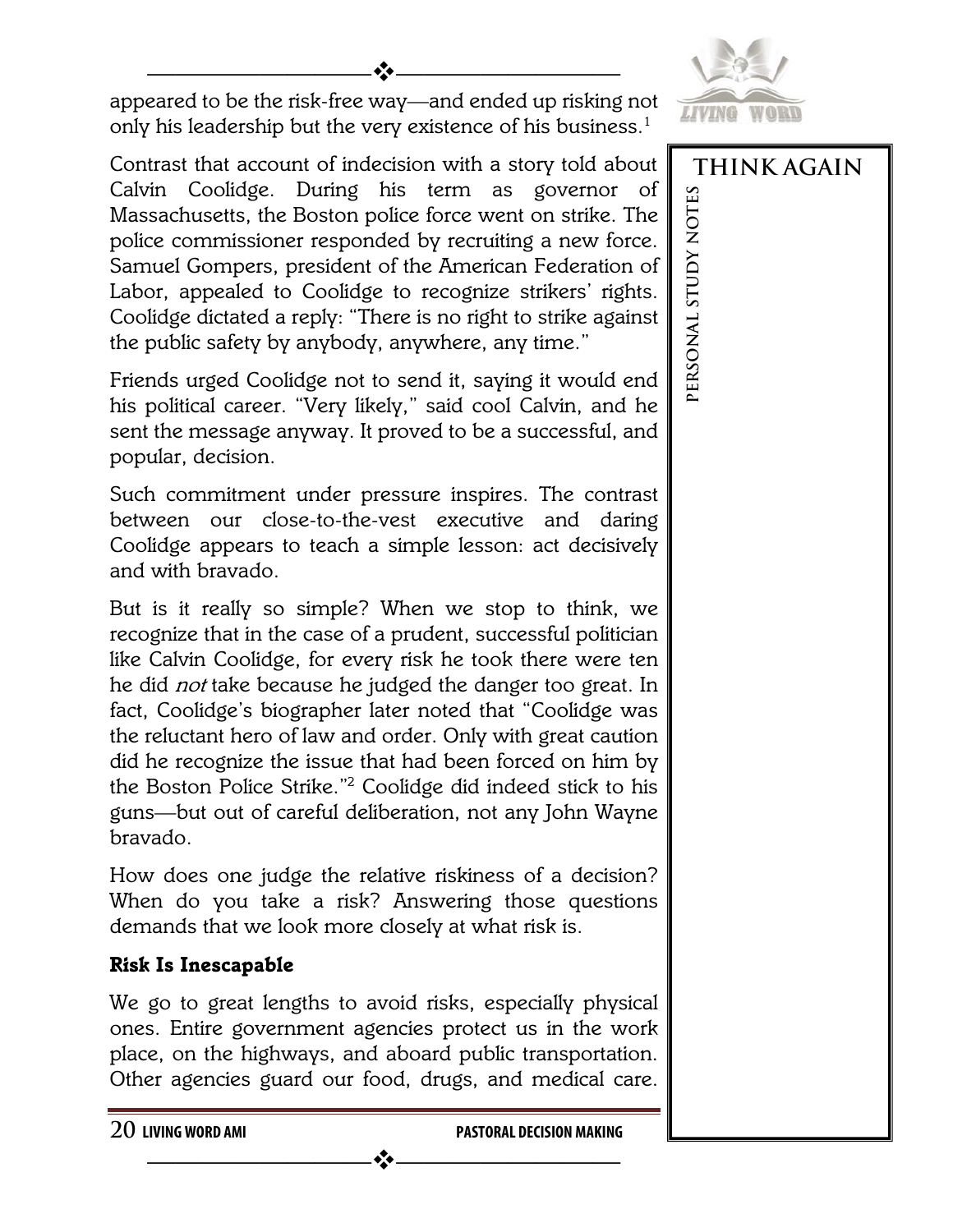

 **PERSONAL STUDY NOTES** 

PERSONAL STUDY NOTES

*appeared to be the risk-free way—and ended up risking not only his leadership but the very existence of his business.1*

————————————————

*Contrast that account of indecision with a story told about Calvin Coolidge. During his term as governor of Massachusetts, the Boston police force went on strike. The police commissioner responded by recruiting a new force. Samuel Gompers, president of the American Federation of*  Labor, appealed to Coolidge to recognize strikers' rights. *Coolidge dictated a reply: "There is no right to strike against the public safety by anybody, anywhere, any time."* 

*Friends urged Coolidge not to send it, saying it would end his political career. "Very likely," said cool Calvin, and he sent the message anyway. It proved to be a successful, and popular, decision.* 

*Such commitment under pressure inspires. The contrast between our close-to-the-vest executive and daring Coolidge appears to teach a simple lesson: act decisively and with bravado.* 

*But is it really so simple? When we stop to think, we recognize that in the case of a prudent, successful politician like Calvin Coolidge, for every risk he took there were ten he did not take because he judged the danger too great. In fact, Coolidge's biographer later noted that "Coolidge was the reluctant hero of law and order. Only with great caution did he recognize the issue that had been forced on him by the Boston Police Strike."2 Coolidge did indeed stick to his guns—but out of careful deliberation, not any John Wayne bravado.* 

*How does one judge the relative riskiness of a decision? When do you take a risk? Answering those questions demands that we look more closely at what risk is.* 

### *Risk Is Inescapable*

*We go to great lengths to avoid risks, especially physical ones. Entire government agencies protect us in the work place, on the highways, and aboard public transportation. Other agencies guard our food, drugs, and medical care.*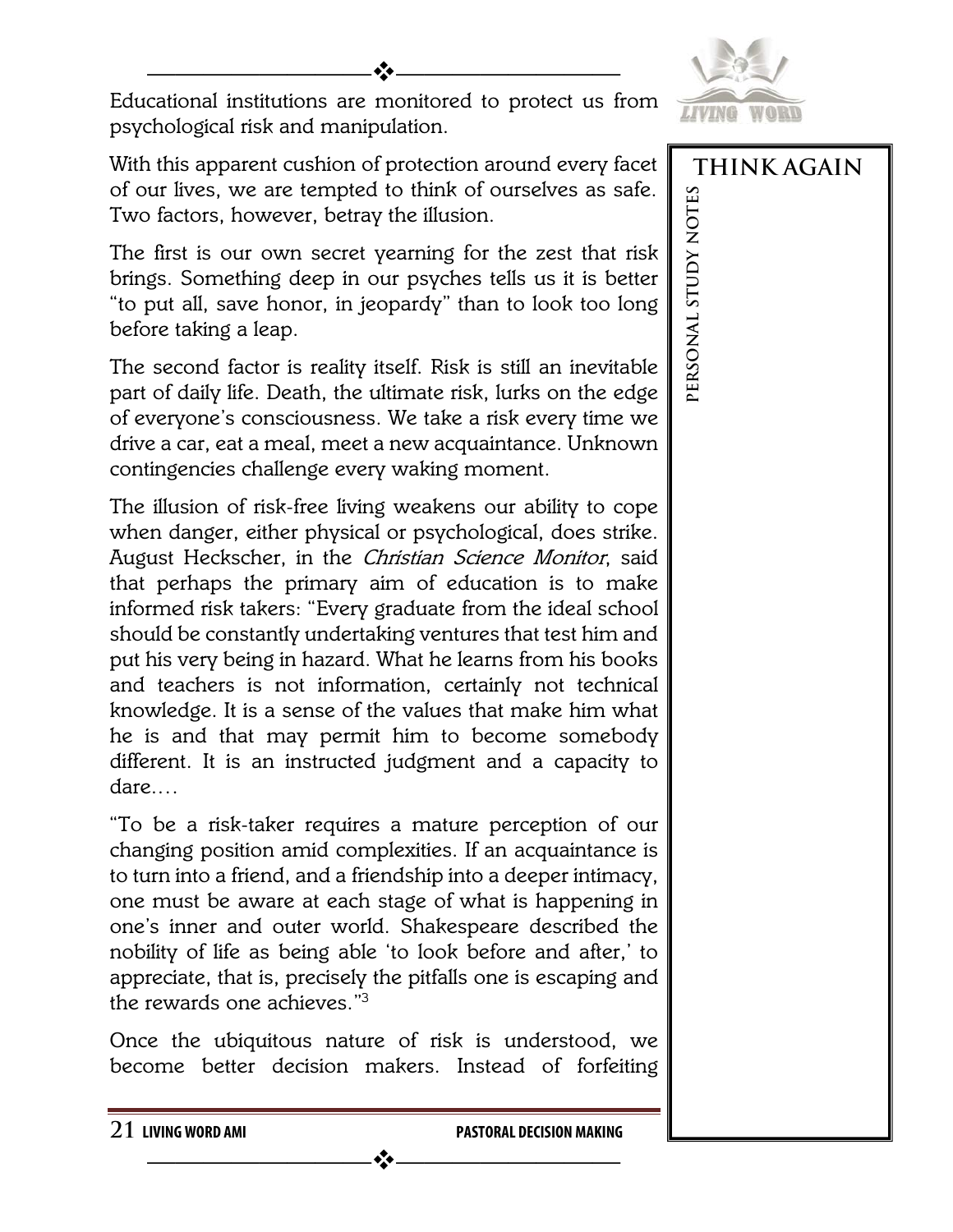

 **PERSONAL STUDY NOTES** 

PERSONAL STUDY NOTES

*Educational institutions are monitored to protect us from psychological risk and manipulation.* 

————————————————

*With this apparent cushion of protection around every facet of our lives, we are tempted to think of ourselves as safe. Two factors, however, betray the illusion.* 

*The first is our own secret yearning for the zest that risk brings. Something deep in our psyches tells us it is better "to put all, save honor, in jeopardy" than to look too long before taking a leap.* 

*The second factor is reality itself. Risk is still an inevitable part of daily life. Death, the ultimate risk, lurks on the edge of everyone's consciousness. We take a risk every time we drive a car, eat a meal, meet a new acquaintance. Unknown contingencies challenge every waking moment.* 

*The illusion of risk-free living weakens our ability to cope when danger, either physical or psychological, does strike. August Heckscher, in the Christian Science Monitor, said that perhaps the primary aim of education is to make informed risk takers: "Every graduate from the ideal school should be constantly undertaking ventures that test him and put his very being in hazard. What he learns from his books and teachers is not information, certainly not technical knowledge. It is a sense of the values that make him what he is and that may permit him to become somebody different. It is an instructed judgment and a capacity to dare.…* 

*"To be a risk-taker requires a mature perception of our changing position amid complexities. If an acquaintance is to turn into a friend, and a friendship into a deeper intimacy, one must be aware at each stage of what is happening in one's inner and outer world. Shakespeare described the nobility of life as being able 'to look before and after,' to appreciate, that is, precisely the pitfalls one is escaping and the rewards one achieves."3*

*Once the ubiquitous nature of risk is understood, we become better decision makers. Instead of forfeiting*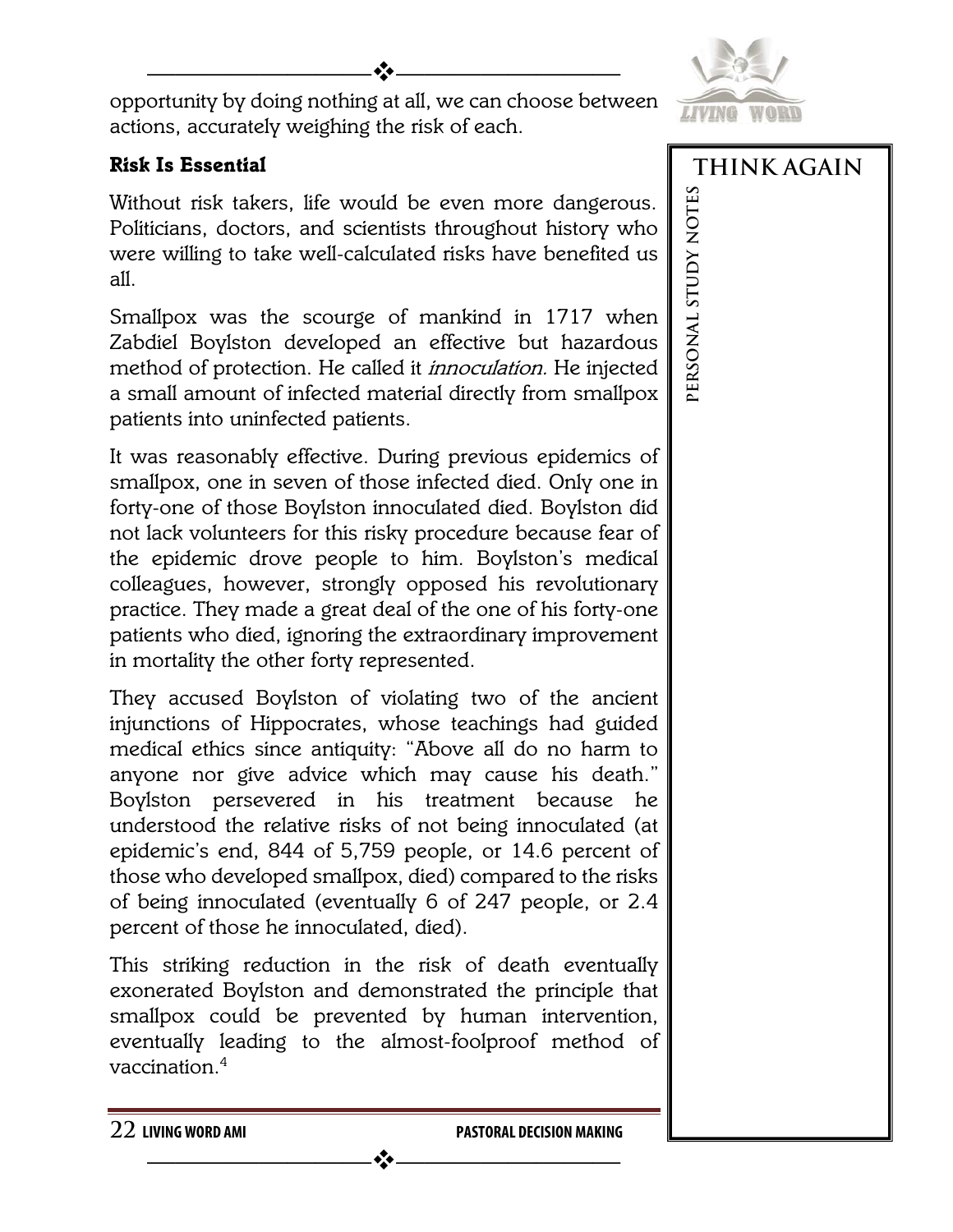

 **PERSONAL STUDY NOTES** 

PERSONAL STUDY NOTES

*opportunity by doing nothing at all, we can choose between actions, accurately weighing the risk of each.* 

————————————————

### *Risk Is Essential*

*Without risk takers, life would be even more dangerous. Politicians, doctors, and scientists throughout history who were willing to take well-calculated risks have benefited us all.* 

*Smallpox was the scourge of mankind in 1717 when Zabdiel Boylston developed an effective but hazardous method of protection. He called it innoculation. He injected a small amount of infected material directly from smallpox patients into uninfected patients.* 

*It was reasonably effective. During previous epidemics of*  smallpox, one in seven of those infected died. Only one in *forty-one of those Boylston innoculated died. Boylston did not lack volunteers for this risky procedure because fear of the epidemic drove people to him. Boylston's medical colleagues, however, strongly opposed his revolutionary practice. They made a great deal of the one of his forty-one patients who died, ignoring the extraordinary improvement in mortality the other forty represented.* 

*They accused Boylston of violating two of the ancient injunctions of Hippocrates, whose teachings had guided medical ethics since antiquity: "Above all do no harm to anyone nor give advice which may cause his death." Boylston persevered in his treatment because he understood the relative risks of not being innoculated (at epidemic's end, 844 of 5,759 people, or 14.6 percent of those who developed smallpox, died) compared to the risks of being innoculated (eventually 6 of 247 people, or 2.4 percent of those he innoculated, died).* 

*This striking reduction in the risk of death eventually exonerated Boylston and demonstrated the principle that smallpox could be prevented by human intervention, eventually leading to the almost-foolproof method of vaccination.4*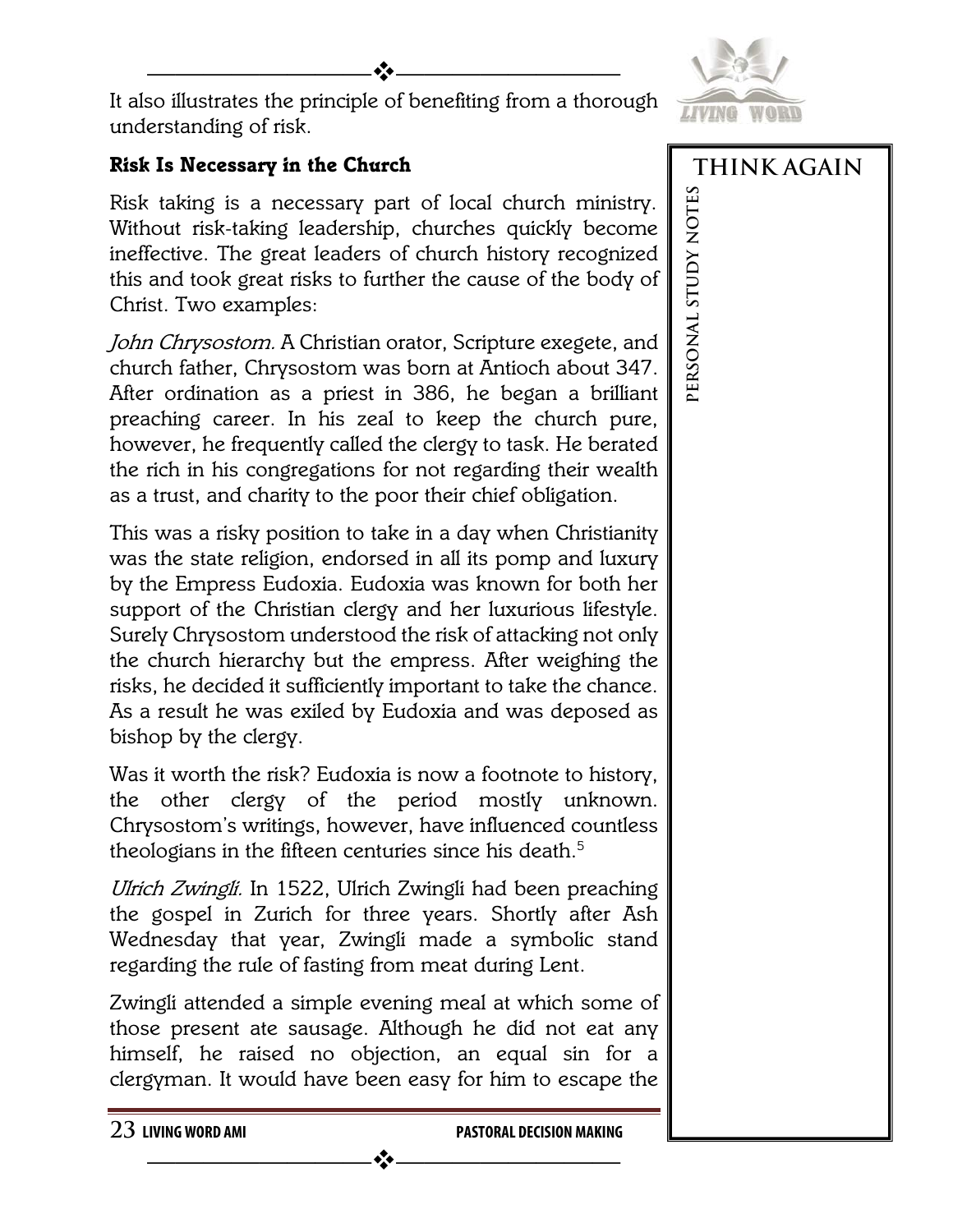

 **PERSONAL STUDY NOTES** 

PERSONAL STUDY NOTES

*It also illustrates the principle of benefiting from a thorough understanding of risk.* 

————————————————

### *Risk Is Necessary in the Church*

*Risk taking is a necessary part of local church ministry. Without risk-taking leadership, churches quickly become ineffective. The great leaders of church history recognized this and took great risks to further the cause of the body of Christ. Two examples:* 

*John Chrysostom. A Christian orator, Scripture exegete, and church father, Chrysostom was born at Antioch about 347. After ordination as a priest in 386, he began a brilliant preaching career. In his zeal to keep the church pure, however, he frequently called the clergy to task. He berated the rich in his congregations for not regarding their wealth as a trust, and charity to the poor their chief obligation.* 

*This was a risky position to take in a day when Christianity was the state religion, endorsed in all its pomp and luxury by the Empress Eudoxia. Eudoxia was known for both her support of the Christian clergy and her luxurious lifestyle. Surely Chrysostom understood the risk of attacking not only the church hierarchy but the empress. After weighing the risks, he decided it sufficiently important to take the chance. As a result he was exiled by Eudoxia and was deposed as bishop by the clergy.* 

*Was it worth the risk? Eudoxia is now a footnote to history, the other clergy of the period mostly unknown. Chrysostom's writings, however, have influenced countless theologians in the fifteen centuries since his death.5*

*Ulrich Zwingli. In 1522, Ulrich Zwingli had been preaching the gospel in Zurich for three years. Shortly after Ash Wednesday that year, Zwingli made a symbolic stand regarding the rule of fasting from meat during Lent.* 

*Zwingli attended a simple evening meal at which some of those present ate sausage. Although he did not eat any himself, he raised no objection, an equal sin for a clergyman. It would have been easy for him to escape the*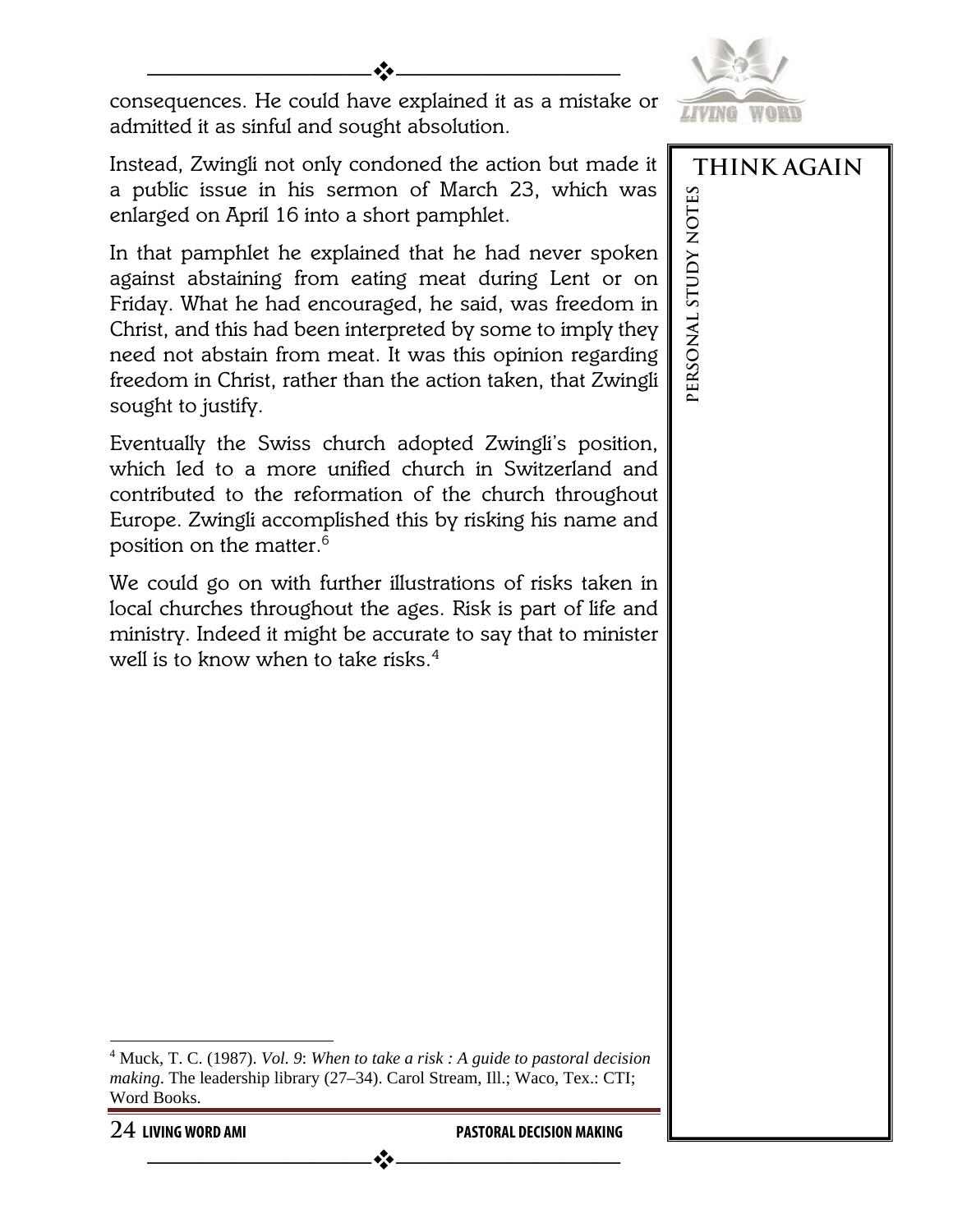

*consequences. He could have explained it as a mistake or admitted it as sinful and sought absolution.* 

————————————————

*Instead, Zwingli not only condoned the action but made it a public issue in his sermon of March 23, which was enlarged on April 16 into a short pamphlet.* 

In that pamphlet he explained that he had never spoken *against abstaining from eating meat during Lent or on Friday. What he had encouraged, he said, was freedom in Christ, and this had been interpreted by some to imply they need not abstain from meat. It was this opinion regarding freedom in Christ, rather than the action taken, that Zwingli sought to justify.* 

*Eventually the Swiss church adopted Zwingli's position, which led to a more unified church in Switzerland and contributed to the reformation of the church throughout Europe. Zwingli accomplished this by risking his name and position on the matter.6*

*We could go on with further illustrations of risks taken in local churches throughout the ages. Risk is part of life and ministry. Indeed it might be accurate to say that to minister well is to know when to take risks.4*

l 4 Muck, T. C. (1987). *Vol. 9*: *When to take a risk : A guide to pastoral decision making*. The leadership library (27–34). Carol Stream, Ill.; Waco, Tex.: CTI; Word Books.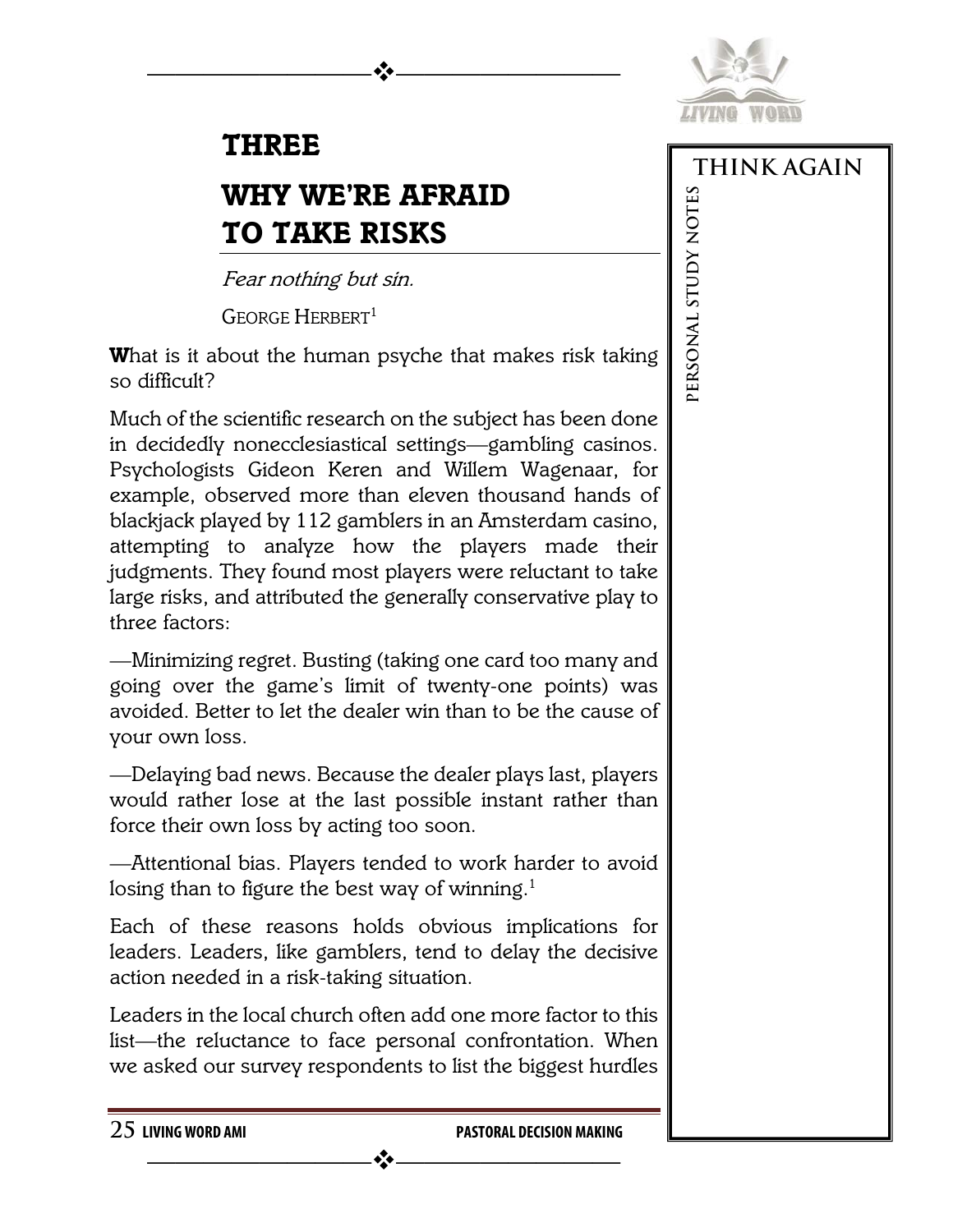

 **PERSONAL STUDY NOTES** 

PERSONAL STUDY NOTES

# *THREE WHY WE'RE AFRAID TO TAKE RISKS*

————————————————

*Fear nothing but sin.*

*GEORGE HERBERT1*

*What is it about the human psyche that makes risk taking so difficult?* 

*Much of the scientific research on the subject has been done in decidedly nonecclesiastical settings—gambling casinos. Psychologists Gideon Keren and Willem Wagenaar, for example, observed more than eleven thousand hands of blackjack played by 112 gamblers in an Amsterdam casino, attempting to analyze how the players made their judgments. They found most players were reluctant to take large risks, and attributed the generally conservative play to three factors:* 

*—Minimizing regret. Busting (taking one card too many and going over the game's limit of twenty-one points) was avoided. Better to let the dealer win than to be the cause of your own loss.* 

*—Delaying bad news. Because the dealer plays last, players would rather lose at the last possible instant rather than force their own loss by acting too soon.* 

*—Attentional bias. Players tended to work harder to avoid losing than to figure the best way of winning.1*

*Each of these reasons holds obvious implications for leaders. Leaders, like gamblers, tend to delay the decisive action needed in a risk-taking situation.* 

*Leaders in the local church often add one more factor to this list—the reluctance to face personal confrontation. When we asked our survey respondents to list the biggest hurdles*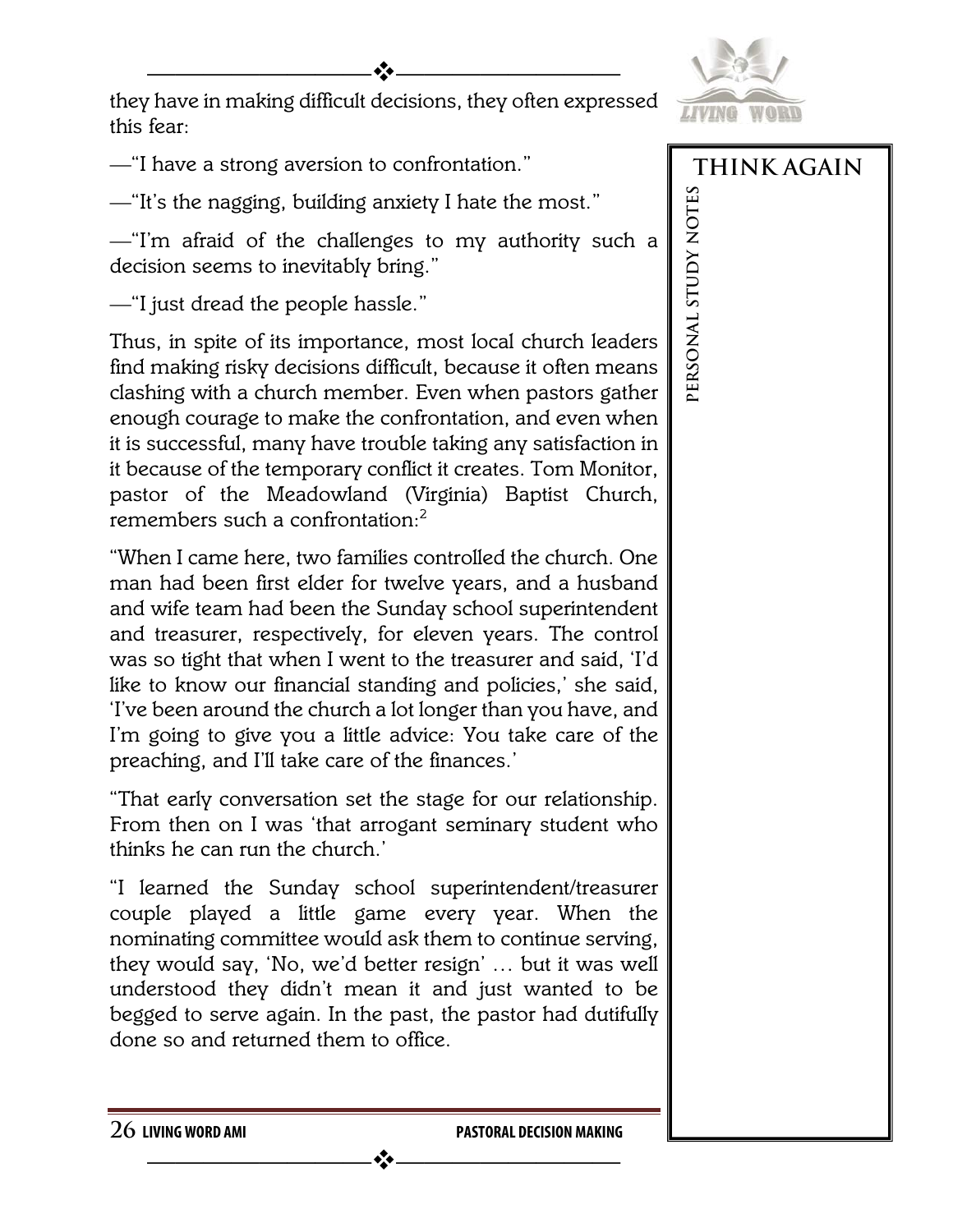

*they have in making difficult decisions, they often expressed this fear:* 

————————————————

*—"I have a strong aversion to confrontation."* 

*—"It's the nagging, building anxiety I hate the most."* 

*—"I'm afraid of the challenges to my authority such a decision seems to inevitably bring."* 

*—"I just dread the people hassle."* 

*Thus, in spite of its importance, most local church leaders find making risky decisions difficult, because it often means clashing with a church member. Even when pastors gather enough courage to make the confrontation, and even when it is successful, many have trouble taking any satisfaction in it because of the temporary conflict it creates. Tom Monitor, pastor of the Meadowland (Virginia) Baptist Church, remembers such a confrontation:2*

*"When I came here, two families controlled the church. One man had been first elder for twelve years, and a husband and wife team had been the Sunday school superintendent and treasurer, respectively, for eleven years. The control was so tight that when I went to the treasurer and said, 'I'd like to know our financial standing and policies,' she said, 'I've been around the church a lot longer than you have, and I'm going to give you a little advice: You take care of the preaching, and I'll take care of the finances.'* 

*"That early conversation set the stage for our relationship. From then on I was 'that arrogant seminary student who thinks he can run the church.'* 

*"I learned the Sunday school superintendent/treasurer couple played a little game every year. When the nominating committee would ask them to continue serving, they would say, 'No, we'd better resign' … but it was well understood they didn't mean it and just wanted to be begged to serve again. In the past, the pastor had dutifully done so and returned them to office.* 

————————————————

**THINK AGAIN PERSONAL STUDY NOTES**  PERSONAL STUDY NOTES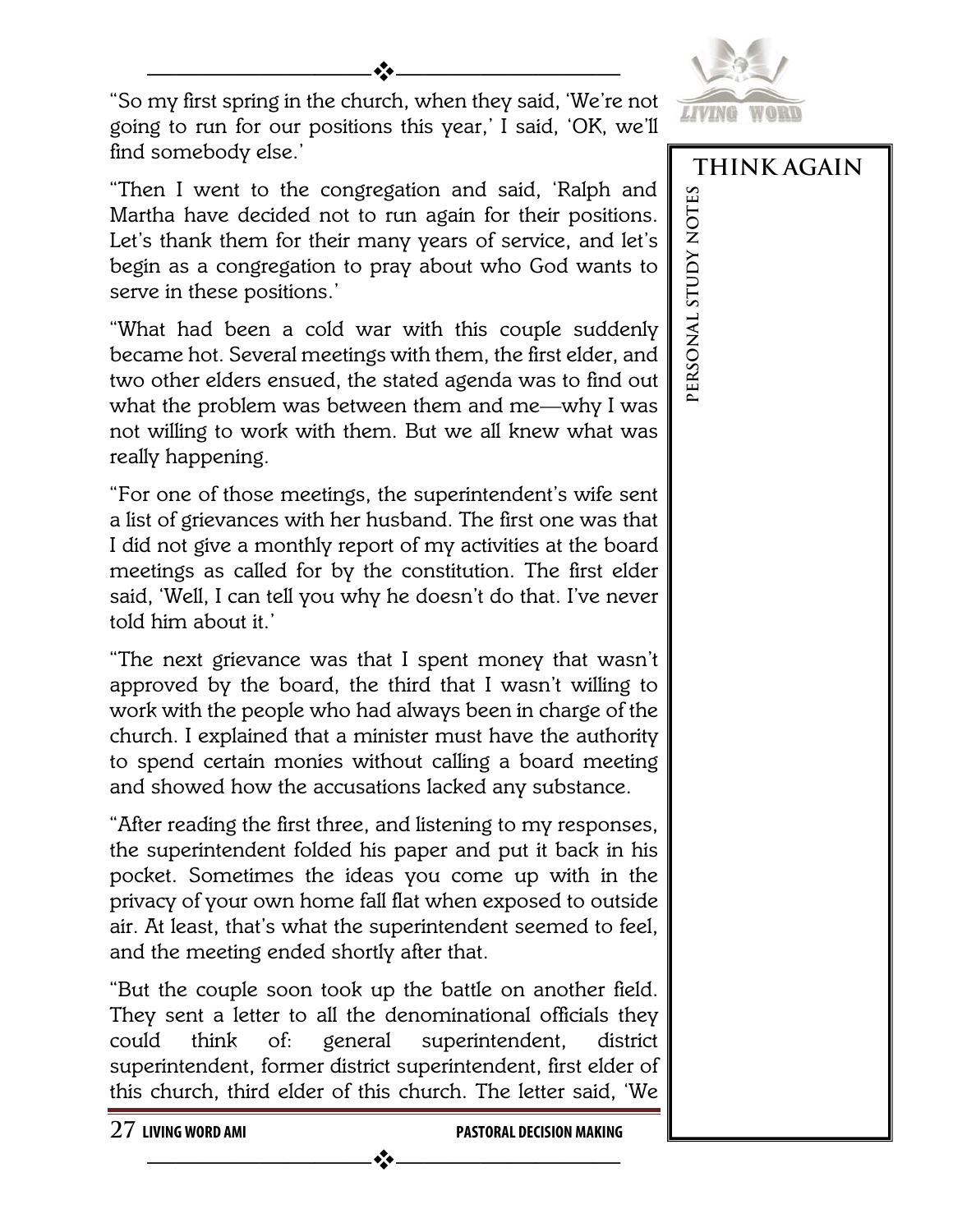

*"So my first spring in the church, when they said, 'We're not going to run for our positions this year,' I said, 'OK, we'll find somebody else.'* 

————————————————

*"Then I went to the congregation and said, 'Ralph and Martha have decided not to run again for their positions.*  Let's thank them for their many years of service, and let's *begin as a congregation to pray about who God wants to serve in these positions.'* 

*"What had been a cold war with this couple suddenly became hot. Several meetings with them, the first elder, and two other elders ensued, the stated agenda was to find out what the problem was between them and me—why I was not willing to work with them. But we all knew what was really happening.* 

*"For one of those meetings, the superintendent's wife sent a list of grievances with her husband. The first one was that I did not give a monthly report of my activities at the board*  meetings as called for by the constitution. The first elder *said, 'Well, I can tell you why he doesn't do that. I've never told him about it.'* 

*"The next grievance was that I spent money that wasn't approved by the board, the third that I wasn't willing to work with the people who had always been in charge of the church. I explained that a minister must have the authority to spend certain monies without calling a board meeting and showed how the accusations lacked any substance.* 

*"After reading the first three, and listening to my responses, the superintendent folded his paper and put it back in his pocket. Sometimes the ideas you come up with in the privacy of your own home fall flat when exposed to outside air. At least, that's what the superintendent seemed to feel, and the meeting ended shortly after that.* 

*"But the couple soon took up the battle on another field. They sent a letter to all the denominational officials they could think of: general superintendent, district superintendent, former district superintendent, first elder of this church, third elder of this church. The letter said, 'We* 

————————————————



 **PERSONAL STUDY NOTES**  PERSONAL STUDY NOTES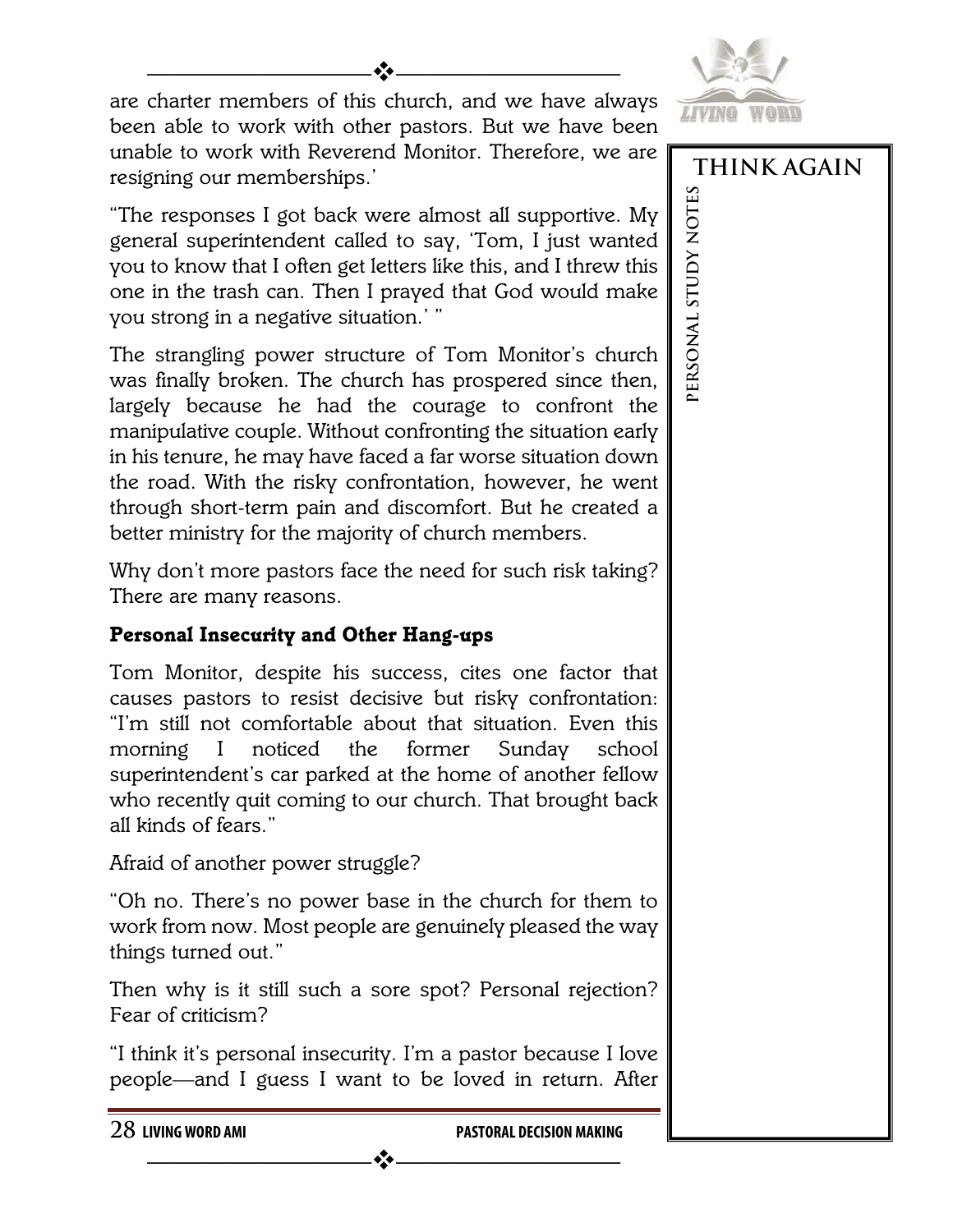

*are charter members of this church, and we have always been able to work with other pastors. But we have been unable to work with Reverend Monitor. Therefore, we are resigning our memberships.'* 

————————————————

*"The responses I got back were almost all supportive. My general superintendent called to say, 'Tom, I just wanted you to know that I often get letters like this, and I threw this one in the trash can. Then I prayed that God would make you strong in a negative situation.' "* 

*The strangling power structure of Tom Monitor's church was finally broken. The church has prospered since then, largely because he had the courage to confront the manipulative couple. Without confronting the situation early in his tenure, he may have faced a far worse situation down the road. With the risky confrontation, however, he went through short-term pain and discomfort. But he created a better ministry for the majority of church members.* 

*Why don't more pastors face the need for such risk taking? There are many reasons.* 

### *Personal Insecurity and Other Hang-ups*

*Tom Monitor, despite his success, cites one factor that causes pastors to resist decisive but risky confrontation: "I'm still not comfortable about that situation. Even this morning I noticed the former Sunday school superintendent's car parked at the home of another fellow who recently quit coming to our church. That brought back all kinds of fears."* 

*Afraid of another power struggle?* 

*"Oh no. There's no power base in the church for them to work from now. Most people are genuinely pleased the way things turned out."* 

*Then why is it still such a sore spot? Personal rejection? Fear of criticism?* 

*"I think it's personal insecurity. I'm a pastor because I love people—and I guess I want to be loved in return. After* 

————————————————



 **PERSONAL STUDY NOTES**  PERSONAL STUDY NOTES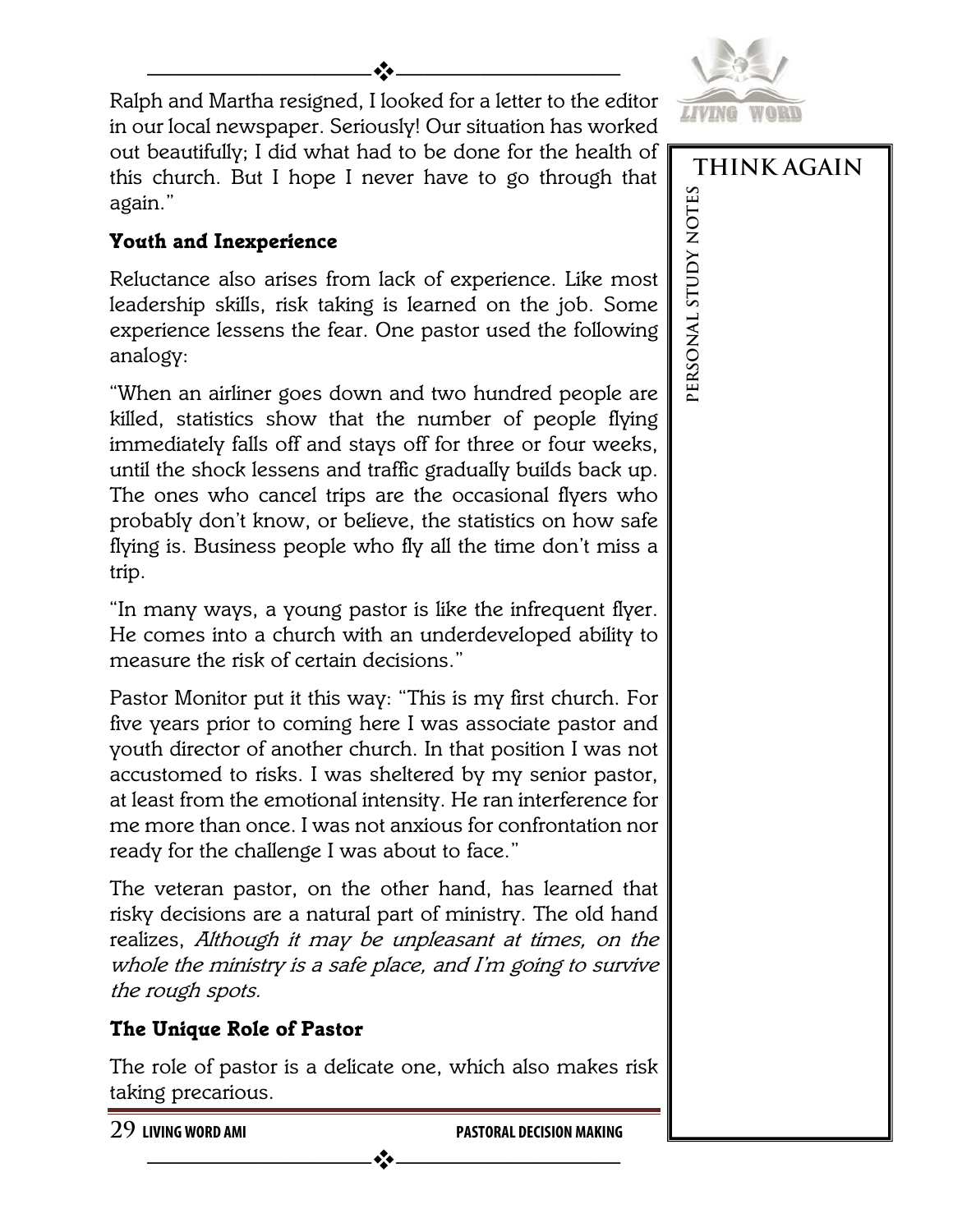

 **PERSONAL STUDY NOTES** 

PERSONAL STUDY NOTES

*Ralph and Martha resigned, I looked for a letter to the editor in our local newspaper. Seriously! Our situation has worked out beautifully; I did what had to be done for the health of this church. But I hope I never have to go through that again."* 

————————————————

### *Youth and Inexperience*

*Reluctance also arises from lack of experience. Like most leadership skills, risk taking is learned on the job. Some experience lessens the fear. One pastor used the following analogy:* 

*"When an airliner goes down and two hundred people are killed, statistics show that the number of people flying immediately falls off and stays off for three or four weeks, until the shock lessens and traffic gradually builds back up. The ones who cancel trips are the occasional flyers who probably don't know, or believe, the statistics on how safe flying is. Business people who fly all the time don't miss a trip.* 

*"In many ways, a young pastor is like the infrequent flyer. He comes into a church with an underdeveloped ability to measure the risk of certain decisions."* 

*Pastor Monitor put it this way: "This is my first church. For five years prior to coming here I was associate pastor and youth director of another church. In that position I was not accustomed to risks. I was sheltered by my senior pastor, at least from the emotional intensity. He ran interference for me more than once. I was not anxious for confrontation nor ready for the challenge I was about to face."* 

*The veteran pastor, on the other hand, has learned that risky decisions are a natural part of ministry. The old hand realizes, Although it may be unpleasant at times, on the whole the ministry is a safe place, and I'm going to survive the rough spots.*

### *The Unique Role of Pastor*

*The role of pastor is a delicate one, which also makes risk taking precarious.* 

————————————————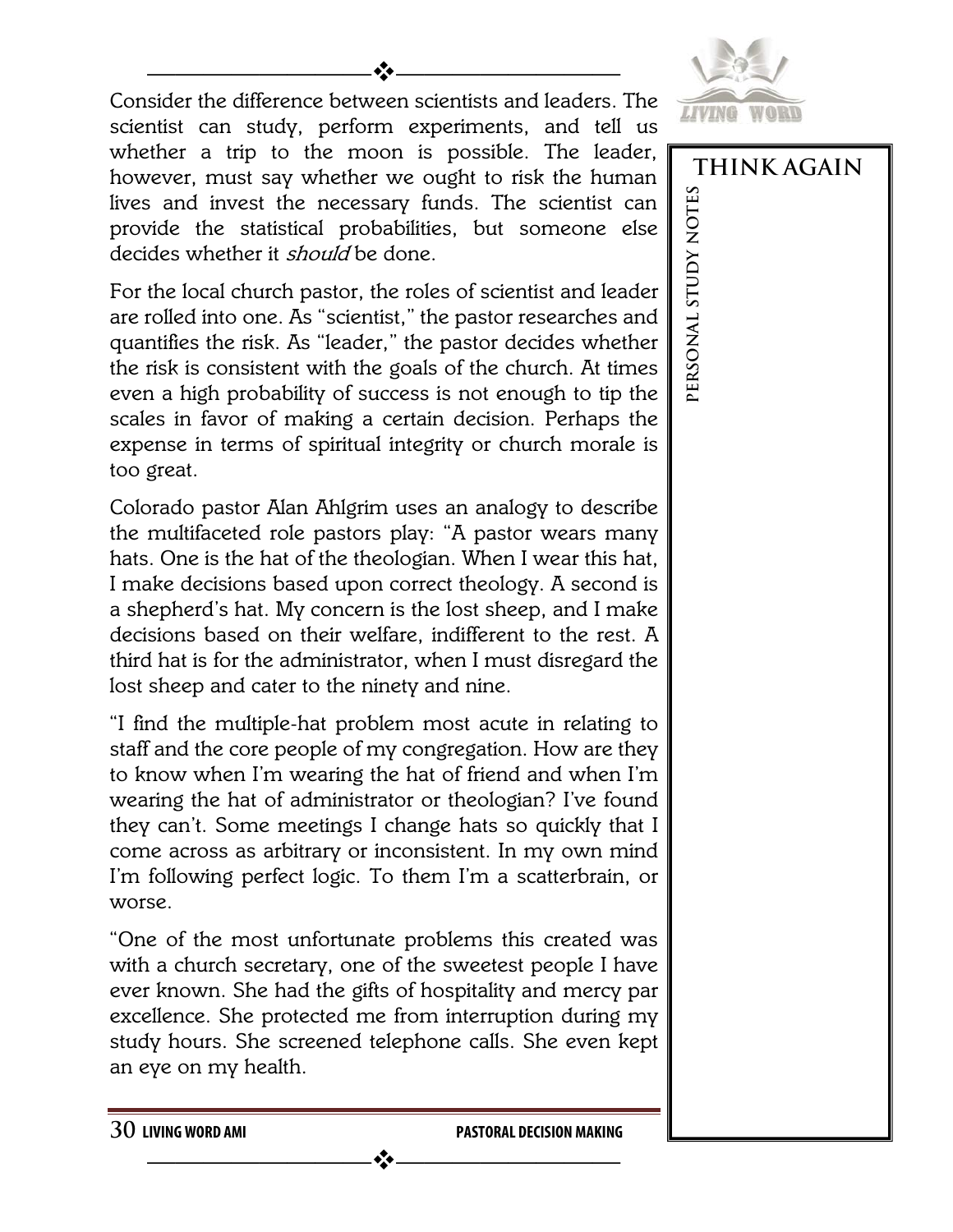

*Consider the difference between scientists and leaders. The scientist can study, perform experiments, and tell us whether a trip to the moon is possible. The leader, however, must say whether we ought to risk the human lives and invest the necessary funds. The scientist can provide the statistical probabilities, but someone else decides whether it should be done.* 

————————————————

*For the local church pastor, the roles of scientist and leader are rolled into one. As "scientist," the pastor researches and quantifies the risk. As "leader," the pastor decides whether the risk is consistent with the goals of the church. At times even a high probability of success is not enough to tip the scales in favor of making a certain decision. Perhaps the expense in terms of spiritual integrity or church morale is too great.* 

*Colorado pastor Alan Ahlgrim uses an analogy to describe the multifaceted role pastors play: "A pastor wears many hats. One is the hat of the theologian. When I wear this hat, I make decisions based upon correct theology. A second is a shepherd's hat. My concern is the lost sheep, and I make decisions based on their welfare, indifferent to the rest. A third hat is for the administrator, when I must disregard the lost sheep and cater to the ninety and nine.* 

*"I find the multiple-hat problem most acute in relating to staff and the core people of my congregation. How are they to know when I'm wearing the hat of friend and when I'm wearing the hat of administrator or theologian? I've found they can't. Some meetings I change hats so quickly that I come across as arbitrary or inconsistent. In my own mind I'm following perfect logic. To them I'm a scatterbrain, or worse.* 

*"One of the most unfortunate problems this created was with a church secretary, one of the sweetest people I have ever known. She had the gifts of hospitality and mercy par excellence. She protected me from interruption during my study hours. She screened telephone calls. She even kept an eye on my health.* 

————————————————

**THINK AGAIN PERSONAL STUDY NOTES**  PERSONAL STUDY NOTES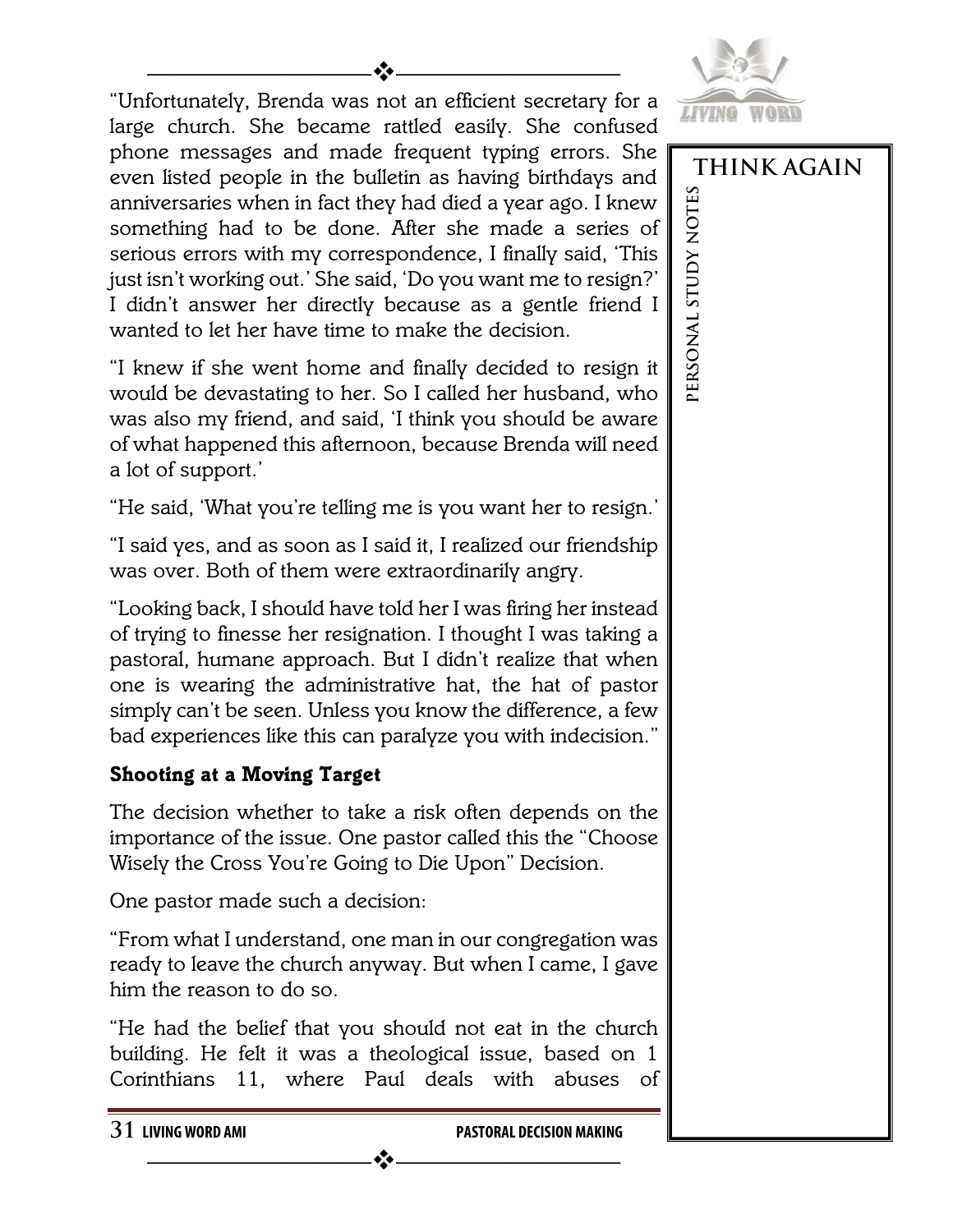

 **PERSONAL STUDY NOTES** 

PERSONAL STUDY NOTES

*"Unfortunately, Brenda was not an efficient secretary for a large church. She became rattled easily. She confused phone messages and made frequent typing errors. She even listed people in the bulletin as having birthdays and anniversaries when in fact they had died a year ago. I knew something had to be done. After she made a series of serious errors with my correspondence, I finally said, 'This just isn't working out.' She said, 'Do you want me to resign?' I didn't answer her directly because as a gentle friend I wanted to let her have time to make the decision.* 

————————————————

*"I knew if she went home and finally decided to resign it would be devastating to her. So I called her husband, who was also my friend, and said, 'I think you should be aware of what happened this afternoon, because Brenda will need a lot of support.'* 

*"He said, 'What you're telling me is you want her to resign.'* 

*"I said yes, and as soon as I said it, I realized our friendship was over. Both of them were extraordinarily angry.* 

*"Looking back, I should have told her I was firing her instead of trying to finesse her resignation. I thought I was taking a pastoral, humane approach. But I didn't realize that when one is wearing the administrative hat, the hat of pastor simply can't be seen. Unless you know the difference, a few bad experiences like this can paralyze you with indecision."* 

### *Shooting at a Moving Target*

*The decision whether to take a risk often depends on the importance of the issue. One pastor called this the "Choose Wisely the Cross You're Going to Die Upon" Decision.* 

*One pastor made such a decision:* 

*"From what I understand, one man in our congregation was ready to leave the church anyway. But when I came, I gave him the reason to do so.* 

*"He had the belief that you should not eat in the church building. He felt it was a theological issue, based on 1 Corinthians 11, where Paul deals with abuses of*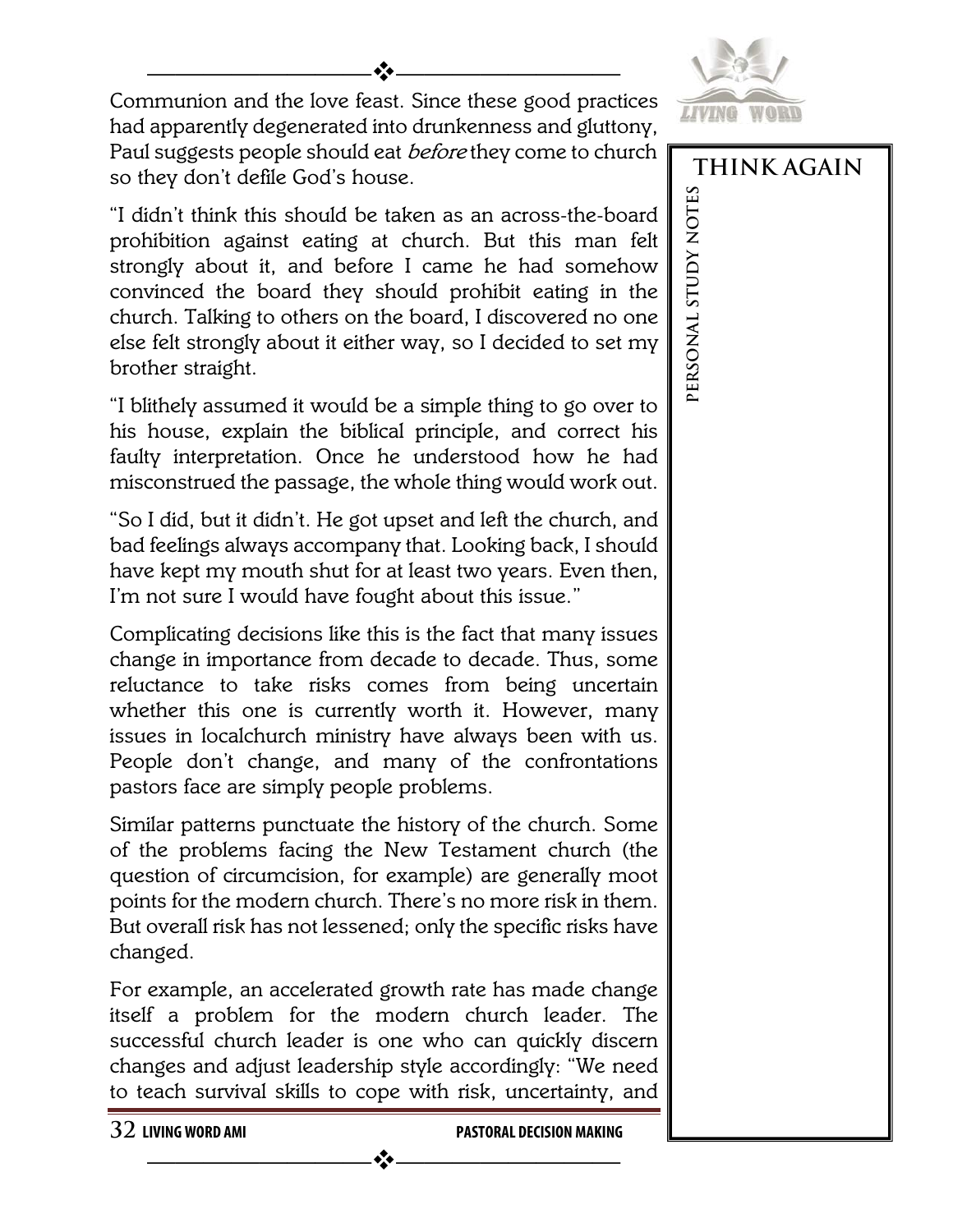*Communion and the love feast. Since these good practices had apparently degenerated into drunkenness and gluttony, Paul suggests people should eat before they come to church so they don't defile God's house.* 

————————————————

*"I didn't think this should be taken as an across-the-board prohibition against eating at church. But this man felt strongly about it, and before I came he had somehow convinced the board they should prohibit eating in the church. Talking to others on the board, I discovered no one else felt strongly about it either way, so I decided to set my brother straight.* 

*"I blithely assumed it would be a simple thing to go over to his house, explain the biblical principle, and correct his faulty interpretation. Once he understood how he had misconstrued the passage, the whole thing would work out.* 

*"So I did, but it didn't. He got upset and left the church, and bad feelings always accompany that. Looking back, I should have kept my mouth shut for at least two years. Even then, I'm not sure I would have fought about this issue."* 

*Complicating decisions like this is the fact that many issues change in importance from decade to decade. Thus, some reluctance to take risks comes from being uncertain whether this one is currently worth it. However, many issues in localchurch ministry have always been with us. People don't change, and many of the confrontations pastors face are simply people problems.* 

*Similar patterns punctuate the history of the church. Some of the problems facing the New Testament church (the question of circumcision, for example) are generally moot points for the modern church. There's no more risk in them. But overall risk has not lessened; only the specific risks have changed.* 

*For example, an accelerated growth rate has made change itself a problem for the modern church leader. The successful church leader is one who can quickly discern changes and adjust leadership style accordingly: "We need to teach survival skills to cope with risk, uncertainty, and* 

————————————————

**32 LIVING WORD AMI PASTORAL DECISION MAKING** 



# **THINK AGAIN PERSONAL STUDY NOTES**  PERSONAL STUDY NOTES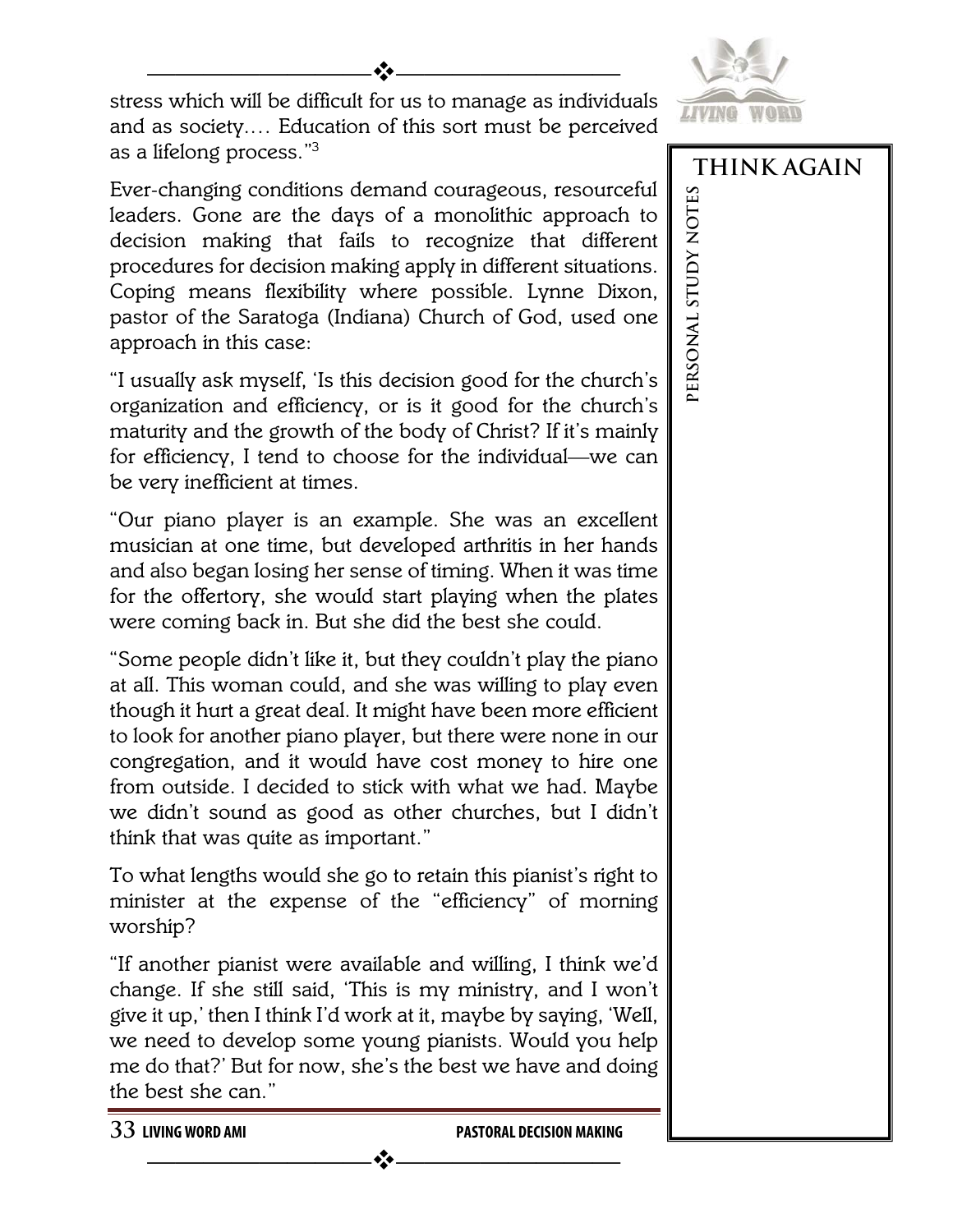

 **PERSONAL STUDY NOTES** 

PERSONAL STUDY NOTES

*stress which will be difficult for us to manage as individuals and as society.… Education of this sort must be perceived as a lifelong process."3*

————————————————

*Ever-changing conditions demand courageous, resourceful leaders. Gone are the days of a monolithic approach to decision making that fails to recognize that different procedures for decision making apply in different situations. Coping means flexibility where possible. Lynne Dixon, pastor of the Saratoga (Indiana) Church of God, used one approach in this case:* 

*"I usually ask myself, 'Is this decision good for the church's organization and efficiency, or is it good for the church's maturity and the growth of the body of Christ? If it's mainly for efficiency, I tend to choose for the individual—we can be very inefficient at times.* 

*"Our piano player is an example. She was an excellent musician at one time, but developed arthritis in her hands and also began losing her sense of timing. When it was time for the offertory, she would start playing when the plates were coming back in. But she did the best she could.* 

*"Some people didn't like it, but they couldn't play the piano at all. This woman could, and she was willing to play even though it hurt a great deal. It might have been more efficient to look for another piano player, but there were none in our congregation, and it would have cost money to hire one from outside. I decided to stick with what we had. Maybe we didn't sound as good as other churches, but I didn't think that was quite as important."* 

*To what lengths would she go to retain this pianist's right to minister at the expense of the "efficiency" of morning worship?* 

*"If another pianist were available and willing, I think we'd change. If she still said, 'This is my ministry, and I won't give it up,' then I think I'd work at it, maybe by saying, 'Well, we need to develop some young pianists. Would you help me do that?' But for now, she's the best we have and doing the best she can."* 

————————————————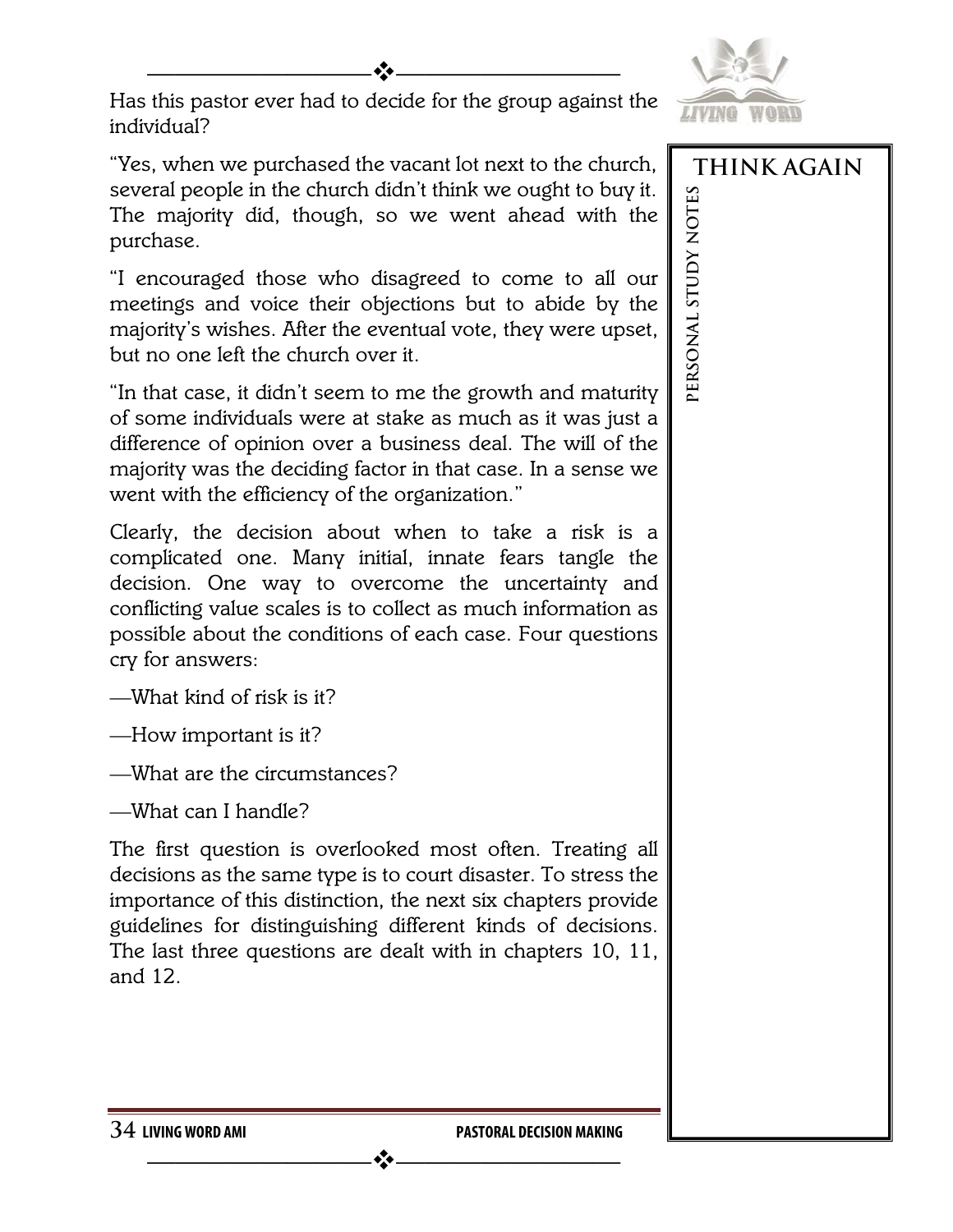

*Has this pastor ever had to decide for the group against the individual?* 

————————————————

*"Yes, when we purchased the vacant lot next to the church, several people in the church didn't think we ought to buy it. The majority did, though, so we went ahead with the purchase.* 

*"I encouraged those who disagreed to come to all our meetings and voice their objections but to abide by the majority's wishes. After the eventual vote, they were upset, but no one left the church over it.* 

*"In that case, it didn't seem to me the growth and maturity of some individuals were at stake as much as it was just a difference of opinion over a business deal. The will of the majority was the deciding factor in that case. In a sense we went with the efficiency of the organization."* 

*Clearly, the decision about when to take a risk is a complicated one. Many initial, innate fears tangle the decision. One way to overcome the uncertainty and conflicting value scales is to collect as much information as possible about the conditions of each case. Four questions cry for answers:* 

- *—What kind of risk is it?*
- *—How important is it?*
- *—What are the circumstances?*
- *—What can I handle?*

*The first question is overlooked most often. Treating all decisions as the same type is to court disaster. To stress the importance of this distinction, the next six chapters provide guidelines for distinguishing different kinds of decisions. The last three questions are dealt with in chapters 10, 11, and 12.* 

————————————————

**THINK AGAIN PERSONAL STUDY NOTES**  PERSONAL STUDY NOTES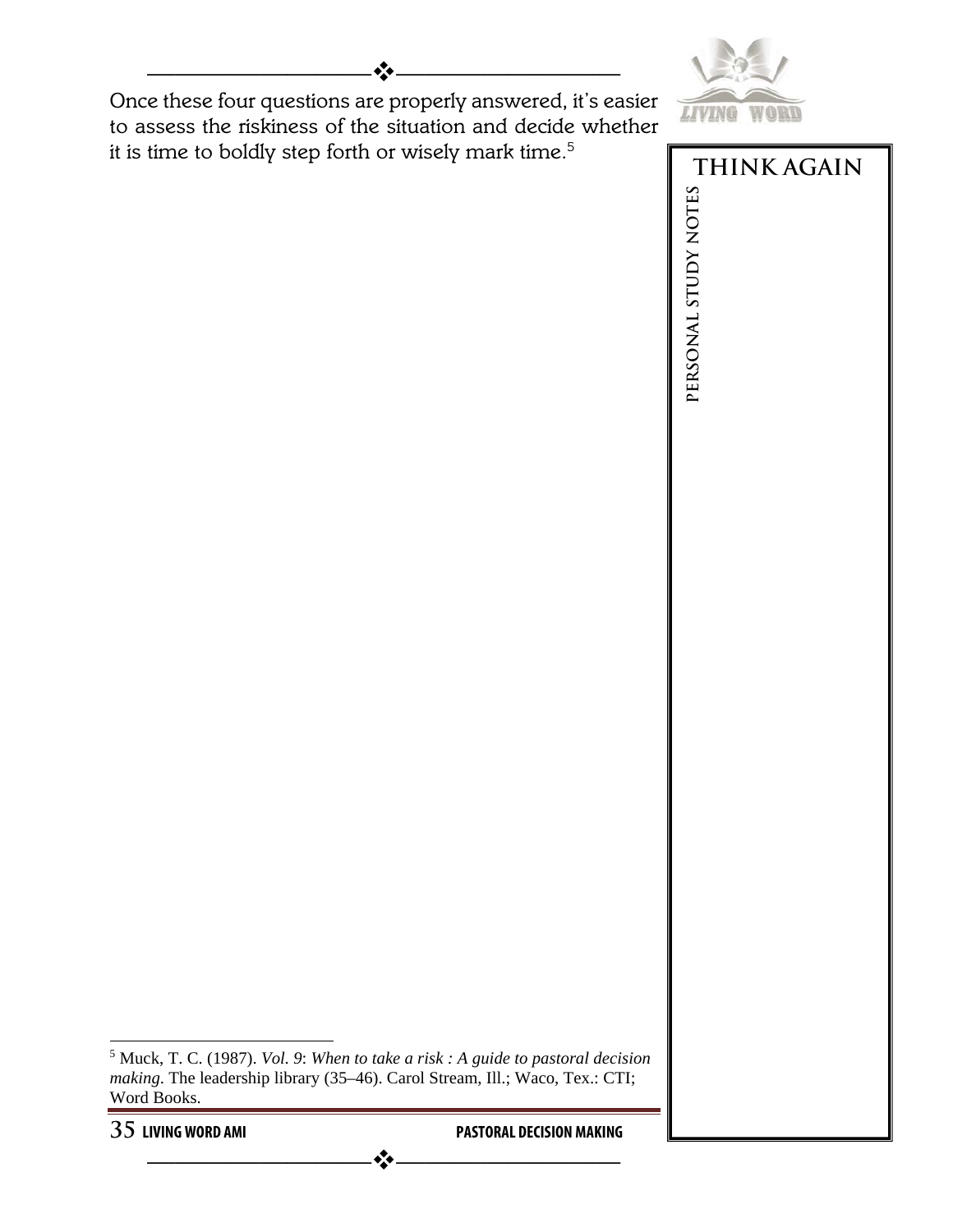

*Once these four questions are properly answered, it's easier to assess the riskiness of the situation and decide whether it is time to boldly step forth or wisely mark time.5*

————————————————



————————————————

l

<sup>5</sup> Muck, T. C. (1987). *Vol. 9*: *When to take a risk : A guide to pastoral decision making*. The leadership library (35–46). Carol Stream, Ill.; Waco, Tex.: CTI; Word Books.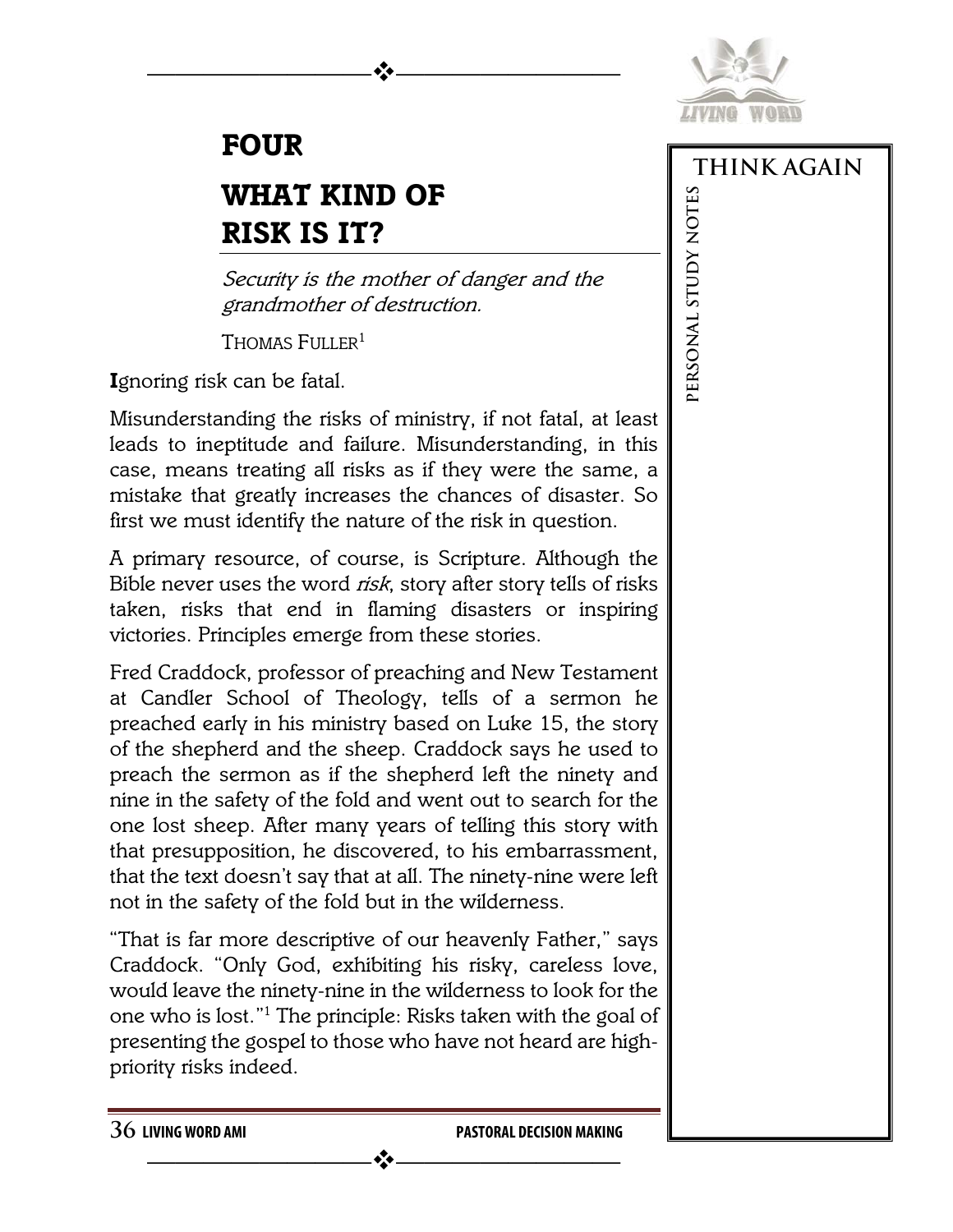

# *FOUR WHAT KIND OF RISK IS IT?*

*Security is the mother of danger and the grandmother of destruction.*

————————————————

*THOMAS FULLER1*

*Ignoring risk can be fatal.* 

*Misunderstanding the risks of ministry, if not fatal, at least leads to ineptitude and failure. Misunderstanding, in this case, means treating all risks as if they were the same, a mistake that greatly increases the chances of disaster. So first we must identify the nature of the risk in question.* 

*A primary resource, of course, is Scripture. Although the Bible never uses the word risk, story after story tells of risks taken, risks that end in flaming disasters or inspiring victories. Principles emerge from these stories.* 

*Fred Craddock, professor of preaching and New Testament at Candler School of Theology, tells of a sermon he preached early in his ministry based on Luke 15, the story of the shepherd and the sheep. Craddock says he used to preach the sermon as if the shepherd left the ninety and nine in the safety of the fold and went out to search for the one lost sheep. After many years of telling this story with that presupposition, he discovered, to his embarrassment, that the text doesn't say that at all. The ninety-nine were left not in the safety of the fold but in the wilderness.* 

*"That is far more descriptive of our heavenly Father," says Craddock. "Only God, exhibiting his risky, careless love, would leave the ninety-nine in the wilderness to look for the one who is lost."1 The principle: Risks taken with the goal of presenting the gospel to those who have not heard are highpriority risks indeed.* 

————————————————

**THINK AGAIN PERSONAL STUDY NOTES**  PERSONAL STUDY NOTES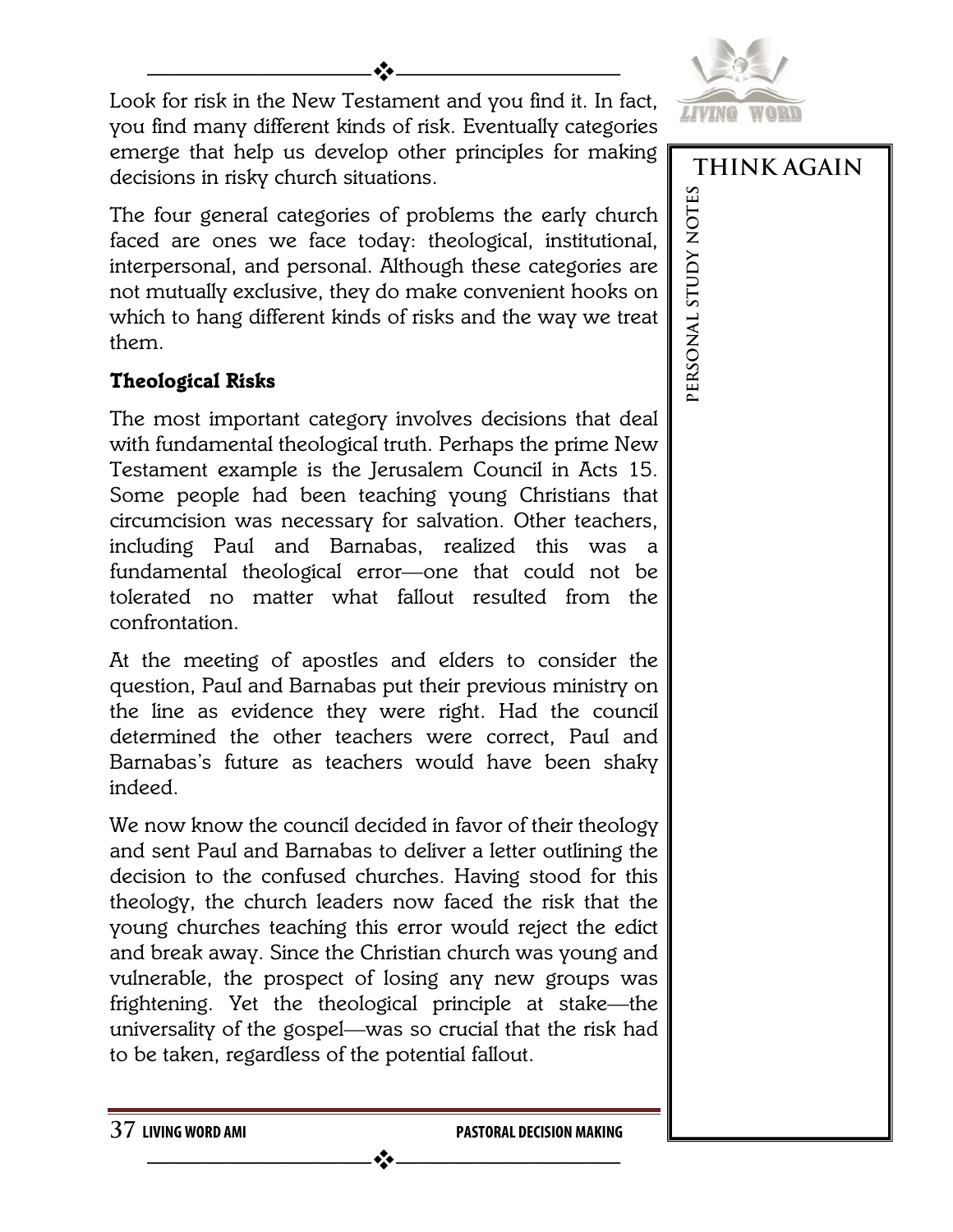

Look for risk in the New Testament and you find it. In fact, *you find many different kinds of risk. Eventually categories emerge that help us develop other principles for making decisions in risky church situations.* 

————————————————

*The four general categories of problems the early church faced are ones we face today: theological, institutional, interpersonal, and personal. Although these categories are not mutually exclusive, they do make convenient hooks on which to hang different kinds of risks and the way we treat them.* 

### *Theological Risks*

The most important category involves decisions that deal *with fundamental theological truth. Perhaps the prime New Testament example is the Jerusalem Council in Acts 15. Some people had been teaching young Christians that circumcision was necessary for salvation. Other teachers, including Paul and Barnabas, realized this was a fundamental theological error—one that could not be tolerated no matter what fallout resulted from the confrontation.* 

*At the meeting of apostles and elders to consider the question, Paul and Barnabas put their previous ministry on the line as evidence they were right. Had the council determined the other teachers were correct, Paul and Barnabas's future as teachers would have been shaky indeed.* 

*We now know the council decided in favor of their theology and sent Paul and Barnabas to deliver a letter outlining the decision to the confused churches. Having stood for this theology, the church leaders now faced the risk that the young churches teaching this error would reject the edict and break away. Since the Christian church was young and vulnerable, the prospect of losing any new groups was frightening. Yet the theological principle at stake—the universality of the gospel—was so crucial that the risk had to be taken, regardless of the potential fallout.* 

**THINK AGAIN PERSONAL STUDY NOTES**  PERSONAL STUDY NOTES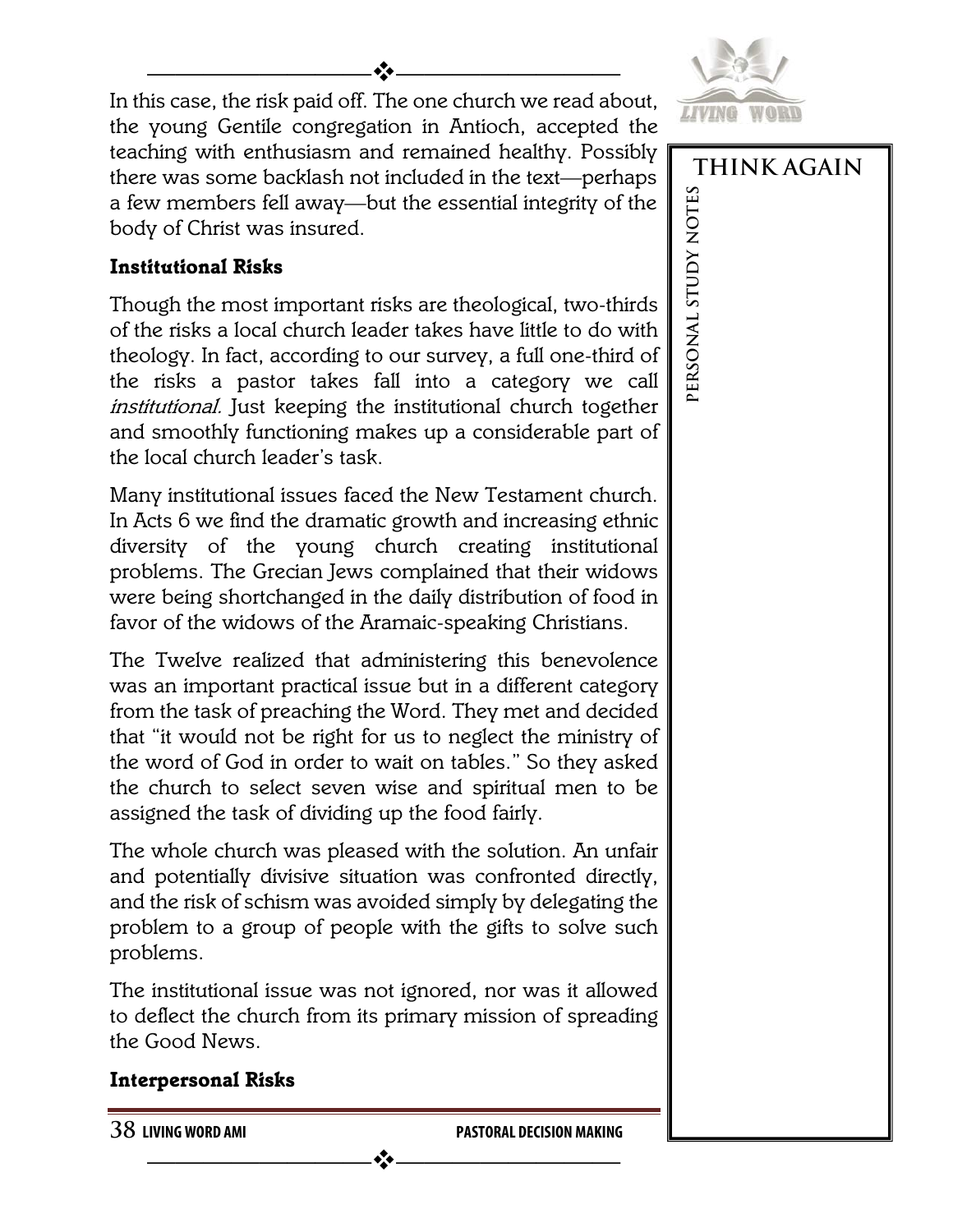

 **PERSONAL STUDY NOTES** 

PERSONAL STUDY NOTES

*In this case, the risk paid off. The one church we read about, the young Gentile congregation in Antioch, accepted the teaching with enthusiasm and remained healthy. Possibly there was some backlash not included in the text—perhaps a few members fell away—but the essential integrity of the body of Christ was insured.* 

————————————————

### *Institutional Risks*

*Though the most important risks are theological, two-thirds of the risks a local church leader takes have little to do with theology. In fact, according to our survey, a full one-third of the risks a pastor takes fall into a category we call institutional. Just keeping the institutional church together and smoothly functioning makes up a considerable part of the local church leader's task.* 

*Many institutional issues faced the New Testament church. In Acts 6 we find the dramatic growth and increasing ethnic diversity of the young church creating institutional problems. The Grecian Jews complained that their widows were being shortchanged in the daily distribution of food in favor of the widows of the Aramaic-speaking Christians.* 

*The Twelve realized that administering this benevolence was an important practical issue but in a different category from the task of preaching the Word. They met and decided that "it would not be right for us to neglect the ministry of the word of God in order to wait on tables." So they asked the church to select seven wise and spiritual men to be assigned the task of dividing up the food fairly.* 

*The whole church was pleased with the solution. An unfair and potentially divisive situation was confronted directly, and the risk of schism was avoided simply by delegating the problem to a group of people with the gifts to solve such problems.* 

*The institutional issue was not ignored, nor was it allowed to deflect the church from its primary mission of spreading the Good News.* 

————————————————

### *Interpersonal Risks*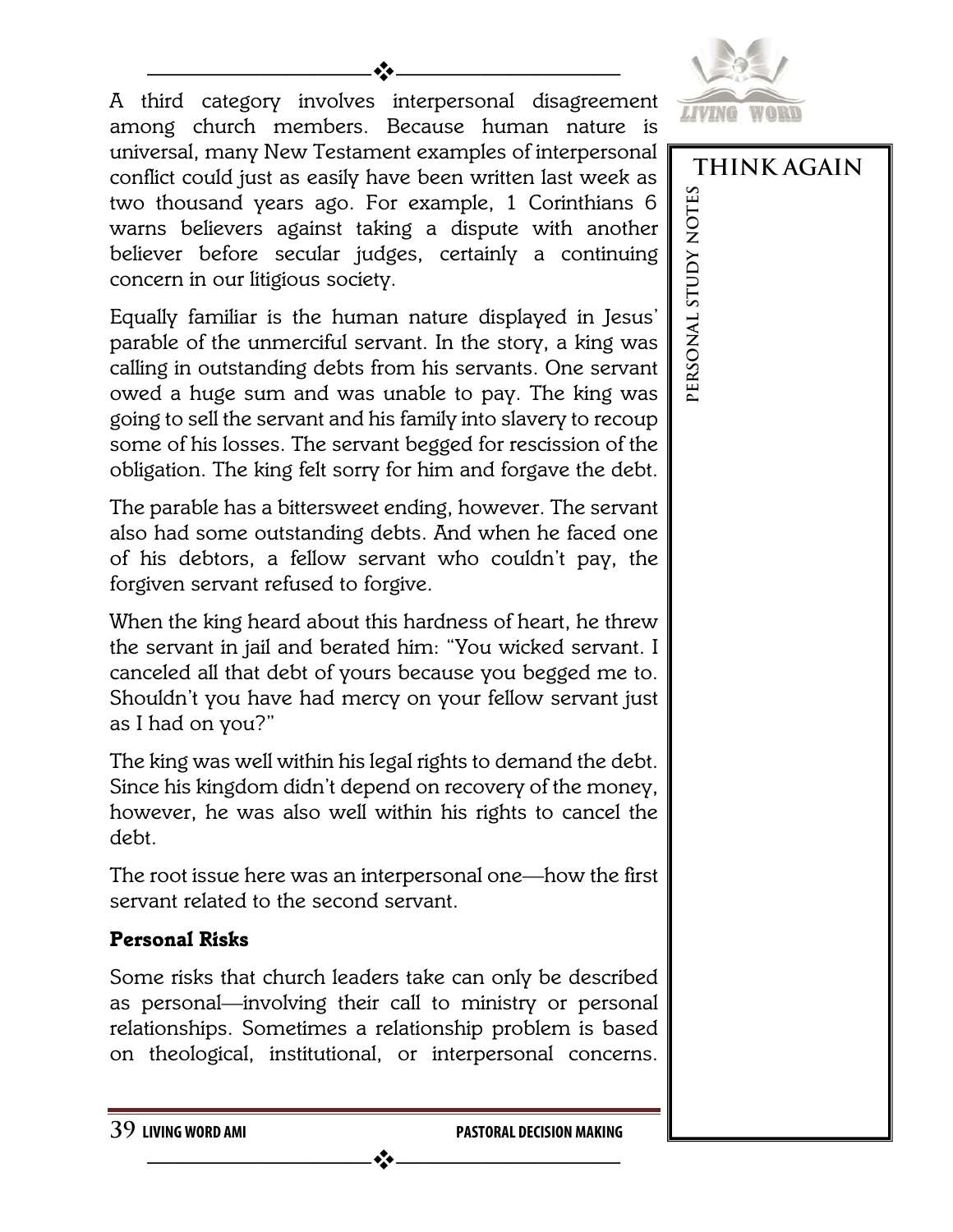

*A third category involves interpersonal disagreement among church members. Because human nature is universal, many New Testament examples of interpersonal conflict could just as easily have been written last week as two thousand years ago. For example, 1 Corinthians 6 warns believers against taking a dispute with another believer before secular judges, certainly a continuing concern in our litigious society.* 

————————————————

*Equally familiar is the human nature displayed in Jesus' parable of the unmerciful servant. In the story, a king was calling in outstanding debts from his servants. One servant owed a huge sum and was unable to pay. The king was going to sell the servant and his family into slavery to recoup some of his losses. The servant begged for rescission of the obligation. The king felt sorry for him and forgave the debt.* 

*The parable has a bittersweet ending, however. The servant also had some outstanding debts. And when he faced one of his debtors, a fellow servant who couldn't pay, the forgiven servant refused to forgive.* 

*When the king heard about this hardness of heart, he threw the servant in jail and berated him: "You wicked servant. I canceled all that debt of yours because you begged me to. Shouldn't you have had mercy on your fellow servant just as I had on you?"* 

*The king was well within his legal rights to demand the debt. Since his kingdom didn't depend on recovery of the money, however, he was also well within his rights to cancel the debt.* 

*The root issue here was an interpersonal one—how the first servant related to the second servant.* 

### *Personal Risks*

*Some risks that church leaders take can only be described as personal—involving their call to ministry or personal relationships. Sometimes a relationship problem is based on theological, institutional, or interpersonal concerns.* 

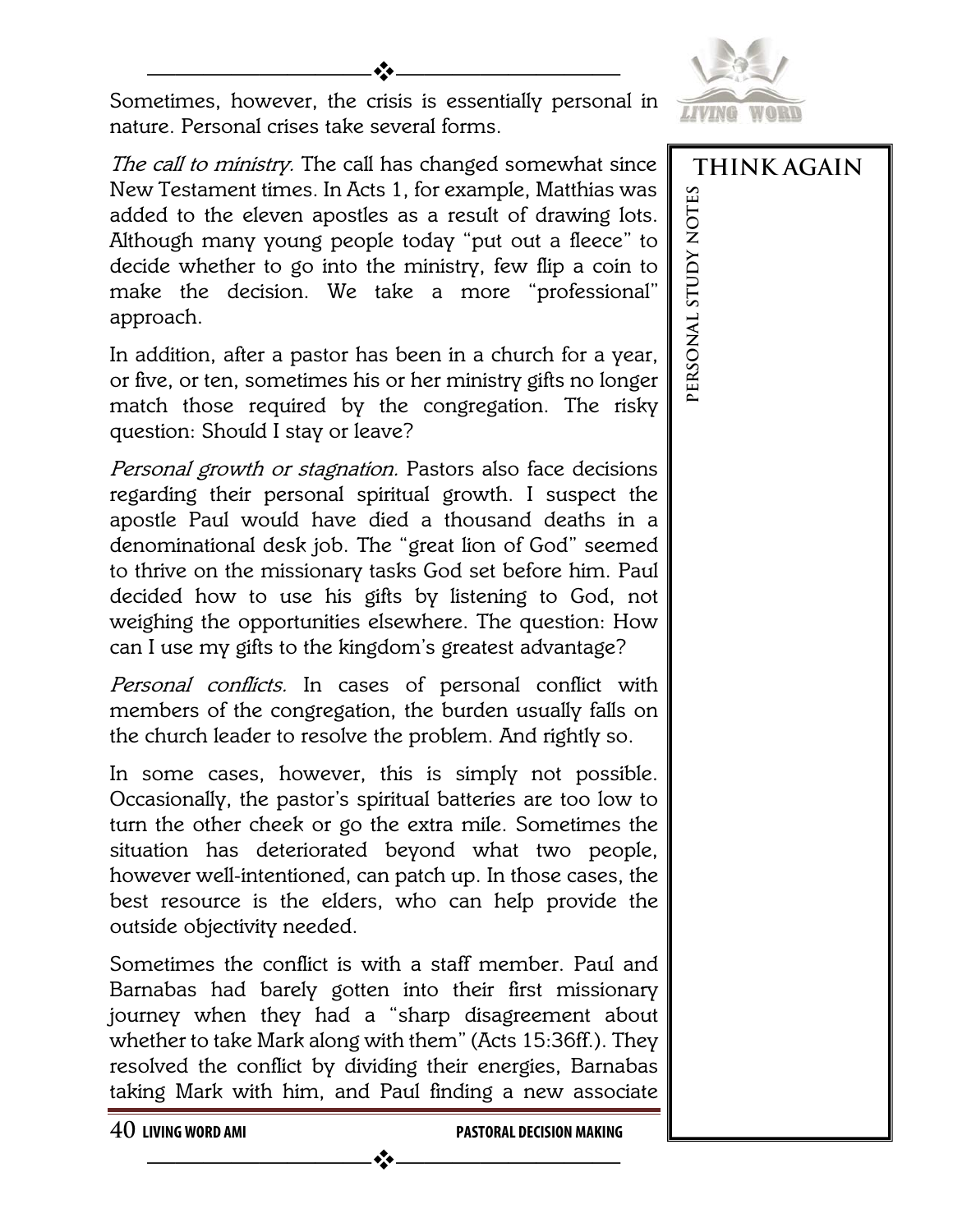

 **PERSONAL STUDY NOTES** 

PERSONAL STUDY NOTES

*Sometimes, however, the crisis is essentially personal in nature. Personal crises take several forms.* 

————————————————

*The call to ministry. The call has changed somewhat since New Testament times. In Acts 1, for example, Matthias was added to the eleven apostles as a result of drawing lots. Although many young people today "put out a fleece" to decide whether to go into the ministry, few flip a coin to make the decision. We take a more "professional" approach.* 

In addition, after a pastor has been in a church for a year, *or five, or ten, sometimes his or her ministry gifts no longer match those required by the congregation. The risky question: Should I stay or leave?* 

*Personal growth or stagnation. Pastors also face decisions regarding their personal spiritual growth. I suspect the apostle Paul would have died a thousand deaths in a denominational desk job. The "great lion of God" seemed to thrive on the missionary tasks God set before him. Paul decided how to use his gifts by listening to God, not weighing the opportunities elsewhere. The question: How can I use my gifts to the kingdom's greatest advantage?* 

*Personal conflicts. In cases of personal conflict with members of the congregation, the burden usually falls on the church leader to resolve the problem. And rightly so.* 

*In some cases, however, this is simply not possible. Occasionally, the pastor's spiritual batteries are too low to turn the other cheek or go the extra mile. Sometimes the situation has deteriorated beyond what two people, however well-intentioned, can patch up. In those cases, the*  best resource is the elders, who can help provide the *outside objectivity needed.* 

*Sometimes the conflict is with a staff member. Paul and Barnabas had barely gotten into their first missionary journey when they had a "sharp disagreement about whether to take Mark along with them" (Acts 15:36ff.). They resolved the conflict by dividing their energies, Barnabas taking Mark with him, and Paul finding a new associate*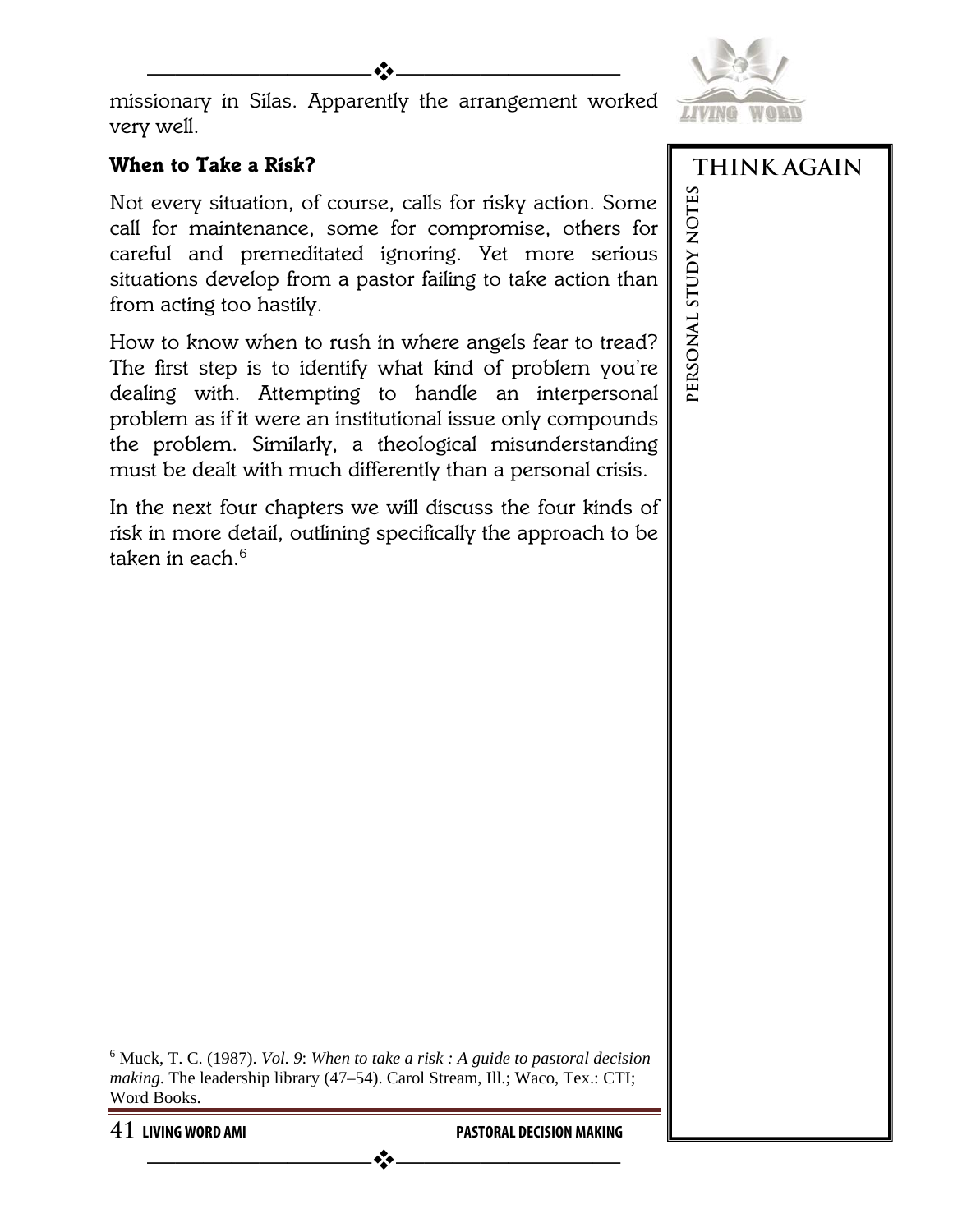

 **PERSONAL STUDY NOTES** 

PERSONAL STUDY NOTES

*missionary in Silas. Apparently the arrangement worked very well.* 

————————————————

### *When to Take a Risk?*

*Not every situation, of course, calls for risky action. Some call for maintenance, some for compromise, others for careful and premeditated ignoring. Yet more serious situations develop from a pastor failing to take action than from acting too hastily.* 

*How to know when to rush in where angels fear to tread? The first step is to identify what kind of problem you're dealing with. Attempting to handle an interpersonal problem as if it were an institutional issue only compounds the problem. Similarly, a theological misunderstanding must be dealt with much differently than a personal crisis.* 

*In the next four chapters we will discuss the four kinds of risk in more detail, outlining specifically the approach to be taken in each.6*

**THINK AGAIN** 

————————————————

l

<sup>6</sup> Muck, T. C. (1987). *Vol. 9*: *When to take a risk : A guide to pastoral decision making*. The leadership library (47–54). Carol Stream, Ill.; Waco, Tex.: CTI; Word Books.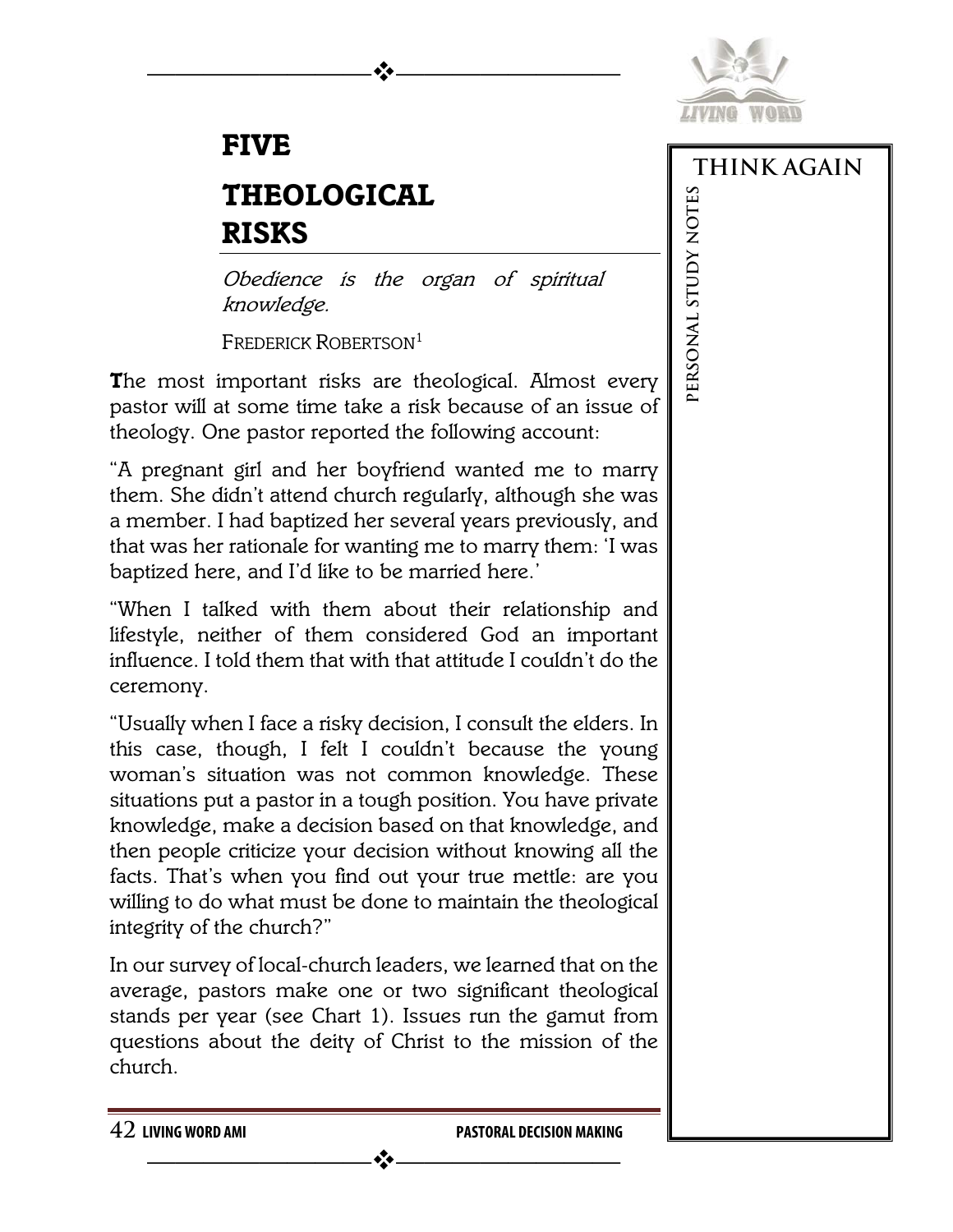

# *FIVE THEOLOGICAL RISKS*

*Obedience is the organ of spiritual knowledge.*

*FREDERICK ROBERTSON1*

*The most important risks are theological. Almost every pastor will at some time take a risk because of an issue of theology. One pastor reported the following account:* 

————————————————

*"A pregnant girl and her boyfriend wanted me to marry them. She didn't attend church regularly, although she was a member. I had baptized her several years previously, and that was her rationale for wanting me to marry them: 'I was baptized here, and I'd like to be married here.'* 

*"When I talked with them about their relationship and lifestyle, neither of them considered God an important influence. I told them that with that attitude I couldn't do the ceremony.* 

*"Usually when I face a risky decision, I consult the elders. In this case, though, I felt I couldn't because the young woman's situation was not common knowledge. These situations put a pastor in a tough position. You have private knowledge, make a decision based on that knowledge, and then people criticize your decision without knowing all the facts. That's when you find out your true mettle: are you willing to do what must be done to maintain the theological integrity of the church?"* 

*In our survey of local-church leaders, we learned that on the average, pastors make one or two significant theological stands per year (see Chart 1). Issues run the gamut from questions about the deity of Christ to the mission of the church.* 

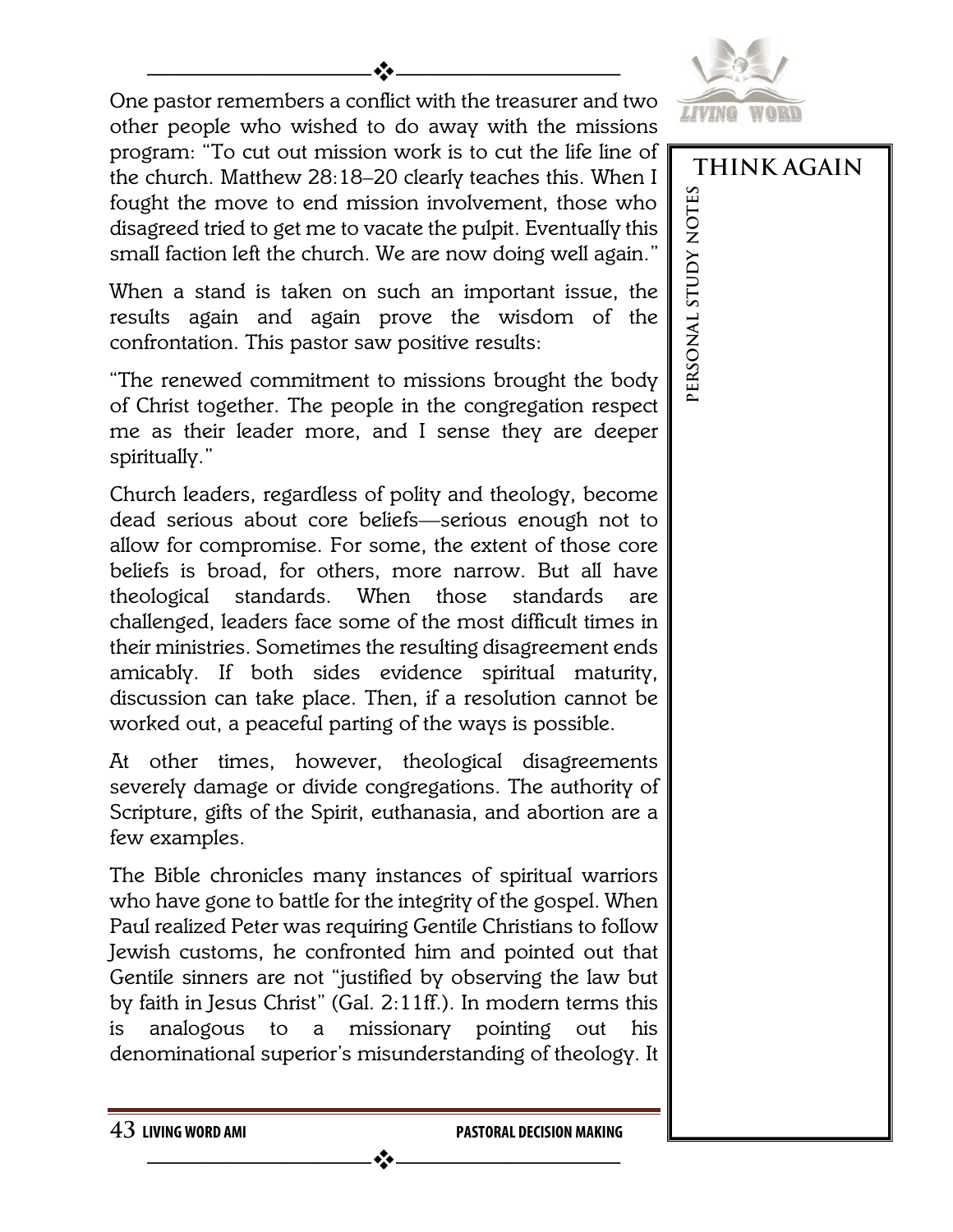

*One pastor remembers a conflict with the treasurer and two other people who wished to do away with the missions program: "To cut out mission work is to cut the life line of* 

————————————————

*the church. Matthew 28:18–20 clearly teaches this. When I fought the move to end mission involvement, those who disagreed tried to get me to vacate the pulpit. Eventually this small faction left the church. We are now doing well again."* 

*When a stand is taken on such an important issue, the results again and again prove the wisdom of the confrontation. This pastor saw positive results:* 

*"The renewed commitment to missions brought the body of Christ together. The people in the congregation respect me as their leader more, and I sense they are deeper spiritually."* 

*Church leaders, regardless of polity and theology, become dead serious about core beliefs—serious enough not to allow for compromise. For some, the extent of those core beliefs is broad, for others, more narrow. But all have theological standards. When those standards are challenged, leaders face some of the most difficult times in their ministries. Sometimes the resulting disagreement ends amicably. If both sides evidence spiritual maturity, discussion can take place. Then, if a resolution cannot be worked out, a peaceful parting of the ways is possible.* 

*At other times, however, theological disagreements severely damage or divide congregations. The authority of Scripture, gifts of the Spirit, euthanasia, and abortion are a few examples.* 

*The Bible chronicles many instances of spiritual warriors*  who have gone to battle for the integrity of the gospel. When *Paul realized Peter was requiring Gentile Christians to follow Jewish customs, he confronted him and pointed out that Gentile sinners are not "justified by observing the law but by faith in Jesus Christ" (Gal. 2:11ff.). In modern terms this is analogous to a missionary pointing out his denominational superior's misunderstanding of theology. It* 

————————————————

**THINK AGAIN PERSONAL STUDY NOTES**  PERSONAL STUDY NOTES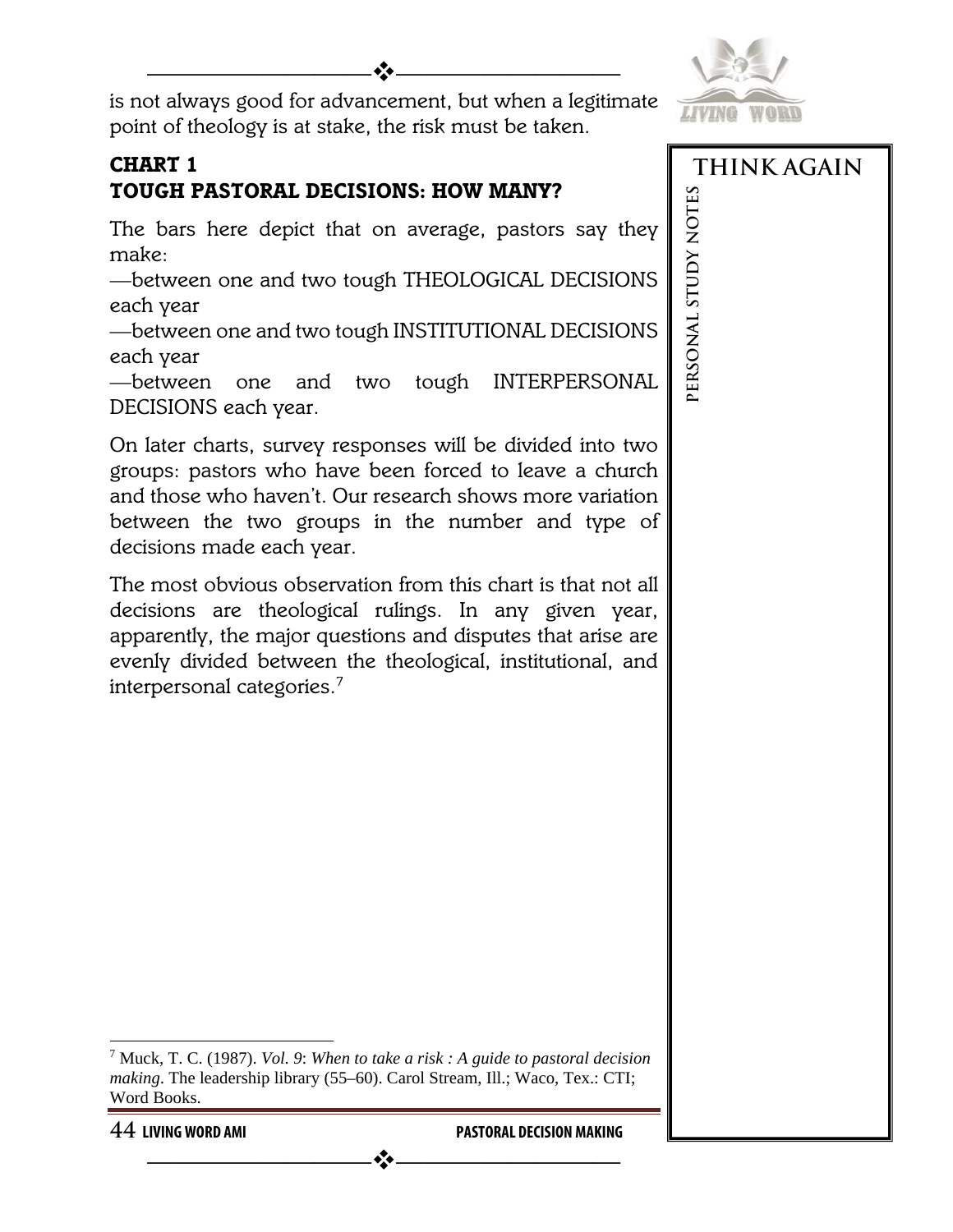

 **PERSONAL STUDY NOTES** 

PERSONAL STUDY NOTES

*is not always good for advancement, but when a legitimate point of theology is at stake, the risk must be taken.* 

————————————————

# *CHART 1 TOUGH PASTORAL DECISIONS: HOW MANY?*

*The bars here depict that on average, pastors say they make:* 

*—between one and two tough THEOLOGICAL DECISIONS each year* 

*—between one and two tough INSTITUTIONAL DECISIONS each year* 

*—between one and two tough INTERPERSONAL DECISIONS each year.* 

*On later charts, survey responses will be divided into two groups: pastors who have been forced to leave a church and those who haven't. Our research shows more variation between the two groups in the number and type of decisions made each year.* 

*The most obvious observation from this chart is that not all decisions are theological rulings. In any given year, apparently, the major questions and disputes that arise are evenly divided between the theological, institutional, and interpersonal categories.7*

l 7 Muck, T. C. (1987). *Vol. 9*: *When to take a risk : A guide to pastoral decision making*. The leadership library (55–60). Carol Stream, Ill.; Waco, Tex.: CTI; Word Books.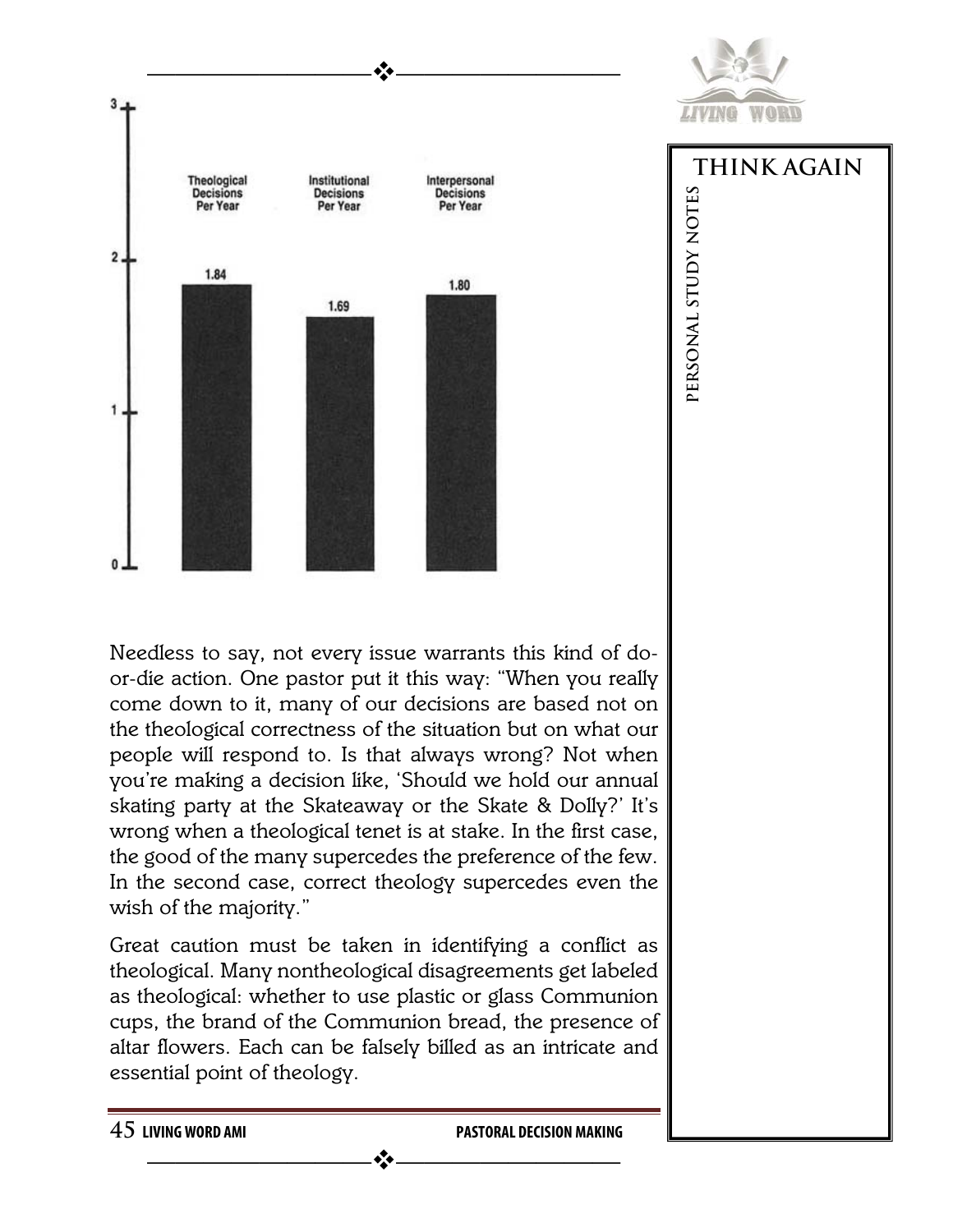

*Needless to say, not every issue warrants this kind of door-die action. One pastor put it this way: "When you really come down to it, many of our decisions are based not on the theological correctness of the situation but on what our people will respond to. Is that always wrong? Not when you're making a decision like, 'Should we hold our annual skating party at the Skateaway or the Skate & Dolly?' It's wrong when a theological tenet is at stake. In the first case, the good of the many supercedes the preference of the few.*  In the second case, correct theology supercedes even the *wish of the majority."* 

*Great caution must be taken in identifying a conflict as theological. Many nontheological disagreements get labeled as theological: whether to use plastic or glass Communion cups, the brand of the Communion bread, the presence of altar flowers. Each can be falsely billed as an intricate and essential point of theology.* 

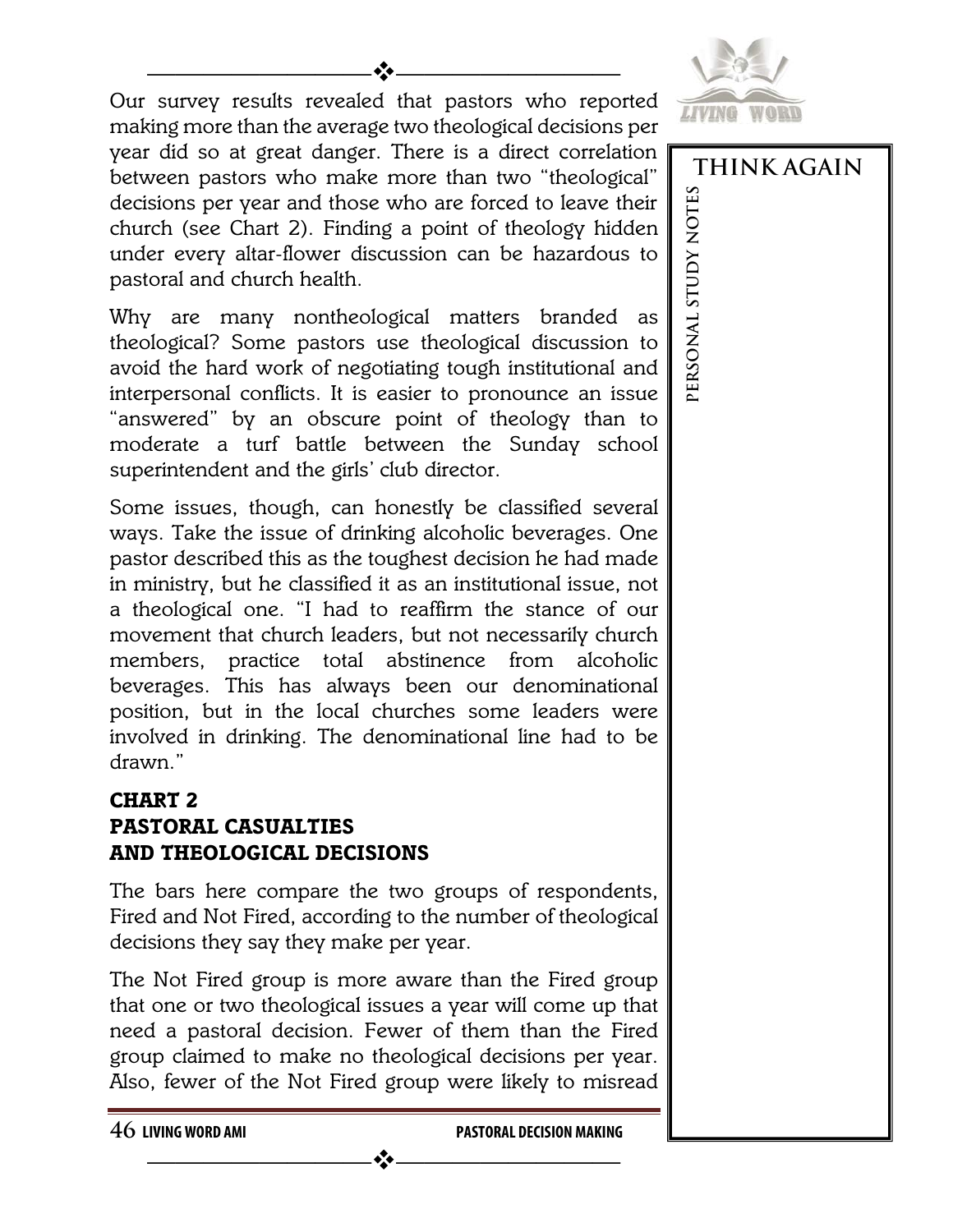

 **PERSONAL STUDY NOTES** 

PERSONAL STUDY NOTES

*Our survey results revealed that pastors who reported making more than the average two theological decisions per year did so at great danger. There is a direct correlation between pastors who make more than two "theological" decisions per year and those who are forced to leave their church (see Chart 2). Finding a point of theology hidden under every altar-flower discussion can be hazardous to pastoral and church health.* 

————————————————

*Why are many nontheological matters branded as theological? Some pastors use theological discussion to avoid the hard work of negotiating tough institutional and interpersonal conflicts. It is easier to pronounce an issue "answered" by an obscure point of theology than to moderate a turf battle between the Sunday school superintendent and the girls' club director.* 

*Some issues, though, can honestly be classified several ways. Take the issue of drinking alcoholic beverages. One pastor described this as the toughest decision he had made in ministry, but he classified it as an institutional issue, not a theological one. "I had to reaffirm the stance of our movement that church leaders, but not necessarily church members, practice total abstinence from alcoholic beverages. This has always been our denominational position, but in the local churches some leaders were involved in drinking. The denominational line had to be drawn."* 

### *CHART 2 PASTORAL CASUALTIES AND THEOLOGICAL DECISIONS*

*The bars here compare the two groups of respondents, Fired and Not Fired, according to the number of theological decisions they say they make per year.* 

*The Not Fired group is more aware than the Fired group that one or two theological issues a year will come up that need a pastoral decision. Fewer of them than the Fired group claimed to make no theological decisions per year. Also, fewer of the Not Fired group were likely to misread*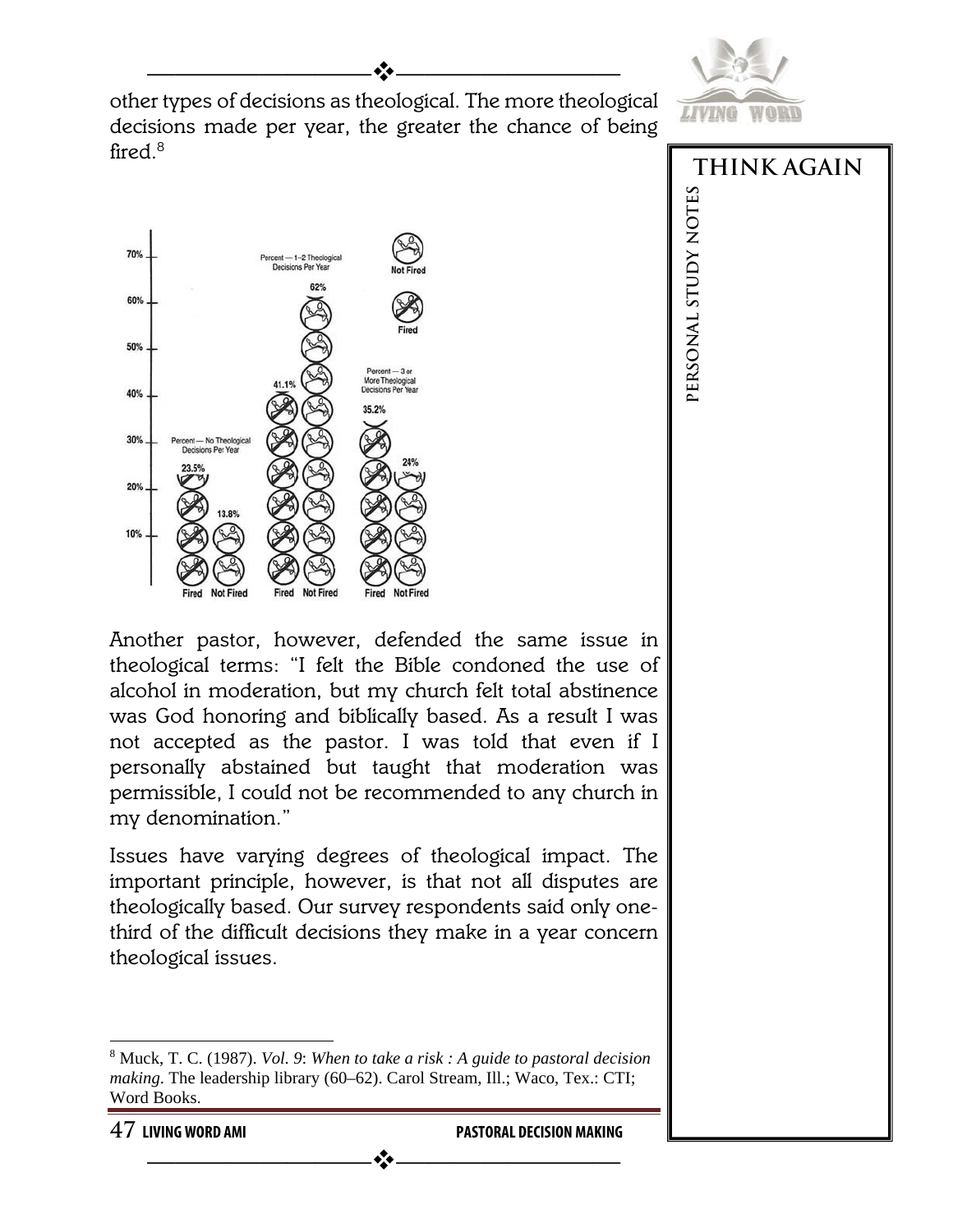

*other types of decisions as theological. The more theological decisions made per year, the greater the chance of being fired.8*

————————————————



**THINK AGAIN PERSONAL STUDY NOTES**  PERSONAL STUDY NOTES

*Another pastor, however, defended the same issue in theological terms: "I felt the Bible condoned the use of alcohol in moderation, but my church felt total abstinence was God honoring and biblically based. As a result I was not accepted as the pastor. I was told that even if I personally abstained but taught that moderation was permissible, I could not be recommended to any church in my denomination."* 

*Issues have varying degrees of theological impact. The important principle, however, is that not all disputes are theologically based. Our survey respondents said only onethird of the difficult decisions they make in a year concern theological issues.* 

————————————————

l

<sup>8</sup> Muck, T. C. (1987). *Vol. 9*: *When to take a risk : A guide to pastoral decision making*. The leadership library (60–62). Carol Stream, Ill.; Waco, Tex.: CTI; Word Books.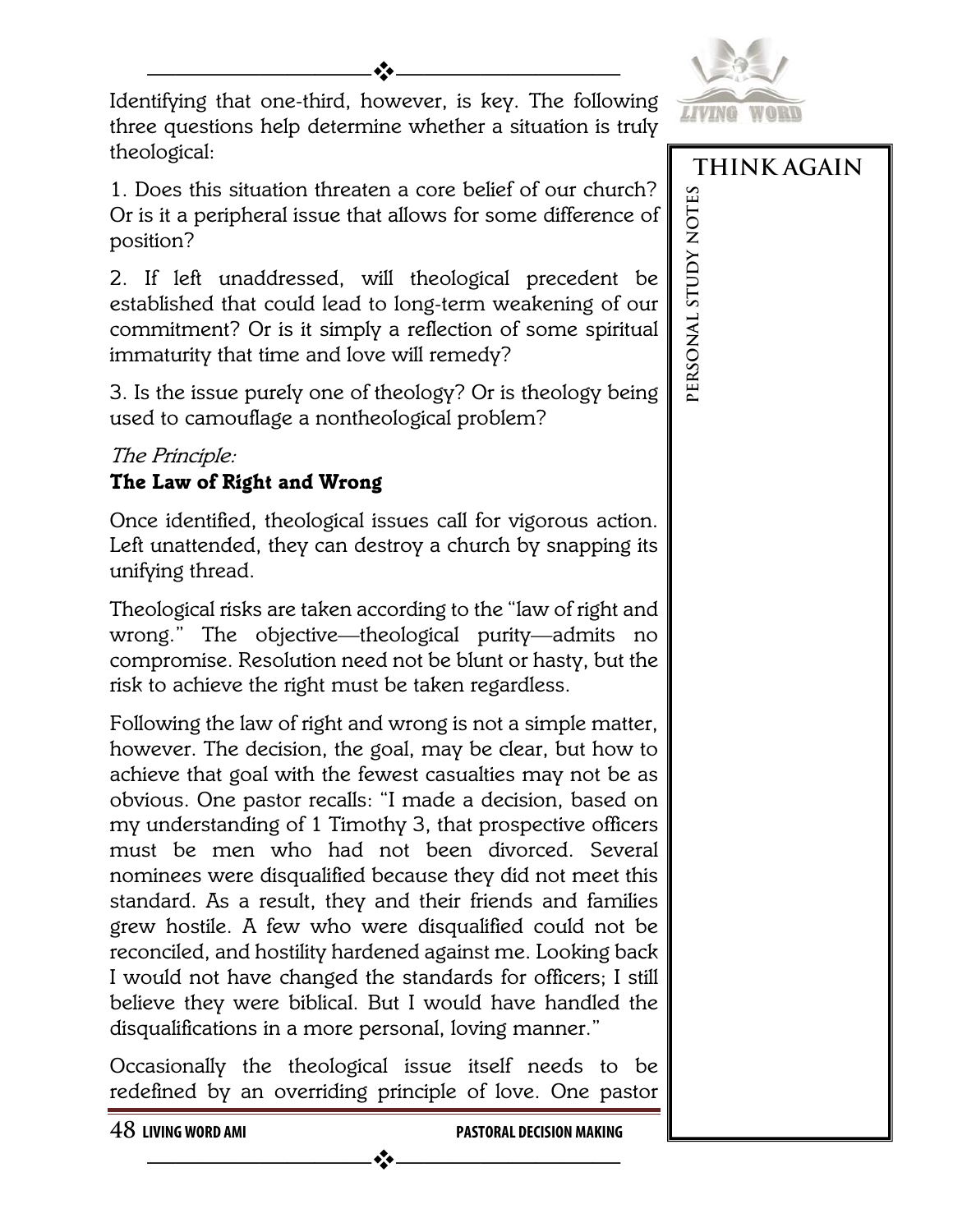

 **PERSONAL STUDY NOTES** 

PERSONAL STUDY NOTES

Identifying that one-third, however, is key. The following *three questions help determine whether a situation is truly theological:* 

————————————————

*1. Does this situation threaten a core belief of our church? Or is it a peripheral issue that allows for some difference of position?* 

*2. If left unaddressed, will theological precedent be established that could lead to long-term weakening of our commitment? Or is it simply a reflection of some spiritual immaturity that time and love will remedy?* 

*3. Is the issue purely one of theology? Or is theology being used to camouflage a nontheological problem?* 

# *The Principle:*

# *The Law of Right and Wrong*

*Once identified, theological issues call for vigorous action.*  Left unattended, they can destroy a church by snapping its *unifying thread.* 

*Theological risks are taken according to the "law of right and wrong." The objective—theological purity—admits no compromise. Resolution need not be blunt or hasty, but the risk to achieve the right must be taken regardless.* 

*Following the law of right and wrong is not a simple matter, however. The decision, the goal, may be clear, but how to achieve that goal with the fewest casualties may not be as obvious. One pastor recalls: "I made a decision, based on my understanding of 1 Timothy 3, that prospective officers must be men who had not been divorced. Several nominees were disqualified because they did not meet this standard. As a result, they and their friends and families grew hostile. A few who were disqualified could not be reconciled, and hostility hardened against me. Looking back I would not have changed the standards for officers; I still believe they were biblical. But I would have handled the disqualifications in a more personal, loving manner."* 

*Occasionally the theological issue itself needs to be*  redefined by an overriding principle of love. One pastor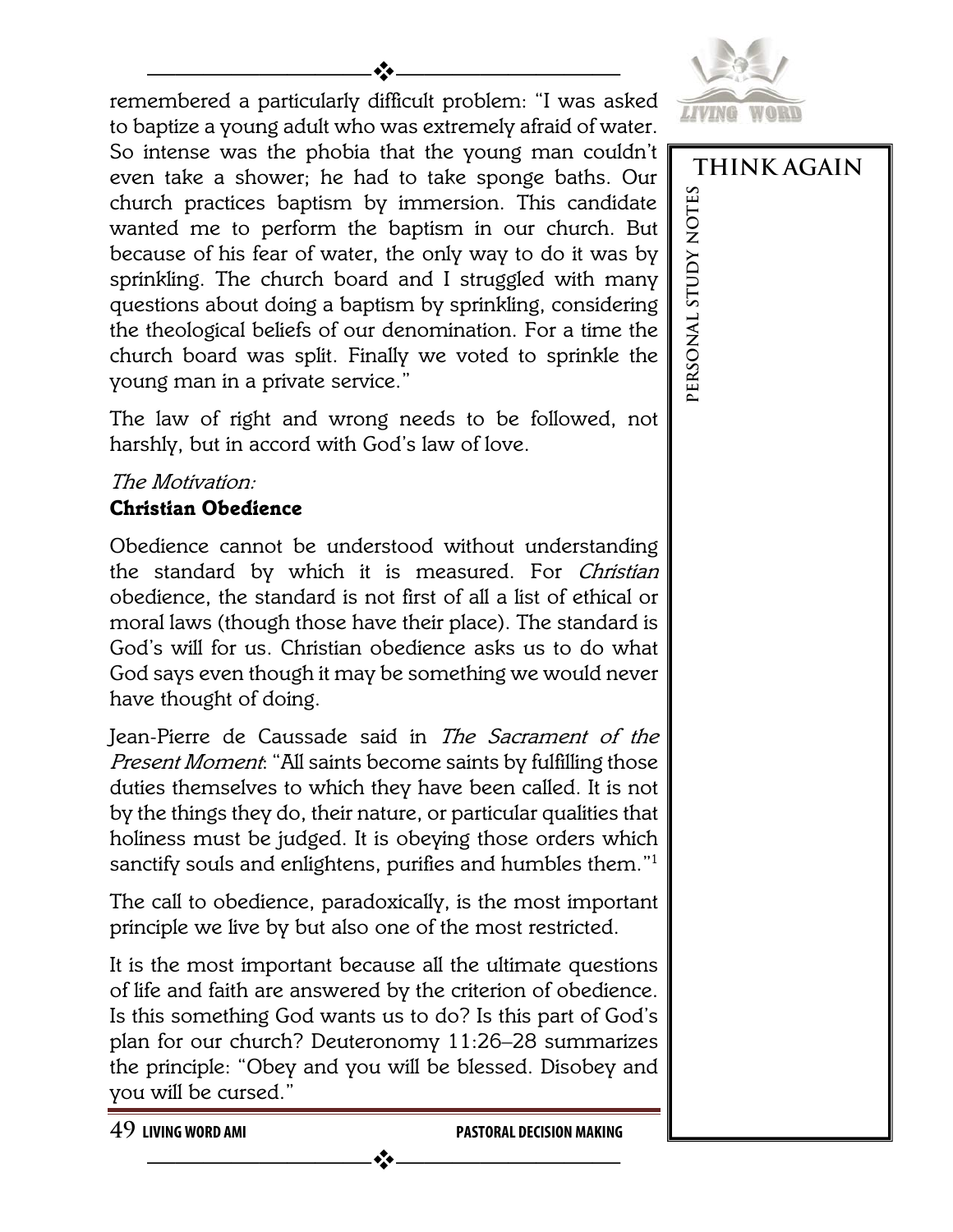

*remembered a particularly difficult problem: "I was asked to baptize a young adult who was extremely afraid of water.* 

————————————————

*So intense was the phobia that the young man couldn't even take a shower; he had to take sponge baths. Our church practices baptism by immersion. This candidate wanted me to perform the baptism in our church. But because of his fear of water, the only way to do it was by sprinkling. The church board and I struggled with many questions about doing a baptism by sprinkling, considering the theological beliefs of our denomination. For a time the church board was split. Finally we voted to sprinkle the young man in a private service."* 

The law of right and wrong needs to be followed, not *harshly, but in accord with God's law of love.* 

# *The Motivation:*

### *Christian Obedience*

*Obedience cannot be understood without understanding the standard by which it is measured. For Christian obedience, the standard is not first of all a list of ethical or moral laws (though those have their place). The standard is God's will for us. Christian obedience asks us to do what God says even though it may be something we would never have thought of doing.* 

*Jean-Pierre de Caussade said in The Sacrament of the Present Moment: "All saints become saints by fulfilling those*  duties themselves to which they have been called. It is not *by the things they do, their nature, or particular qualities that holiness must be judged. It is obeying those orders which sanctify souls and enlightens, purifies and humbles them."1*

*The call to obedience, paradoxically, is the most important principle we live by but also one of the most restricted.* 

*It is the most important because all the ultimate questions of life and faith are answered by the criterion of obedience. Is this something God wants us to do? Is this part of God's plan for our church? Deuteronomy 11:26–28 summarizes the principle: "Obey and you will be blessed. Disobey and you will be cursed."* 

————————————————

**THINK AGAIN** 

 **PERSONAL STUDY NOTES**  PERSONAL STUDY NOTES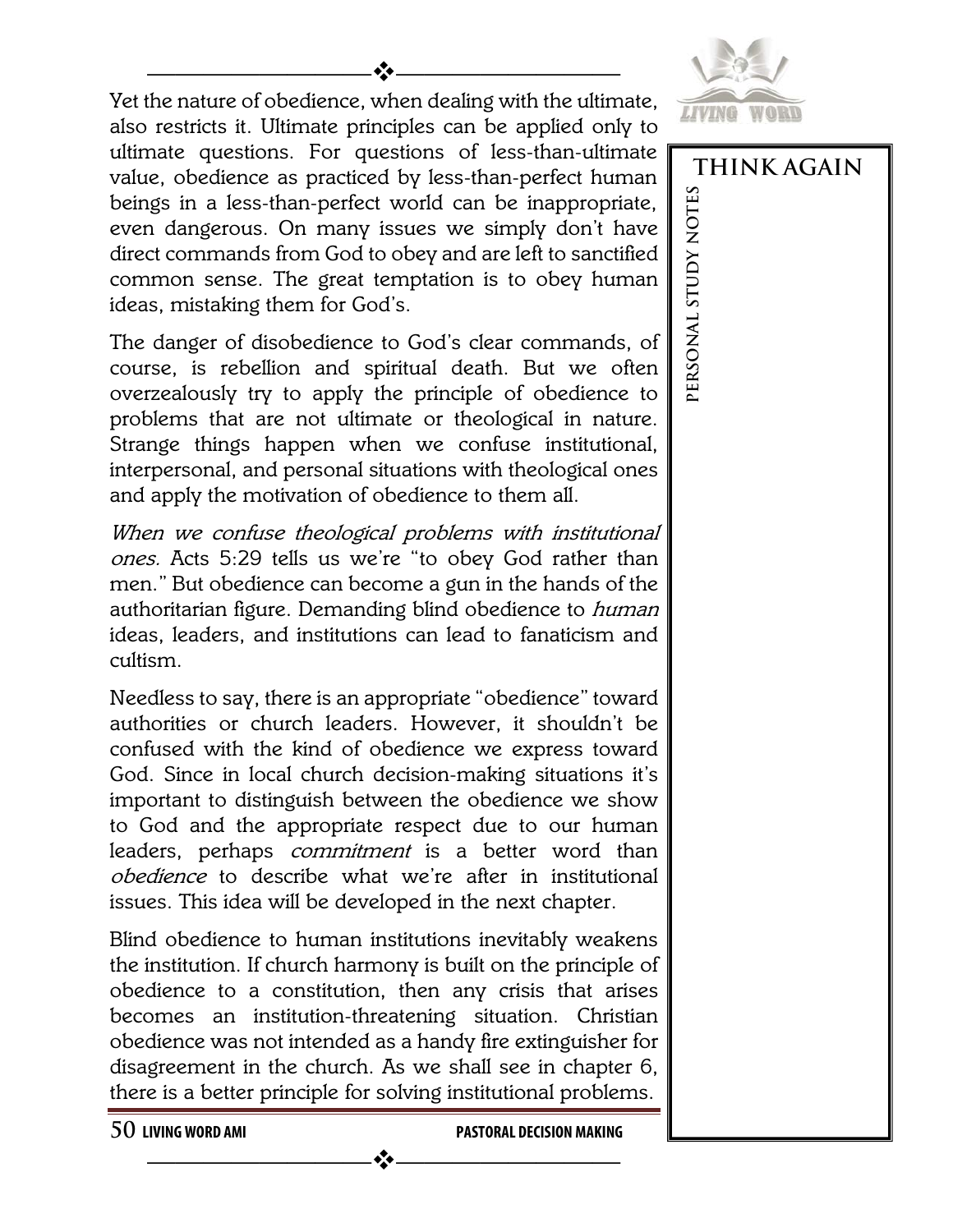

 **PERSONAL STUDY NOTES** 

PERSONAL STUDY NOTES

*Yet the nature of obedience, when dealing with the ultimate, also restricts it. Ultimate principles can be applied only to ultimate questions. For questions of less-than-ultimate value, obedience as practiced by less-than-perfect human beings in a less-than-perfect world can be inappropriate, even dangerous. On many issues we simply don't have direct commands from God to obey and are left to sanctified common sense. The great temptation is to obey human ideas, mistaking them for God's.* 

————————————————

*The danger of disobedience to God's clear commands, of course, is rebellion and spiritual death. But we often overzealously try to apply the principle of obedience to problems that are not ultimate or theological in nature. Strange things happen when we confuse institutional, interpersonal, and personal situations with theological ones and apply the motivation of obedience to them all.* 

*When we confuse theological problems with institutional ones. Acts 5:29 tells us we're "to obey God rather than men." But obedience can become a gun in the hands of the authoritarian figure. Demanding blind obedience to human ideas, leaders, and institutions can lead to fanaticism and cultism.* 

*Needless to say, there is an appropriate "obedience" toward authorities or church leaders. However, it shouldn't be confused with the kind of obedience we express toward God. Since in local church decision-making situations it's important to distinguish between the obedience we show to God and the appropriate respect due to our human leaders, perhaps commitment is a better word than obedience to describe what we're after in institutional issues. This idea will be developed in the next chapter.* 

*Blind obedience to human institutions inevitably weakens the institution. If church harmony is built on the principle of obedience to a constitution, then any crisis that arises becomes an institution-threatening situation. Christian obedience was not intended as a handy fire extinguisher for disagreement in the church. As we shall see in chapter 6, there is a better principle for solving institutional problems.* 

————————————————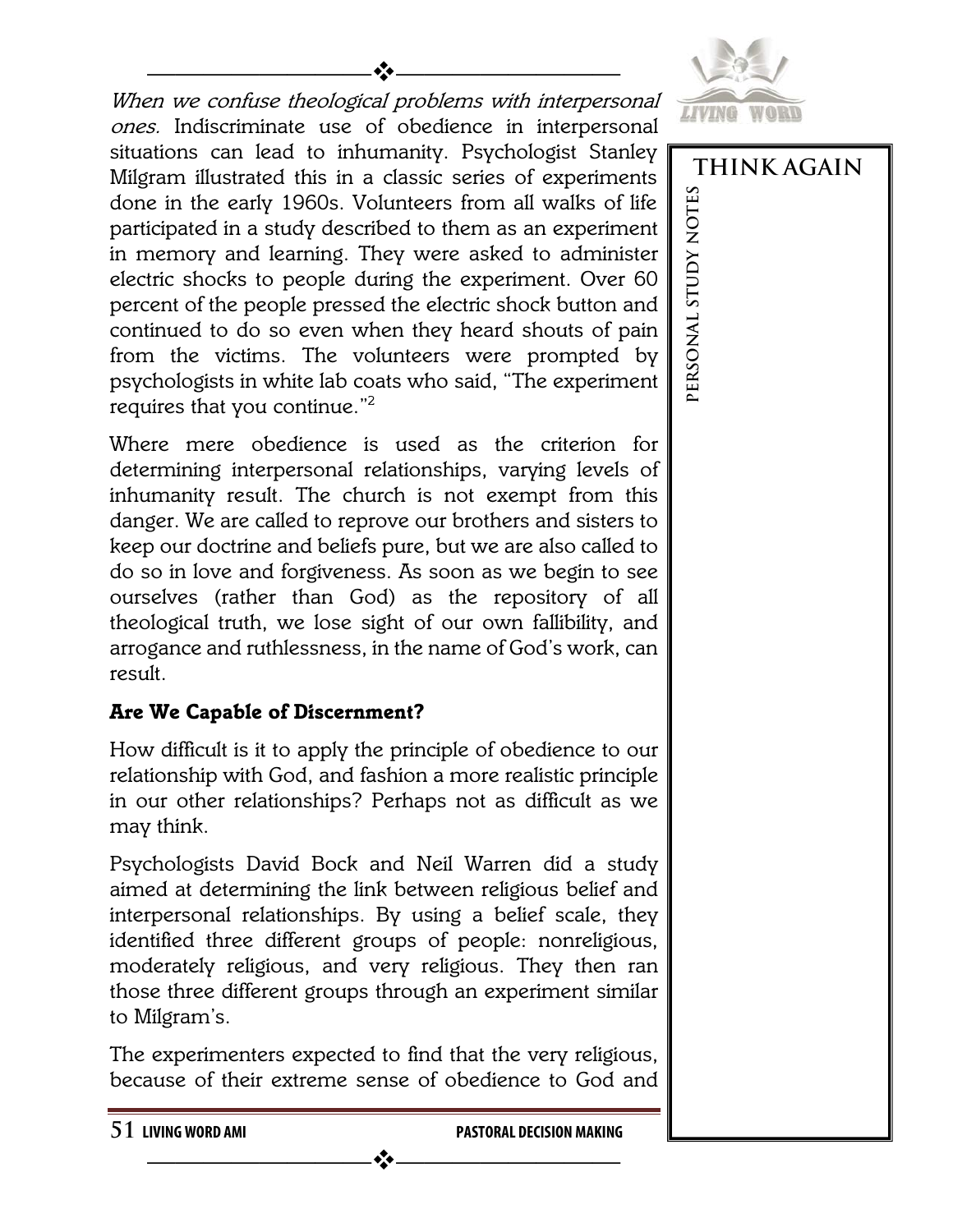

*When we confuse theological problems with interpersonal ones. Indiscriminate use of obedience in interpersonal situations can lead to inhumanity. Psychologist Stanley Milgram illustrated this in a classic series of experiments done in the early 1960s. Volunteers from all walks of life participated in a study described to them as an experiment in memory and learning. They were asked to administer electric shocks to people during the experiment. Over 60 percent of the people pressed the electric shock button and continued to do so even when they heard shouts of pain from the victims. The volunteers were prompted by psychologists in white lab coats who said, "The experiment requires that you continue."2*

————————————————

*Where mere obedience is used as the criterion for determining interpersonal relationships, varying levels of inhumanity result. The church is not exempt from this danger. We are called to reprove our brothers and sisters to keep our doctrine and beliefs pure, but we are also called to do so in love and forgiveness. As soon as we begin to see ourselves (rather than God) as the repository of all theological truth, we lose sight of our own fallibility, and arrogance and ruthlessness, in the name of God's work, can result.* 

## *Are We Capable of Discernment?*

*How difficult is it to apply the principle of obedience to our relationship with God, and fashion a more realistic principle in our other relationships? Perhaps not as difficult as we may think.* 

*Psychologists David Bock and Neil Warren did a study aimed at determining the link between religious belief and interpersonal relationships. By using a belief scale, they identified three different groups of people: nonreligious, moderately religious, and very religious. They then ran those three different groups through an experiment similar to Milgram's.* 

*The experimenters expected to find that the very religious, because of their extreme sense of obedience to God and* 

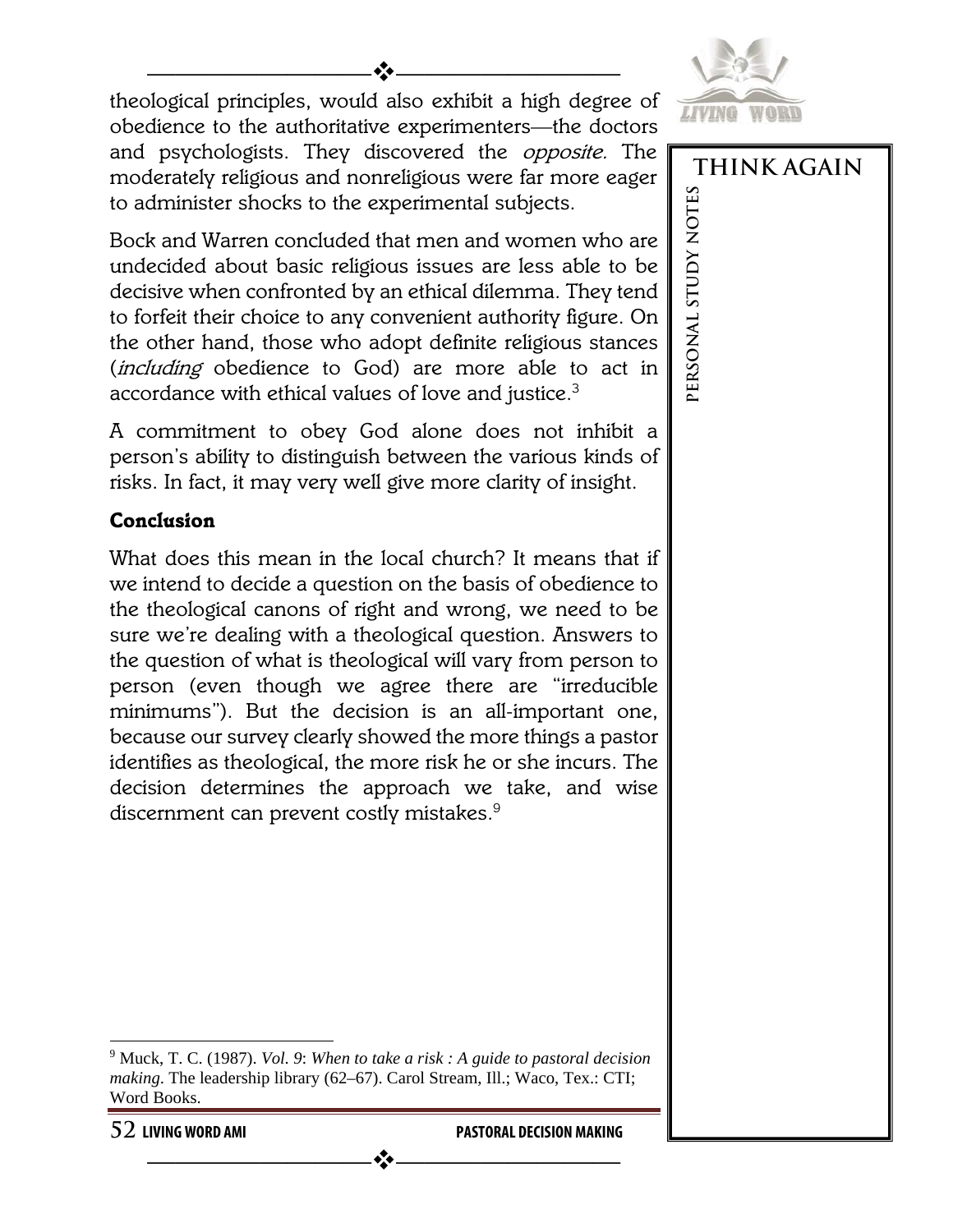

 **PERSONAL STUDY NOTES** 

PERSONAL STUDY NOTES

*theological principles, would also exhibit a high degree of obedience to the authoritative experimenters—the doctors and psychologists. They discovered the opposite. The moderately religious and nonreligious were far more eager to administer shocks to the experimental subjects.* 

————————————————

*Bock and Warren concluded that men and women who are undecided about basic religious issues are less able to be decisive when confronted by an ethical dilemma. They tend to forfeit their choice to any convenient authority figure. On the other hand, those who adopt definite religious stances (including obedience to God) are more able to act in accordance with ethical values of love and justice.3*

*A commitment to obey God alone does not inhibit a person's ability to distinguish between the various kinds of risks. In fact, it may very well give more clarity of insight.* 

#### *Conclusion*

What does this mean in the local church? It means that if *we intend to decide a question on the basis of obedience to the theological canons of right and wrong, we need to be sure we're dealing with a theological question. Answers to the question of what is theological will vary from person to person (even though we agree there are "irreducible minimums"). But the decision is an all-important one, because our survey clearly showed the more things a pastor identifies as theological, the more risk he or she incurs. The decision determines the approach we take, and wise discernment can prevent costly mistakes.9*

————————————————



l

<sup>9</sup> Muck, T. C. (1987). *Vol. 9*: *When to take a risk : A guide to pastoral decision making*. The leadership library (62–67). Carol Stream, Ill.; Waco, Tex.: CTI; Word Books.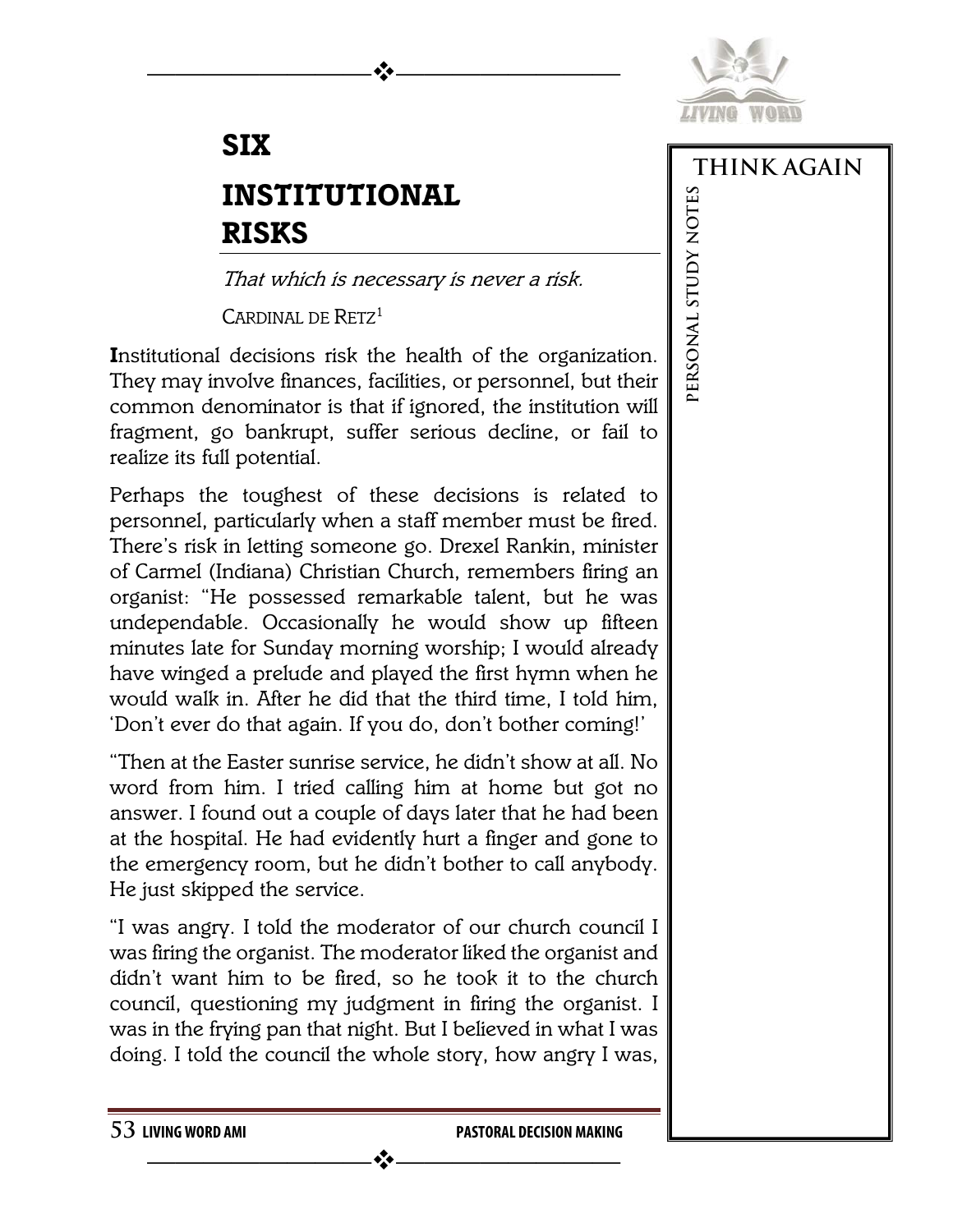

# *SIX INSTITUTIONAL RISKS*

*That which is necessary is never a risk.*

————————————————

*CARDINAL DE RETZ1*

*Institutional decisions risk the health of the organization. They may involve finances, facilities, or personnel, but their common denominator is that if ignored, the institution will fragment, go bankrupt, suffer serious decline, or fail to realize its full potential.* 

*Perhaps the toughest of these decisions is related to personnel, particularly when a staff member must be fired. There's risk in letting someone go. Drexel Rankin, minister of Carmel (Indiana) Christian Church, remembers firing an organist: "He possessed remarkable talent, but he was undependable. Occasionally he would show up fifteen minutes late for Sunday morning worship; I would already have winged a prelude and played the first hymn when he would walk in. After he did that the third time, I told him, 'Don't ever do that again. If you do, don't bother coming!'* 

*"Then at the Easter sunrise service, he didn't show at all. No word from him. I tried calling him at home but got no answer. I found out a couple of days later that he had been at the hospital. He had evidently hurt a finger and gone to the emergency room, but he didn't bother to call anybody. He just skipped the service.* 

*"I was angry. I told the moderator of our church council I was firing the organist. The moderator liked the organist and didn't want him to be fired, so he took it to the church council, questioning my judgment in firing the organist. I was in the frying pan that night. But I believed in what I was doing. I told the council the whole story, how angry I was,* 

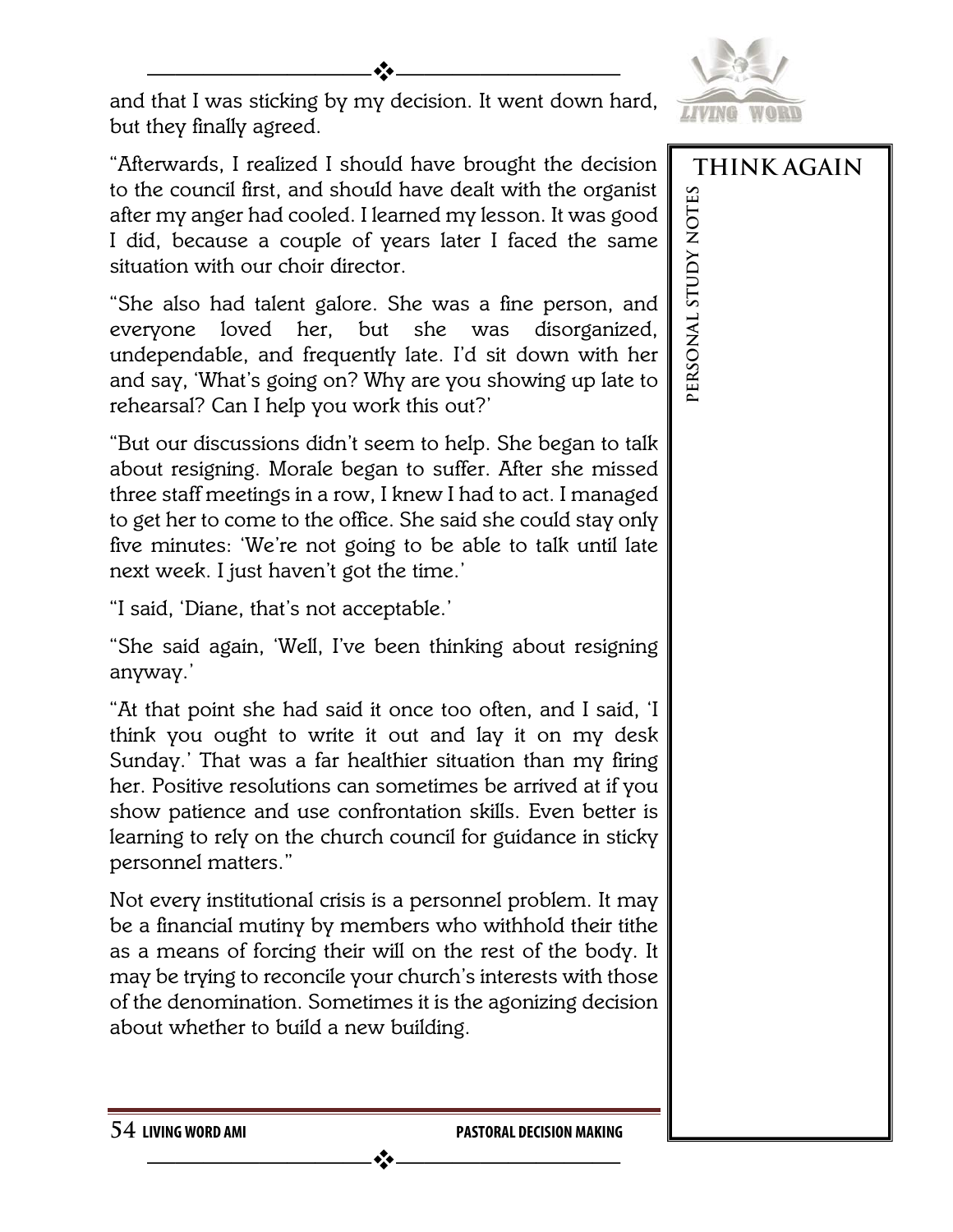

*and that I was sticking by my decision. It went down hard, but they finally agreed.* 

————————————————

*"Afterwards, I realized I should have brought the decision to the council first, and should have dealt with the organist after my anger had cooled. I learned my lesson. It was good I did, because a couple of years later I faced the same situation with our choir director.* 

*"She also had talent galore. She was a fine person, and everyone loved her, but she was disorganized, undependable, and frequently late. I'd sit down with her and say, 'What's going on? Why are you showing up late to rehearsal? Can I help you work this out?'* 

*"But our discussions didn't seem to help. She began to talk about resigning. Morale began to suffer. After she missed three staff meetings in a row, I knew I had to act. I managed to get her to come to the office. She said she could stay only five minutes: 'We're not going to be able to talk until late next week. I just haven't got the time.'* 

*"I said, 'Diane, that's not acceptable.'* 

*"She said again, 'Well, I've been thinking about resigning anyway.'* 

*"At that point she had said it once too often, and I said, 'I think you ought to write it out and lay it on my desk Sunday.' That was a far healthier situation than my firing her. Positive resolutions can sometimes be arrived at if you show patience and use confrontation skills. Even better is learning to rely on the church council for guidance in sticky personnel matters."* 

*Not every institutional crisis is a personnel problem. It may be a financial mutiny by members who withhold their tithe as a means of forcing their will on the rest of the body. It may be trying to reconcile your church's interests with those of the denomination. Sometimes it is the agonizing decision about whether to build a new building.* 

————————————————

**THINK AGAIN PERSONAL STUDY NOTES**  PERSONAL STUDY NOTES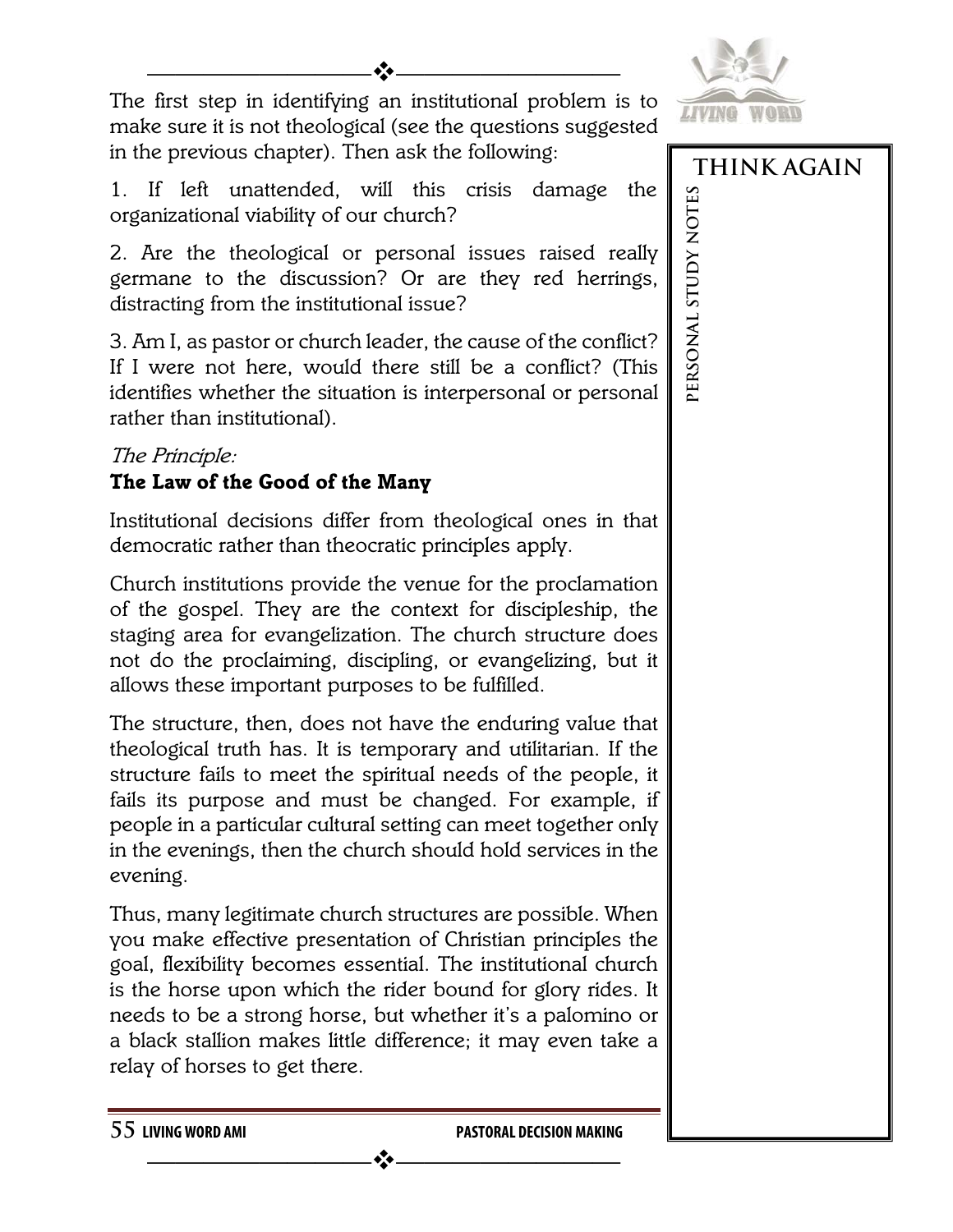

 **PERSONAL STUDY NOTES** 

PERSONAL STUDY NOTES

*The first step in identifying an institutional problem is to make sure it is not theological (see the questions suggested in the previous chapter). Then ask the following:* 

————————————————

*1. If left unattended, will this crisis damage the organizational viability of our church?* 

*2. Are the theological or personal issues raised really germane to the discussion? Or are they red herrings, distracting from the institutional issue?* 

*3. Am I, as pastor or church leader, the cause of the conflict? If I were not here, would there still be a conflict? (This identifies whether the situation is interpersonal or personal rather than institutional).* 

### *The Principle:*

## *The Law of the Good of the Many*

Institutional decisions differ from theological ones in that *democratic rather than theocratic principles apply.* 

*Church institutions provide the venue for the proclamation of the gospel. They are the context for discipleship, the staging area for evangelization. The church structure does*  not do the proclaiming, discipling, or evangelizing, but it *allows these important purposes to be fulfilled.* 

*The structure, then, does not have the enduring value that theological truth has. It is temporary and utilitarian. If the structure fails to meet the spiritual needs of the people, it fails its purpose and must be changed. For example, if people in a particular cultural setting can meet together only in the evenings, then the church should hold services in the evening.* 

*Thus, many legitimate church structures are possible. When you make effective presentation of Christian principles the goal, flexibility becomes essential. The institutional church is the horse upon which the rider bound for glory rides. It needs to be a strong horse, but whether it's a palomino or a black stallion makes little difference; it may even take a relay of horses to get there.* 

**THINK AGAIN**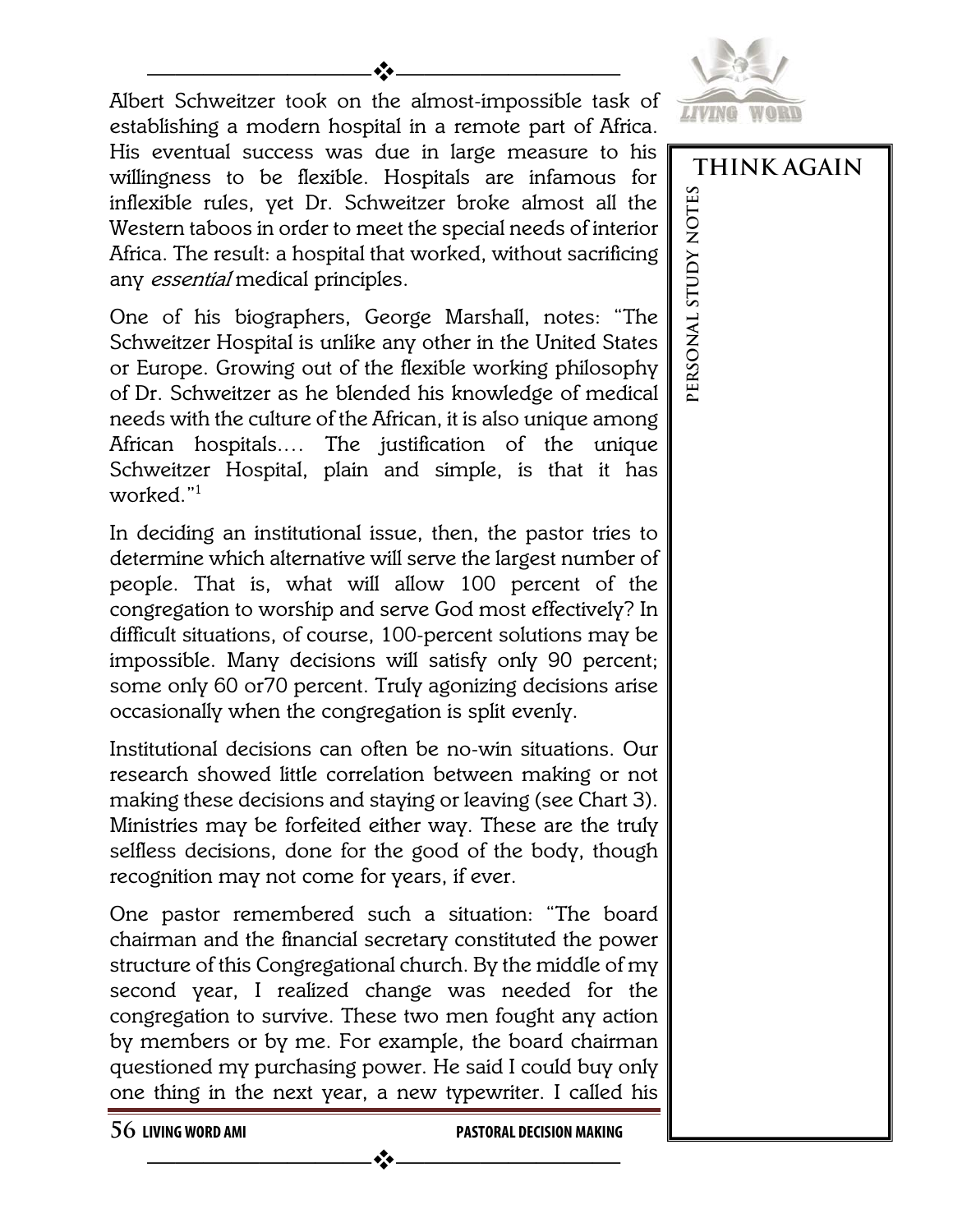

 **PERSONAL STUDY NOTES** 

PERSONAL STUDY NOTES

———————————————— *Albert Schweitzer took on the almost-impossible task of establishing a modern hospital in a remote part of Africa. His eventual success was due in large measure to his willingness to be flexible. Hospitals are infamous for inflexible rules, yet Dr. Schweitzer broke almost all the Western taboos in order to meet the special needs of interior Africa. The result: a hospital that worked, without sacrificing any essential medical principles.* 

*One of his biographers, George Marshall, notes: "The Schweitzer Hospital is unlike any other in the United States or Europe. Growing out of the flexible working philosophy of Dr. Schweitzer as he blended his knowledge of medical needs with the culture of the African, it is also unique among African hospitals.… The justification of the unique Schweitzer Hospital, plain and simple, is that it has worked."1*

*In deciding an institutional issue, then, the pastor tries to determine which alternative will serve the largest number of people. That is, what will allow 100 percent of the congregation to worship and serve God most effectively? In difficult situations, of course, 100-percent solutions may be impossible. Many decisions will satisfy only 90 percent; some only 60 or70 percent. Truly agonizing decisions arise occasionally when the congregation is split evenly.* 

*Institutional decisions can often be no-win situations. Our research showed little correlation between making or not making these decisions and staying or leaving (see Chart 3). Ministries may be forfeited either way. These are the truly selfless decisions, done for the good of the body, though recognition may not come for years, if ever.* 

*One pastor remembered such a situation: "The board chairman and the financial secretary constituted the power structure of this Congregational church. By the middle of my second year, I realized change was needed for the congregation to survive. These two men fought any action by members or by me. For example, the board chairman questioned my purchasing power. He said I could buy only one thing in the next year, a new typewriter. I called his* 

————————————————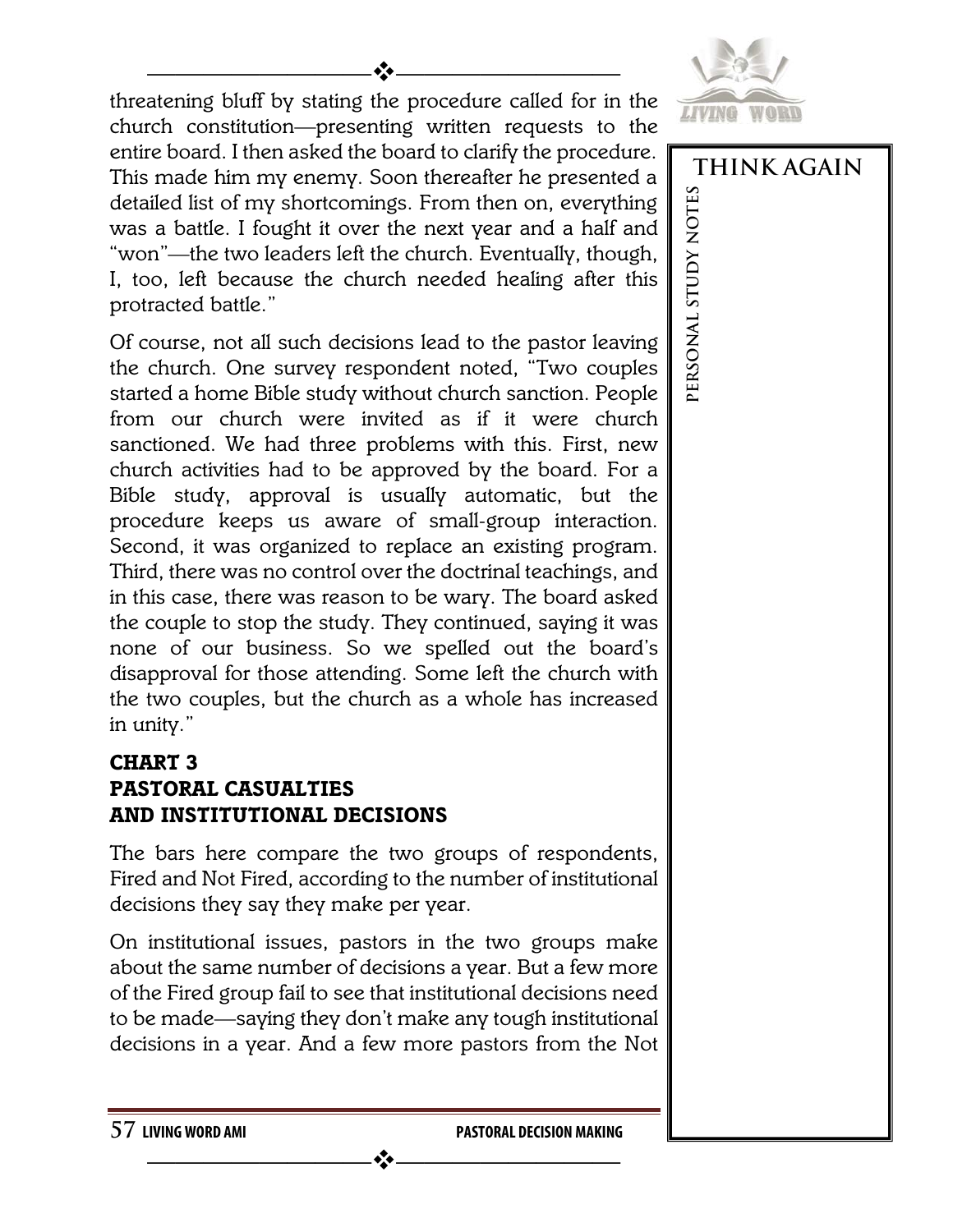

*threatening bluff by stating the procedure called for in the church constitution—presenting written requests to the entire board. I then asked the board to clarify the procedure. This made him my enemy. Soon thereafter he presented a detailed list of my shortcomings. From then on, everything was a battle. I fought it over the next year and a half and "won"—the two leaders left the church. Eventually, though, I, too, left because the church needed healing after this protracted battle."* 

————————————————

*Of course, not all such decisions lead to the pastor leaving the church. One survey respondent noted, "Two couples started a home Bible study without church sanction. People from our church were invited as if it were church sanctioned. We had three problems with this. First, new church activities had to be approved by the board. For a Bible study, approval is usually automatic, but the procedure keeps us aware of small-group interaction. Second, it was organized to replace an existing program. Third, there was no control over the doctrinal teachings, and in this case, there was reason to be wary. The board asked the couple to stop the study. They continued, saying it was none of our business. So we spelled out the board's disapproval for those attending. Some left the church with the two couples, but the church as a whole has increased in unity."* 

### *CHART 3 PASTORAL CASUALTIES AND INSTITUTIONAL DECISIONS*

*The bars here compare the two groups of respondents, Fired and Not Fired, according to the number of institutional decisions they say they make per year.* 

*On institutional issues, pastors in the two groups make about the same number of decisions a year. But a few more of the Fired group fail to see that institutional decisions need to be made—saying they don't make any tough institutional decisions in a year. And a few more pastors from the Not* 

————————————————

**THINK AGAIN PERSONAL STUDY NOTES**  PERSONAL STUDY NOTES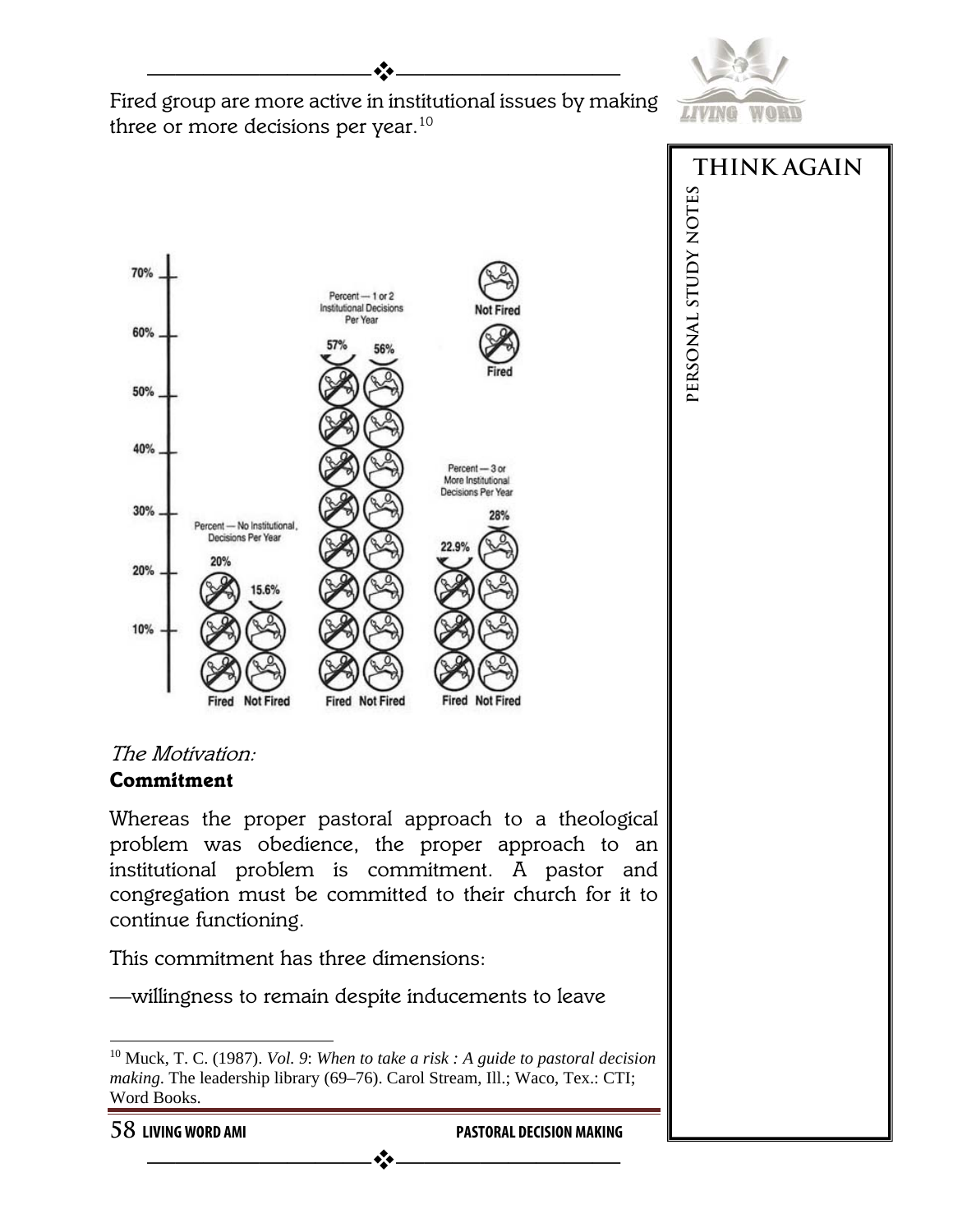

 **PERSONAL STUDY NOTES** 

PERSONAL STUDY NOTES

*Fired group are more active in institutional issues by making three or more decisions per year.10*

————————————————



#### *The Motivation: Commitment*

*Whereas the proper pastoral approach to a theological problem was obedience, the proper approach to an institutional problem is commitment. A pastor and congregation must be committed to their church for it to continue functioning.* 

*This commitment has three dimensions:* 

*—willingness to remain despite inducements to leave* 

l 10 Muck, T. C. (1987). *Vol. 9*: *When to take a risk : A guide to pastoral decision making*. The leadership library (69–76). Carol Stream, Ill.; Waco, Tex.: CTI; Word Books.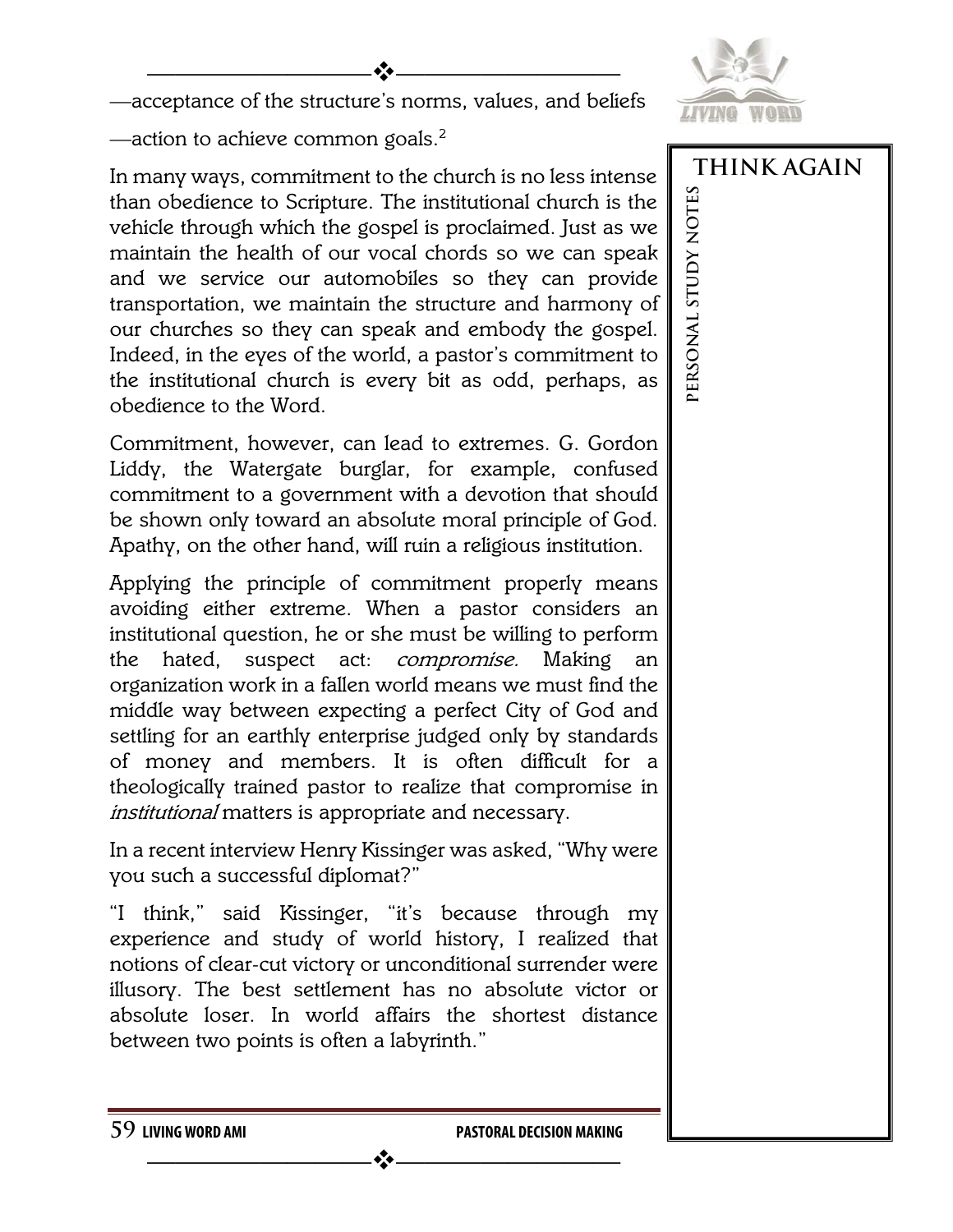

———————————————— *—acceptance of the structure's norms, values, and beliefs* 

*—action to achieve common goals.2*

*In many ways, commitment to the church is no less intense than obedience to Scripture. The institutional church is the vehicle through which the gospel is proclaimed. Just as we maintain the health of our vocal chords so we can speak and we service our automobiles so they can provide transportation, we maintain the structure and harmony of our churches so they can speak and embody the gospel. Indeed, in the eyes of the world, a pastor's commitment to the institutional church is every bit as odd, perhaps, as obedience to the Word.* 

*Commitment, however, can lead to extremes. G. Gordon Liddy, the Watergate burglar, for example, confused commitment to a government with a devotion that should be shown only toward an absolute moral principle of God. Apathy, on the other hand, will ruin a religious institution.* 

*Applying the principle of commitment properly means avoiding either extreme. When a pastor considers an institutional question, he or she must be willing to perform the hated, suspect act: <i>compromise*. Making *organization work in a fallen world means we must find the middle way between expecting a perfect City of God and settling for an earthly enterprise judged only by standards of money and members. It is often difficult for a theologically trained pastor to realize that compromise in institutional matters is appropriate and necessary.* 

In a recent interview Henry Kissinger was asked, "Why were *you such a successful diplomat?"* 

*"I think," said Kissinger, "it's because through my experience and study of world history, I realized that notions of clear-cut victory or unconditional surrender were illusory. The best settlement has no absolute victor or absolute loser. In world affairs the shortest distance between two points is often a labyrinth."* 

————————————————

**THINK AGAIN PERSONAL STUDY NOTES**  PERSONAL STUDY NOTES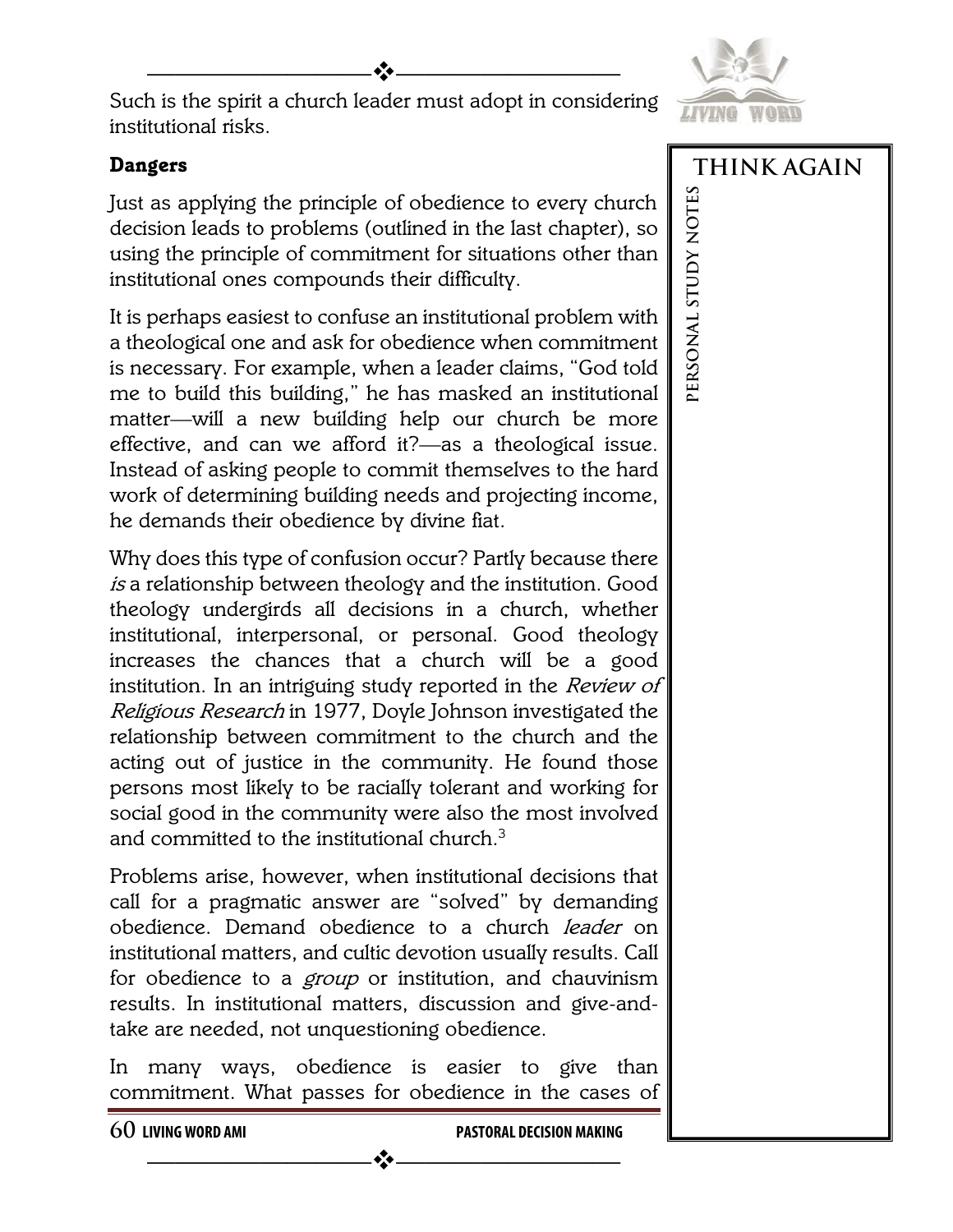

 **PERSONAL STUDY NOTES** 

PERSONAL STUDY NOTES

*Such is the spirit a church leader must adopt in considering institutional risks.* 

————————————————

### *Dangers*

*Just as applying the principle of obedience to every church decision leads to problems (outlined in the last chapter), so using the principle of commitment for situations other than institutional ones compounds their difficulty.* 

*It is perhaps easiest to confuse an institutional problem with a theological one and ask for obedience when commitment is necessary. For example, when a leader claims, "God told me to build this building," he has masked an institutional matter—will a new building help our church be more effective, and can we afford it?—as a theological issue. Instead of asking people to commit themselves to the hard work of determining building needs and projecting income, he demands their obedience by divine fiat.* 

*Why does this type of confusion occur? Partly because there is a relationship between theology and the institution. Good theology undergirds all decisions in a church, whether institutional, interpersonal, or personal. Good theology increases the chances that a church will be a good institution. In an intriguing study reported in the Review of Religious Research in 1977, Doyle Johnson investigated the relationship between commitment to the church and the acting out of justice in the community. He found those persons most likely to be racially tolerant and working for social good in the community were also the most involved and committed to the institutional church.3*

*Problems arise, however, when institutional decisions that call for a pragmatic answer are "solved" by demanding obedience. Demand obedience to a church leader on institutional matters, and cultic devotion usually results. Call for obedience to a group or institution, and chauvinism results. In institutional matters, discussion and give-andtake are needed, not unquestioning obedience.* 

*In many ways, obedience is easier to give than commitment. What passes for obedience in the cases of*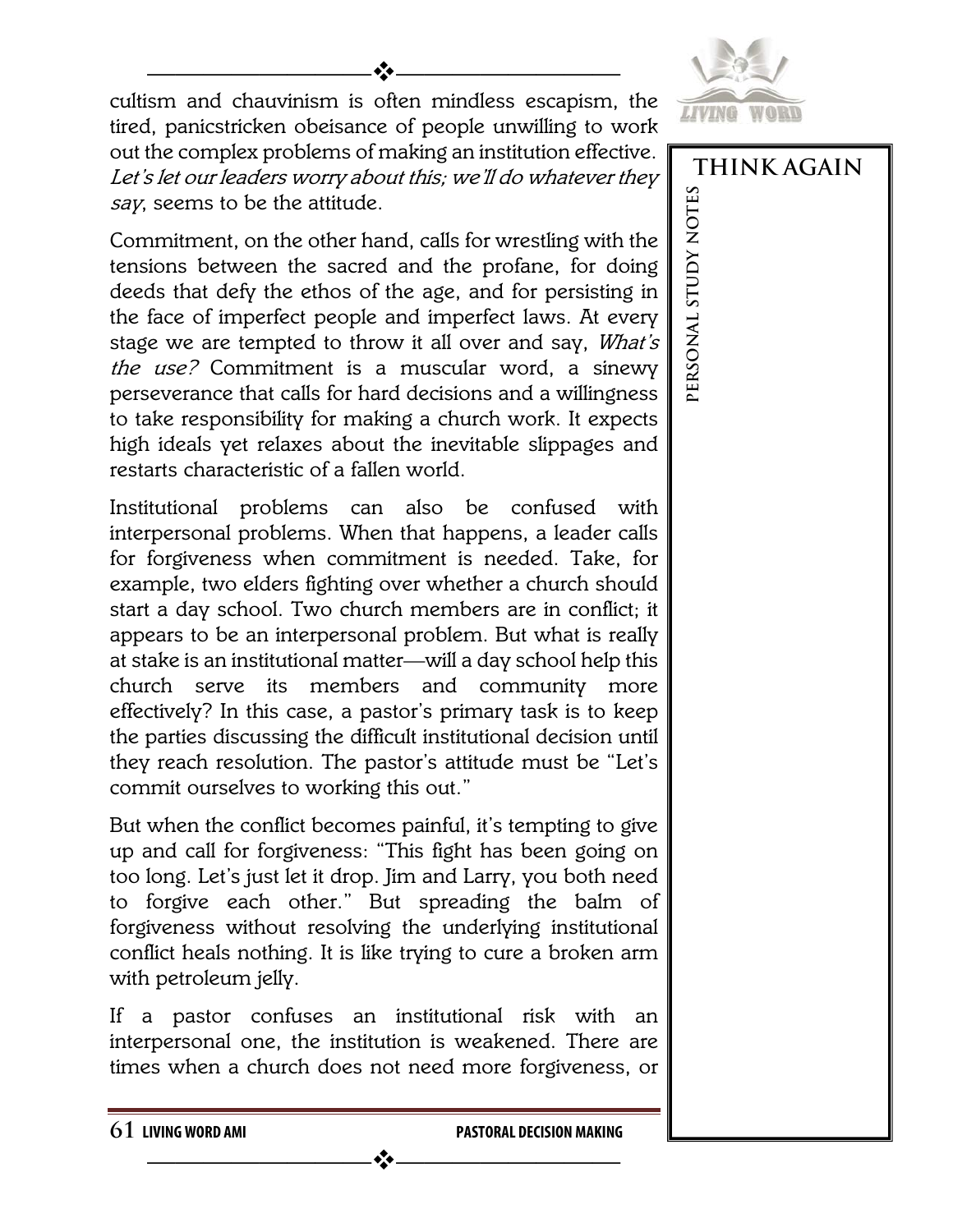

*cultism and chauvinism is often mindless escapism, the tired, panicstricken obeisance of people unwilling to work out the complex problems of making an institution effective. Let's let our leaders worry about this; we'll do whatever they say, seems to be the attitude.* 

————————————————

*Commitment, on the other hand, calls for wrestling with the tensions between the sacred and the profane, for doing*  deeds that defy the ethos of the age, and for persisting in *the face of imperfect people and imperfect laws. At every stage we are tempted to throw it all over and say, What's the use? Commitment is a muscular word, a sinewy perseverance that calls for hard decisions and a willingness to take responsibility for making a church work. It expects high ideals yet relaxes about the inevitable slippages and restarts characteristic of a fallen world.* 

*Institutional problems can also be confused with interpersonal problems. When that happens, a leader calls for forgiveness when commitment is needed. Take, for example, two elders fighting over whether a church should start a day school. Two church members are in conflict; it appears to be an interpersonal problem. But what is really at stake is an institutional matter—will a day school help this church serve its members and community more effectively? In this case, a pastor's primary task is to keep the parties discussing the difficult institutional decision until they reach resolution. The pastor's attitude must be "Let's commit ourselves to working this out."* 

*But when the conflict becomes painful, it's tempting to give up and call for forgiveness: "This fight has been going on too long. Let's just let it drop. Jim and Larry, you both need to forgive each other." But spreading the balm of forgiveness without resolving the underlying institutional conflict heals nothing. It is like trying to cure a broken arm with petroleum jelly.* 

*If a pastor confuses an institutional risk with an interpersonal one, the institution is weakened. There are times when a church does not need more forgiveness, or* 

**THINK AGAIN PERSONAL STUDY NOTES**  PERSONAL STUDY NOTES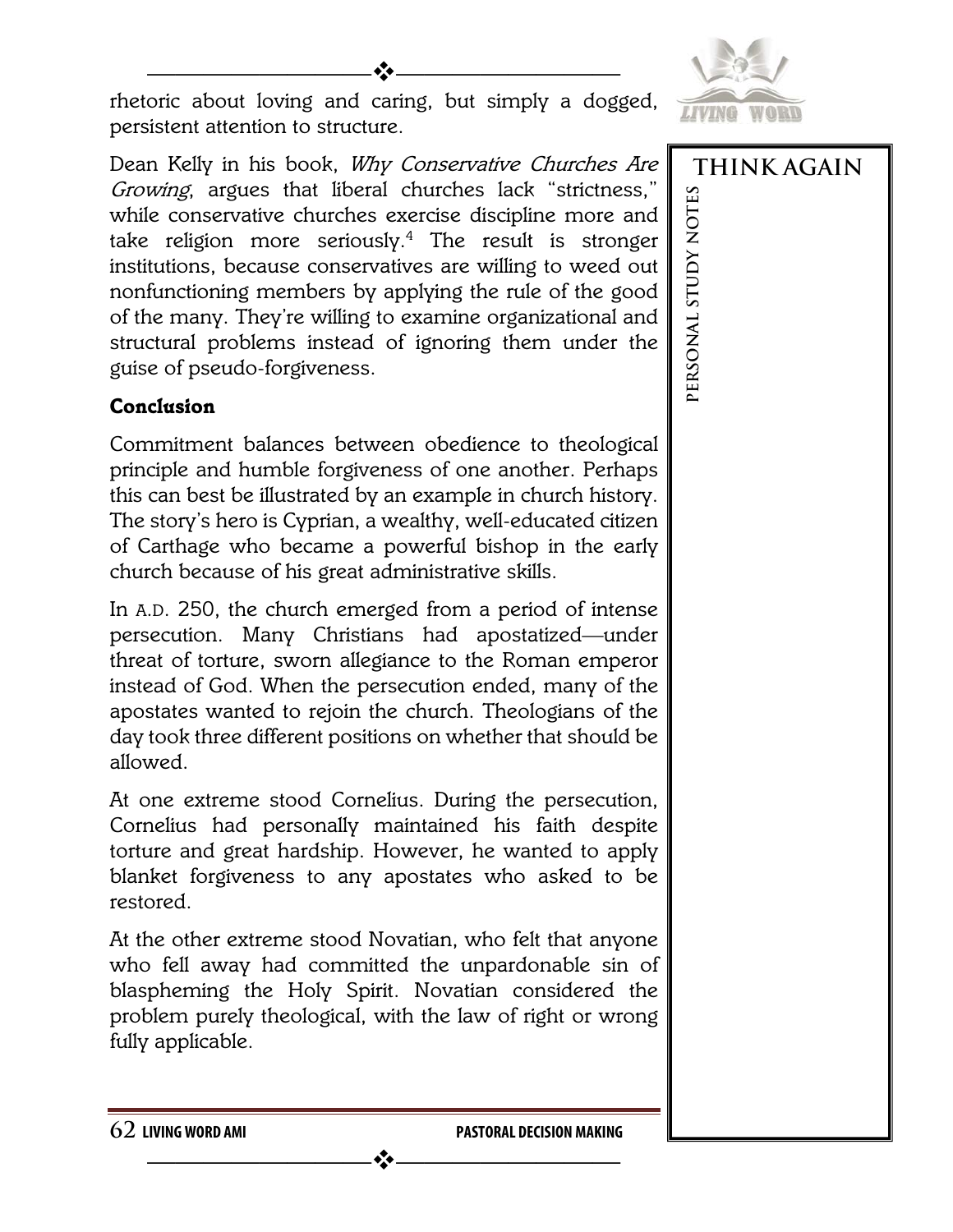

*rhetoric about loving and caring, but simply a dogged, persistent attention to structure.* 

————————————————

*Dean Kelly in his book, Why Conservative Churches Are Growing, argues that liberal churches lack "strictness," while conservative churches exercise discipline more and take religion more seriously.4 The result is stronger institutions, because conservatives are willing to weed out nonfunctioning members by applying the rule of the good of the many. They're willing to examine organizational and structural problems instead of ignoring them under the guise of pseudo-forgiveness.* 

### *Conclusion*

*Commitment balances between obedience to theological principle and humble forgiveness of one another. Perhaps this can best be illustrated by an example in church history. The story's hero is Cyprian, a wealthy, well-educated citizen of Carthage who became a powerful bishop in the early church because of his great administrative skills.* 

In A.D. 250, the church emerged from a period of intense *persecution. Many Christians had apostatized—under threat of torture, sworn allegiance to the Roman emperor instead of God. When the persecution ended, many of the apostates wanted to rejoin the church. Theologians of the day took three different positions on whether that should be allowed.* 

*At one extreme stood Cornelius. During the persecution, Cornelius had personally maintained his faith despite torture and great hardship. However, he wanted to apply blanket forgiveness to any apostates who asked to be restored.* 

*At the other extreme stood Novatian, who felt that anyone who fell away had committed the unpardonable sin of blaspheming the Holy Spirit. Novatian considered the problem purely theological, with the law of right or wrong fully applicable.* 

————————————————

**THINK AGAIN** 

 **PERSONAL STUDY NOTES**  PERSONAL STUDY NOTES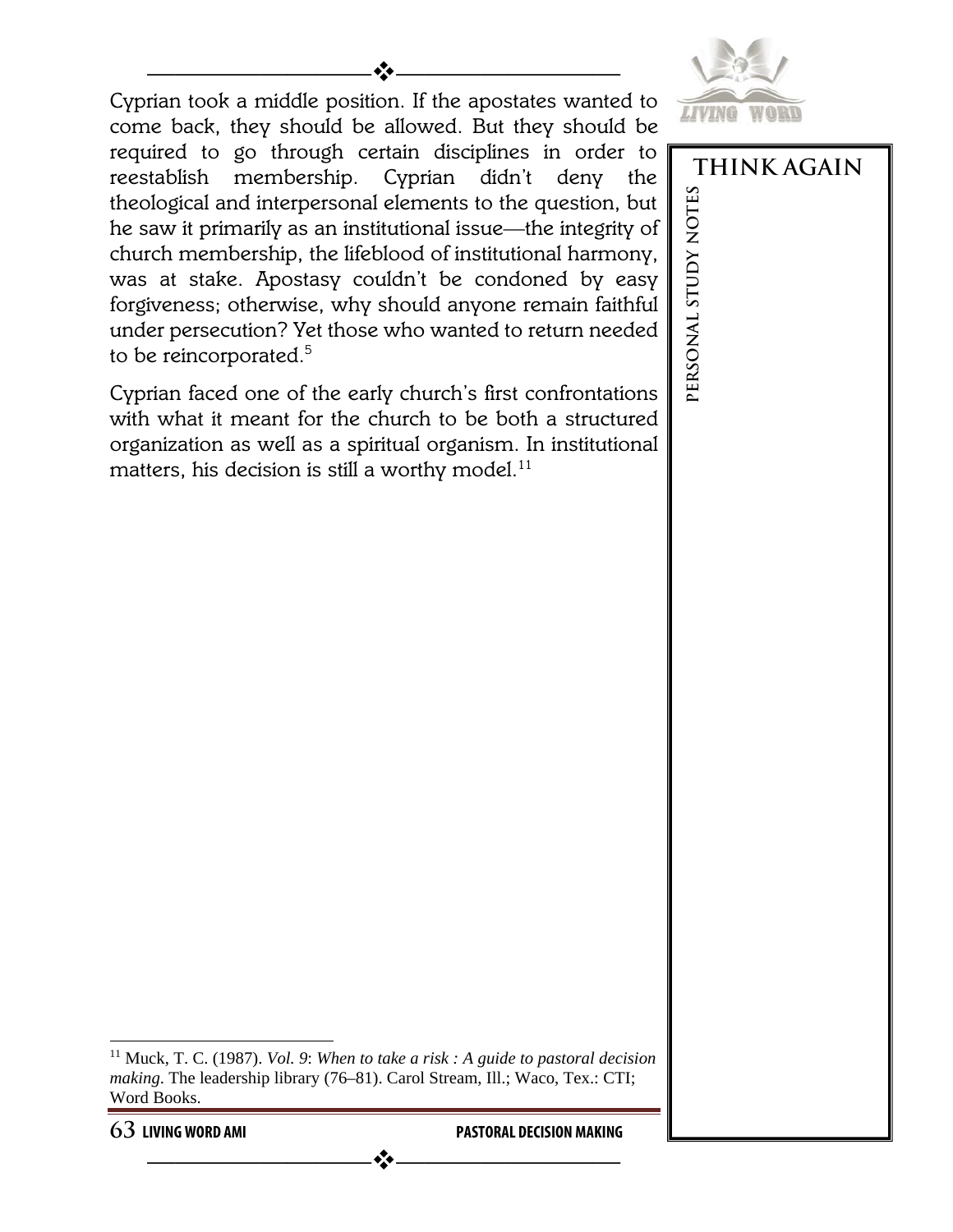

 **PERSONAL STUDY NOTES** 

PERSONAL STUDY NOTES

*Cyprian took a middle position. If the apostates wanted to come back, they should be allowed. But they should be required to go through certain disciplines in order to reestablish membership. Cyprian didn't deny the theological and interpersonal elements to the question, but he saw it primarily as an institutional issue—the integrity of church membership, the lifeblood of institutional harmony, was at stake. Apostasy couldn't be condoned by easy forgiveness; otherwise, why should anyone remain faithful under persecution? Yet those who wanted to return needed to be reincorporated.5*

————————————————

*Cyprian faced one of the early church's first confrontations with what it meant for the church to be both a structured organization as well as a spiritual organism. In institutional matters, his decision is still a worthy model.11*

**THINK AGAIN** 

————————————————

l

<sup>11</sup> Muck, T. C. (1987). *Vol. 9*: *When to take a risk : A guide to pastoral decision making*. The leadership library (76–81). Carol Stream, Ill.; Waco, Tex.: CTI; Word Books.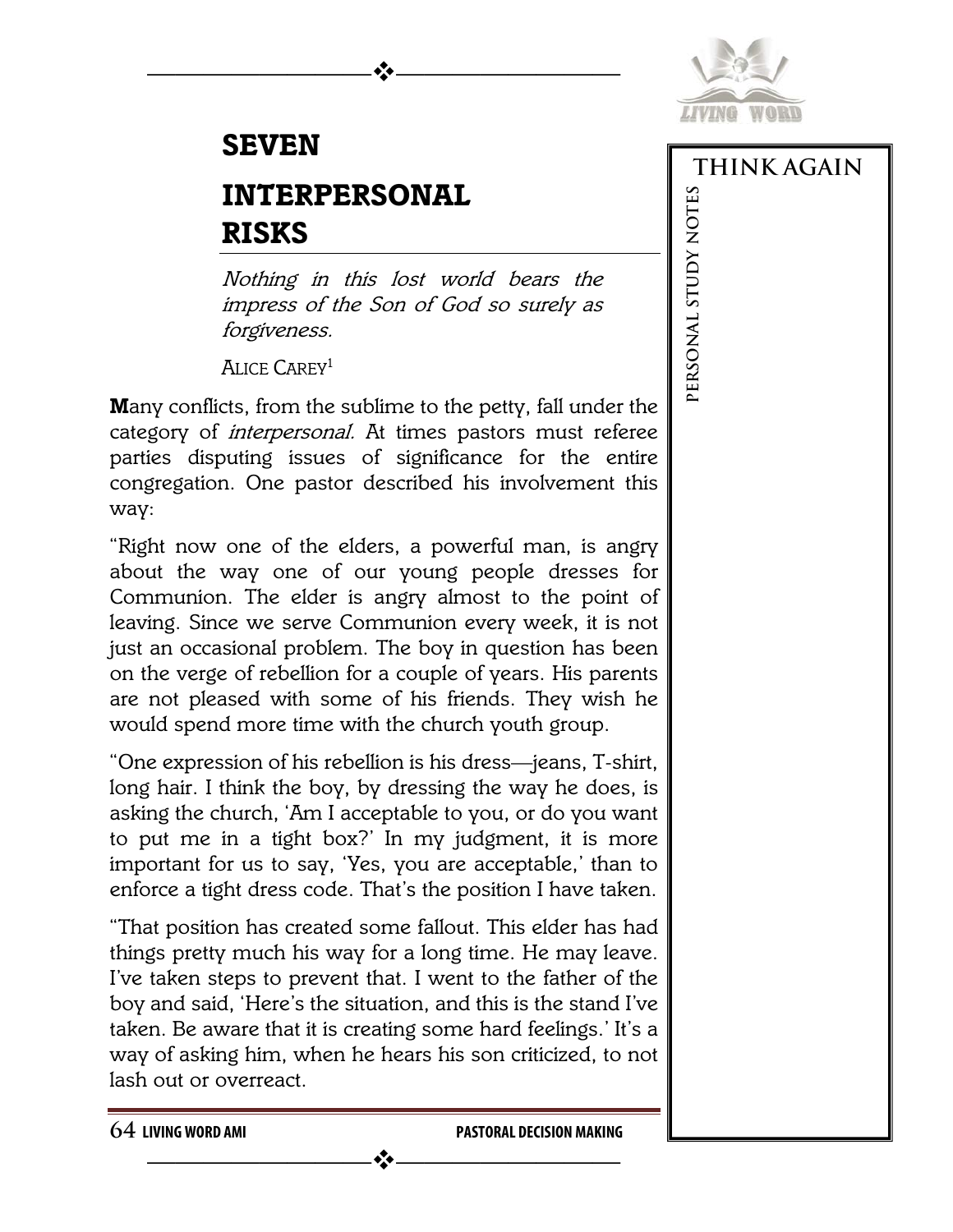

 **PERSONAL STUDY NOTES** 

**ERSONAL STUDY NOTES** 

# *SEVEN INTERPERSONAL RISKS*

————————————————

*Nothing in this lost world bears the impress of the Son of God so surely as forgiveness.*

*ALICE CAREY1*

*Many conflicts, from the sublime to the petty, fall under the category of interpersonal. At times pastors must referee parties disputing issues of significance for the entire congregation. One pastor described his involvement this way:* 

*"Right now one of the elders, a powerful man, is angry about the way one of our young people dresses for Communion. The elder is angry almost to the point of*  leaving. Since we serve Communion every week, it is not *just an occasional problem. The boy in question has been on the verge of rebellion for a couple of years. His parents are not pleased with some of his friends. They wish he would spend more time with the church youth group.* 

*"One expression of his rebellion is his dress—jeans, T-shirt,*  long hair. I think the boy, by dressing the way he does, is *asking the church, 'Am I acceptable to you, or do you want to put me in a tight box?' In my judgment, it is more important for us to say, 'Yes, you are acceptable,' than to enforce a tight dress code. That's the position I have taken.* 

*"That position has created some fallout. This elder has had things pretty much his way for a long time. He may leave. I've taken steps to prevent that. I went to the father of the boy and said, 'Here's the situation, and this is the stand I've taken. Be aware that it is creating some hard feelings.' It's a way of asking him, when he hears his son criticized, to not lash out or overreact.* 

————————————————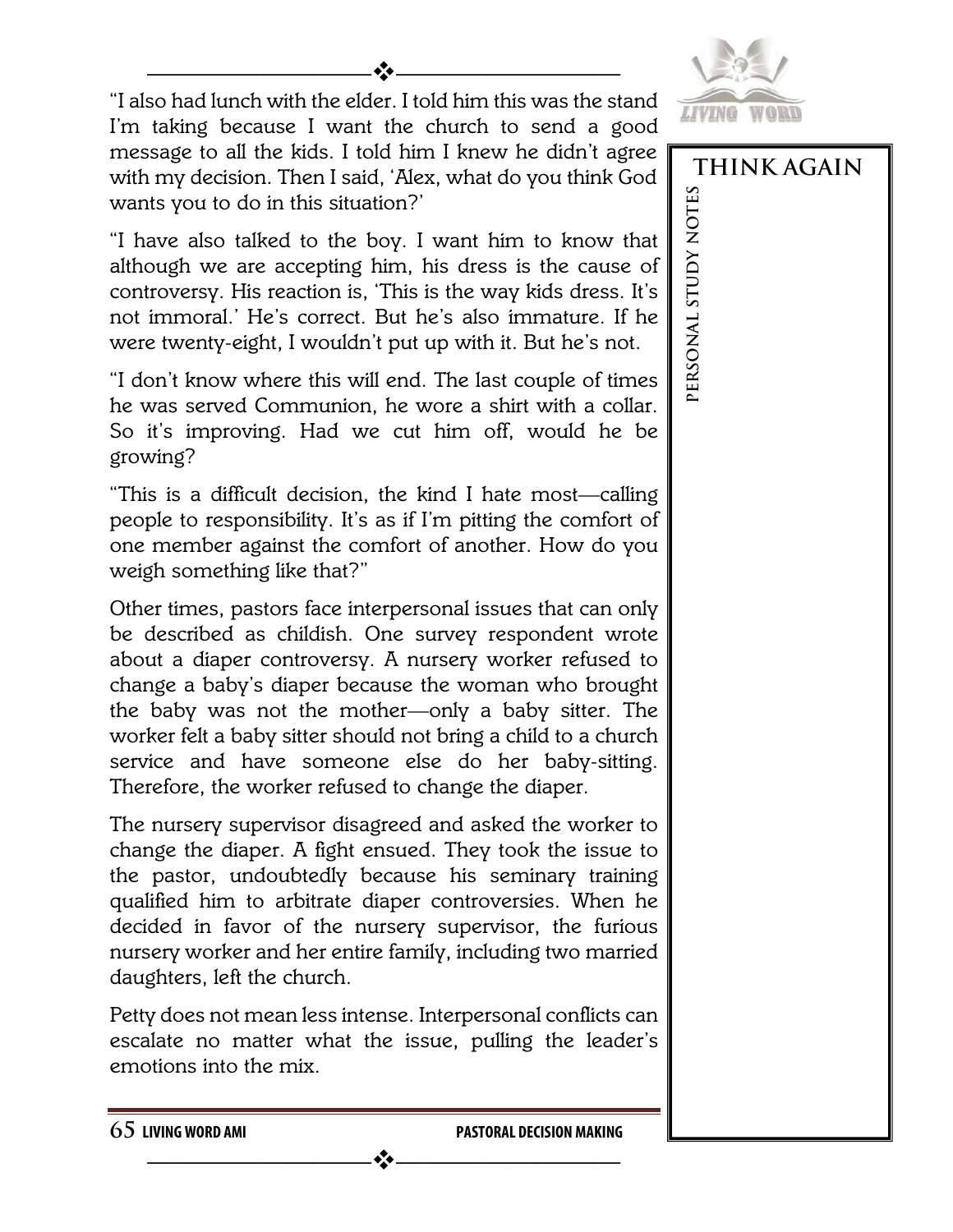———————————————— *"I also had lunch with the elder. I told him this was the stand I'm taking because I want the church to send a good message to all the kids. I told him I knew he didn't agree with my decision. Then I said, 'Alex, what do you think God wants you to do in this situation?'* 

*"I have also talked to the boy. I want him to know that although we are accepting him, his dress is the cause of controversy. His reaction is, 'This is the way kids dress. It's not immoral.' He's correct. But he's also immature. If he were twenty-eight, I wouldn't put up with it. But he's not.* 

*"I don't know where this will end. The last couple of times he was served Communion, he wore a shirt with a collar. So it's improving. Had we cut him off, would he be growing?* 

*"This is a difficult decision, the kind I hate most—calling people to responsibility. It's as if I'm pitting the comfort of one member against the comfort of another. How do you weigh something like that?"* 

*Other times, pastors face interpersonal issues that can only be described as childish. One survey respondent wrote about a diaper controversy. A nursery worker refused to change a baby's diaper because the woman who brought the baby was not the mother—only a baby sitter. The worker felt a baby sitter should not bring a child to a church service and have someone else do her baby-sitting. Therefore, the worker refused to change the diaper.* 

*The nursery supervisor disagreed and asked the worker to change the diaper. A fight ensued. They took the issue to the pastor, undoubtedly because his seminary training qualified him to arbitrate diaper controversies. When he decided in favor of the nursery supervisor, the furious nursery worker and her entire family, including two married daughters, left the church.* 

*Petty does not mean less intense. Interpersonal conflicts can escalate no matter what the issue, pulling the leader's emotions into the mix.* 

————————————————



**THINK AGAIN PERSONAL STUDY NOTES**  PERSONAL STUDY NOTES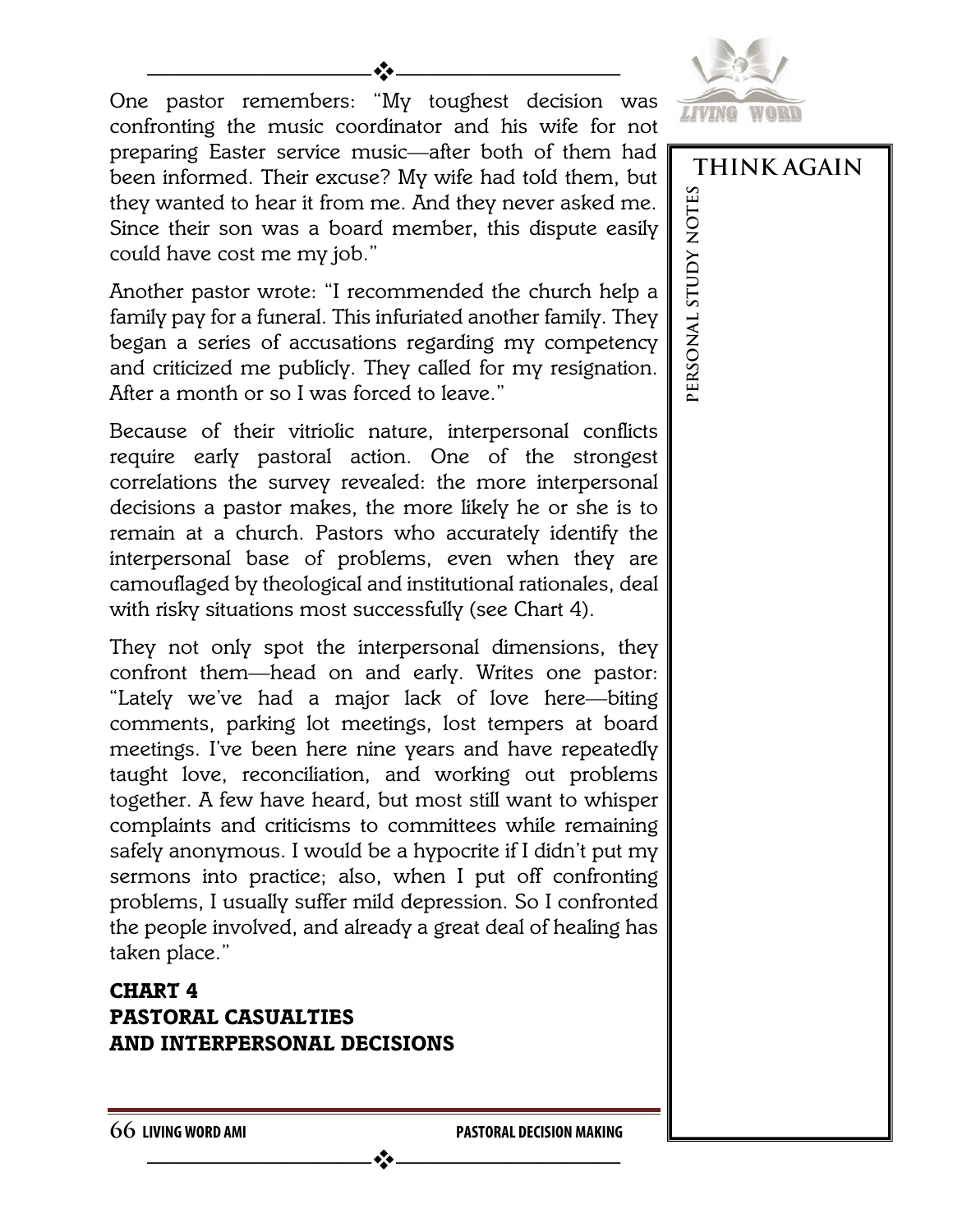

*One pastor remembers: "My toughest decision was confronting the music coordinator and his wife for not preparing Easter service music—after both of them had been informed. Their excuse? My wife had told them, but they wanted to hear it from me. And they never asked me. Since their son was a board member, this dispute easily could have cost me my job."* 

————————————————

*Another pastor wrote: "I recommended the church help a family pay for a funeral. This infuriated another family. They began a series of accusations regarding my competency and criticized me publicly. They called for my resignation. After a month or so I was forced to leave."* 

*Because of their vitriolic nature, interpersonal conflicts require early pastoral action. One of the strongest correlations the survey revealed: the more interpersonal decisions a pastor makes, the more likely he or she is to remain at a church. Pastors who accurately identify the interpersonal base of problems, even when they are camouflaged by theological and institutional rationales, deal with risky situations most successfully (see Chart 4).* 

*They not only spot the interpersonal dimensions, they confront them—head on and early. Writes one pastor: "Lately we've had a major lack of love here—biting comments, parking lot meetings, lost tempers at board meetings. I've been here nine years and have repeatedly taught love, reconciliation, and working out problems together. A few have heard, but most still want to whisper complaints and criticisms to committees while remaining safely anonymous. I would be a hypocrite if I didn't put my sermons into practice; also, when I put off confronting problems, I usually suffer mild depression. So I confronted the people involved, and already a great deal of healing has taken place."* 

————————————————

# *CHART 4 PASTORAL CASUALTIES AND INTERPERSONAL DECISIONS*

**THINK AGAIN PERSONAL STUDY NOTES**  PERSONAL STUDY NOTES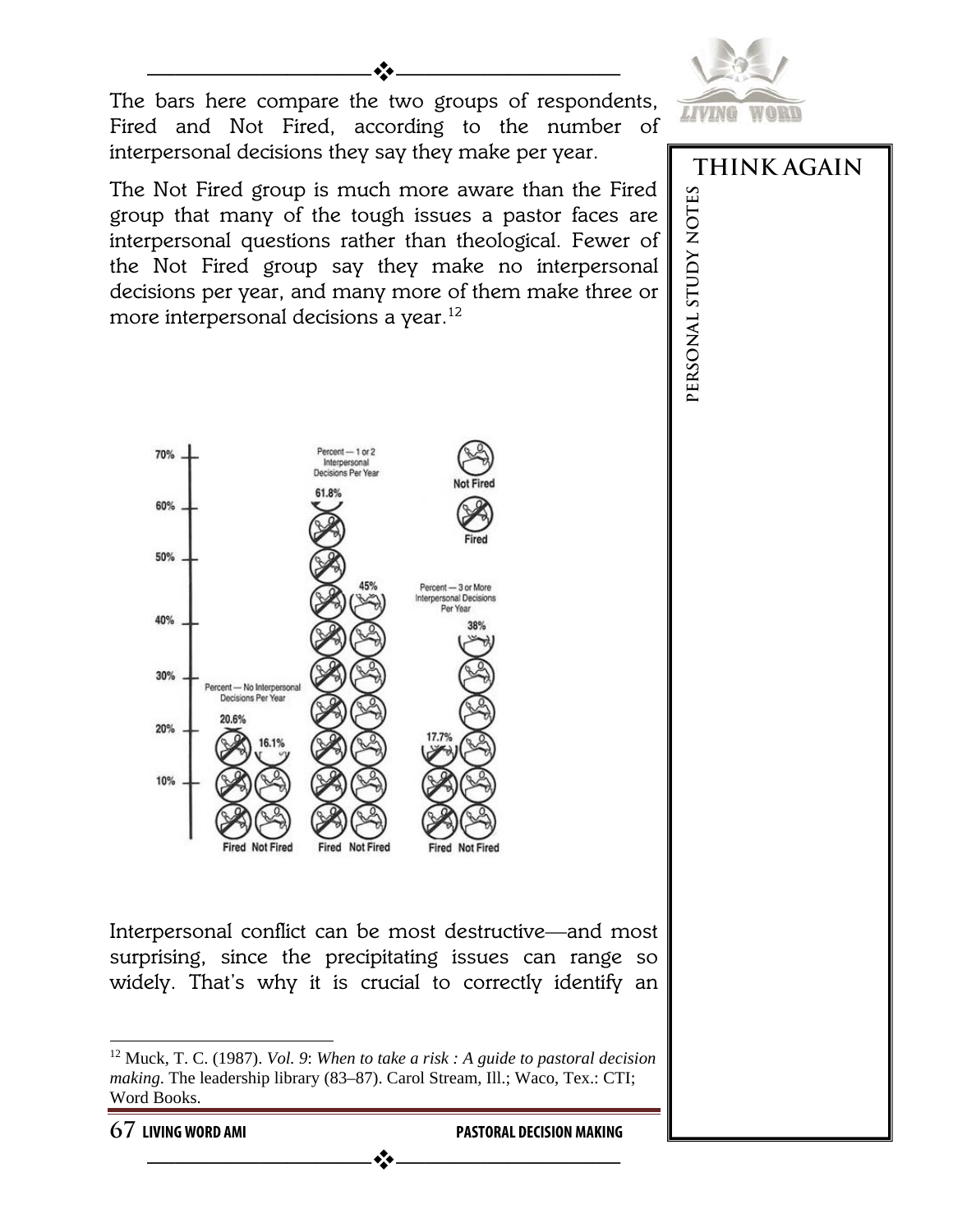

 **PERSONAL STUDY NOTES** 

PERSONAL STUDY NOTES

*The bars here compare the two groups of respondents, Fired and Not Fired, according to the number of interpersonal decisions they say they make per year.* 

————————————————

*The Not Fired group is much more aware than the Fired group that many of the tough issues a pastor faces are interpersonal questions rather than theological. Fewer of the Not Fired group say they make no interpersonal decisions per year, and many more of them make three or more interpersonal decisions a year.12*



*Interpersonal conflict can be most destructive—and most surprising, since the precipitating issues can range so widely. That's why it is crucial to correctly identify an* 

————————————————

l

<sup>12</sup> Muck, T. C. (1987). *Vol. 9*: *When to take a risk : A guide to pastoral decision making*. The leadership library (83–87). Carol Stream, Ill.; Waco, Tex.: CTI; Word Books.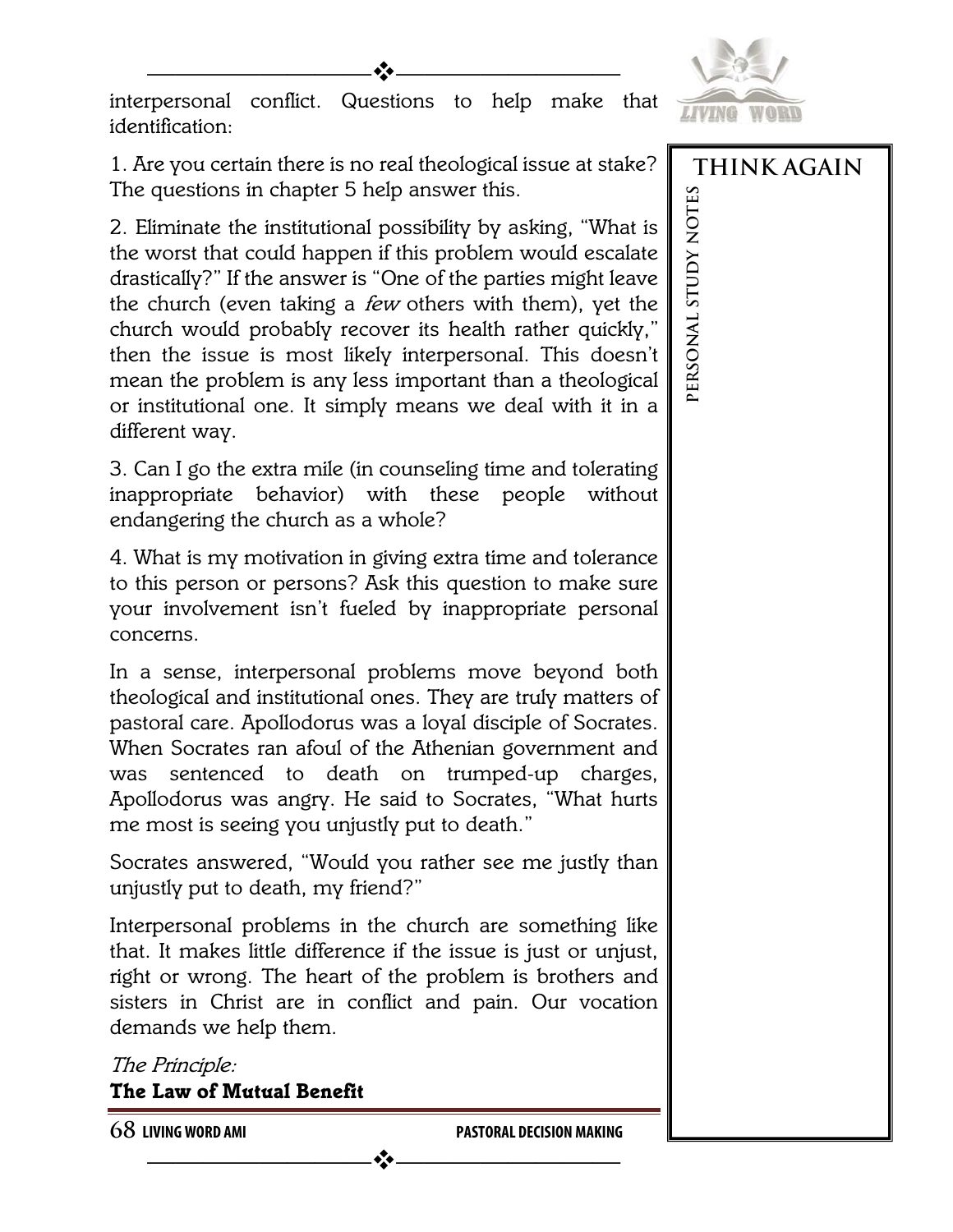

*interpersonal conflict. Questions to help make that identification:* 

————————————————

*1. Are you certain there is no real theological issue at stake? The questions in chapter 5 help answer this.* 

*2. Eliminate the institutional possibility by asking, "What is the worst that could happen if this problem would escalate drastically?" If the answer is "One of the parties might leave the church (even taking a few others with them), yet the church would probably recover its health rather quickly," then the issue is most likely interpersonal. This doesn't mean the problem is any less important than a theological or institutional one. It simply means we deal with it in a different way.* 

*3. Can I go the extra mile (in counseling time and tolerating inappropriate behavior) with these people without endangering the church as a whole?* 

*4. What is my motivation in giving extra time and tolerance to this person or persons? Ask this question to make sure your involvement isn't fueled by inappropriate personal concerns.* 

*In a sense, interpersonal problems move beyond both theological and institutional ones. They are truly matters of pastoral care. Apollodorus was a loyal disciple of Socrates. When Socrates ran afoul of the Athenian government and was sentenced to death on trumped-up charges, Apollodorus was angry. He said to Socrates, "What hurts me most is seeing you unjustly put to death."* 

*Socrates answered, "Would you rather see me justly than unjustly put to death, my friend?"* 

*Interpersonal problems in the church are something like that. It makes little difference if the issue is just or unjust, right or wrong. The heart of the problem is brothers and sisters in Christ are in conflict and pain. Our vocation demands we help them.* 

————————————————

*The Principle: The Law of Mutual Benefit*

**68 LIVING WORD AMI PASTORAL DECISION MAKING** 

**THINK AGAIN PERSONAL STUDY NOTES**  PERSONAL STUDY NOTES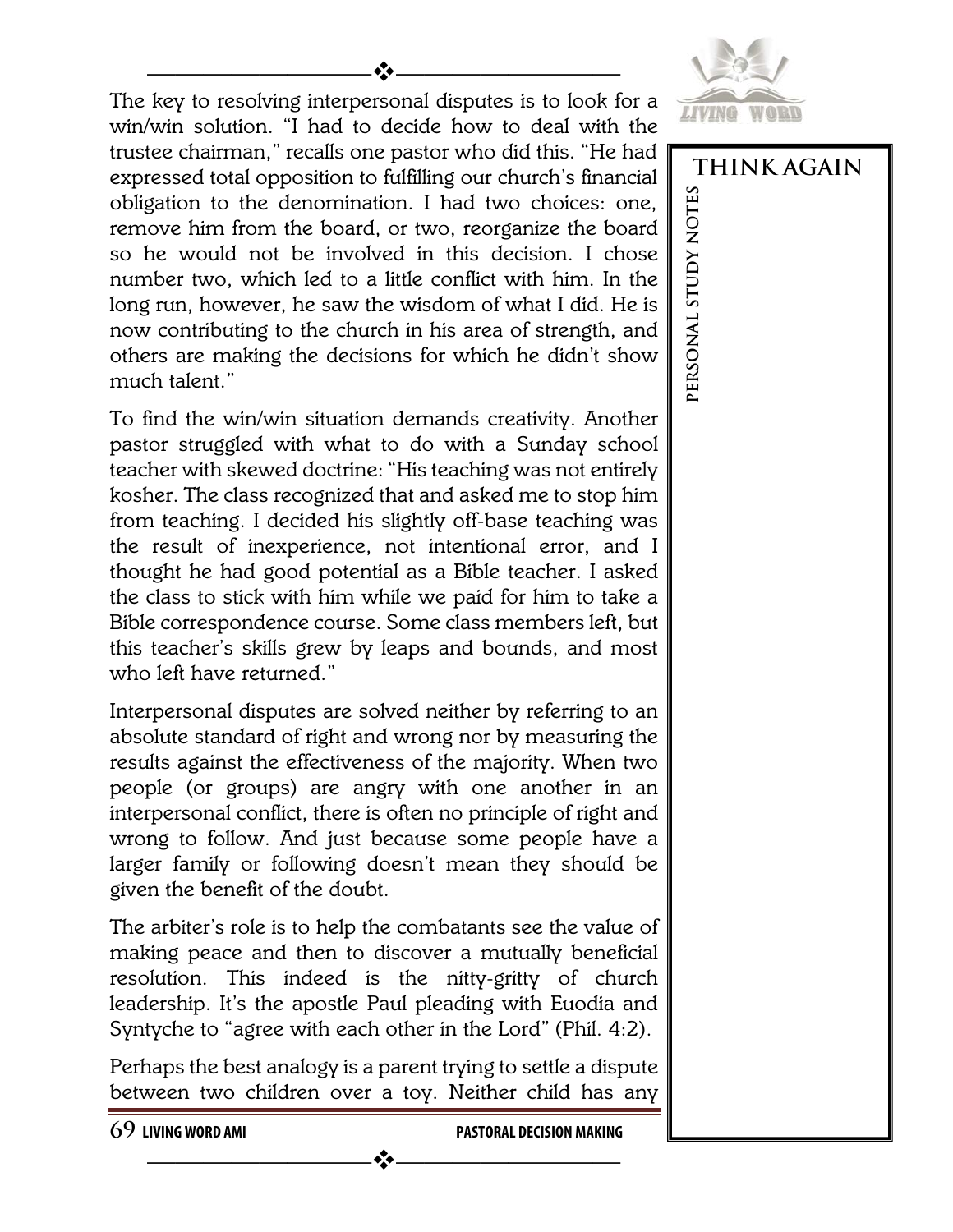

 **PERSONAL STUDY NOTES** 

PERSONAL STUDY NOTES

*The key to resolving interpersonal disputes is to look for a win/win solution. "I had to decide how to deal with the trustee chairman," recalls one pastor who did this. "He had expressed total opposition to fulfilling our church's financial obligation to the denomination. I had two choices: one, remove him from the board, or two, reorganize the board so he would not be involved in this decision. I chose number two, which led to a little conflict with him. In the*  long run, however, he saw the wisdom of what I did. He is *now contributing to the church in his area of strength, and others are making the decisions for which he didn't show much talent."* 

————————————————

*To find the win/win situation demands creativity. Another pastor struggled with what to do with a Sunday school teacher with skewed doctrine: "His teaching was not entirely kosher. The class recognized that and asked me to stop him from teaching. I decided his slightly off-base teaching was the result of inexperience, not intentional error, and I thought he had good potential as a Bible teacher. I asked the class to stick with him while we paid for him to take a Bible correspondence course. Some class members left, but this teacher's skills grew by leaps and bounds, and most who left have returned."* 

Interpersonal disputes are solved neither by referring to an *absolute standard of right and wrong nor by measuring the results against the effectiveness of the majority. When two people (or groups) are angry with one another in an interpersonal conflict, there is often no principle of right and wrong to follow. And just because some people have a larger family or following doesn't mean they should be given the benefit of the doubt.* 

*The arbiter's role is to help the combatants see the value of making peace and then to discover a mutually beneficial resolution. This indeed is the nitty-gritty of church leadership. It's the apostle Paul pleading with Euodia and Syntyche to "agree with each other in the Lord" (Phil. 4:2).* 

*Perhaps the best analogy is a parent trying to settle a dispute between two children over a toy. Neither child has any*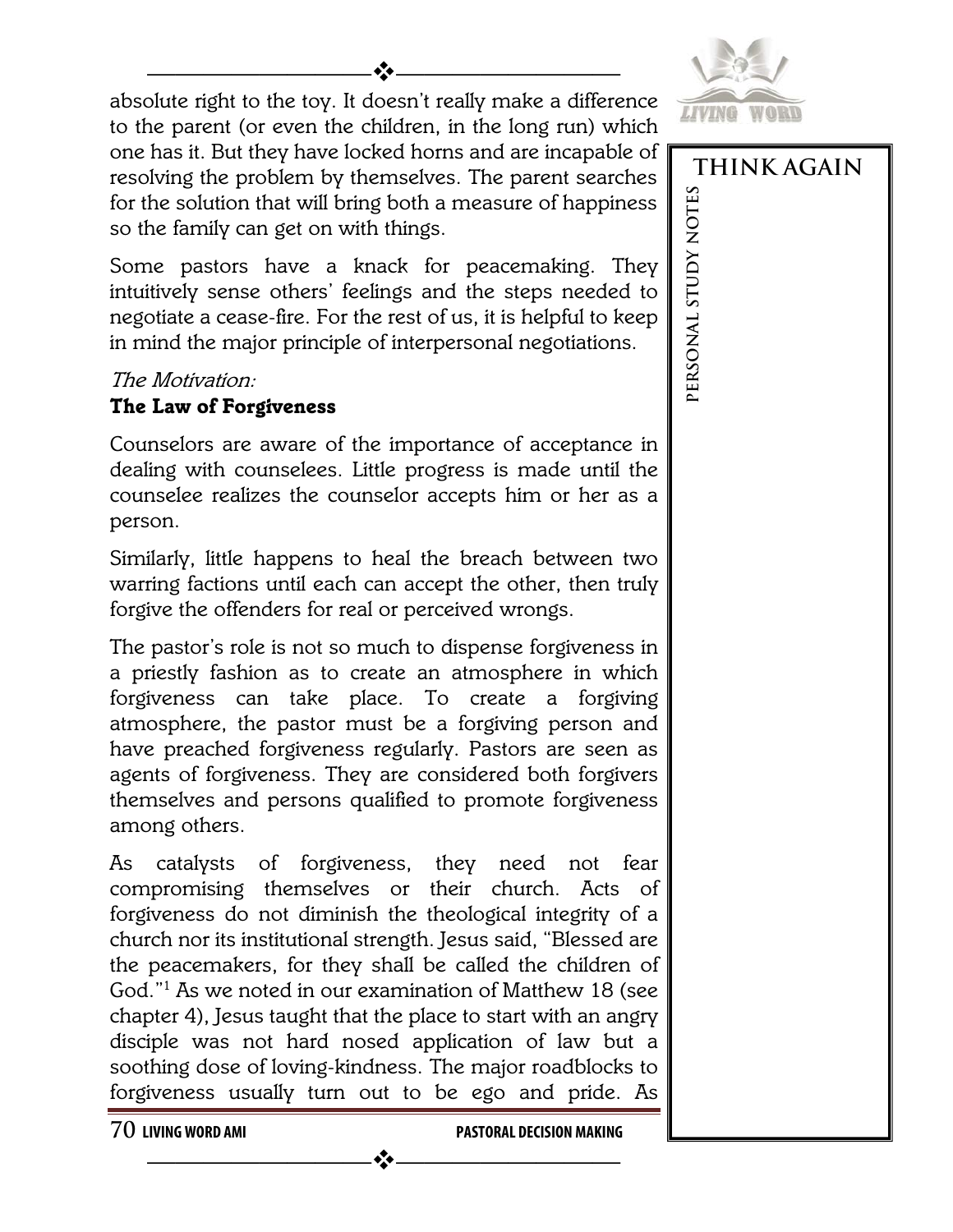**PERSONAL STUDY NOTES** 

PERSONAL STUDY NOTES

*absolute right to the toy. It doesn't really make a difference to the parent (or even the children, in the long run) which one has it. But they have locked horns and are incapable of resolving the problem by themselves. The parent searches for the solution that will bring both a measure of happiness so the family can get on with things.* 

————————————————

*Some pastors have a knack for peacemaking. They intuitively sense others' feelings and the steps needed to negotiate a cease-fire. For the rest of us, it is helpful to keep in mind the major principle of interpersonal negotiations.* 

### *The Motivation:*

### *The Law of Forgiveness*

*Counselors are aware of the importance of acceptance in dealing with counselees. Little progress is made until the counselee realizes the counselor accepts him or her as a person.* 

*Similarly, little happens to heal the breach between two warring factions until each can accept the other, then truly forgive the offenders for real or perceived wrongs.* 

*The pastor's role is not so much to dispense forgiveness in a priestly fashion as to create an atmosphere in which forgiveness can take place. To create a forgiving atmosphere, the pastor must be a forgiving person and have preached forgiveness regularly. Pastors are seen as agents of forgiveness. They are considered both forgivers themselves and persons qualified to promote forgiveness among others.* 

*As catalysts of forgiveness, they need not fear compromising themselves or their church. Acts of forgiveness do not diminish the theological integrity of a church nor its institutional strength. Jesus said, "Blessed are the peacemakers, for they shall be called the children of God."1 As we noted in our examination of Matthew 18 (see chapter 4), Jesus taught that the place to start with an angry disciple was not hard nosed application of law but a soothing dose of loving-kindness. The major roadblocks to forgiveness usually turn out to be ego and pride. As* 

————————————————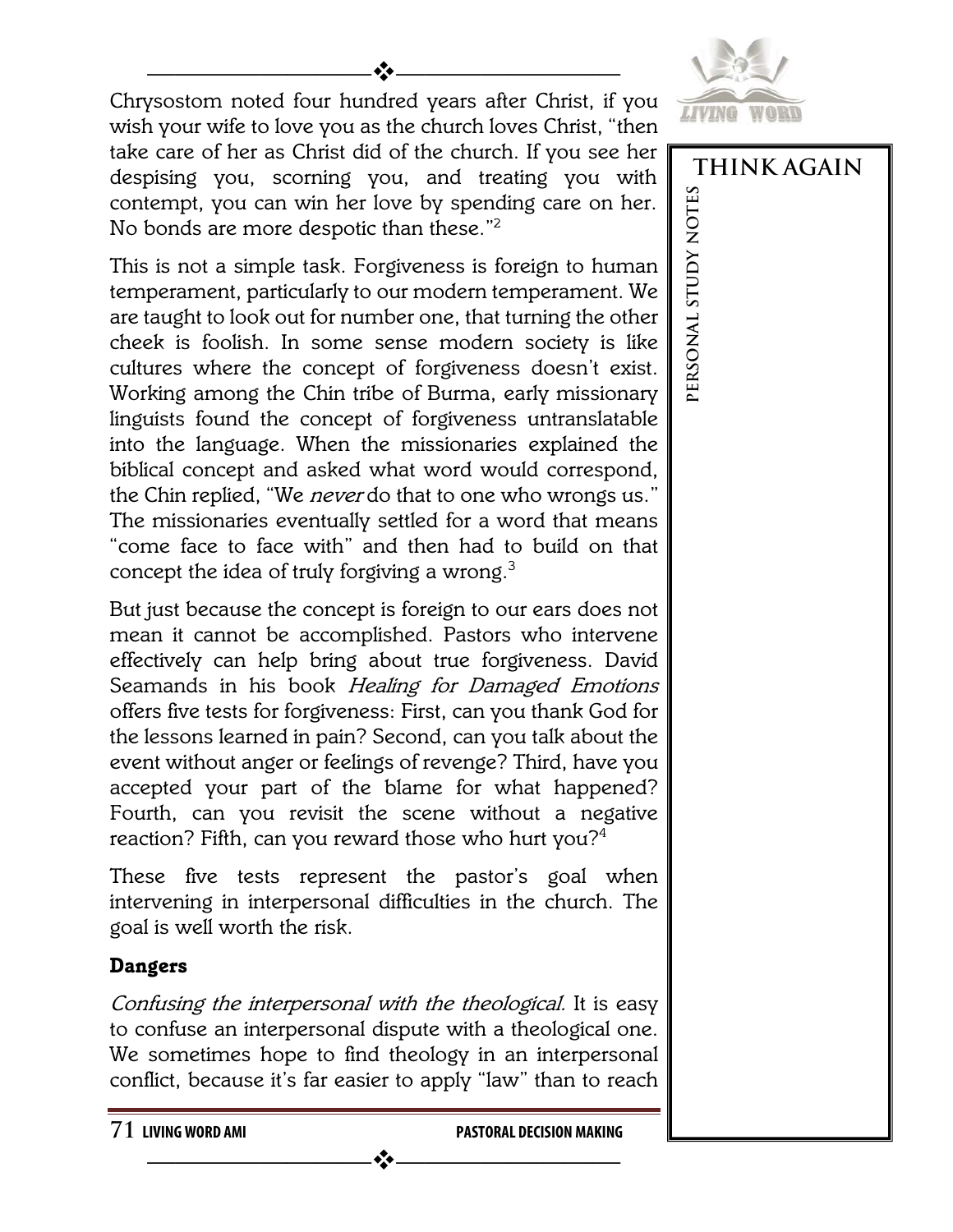

 **PERSONAL STUDY NOTES** 

PERSONAL STUDY NOTES

*Chrysostom noted four hundred years after Christ, if you wish your wife to love you as the church loves Christ, "then* 

————————————————

*take care of her as Christ did of the church. If you see her despising you, scorning you, and treating you with contempt, you can win her love by spending care on her. No bonds are more despotic than these."2*

*This is not a simple task. Forgiveness is foreign to human temperament, particularly to our modern temperament. We are taught to look out for number one, that turning the other cheek is foolish. In some sense modern society is like cultures where the concept of forgiveness doesn't exist. Working among the Chin tribe of Burma, early missionary linguists found the concept of forgiveness untranslatable into the language. When the missionaries explained the biblical concept and asked what word would correspond, the Chin replied, "We never do that to one who wrongs us." The missionaries eventually settled for a word that means "come face to face with" and then had to build on that concept the idea of truly forgiving a wrong.3*

*But just because the concept is foreign to our ears does not mean it cannot be accomplished. Pastors who intervene effectively can help bring about true forgiveness. David Seamands in his book Healing for Damaged Emotions offers five tests for forgiveness: First, can you thank God for the lessons learned in pain? Second, can you talk about the event without anger or feelings of revenge? Third, have you accepted your part of the blame for what happened? Fourth, can you revisit the scene without a negative reaction? Fifth, can you reward those who hurt you?4*

*These five tests represent the pastor's goal when intervening in interpersonal difficulties in the church. The goal is well worth the risk.* 

### *Dangers*

*Confusing the interpersonal with the theological. It is easy to confuse an interpersonal dispute with a theological one. We sometimes hope to find theology in an interpersonal conflict, because it's far easier to apply "law" than to reach*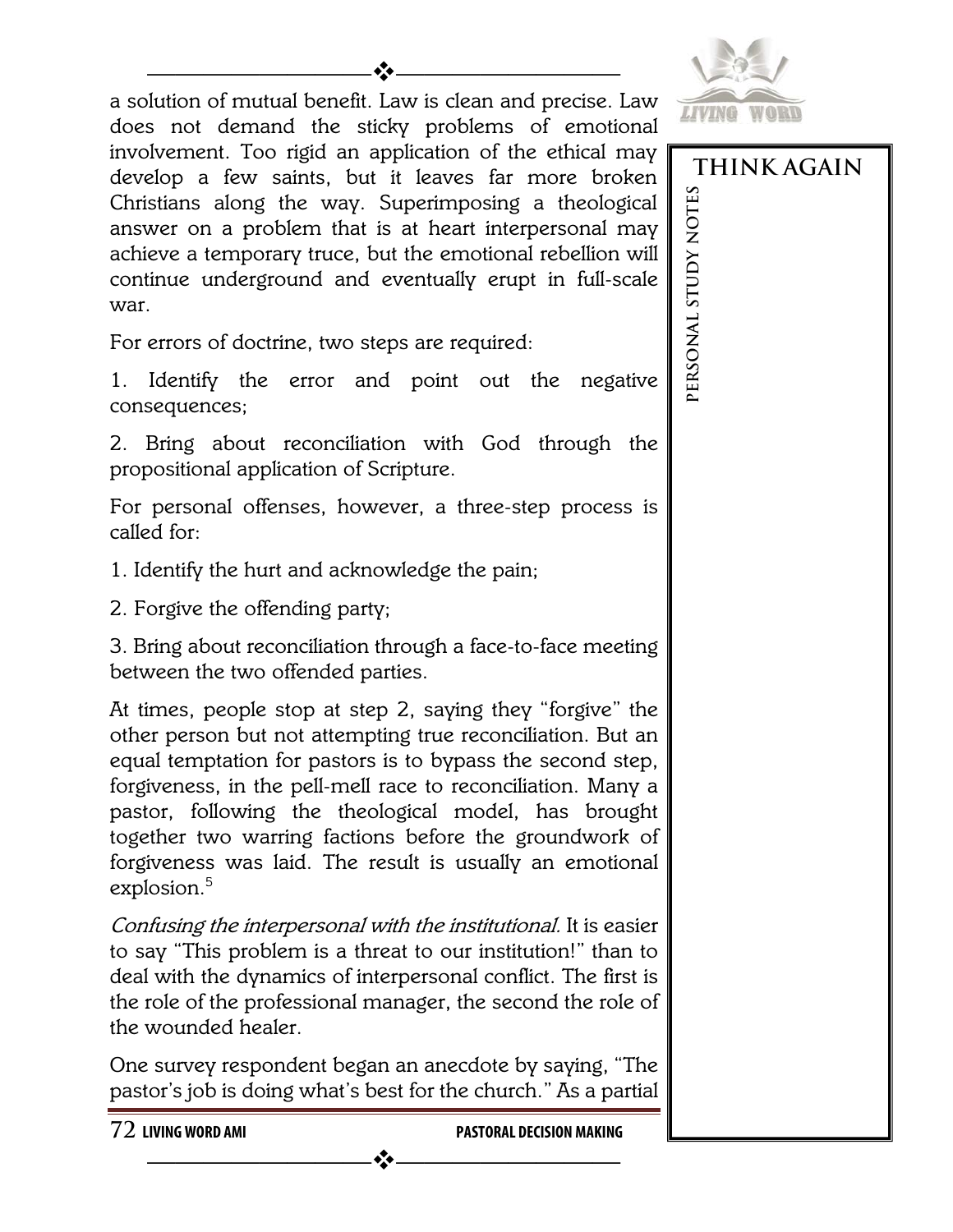

 **PERSONAL STUDY NOTES** 

**ERSONAL STUDY NOTES** 

*a solution of mutual benefit. Law is clean and precise. Law does not demand the sticky problems of emotional involvement. Too rigid an application of the ethical may develop a few saints, but it leaves far more broken Christians along the way. Superimposing a theological answer on a problem that is at heart interpersonal may achieve a temporary truce, but the emotional rebellion will continue underground and eventually erupt in full-scale war.* 

————————————————

*For errors of doctrine, two steps are required:* 

*1. Identify the error and point out the negative consequences;* 

*2. Bring about reconciliation with God through the propositional application of Scripture.* 

*For personal offenses, however, a three-step process is called for:* 

- *1. Identify the hurt and acknowledge the pain;*
- *2. Forgive the offending party;*

*3. Bring about reconciliation through a face-to-face meeting between the two offended parties.* 

*At times, people stop at step 2, saying they "forgive" the other person but not attempting true reconciliation. But an equal temptation for pastors is to bypass the second step, forgiveness, in the pell-mell race to reconciliation. Many a pastor, following the theological model, has brought together two warring factions before the groundwork of forgiveness was laid. The result is usually an emotional explosion.5*

*Confusing the interpersonal with the institutional. It is easier to say "This problem is a threat to our institution!" than to deal with the dynamics of interpersonal conflict. The first is the role of the professional manager, the second the role of the wounded healer.* 

*One survey respondent began an anecdote by saying, "The pastor's job is doing what's best for the church." As a partial*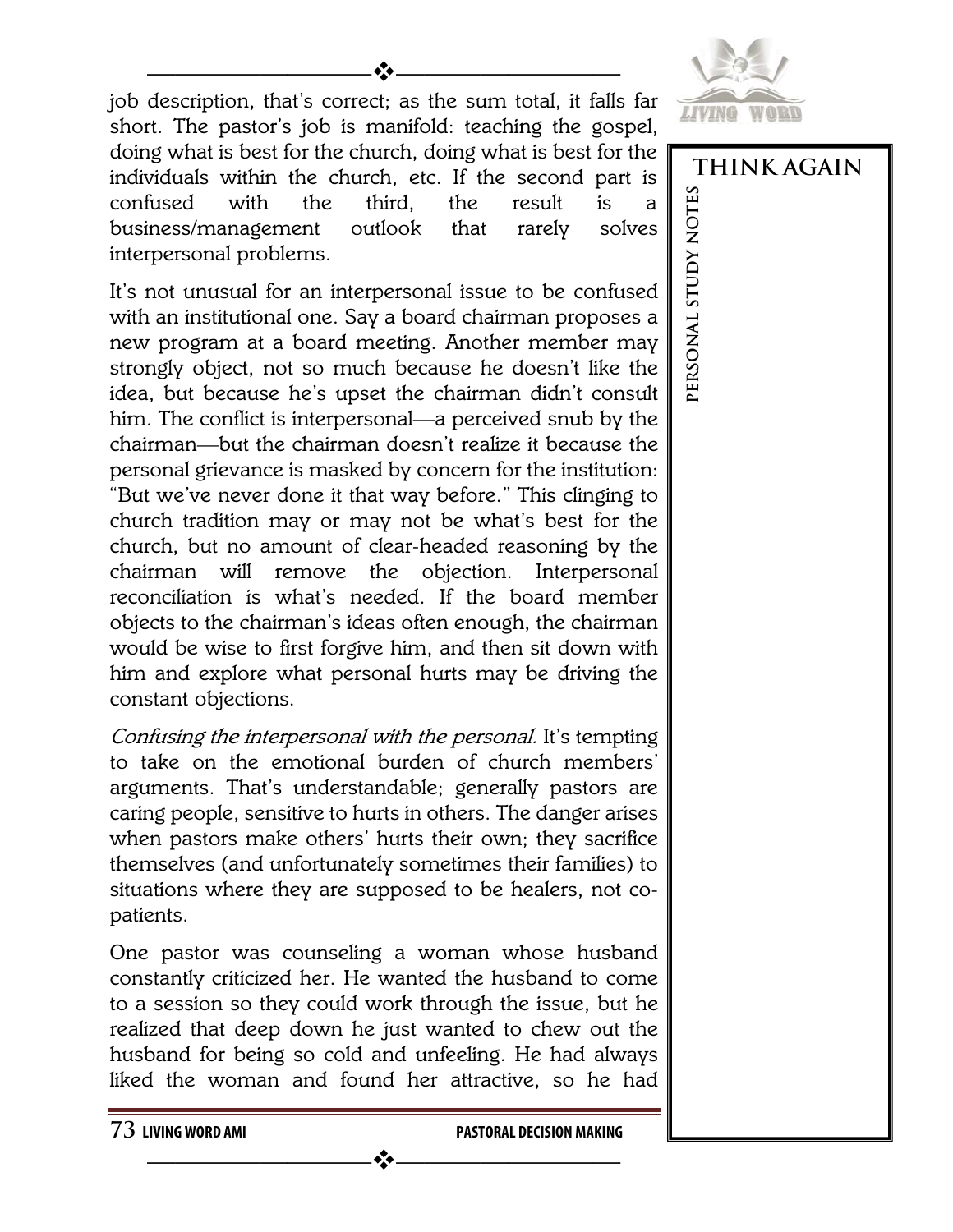

 **PERSONAL STUDY NOTES** 

PERSONAL STUDY NOTES

*job description, that's correct; as the sum total, it falls far short. The pastor's job is manifold: teaching the gospel, doing what is best for the church, doing what is best for the individuals within the church, etc. If the second part is confused with the third, the result is a business/management outlook that rarely solves interpersonal problems.* 

————————————————

*It's not unusual for an interpersonal issue to be confused with an institutional one. Say a board chairman proposes a new program at a board meeting. Another member may strongly object, not so much because he doesn't like the idea, but because he's upset the chairman didn't consult him. The conflict is interpersonal—a perceived snub by the chairman—but the chairman doesn't realize it because the personal grievance is masked by concern for the institution: "But we've never done it that way before." This clinging to church tradition may or may not be what's best for the church, but no amount of clear-headed reasoning by the chairman will remove the objection. Interpersonal reconciliation is what's needed. If the board member objects to the chairman's ideas often enough, the chairman would be wise to first forgive him, and then sit down with him and explore what personal hurts may be driving the constant objections.* 

*Confusing the interpersonal with the personal. It's tempting to take on the emotional burden of church members' arguments. That's understandable; generally pastors are caring people, sensitive to hurts in others. The danger arises when pastors make others' hurts their own; they sacrifice themselves (and unfortunately sometimes their families) to situations where they are supposed to be healers, not copatients.* 

*One pastor was counseling a woman whose husband constantly criticized her. He wanted the husband to come to a session so they could work through the issue, but he realized that deep down he just wanted to chew out the husband for being so cold and unfeeling. He had always liked the woman and found her attractive, so he had*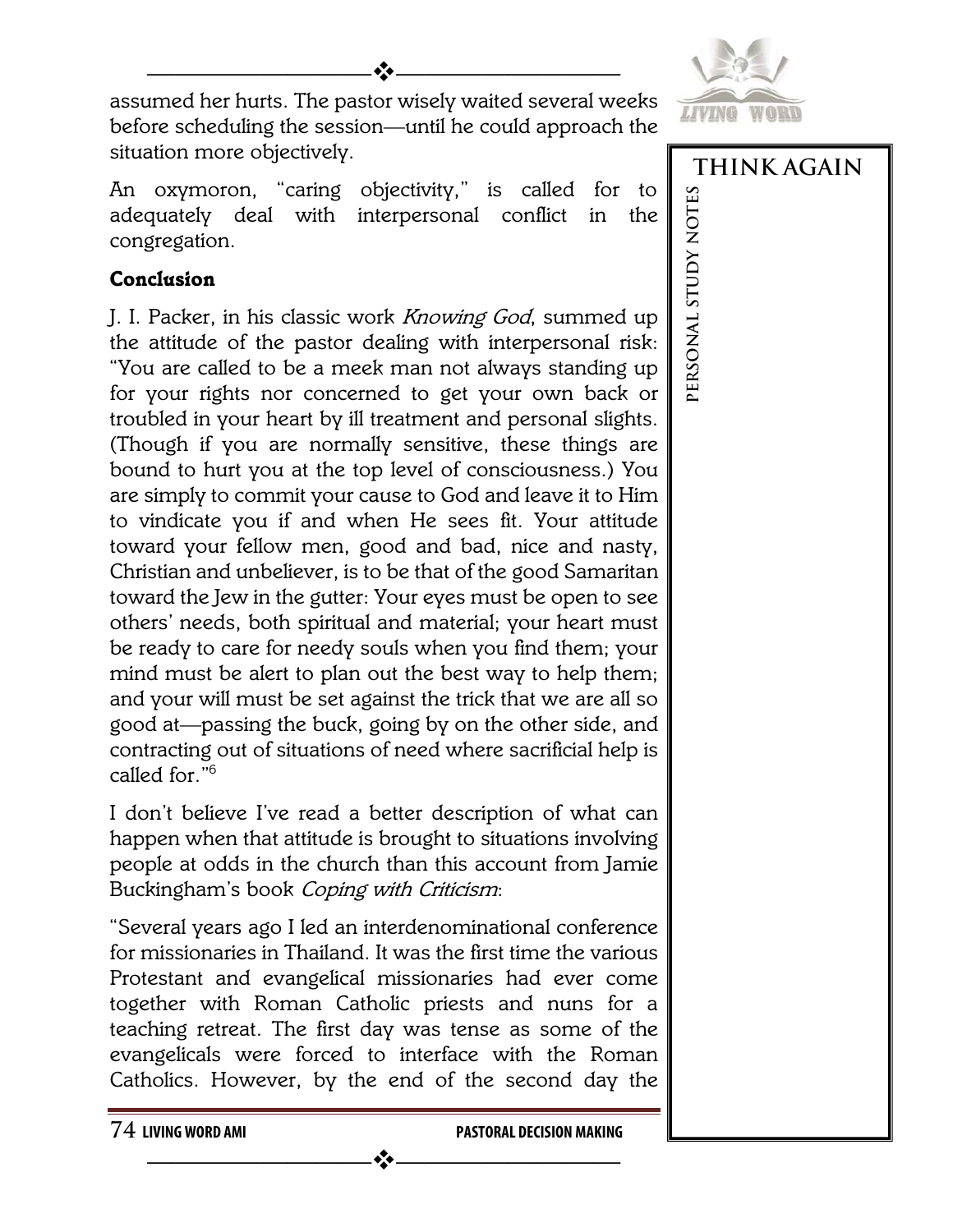

*assumed her hurts. The pastor wisely waited several weeks before scheduling the session—until he could approach the situation more objectively.* 

————————————————

*An oxymoron, "caring objectivity," is called for to adequately deal with interpersonal conflict in the congregation.* 

### *Conclusion*

*J. I. Packer, in his classic work Knowing God, summed up the attitude of the pastor dealing with interpersonal risk: "You are called to be a meek man not always standing up for your rights nor concerned to get your own back or troubled in your heart by ill treatment and personal slights. (Though if you are normally sensitive, these things are bound to hurt you at the top level of consciousness.) You are simply to commit your cause to God and leave it to Him to vindicate you if and when He sees fit. Your attitude toward your fellow men, good and bad, nice and nasty, Christian and unbeliever, is to be that of the good Samaritan toward the Jew in the gutter: Your eyes must be open to see others' needs, both spiritual and material; your heart must be ready to care for needy souls when you find them; your mind must be alert to plan out the best way to help them; and your will must be set against the trick that we are all so good at—passing the buck, going by on the other side, and contracting out of situations of need where sacrificial help is called for."6*

*I don't believe I've read a better description of what can happen when that attitude is brought to situations involving people at odds in the church than this account from Jamie Buckingham's book Coping with Criticism:* 

*"Several years ago I led an interdenominational conference for missionaries in Thailand. It was the first time the various Protestant and evangelical missionaries had ever come together with Roman Catholic priests and nuns for a teaching retreat. The first day was tense as some of the evangelicals were forced to interface with the Roman Catholics. However, by the end of the second day the* 

————————————————

**THINK AGAIN PERSONAL STUDY NOTES**  PERSONAL STUDY NOTES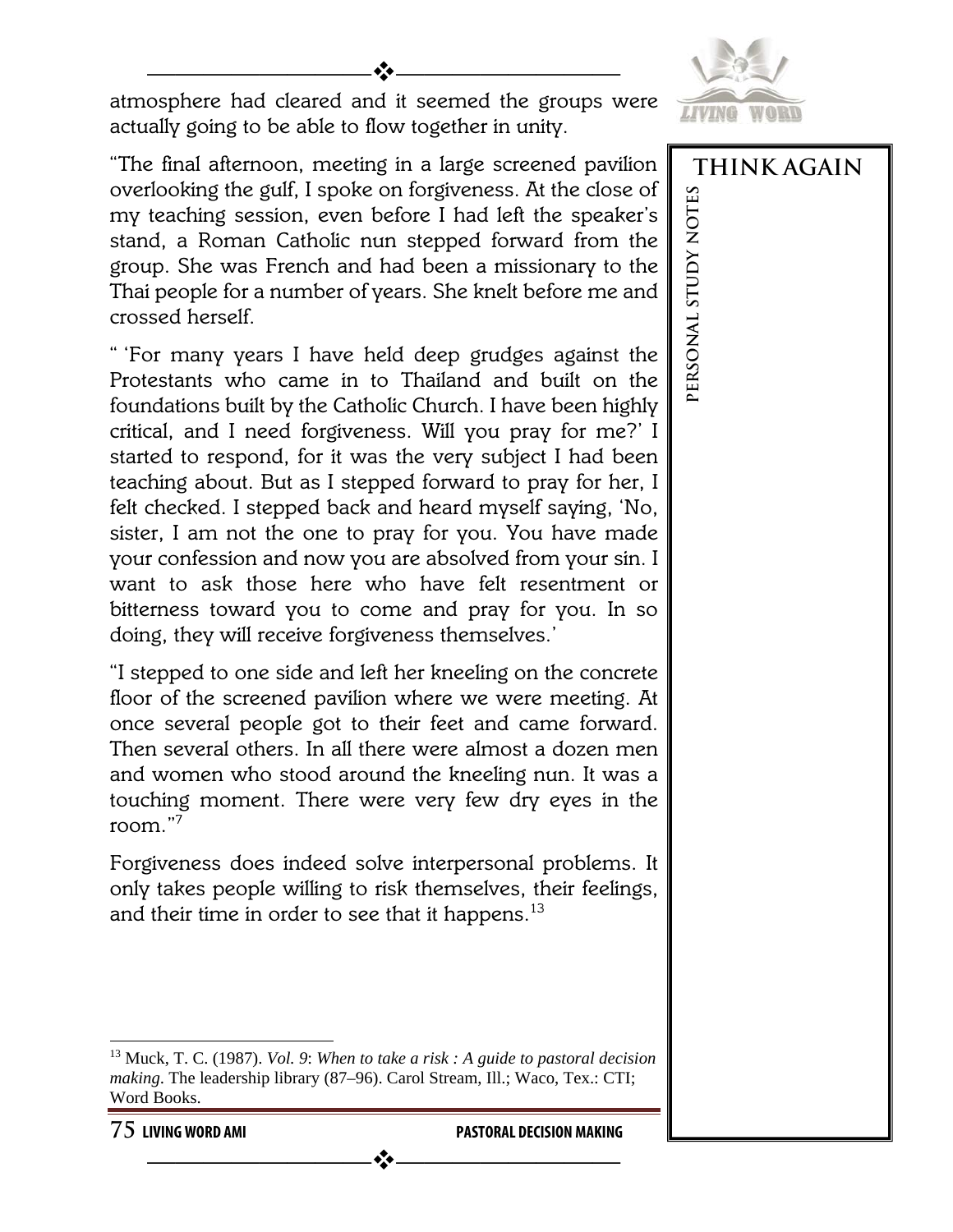

 **PERSONAL STUDY NOTES** 

PERSONAL STUDY NOTES

*atmosphere had cleared and it seemed the groups were actually going to be able to flow together in unity.* 

————————————————

*"The final afternoon, meeting in a large screened pavilion overlooking the gulf, I spoke on forgiveness. At the close of my teaching session, even before I had left the speaker's stand, a Roman Catholic nun stepped forward from the group. She was French and had been a missionary to the Thai people for a number of years. She knelt before me and crossed herself.* 

*" 'For many years I have held deep grudges against the Protestants who came in to Thailand and built on the foundations built by the Catholic Church. I have been highly critical, and I need forgiveness. Will you pray for me?' I started to respond, for it was the very subject I had been teaching about. But as I stepped forward to pray for her, I felt checked. I stepped back and heard myself saying, 'No, sister, I am not the one to pray for you. You have made your confession and now you are absolved from your sin. I want to ask those here who have felt resentment or bitterness toward you to come and pray for you. In so doing, they will receive forgiveness themselves.'* 

*"I stepped to one side and left her kneeling on the concrete floor of the screened pavilion where we were meeting. At once several people got to their feet and came forward. Then several others. In all there were almost a dozen men and women who stood around the kneeling nun. It was a touching moment. There were very few dry eyes in the room."7*

*Forgiveness does indeed solve interpersonal problems. It only takes people willing to risk themselves, their feelings, and their time in order to see that it happens.13*

————————————————

l

<sup>13</sup> Muck, T. C. (1987). *Vol. 9*: *When to take a risk : A guide to pastoral decision making*. The leadership library (87–96). Carol Stream, Ill.; Waco, Tex.: CTI; Word Books.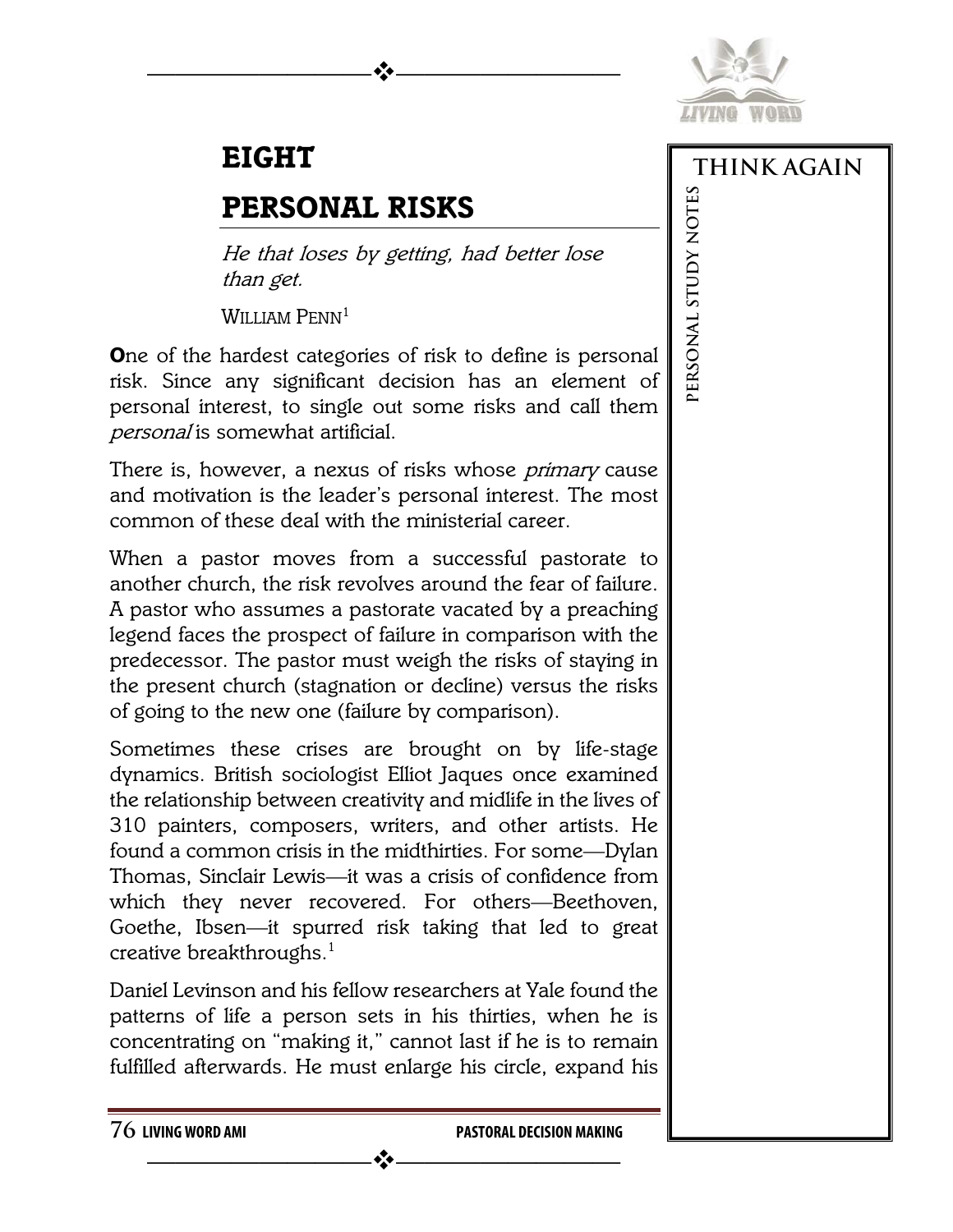

 **PERSONAL STUDY NOTES** 

PERSONAL STUDY NOTES

## **EIGHT THINK AGAIN**

## *PERSONAL RISKS*

————————————————

*He that loses by getting, had better lose than get.*

*WILLIAM PENN1*

**O**ne of the hardest categories of risk to define is personal *risk. Since any significant decision has an element of personal interest, to single out some risks and call them personal is somewhat artificial.* 

*There is, however, a nexus of risks whose primary cause and motivation is the leader's personal interest. The most common of these deal with the ministerial career.* 

*When a pastor moves from a successful pastorate to another church, the risk revolves around the fear of failure. A pastor who assumes a pastorate vacated by a preaching legend faces the prospect of failure in comparison with the predecessor. The pastor must weigh the risks of staying in the present church (stagnation or decline) versus the risks of going to the new one (failure by comparison).* 

*Sometimes these crises are brought on by life-stage dynamics. British sociologist Elliot Jaques once examined the relationship between creativity and midlife in the lives of 310 painters, composers, writers, and other artists. He found a common crisis in the midthirties. For some—Dylan Thomas, Sinclair Lewis—it was a crisis of confidence from which they never recovered. For others—Beethoven, Goethe, Ibsen—it spurred risk taking that led to great creative breakthroughs.1*

*Daniel Levinson and his fellow researchers at Yale found the patterns of life a person sets in his thirties, when he is concentrating on "making it," cannot last if he is to remain fulfilled afterwards. He must enlarge his circle, expand his*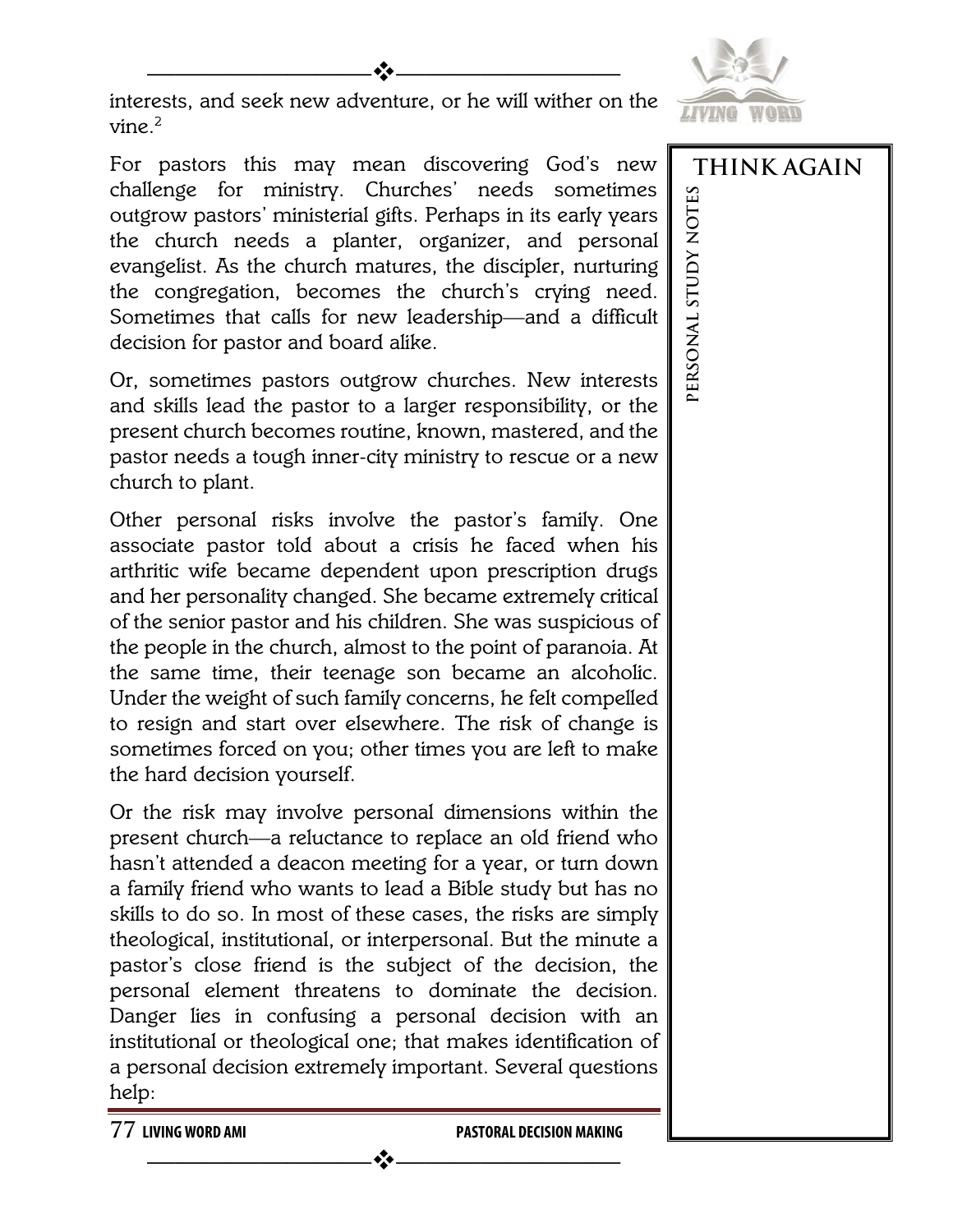

*interests, and seek new adventure, or he will wither on the vine.2*

————————————————

*For pastors this may mean discovering God's new challenge for ministry. Churches' needs sometimes outgrow pastors' ministerial gifts. Perhaps in its early years the church needs a planter, organizer, and personal evangelist. As the church matures, the discipler, nurturing the congregation, becomes the church's crying need. Sometimes that calls for new leadership—and a difficult decision for pastor and board alike.* 

*Or, sometimes pastors outgrow churches. New interests and skills lead the pastor to a larger responsibility, or the present church becomes routine, known, mastered, and the pastor needs a tough inner-city ministry to rescue or a new church to plant.* 

*Other personal risks involve the pastor's family. One associate pastor told about a crisis he faced when his arthritic wife became dependent upon prescription drugs and her personality changed. She became extremely critical of the senior pastor and his children. She was suspicious of the people in the church, almost to the point of paranoia. At the same time, their teenage son became an alcoholic. Under the weight of such family concerns, he felt compelled to resign and start over elsewhere. The risk of change is sometimes forced on you; other times you are left to make the hard decision yourself.* 

*Or the risk may involve personal dimensions within the present church—a reluctance to replace an old friend who hasn't attended a deacon meeting for a year, or turn down a family friend who wants to lead a Bible study but has no skills to do so. In most of these cases, the risks are simply theological, institutional, or interpersonal. But the minute a pastor's close friend is the subject of the decision, the personal element threatens to dominate the decision. Danger lies in confusing a personal decision with an institutional or theological one; that makes identification of a personal decision extremely important. Several questions help:* 

————————————————

**THINK AGAIN** 

 **PERSONAL STUDY NOTES**  PERSONAL STUDY NOTES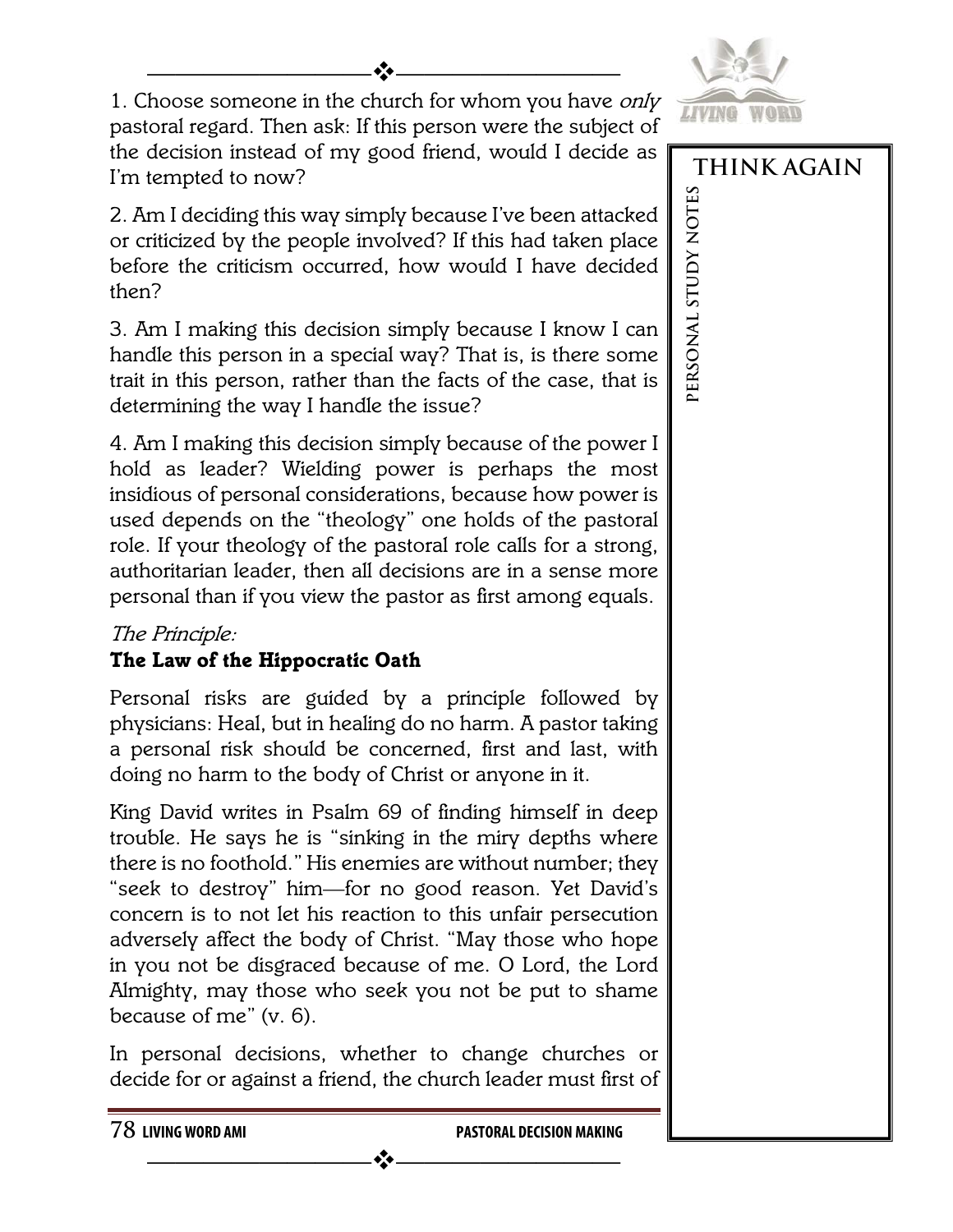

 **PERSONAL STUDY NOTES** 

PERSONAL STUDY NOTES

*1. Choose someone in the church for whom you have only pastoral regard. Then ask: If this person were the subject of the decision instead of my good friend, would I decide as I'm tempted to now?* 

————————————————

*2. Am I deciding this way simply because I've been attacked or criticized by the people involved? If this had taken place before the criticism occurred, how would I have decided then?* 

*3. Am I making this decision simply because I know I can handle this person in a special way? That is, is there some trait in this person, rather than the facts of the case, that is determining the way I handle the issue?* 

*4. Am I making this decision simply because of the power I hold as leader? Wielding power is perhaps the most insidious of personal considerations, because how power is used depends on the "theology" one holds of the pastoral*  role. If your theology of the pastoral role calls for a strong, *authoritarian leader, then all decisions are in a sense more personal than if you view the pastor as first among equals.* 

### *The Principle:*

### *The Law of the Hippocratic Oath*

*Personal risks are guided by a principle followed by physicians: Heal, but in healing do no harm. A pastor taking a personal risk should be concerned, first and last, with doing no harm to the body of Christ or anyone in it.* 

*King David writes in Psalm 69 of finding himself in deep trouble. He says he is "sinking in the miry depths where there is no foothold." His enemies are without number; they "seek to destroy" him—for no good reason. Yet David's concern is to not let his reaction to this unfair persecution adversely affect the body of Christ. "May those who hope in you not be disgraced because of me. O Lord, the Lord Almighty, may those who seek you not be put to shame because of me" (v. 6).* 

*In personal decisions, whether to change churches or decide for or against a friend, the church leader must first of*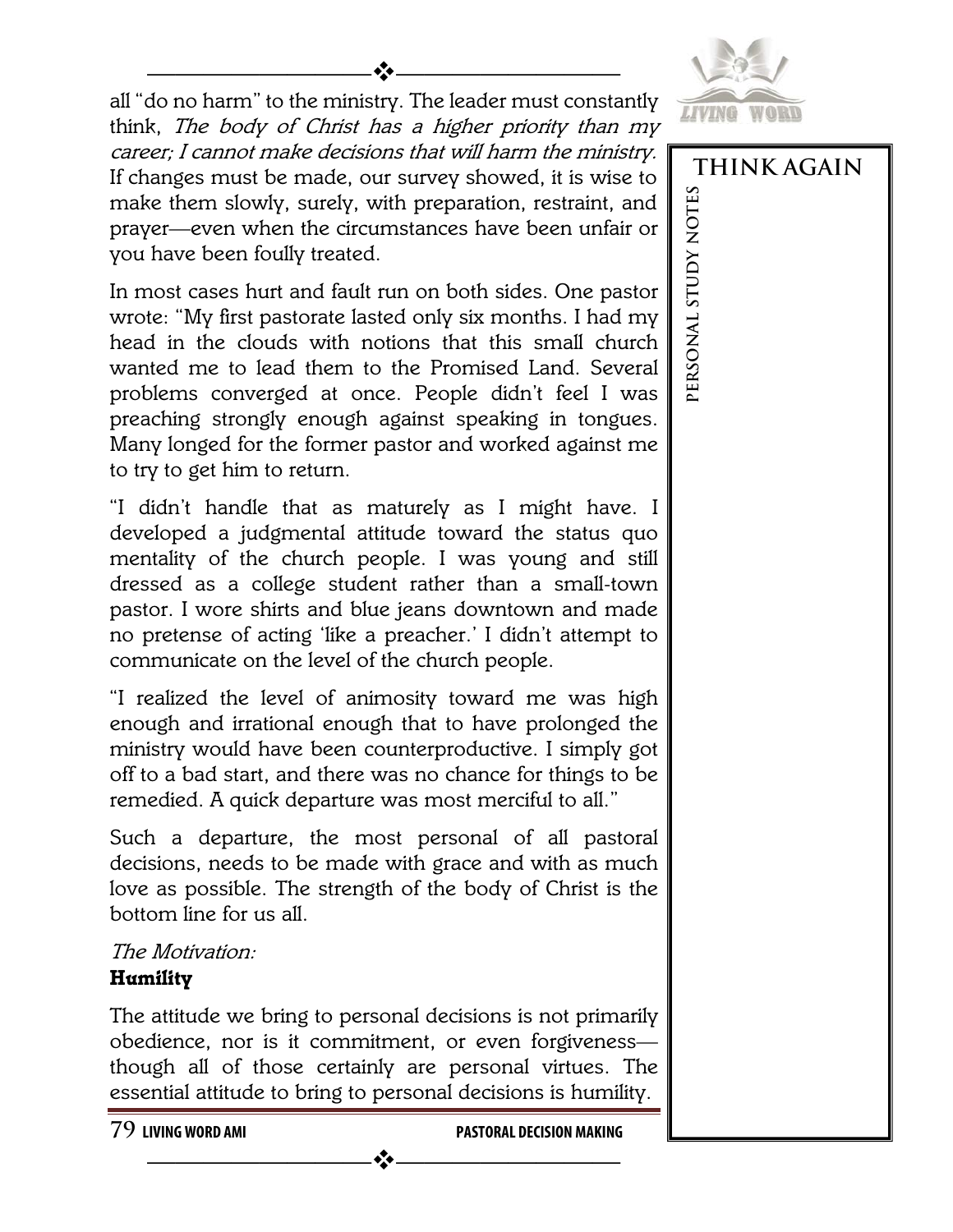

*all "do no harm" to the ministry. The leader must constantly think, The body of Christ has a higher priority than my career; I cannot make decisions that will harm the ministry. If changes must be made, our survey showed, it is wise to make them slowly, surely, with preparation, restraint, and prayer—even when the circumstances have been unfair or you have been foully treated.* 

————————————————

In most cases hurt and fault run on both sides. One pastor *wrote: "My first pastorate lasted only six months. I had my head in the clouds with notions that this small church wanted me to lead them to the Promised Land. Several problems converged at once. People didn't feel I was preaching strongly enough against speaking in tongues. Many longed for the former pastor and worked against me to try to get him to return.* 

*"I didn't handle that as maturely as I might have. I developed a judgmental attitude toward the status quo mentality of the church people. I was young and still dressed as a college student rather than a small-town pastor. I wore shirts and blue jeans downtown and made no pretense of acting 'like a preacher.' I didn't attempt to communicate on the level of the church people.* 

*"I realized the level of animosity toward me was high enough and irrational enough that to have prolonged the ministry would have been counterproductive. I simply got off to a bad start, and there was no chance for things to be remedied. A quick departure was most merciful to all."* 

*Such a departure, the most personal of all pastoral decisions, needs to be made with grace and with as much*  love as possible. The strength of the body of Christ is the *bottom line for us all.* 

### *The Motivation: Humility*

*The attitude we bring to personal decisions is not primarily obedience, nor is it commitment, or even forgiveness though all of those certainly are personal virtues. The essential attitude to bring to personal decisions is humility.* 

**79 LIVING WORD AMI PASTORAL DECISION MAKING** 

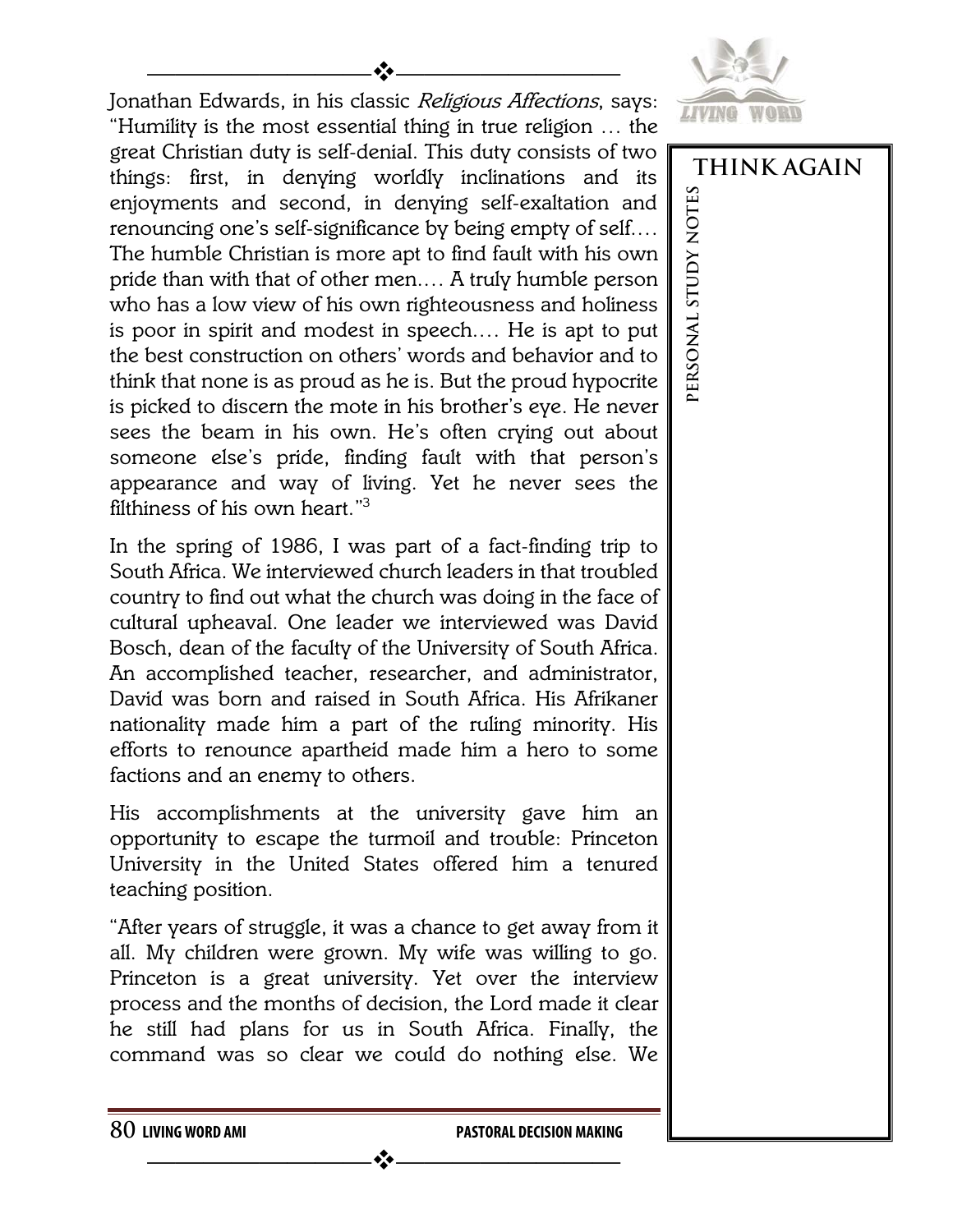

*Jonathan Edwards, in his classic Religious Affections, says: "Humility is the most essential thing in true religion … the* 

————————————————

*great Christian duty is self-denial. This duty consists of two things: first, in denying worldly inclinations and its enjoyments and second, in denying self-exaltation and renouncing one's self-significance by being empty of self.… The humble Christian is more apt to find fault with his own pride than with that of other men.… A truly humble person who has a low view of his own righteousness and holiness is poor in spirit and modest in speech.… He is apt to put the best construction on others' words and behavior and to think that none is as proud as he is. But the proud hypocrite is picked to discern the mote in his brother's eye. He never sees the beam in his own. He's often crying out about someone else's pride, finding fault with that person's appearance and way of living. Yet he never sees the filthiness of his own heart."3*

In the spring of 1986, I was part of a fact-finding trip to *South Africa. We interviewed church leaders in that troubled country to find out what the church was doing in the face of cultural upheaval. One leader we interviewed was David Bosch, dean of the faculty of the University of South Africa. An accomplished teacher, researcher, and administrator, David was born and raised in South Africa. His Afrikaner nationality made him a part of the ruling minority. His efforts to renounce apartheid made him a hero to some factions and an enemy to others.* 

*His accomplishments at the university gave him an opportunity to escape the turmoil and trouble: Princeton University in the United States offered him a tenured teaching position.* 

*"After years of struggle, it was a chance to get away from it all. My children were grown. My wife was willing to go. Princeton is a great university. Yet over the interview process and the months of decision, the Lord made it clear he still had plans for us in South Africa. Finally, the command was so clear we could do nothing else. We* 

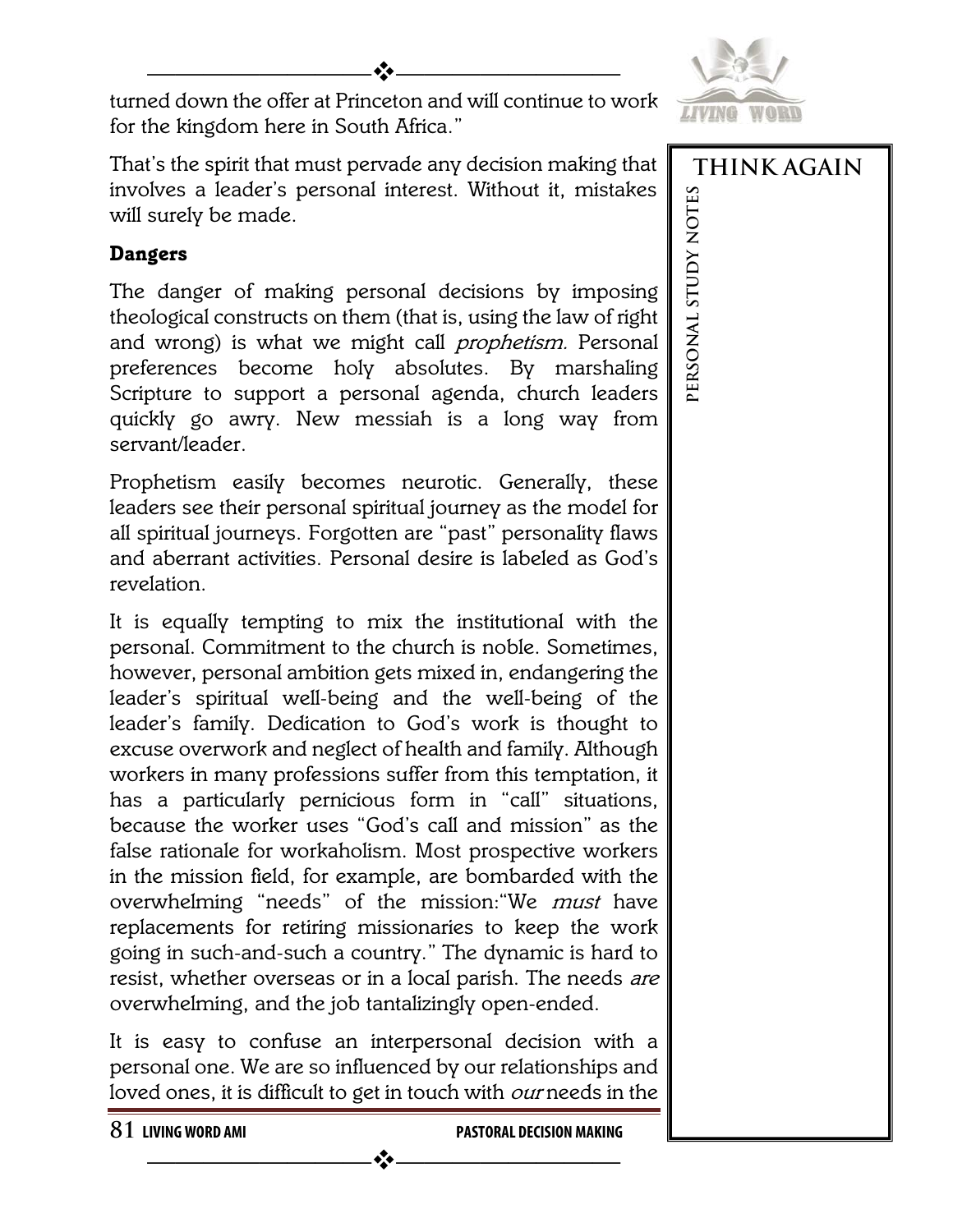

 **PERSONAL STUDY NOTES** 

PERSONAL STUDY NOTES

*turned down the offer at Princeton and will continue to work for the kingdom here in South Africa."* 

————————————————

*That's the spirit that must pervade any decision making that involves a leader's personal interest. Without it, mistakes will surely be made.* 

### *Dangers*

*The danger of making personal decisions by imposing theological constructs on them (that is, using the law of right and wrong) is what we might call prophetism. Personal preferences become holy absolutes. By marshaling Scripture to support a personal agenda, church leaders quickly go awry. New messiah is a long way from servant/leader.* 

*Prophetism easily becomes neurotic. Generally, these leaders see their personal spiritual journey as the model for all spiritual journeys. Forgotten are "past" personality flaws and aberrant activities. Personal desire is labeled as God's revelation.* 

It is equally tempting to mix the institutional with the *personal. Commitment to the church is noble. Sometimes, however, personal ambition gets mixed in, endangering the leader's spiritual well-being and the well-being of the leader's family. Dedication to God's work is thought to excuse overwork and neglect of health and family. Although workers in many professions suffer from this temptation, it has a particularly pernicious form in "call" situations, because the worker uses "God's call and mission" as the false rationale for workaholism. Most prospective workers in the mission field, for example, are bombarded with the overwhelming "needs" of the mission:"We must have replacements for retiring missionaries to keep the work going in such-and-such a country." The dynamic is hard to*  resist, whether overseas or in a local parish. The needs *are overwhelming, and the job tantalizingly open-ended.* 

*It is easy to confuse an interpersonal decision with a personal one. We are so influenced by our relationships and loved ones, it is difficult to get in touch with <i>our* needs in the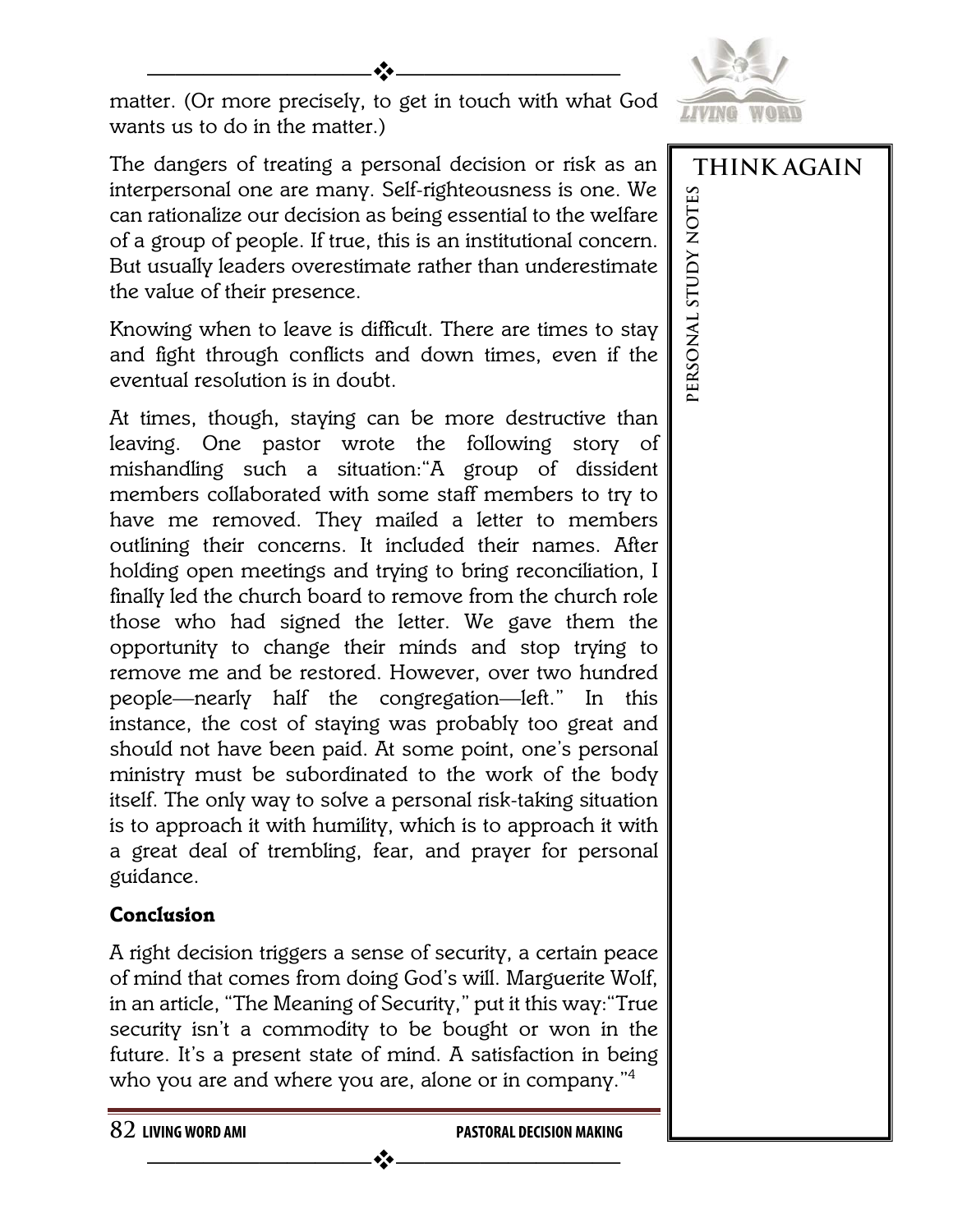

 **PERSONAL STUDY NOTES** 

PERSONAL STUDY NOTES

*matter. (Or more precisely, to get in touch with what God wants us to do in the matter.)* 

————————————————

*The dangers of treating a personal decision or risk as an interpersonal one are many. Self-righteousness is one. We can rationalize our decision as being essential to the welfare of a group of people. If true, this is an institutional concern. But usually leaders overestimate rather than underestimate the value of their presence.* 

*Knowing when to leave is difficult. There are times to stay and fight through conflicts and down times, even if the eventual resolution is in doubt.* 

*At times, though, staying can be more destructive than leaving. One pastor wrote the following story of mishandling such a situation:"A group of dissident members collaborated with some staff members to try to have me removed. They mailed a letter to members outlining their concerns. It included their names. After holding open meetings and trying to bring reconciliation, I finally led the church board to remove from the church role those who had signed the letter. We gave them the opportunity to change their minds and stop trying to remove me and be restored. However, over two hundred people—nearly half the congregation—left." In this instance, the cost of staying was probably too great and should not have been paid. At some point, one's personal ministry must be subordinated to the work of the body itself. The only way to solve a personal risk-taking situation is to approach it with humility, which is to approach it with a great deal of trembling, fear, and prayer for personal guidance.* 

#### *Conclusion*

*A right decision triggers a sense of security, a certain peace of mind that comes from doing God's will. Marguerite Wolf, in an article, "The Meaning of Security," put it this way:"True security isn't a commodity to be bought or won in the future. It's a present state of mind. A satisfaction in being who you are and where you are, alone or in company."4*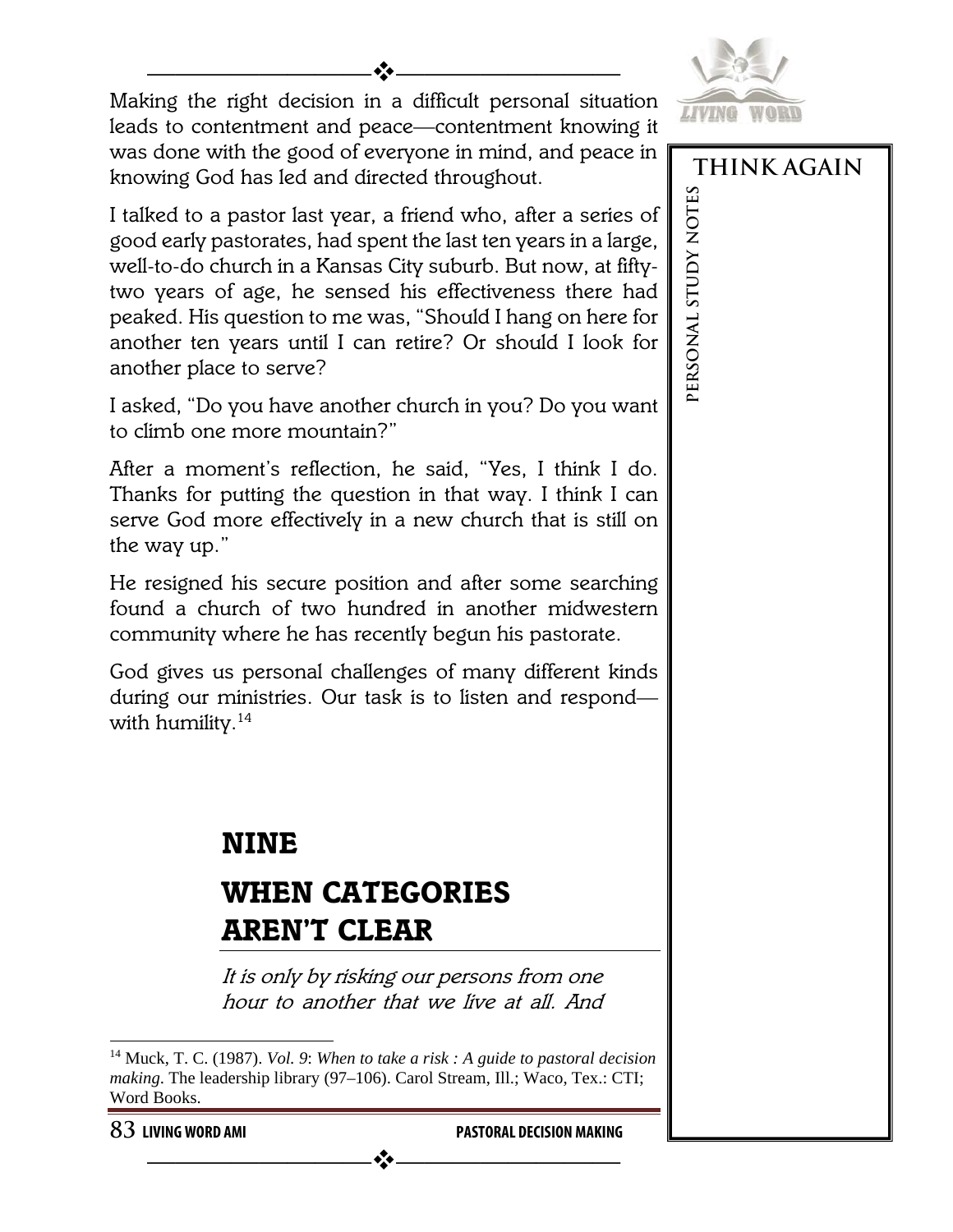

*Making the right decision in a difficult personal situation*  leads to contentment and peace—contentment knowing it *was done with the good of everyone in mind, and peace in knowing God has led and directed throughout.* 

————————————————

*I talked to a pastor last year, a friend who, after a series of good early pastorates, had spent the last ten years in a large, well-to-do church in a Kansas City suburb. But now, at fiftytwo years of age, he sensed his effectiveness there had peaked. His question to me was, "Should I hang on here for another ten years until I can retire? Or should I look for another place to serve?* 

*I asked, "Do you have another church in you? Do you want to climb one more mountain?"* 

*After a moment's reflection, he said, "Yes, I think I do. Thanks for putting the question in that way. I think I can serve God more effectively in a new church that is still on the way up."* 

*He resigned his secure position and after some searching found a church of two hundred in another midwestern community where he has recently begun his pastorate.* 

*God gives us personal challenges of many different kinds during our ministries. Our task is to listen and respond with humility.14*

# *NINE*

### *WHEN CATEGORIES AREN'T CLEAR*

*It is only by risking our persons from one hour to another that we live at all. And* 

————————————————

l

**83 LIVING WORD AMI PASTORAL DECISION MAKING** 

**THINK AGAIN PERSONAL STUDY NOTES**  PERSONAL STUDY NOTES

<sup>14</sup> Muck, T. C. (1987). *Vol. 9*: *When to take a risk : A guide to pastoral decision making*. The leadership library (97–106). Carol Stream, Ill.; Waco, Tex.: CTI; Word Books.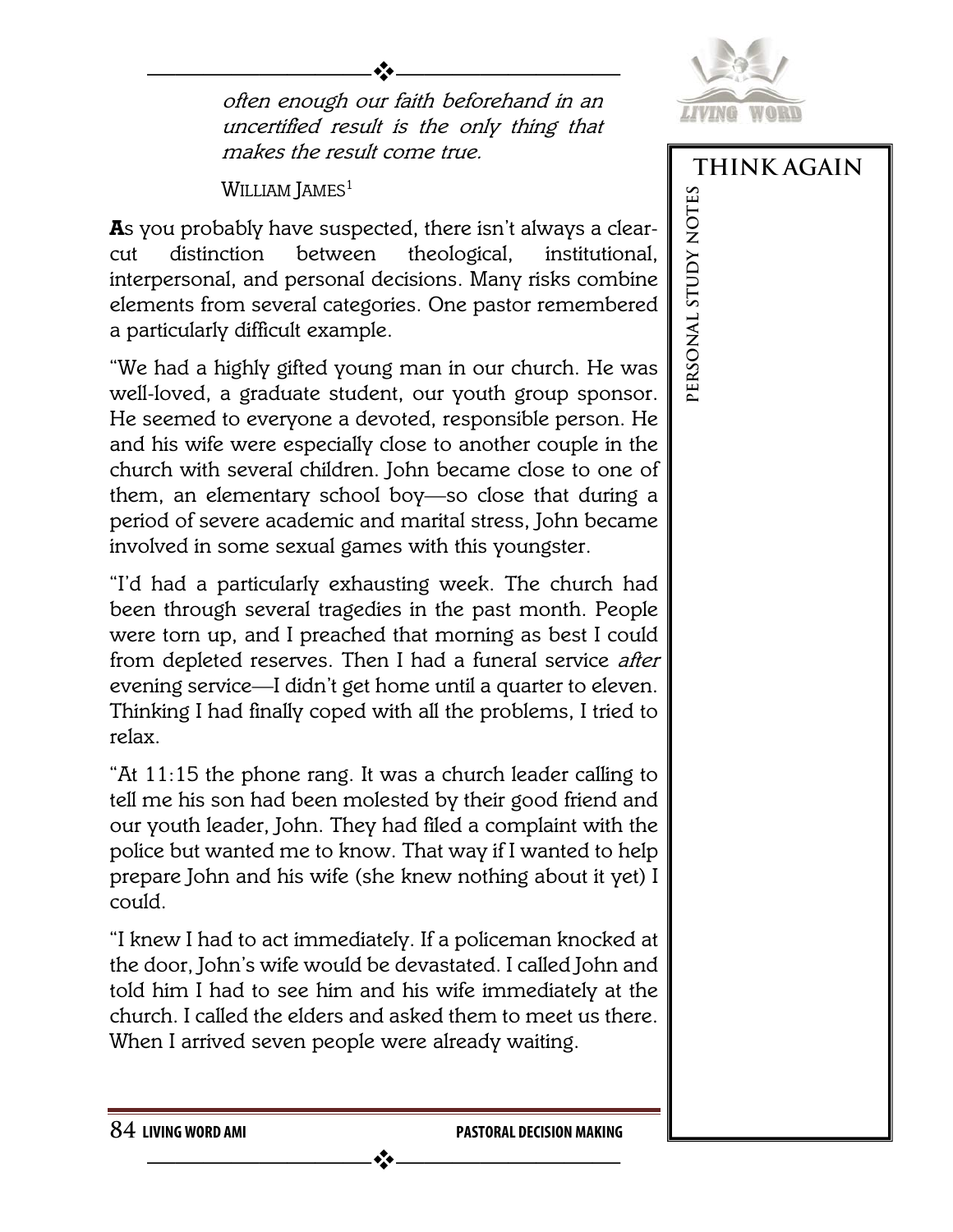

*often enough our faith beforehand in an uncertified result is the only thing that makes the result come true.*

*WILLIAM JAMES1*

*As you probably have suspected, there isn't always a clearcut distinction between theological, institutional, interpersonal, and personal decisions. Many risks combine elements from several categories. One pastor remembered a particularly difficult example.* 

————————————————

*"We had a highly gifted young man in our church. He was well-loved, a graduate student, our youth group sponsor. He seemed to everyone a devoted, responsible person. He and his wife were especially close to another couple in the church with several children. John became close to one of them, an elementary school boy—so close that during a period of severe academic and marital stress, John became involved in some sexual games with this youngster.* 

*"I'd had a particularly exhausting week. The church had been through several tragedies in the past month. People were torn up, and I preached that morning as best I could from depleted reserves. Then I had a funeral service after evening service—I didn't get home until a quarter to eleven. Thinking I had finally coped with all the problems, I tried to relax.* 

*"At 11:15 the phone rang. It was a church leader calling to tell me his son had been molested by their good friend and our youth leader, John. They had filed a complaint with the police but wanted me to know. That way if I wanted to help prepare John and his wife (she knew nothing about it yet) I could.* 

*"I knew I had to act immediately. If a policeman knocked at the door, John's wife would be devastated. I called John and told him I had to see him and his wife immediately at the church. I called the elders and asked them to meet us there. When I arrived seven people were already waiting.* 

————————————————

**THINK AGAIN PERSONAL STUDY NOTES**  PERSONAL STUDY NOTES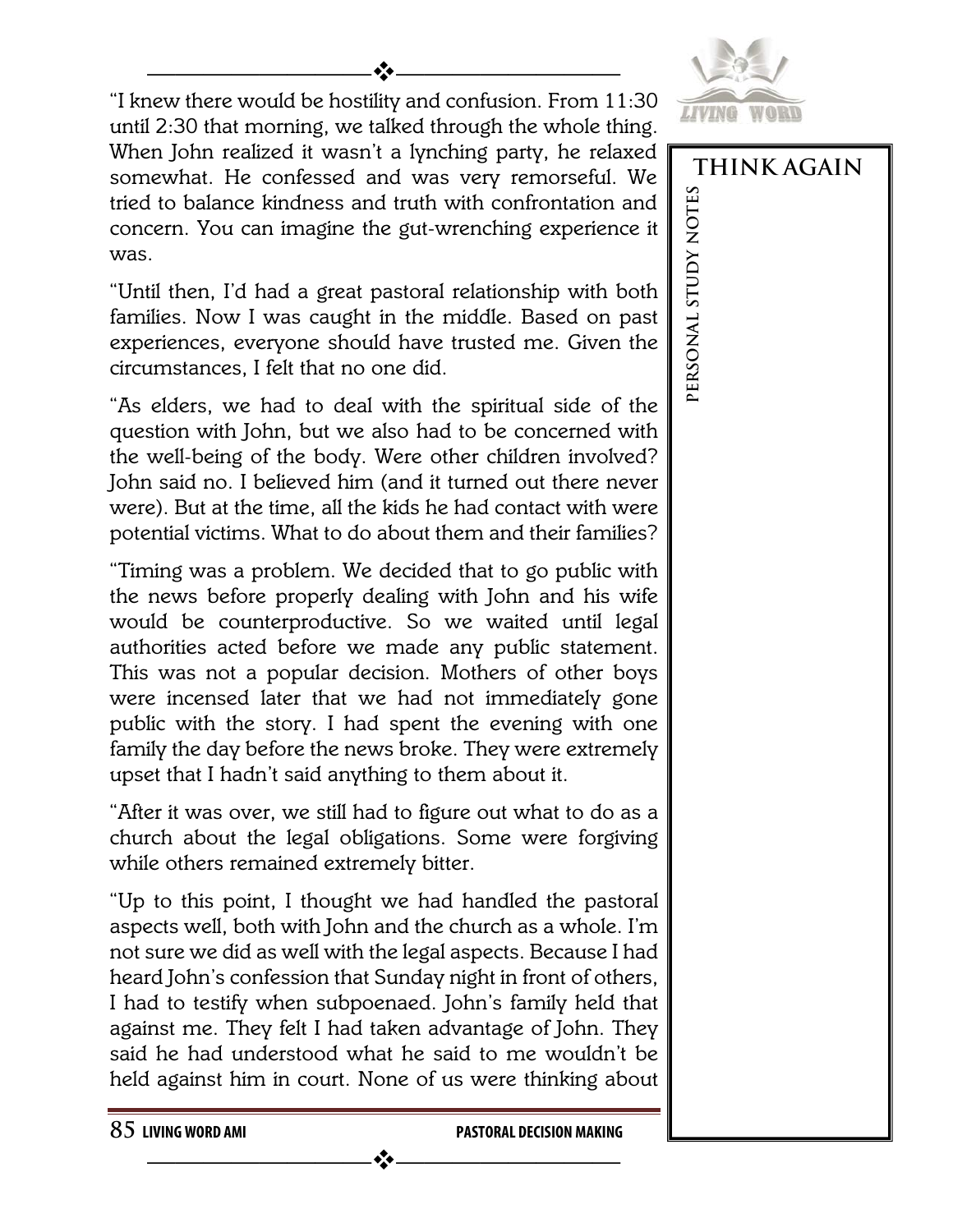

 **PERSONAL STUDY NOTES** 

PERSONAL STUDY NOTES

*"I knew there would be hostility and confusion. From 11:30 until 2:30 that morning, we talked through the whole thing. When John realized it wasn't a lynching party, he relaxed somewhat. He confessed and was very remorseful. We tried to balance kindness and truth with confrontation and concern. You can imagine the gut-wrenching experience it was.* 

————————————————

*"Until then, I'd had a great pastoral relationship with both families. Now I was caught in the middle. Based on past experiences, everyone should have trusted me. Given the circumstances, I felt that no one did.* 

*"As elders, we had to deal with the spiritual side of the question with John, but we also had to be concerned with the well-being of the body. Were other children involved?*  John said no. I believed him (and it turned out there never *were). But at the time, all the kids he had contact with were potential victims. What to do about them and their families?* 

*"Timing was a problem. We decided that to go public with the news before properly dealing with John and his wife would be counterproductive. So we waited until legal authorities acted before we made any public statement. This was not a popular decision. Mothers of other boys were incensed later that we had not immediately gone public with the story. I had spent the evening with one family the day before the news broke. They were extremely upset that I hadn't said anything to them about it.* 

*"After it was over, we still had to figure out what to do as a church about the legal obligations. Some were forgiving while others remained extremely bitter.* 

*"Up to this point, I thought we had handled the pastoral aspects well, both with John and the church as a whole. I'm not sure we did as well with the legal aspects. Because I had heard John's confession that Sunday night in front of others, I had to testify when subpoenaed. John's family held that against me. They felt I had taken advantage of John. They said he had understood what he said to me wouldn't be held against him in court. None of us were thinking about* 

————————————————

**THINK AGAIN**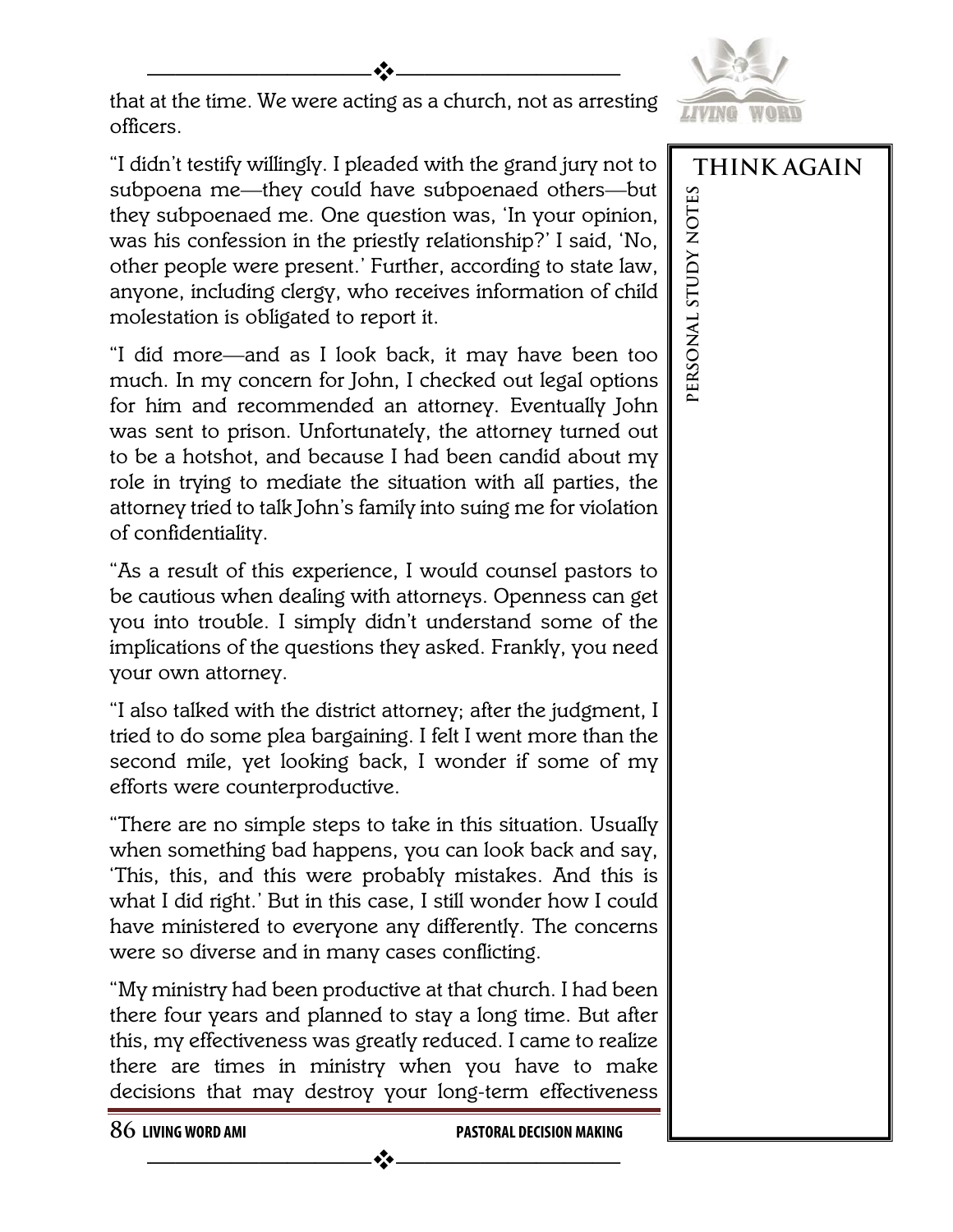

*that at the time. We were acting as a church, not as arresting officers.* 

————————————————

*"I didn't testify willingly. I pleaded with the grand jury not to subpoena me—they could have subpoenaed others—but they subpoenaed me. One question was, 'In your opinion, was his confession in the priestly relationship?' I said, 'No, other people were present.' Further, according to state law, anyone, including clergy, who receives information of child molestation is obligated to report it.* 

*"I did more—and as I look back, it may have been too much. In my concern for John, I checked out legal options for him and recommended an attorney. Eventually John was sent to prison. Unfortunately, the attorney turned out to be a hotshot, and because I had been candid about my role in trying to mediate the situation with all parties, the attorney tried to talk John's family into suing me for violation of confidentiality.* 

*"As a result of this experience, I would counsel pastors to be cautious when dealing with attorneys. Openness can get you into trouble. I simply didn't understand some of the implications of the questions they asked. Frankly, you need your own attorney.* 

*"I also talked with the district attorney; after the judgment, I tried to do some plea bargaining. I felt I went more than the second mile, yet looking back, I wonder if some of my efforts were counterproductive.* 

*"There are no simple steps to take in this situation. Usually when something bad happens, you can look back and say, 'This, this, and this were probably mistakes. And this is what I did right.' But in this case, I still wonder how I could have ministered to everyone any differently. The concerns were so diverse and in many cases conflicting.* 

*"My ministry had been productive at that church. I had been there four years and planned to stay a long time. But after this, my effectiveness was greatly reduced. I came to realize there are times in ministry when you have to make decisions that may destroy your long-term effectiveness* 

————————————————

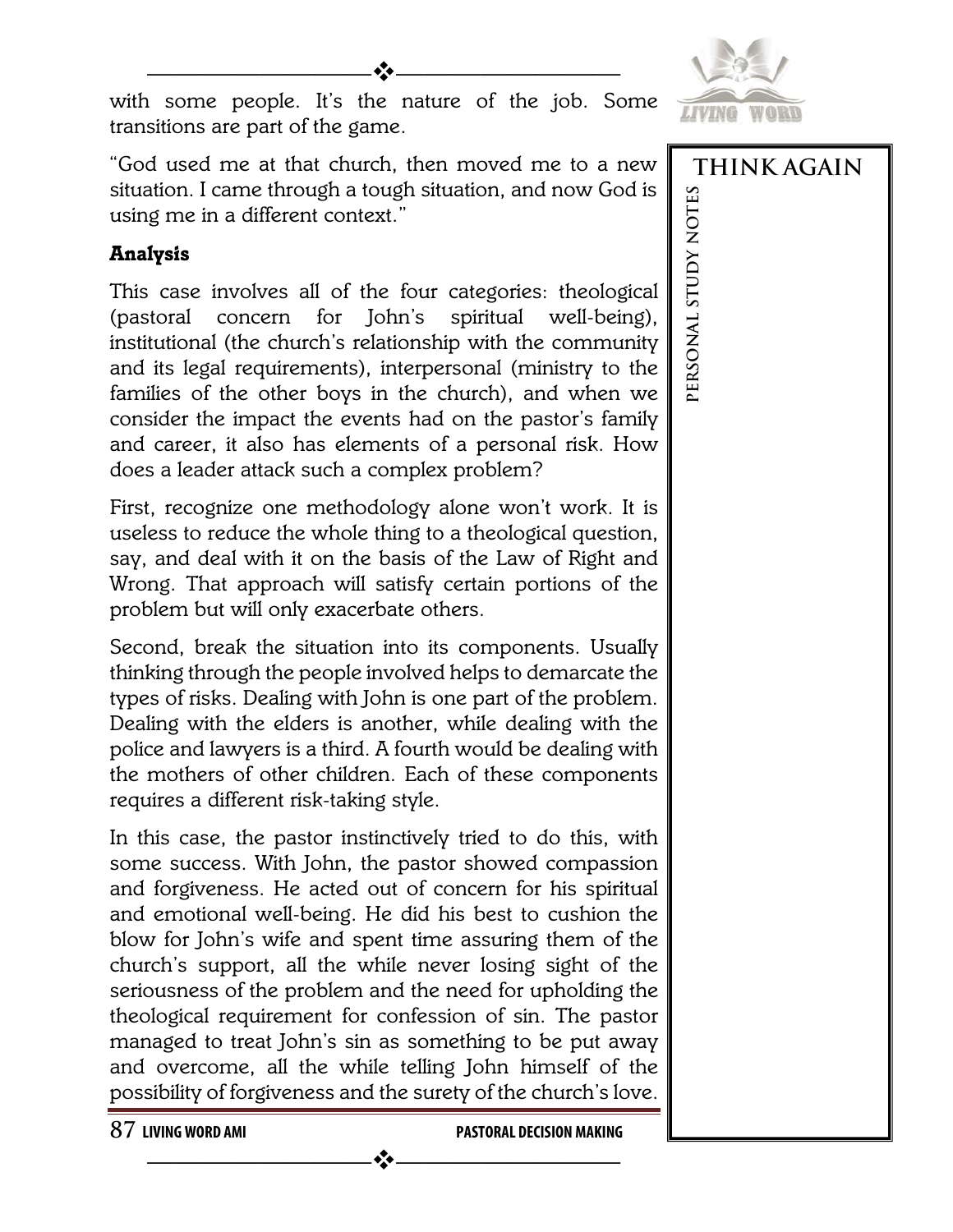

 **PERSONAL STUDY NOTES** 

PERSONAL STUDY NOTES

*with some people. It's the nature of the job. Some transitions are part of the game.* 

————————————————

*"God used me at that church, then moved me to a new situation. I came through a tough situation, and now God is using me in a different context."* 

### *Analysis*

*This case involves all of the four categories: theological (pastoral concern for John's spiritual well-being), institutional (the church's relationship with the community and its legal requirements), interpersonal (ministry to the families of the other boys in the church), and when we consider the impact the events had on the pastor's family and career, it also has elements of a personal risk. How does a leader attack such a complex problem?* 

First, recognize one methodology alone won't work. It is *useless to reduce the whole thing to a theological question, say, and deal with it on the basis of the Law of Right and Wrong. That approach will satisfy certain portions of the problem but will only exacerbate others.* 

*Second, break the situation into its components. Usually thinking through the people involved helps to demarcate the types of risks. Dealing with John is one part of the problem. Dealing with the elders is another, while dealing with the police and lawyers is a third. A fourth would be dealing with the mothers of other children. Each of these components requires a different risk-taking style.* 

In this case, the pastor instinctively tried to do this, with *some success. With John, the pastor showed compassion and forgiveness. He acted out of concern for his spiritual and emotional well-being. He did his best to cushion the blow for John's wife and spent time assuring them of the church's support, all the while never losing sight of the seriousness of the problem and the need for upholding the theological requirement for confession of sin. The pastor managed to treat John's sin as something to be put away and overcome, all the while telling John himself of the possibility of forgiveness and the surety of the church's love.* 

————————————————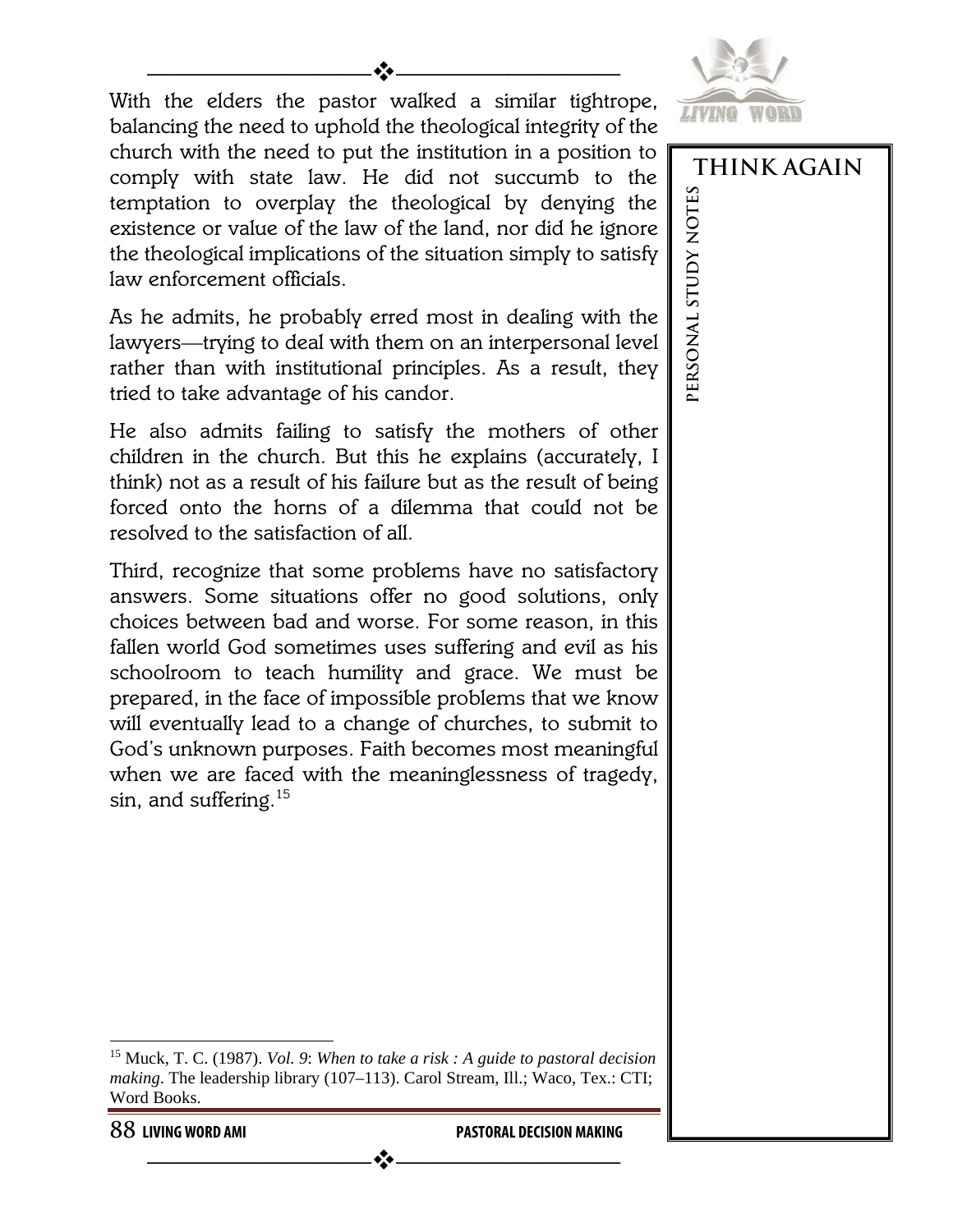

 **PERSONAL STUDY NOTES** 

PERSONAL STUDY NOTES

*With the elders the pastor walked a similar tightrope, balancing the need to uphold the theological integrity of the church with the need to put the institution in a position to comply with state law. He did not succumb to the temptation to overplay the theological by denying the existence or value of the law of the land, nor did he ignore the theological implications of the situation simply to satisfy law enforcement officials.* 

————————————————

*As he admits, he probably erred most in dealing with the*  lawyers—trying to deal with them on an interpersonal level rather than with institutional principles. As a result, they *tried to take advantage of his candor.* 

*He also admits failing to satisfy the mothers of other children in the church. But this he explains (accurately, I think) not as a result of his failure but as the result of being forced onto the horns of a dilemma that could not be resolved to the satisfaction of all.* 

*Third, recognize that some problems have no satisfactory answers. Some situations offer no good solutions, only choices between bad and worse. For some reason, in this fallen world God sometimes uses suffering and evil as his schoolroom to teach humility and grace. We must be prepared, in the face of impossible problems that we know will eventually lead to a change of churches, to submit to God's unknown purposes. Faith becomes most meaningful when we are faced with the meaninglessness of tragedy, sin, and suffering.15*

————————————————

l

<sup>15</sup> Muck, T. C. (1987). *Vol. 9*: *When to take a risk : A guide to pastoral decision making*. The leadership library (107–113). Carol Stream, Ill.; Waco, Tex.: CTI; Word Books.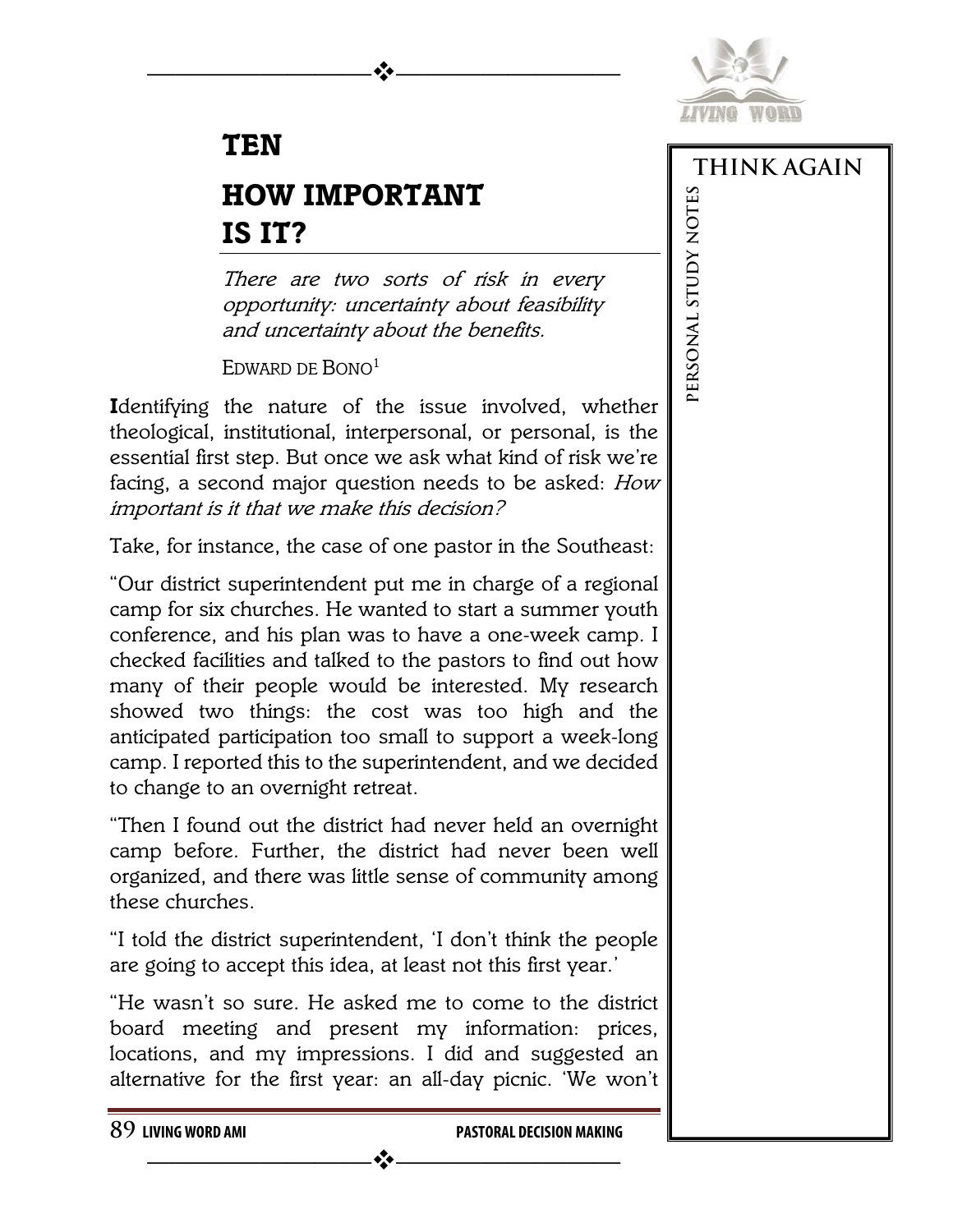

 **PERSONAL STUDY NOTES** 

**ERSONAL STUDY NOTES** 

# *TEN HOW IMPORTANT IS IT?*

————————————————

*There are two sorts of risk in every opportunity: uncertainty about feasibility and uncertainty about the benefits.*

*EDWARD DE BONO1*

Identifying the nature of the issue involved, whether *theological, institutional, interpersonal, or personal, is the essential first step. But once we ask what kind of risk we're facing, a second major question needs to be asked: How important is it that we make this decision?*

*Take, for instance, the case of one pastor in the Southeast:* 

*"Our district superintendent put me in charge of a regional camp for six churches. He wanted to start a summer youth conference, and his plan was to have a one-week camp. I checked facilities and talked to the pastors to find out how many of their people would be interested. My research showed two things: the cost was too high and the anticipated participation too small to support a week-long camp. I reported this to the superintendent, and we decided to change to an overnight retreat.* 

*"Then I found out the district had never held an overnight camp before. Further, the district had never been well organized, and there was little sense of community among these churches.* 

*"I told the district superintendent, 'I don't think the people are going to accept this idea, at least not this first year.'* 

*"He wasn't so sure. He asked me to come to the district board meeting and present my information: prices, locations, and my impressions. I did and suggested an alternative for the first year: an all-day picnic. 'We won't*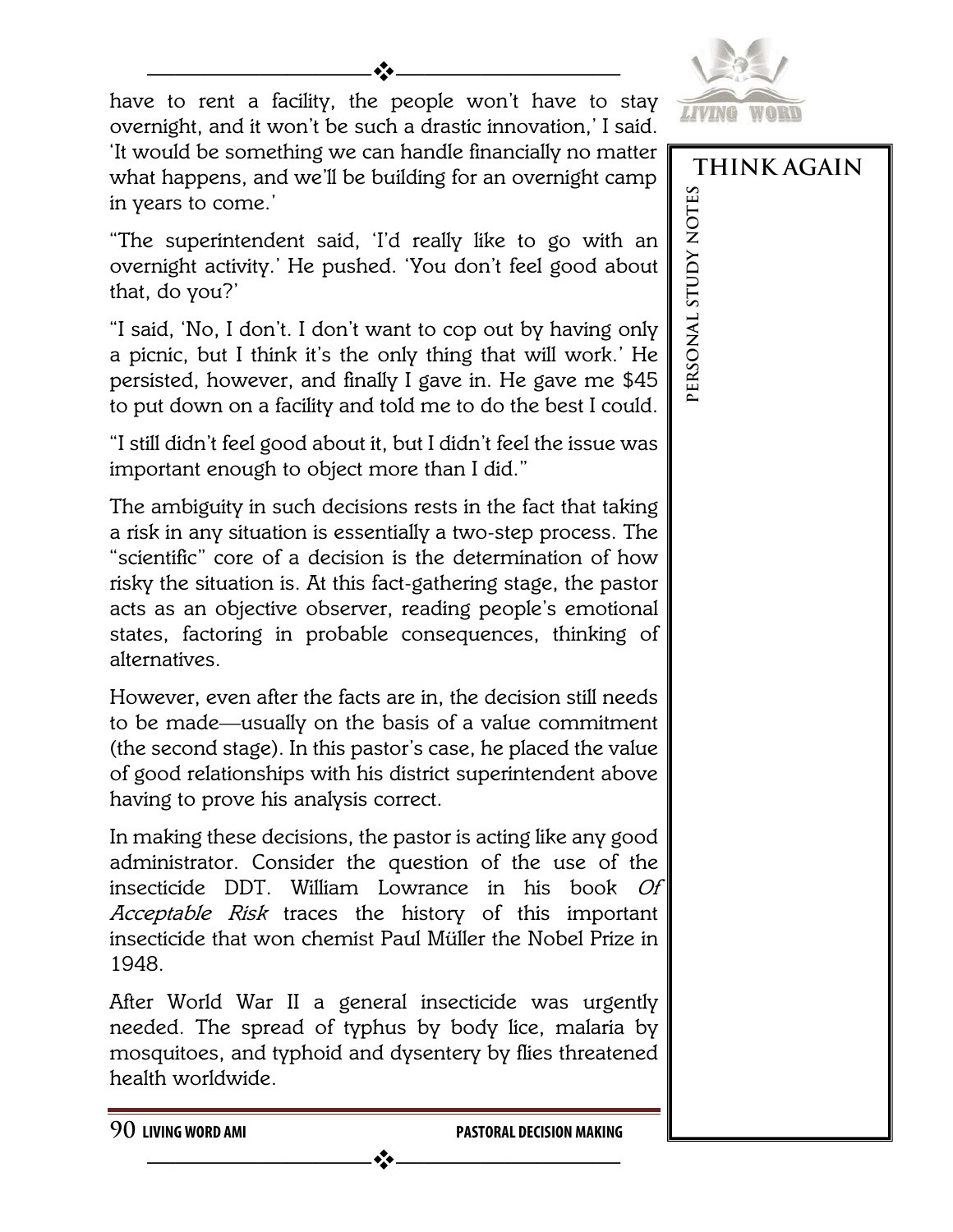**PERSONAL STUDY NOTES** 

PERSONAL STUDY NOTES

*have to rent a facility, the people won't have to stay overnight, and it won't be such a drastic innovation,' I said. 'It would be something we can handle financially no matter* 

————————————————

*what happens, and we'll be building for an overnight camp in years to come.'* 

*"The superintendent said, 'I'd really like to go with an overnight activity.' He pushed. 'You don't feel good about that, do you?'* 

*"I said, 'No, I don't. I don't want to cop out by having only a picnic, but I think it's the only thing that will work.' He persisted, however, and finally I gave in. He gave me \$45 to put down on a facility and told me to do the best I could.* 

*"I still didn't feel good about it, but I didn't feel the issue was important enough to object more than I did."* 

*The ambiguity in such decisions rests in the fact that taking a risk in any situation is essentially a two-step process. The "scientific" core of a decision is the determination of how risky the situation is. At this fact-gathering stage, the pastor acts as an objective observer, reading people's emotional states, factoring in probable consequences, thinking of alternatives.* 

*However, even after the facts are in, the decision still needs to be made—usually on the basis of a value commitment (the second stage). In this pastor's case, he placed the value of good relationships with his district superintendent above having to prove his analysis correct.* 

*In making these decisions, the pastor is acting like any good administrator. Consider the question of the use of the insecticide DDT. William Lowrance in his book Of Acceptable Risk traces the history of this important insecticide that won chemist Paul Müller the Nobel Prize in 1948.* 

*After World War II a general insecticide was urgently needed. The spread of typhus by body lice, malaria by mosquitoes, and typhoid and dysentery by flies threatened health worldwide.*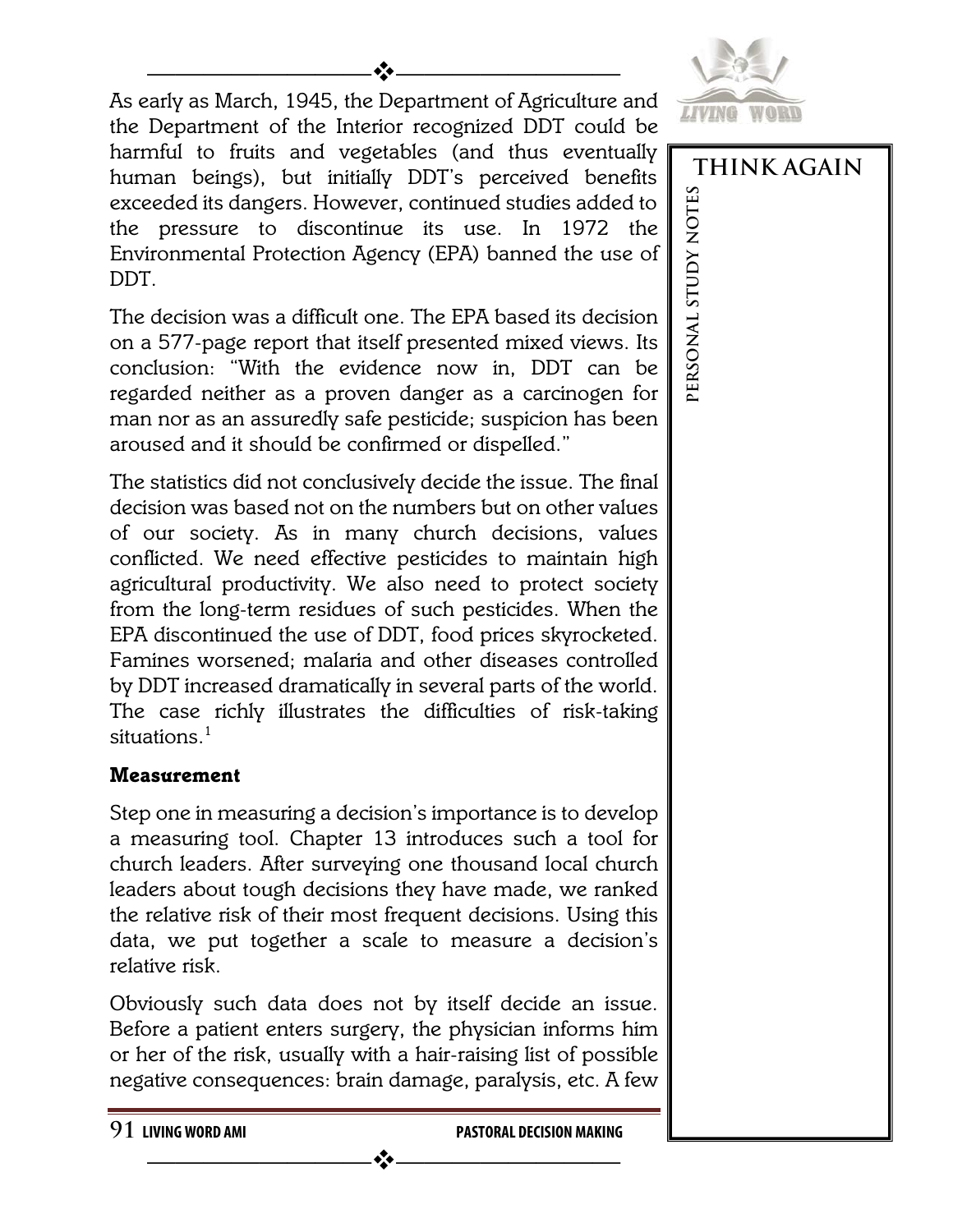

*As early as March, 1945, the Department of Agriculture and the Department of the Interior recognized DDT could be harmful to fruits and vegetables (and thus eventually human beings), but initially DDT's perceived benefits exceeded its dangers. However, continued studies added to the pressure to discontinue its use. In 1972 the Environmental Protection Agency (EPA) banned the use of DDT.* 

————————————————

*The decision was a difficult one. The EPA based its decision on a 577-page report that itself presented mixed views. Its conclusion: "With the evidence now in, DDT can be regarded neither as a proven danger as a carcinogen for man nor as an assuredly safe pesticide; suspicion has been aroused and it should be confirmed or dispelled."* 

*The statistics did not conclusively decide the issue. The final decision was based not on the numbers but on other values of our society. As in many church decisions, values conflicted. We need effective pesticides to maintain high agricultural productivity. We also need to protect society from the long-term residues of such pesticides. When the EPA discontinued the use of DDT, food prices skyrocketed. Famines worsened; malaria and other diseases controlled by DDT increased dramatically in several parts of the world. The case richly illustrates the difficulties of risk-taking situations.1*

#### *Measurement*

*Step one in measuring a decision's importance is to develop a measuring tool. Chapter 13 introduces such a tool for church leaders. After surveying one thousand local church leaders about tough decisions they have made, we ranked the relative risk of their most frequent decisions. Using this data, we put together a scale to measure a decision's relative risk.* 

*Obviously such data does not by itself decide an issue. Before a patient enters surgery, the physician informs him or her of the risk, usually with a hair-raising list of possible negative consequences: brain damage, paralysis, etc. A few* 

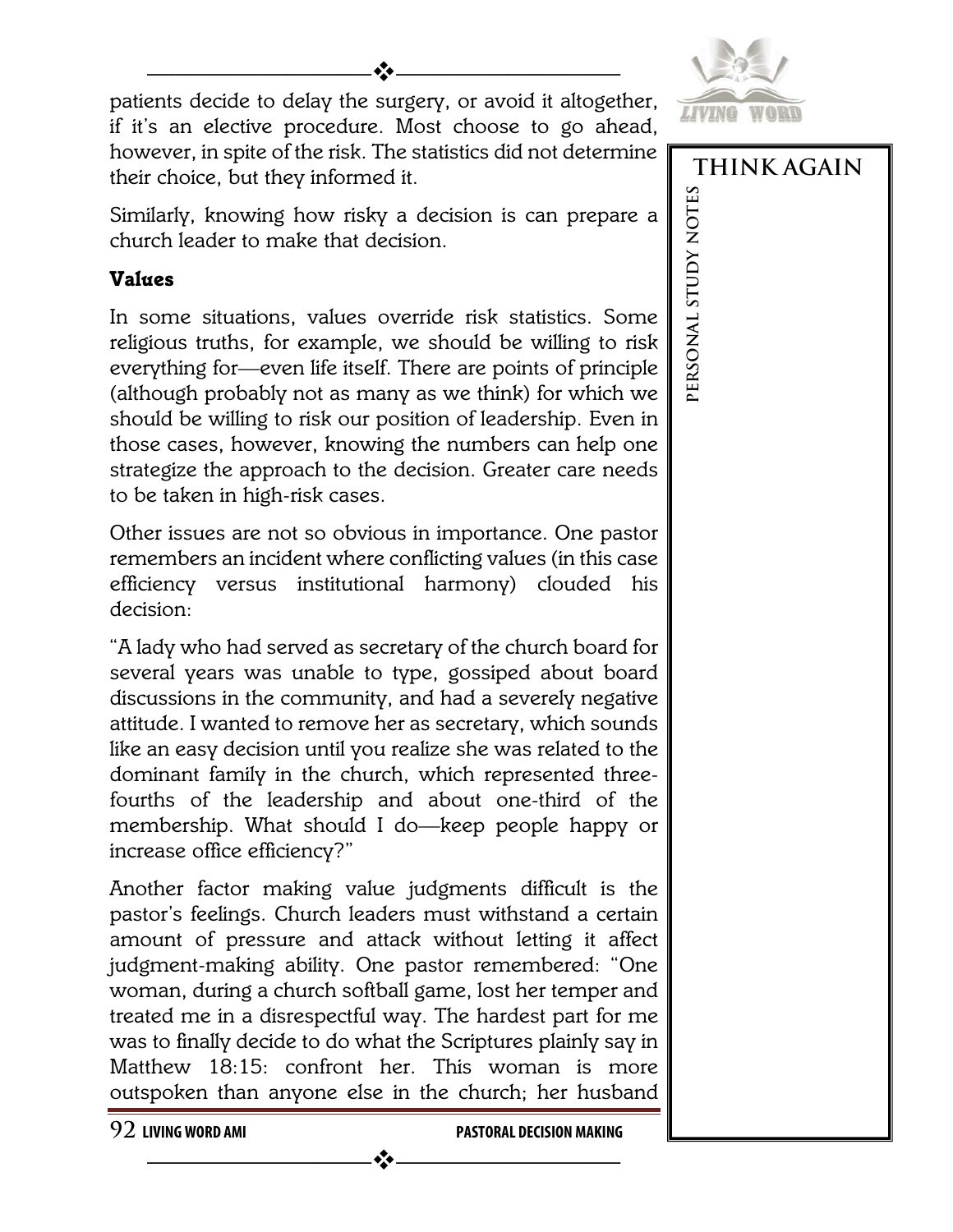

*patients decide to delay the surgery, or avoid it altogether, if it's an elective procedure. Most choose to go ahead, however, in spite of the risk. The statistics did not determine their choice, but they informed it.* 

————————————————

*Similarly, knowing how risky a decision is can prepare a church leader to make that decision.* 

### *Values*

*In some situations, values override risk statistics. Some religious truths, for example, we should be willing to risk everything for—even life itself. There are points of principle (although probably not as many as we think) for which we should be willing to risk our position of leadership. Even in those cases, however, knowing the numbers can help one strategize the approach to the decision. Greater care needs to be taken in high-risk cases.* 

*Other issues are not so obvious in importance. One pastor remembers an incident where conflicting values (in this case efficiency versus institutional harmony) clouded his decision:* 

*"A lady who had served as secretary of the church board for several years was unable to type, gossiped about board discussions in the community, and had a severely negative attitude. I wanted to remove her as secretary, which sounds like an easy decision until you realize she was related to the dominant family in the church, which represented threefourths of the leadership and about one-third of the membership. What should I do—keep people happy or increase office efficiency?"* 

*Another factor making value judgments difficult is the pastor's feelings. Church leaders must withstand a certain amount of pressure and attack without letting it affect judgment-making ability. One pastor remembered: "One woman, during a church softball game, lost her temper and treated me in a disrespectful way. The hardest part for me was to finally decide to do what the Scriptures plainly say in Matthew 18:15: confront her. This woman is more outspoken than anyone else in the church; her husband* 

————————————————

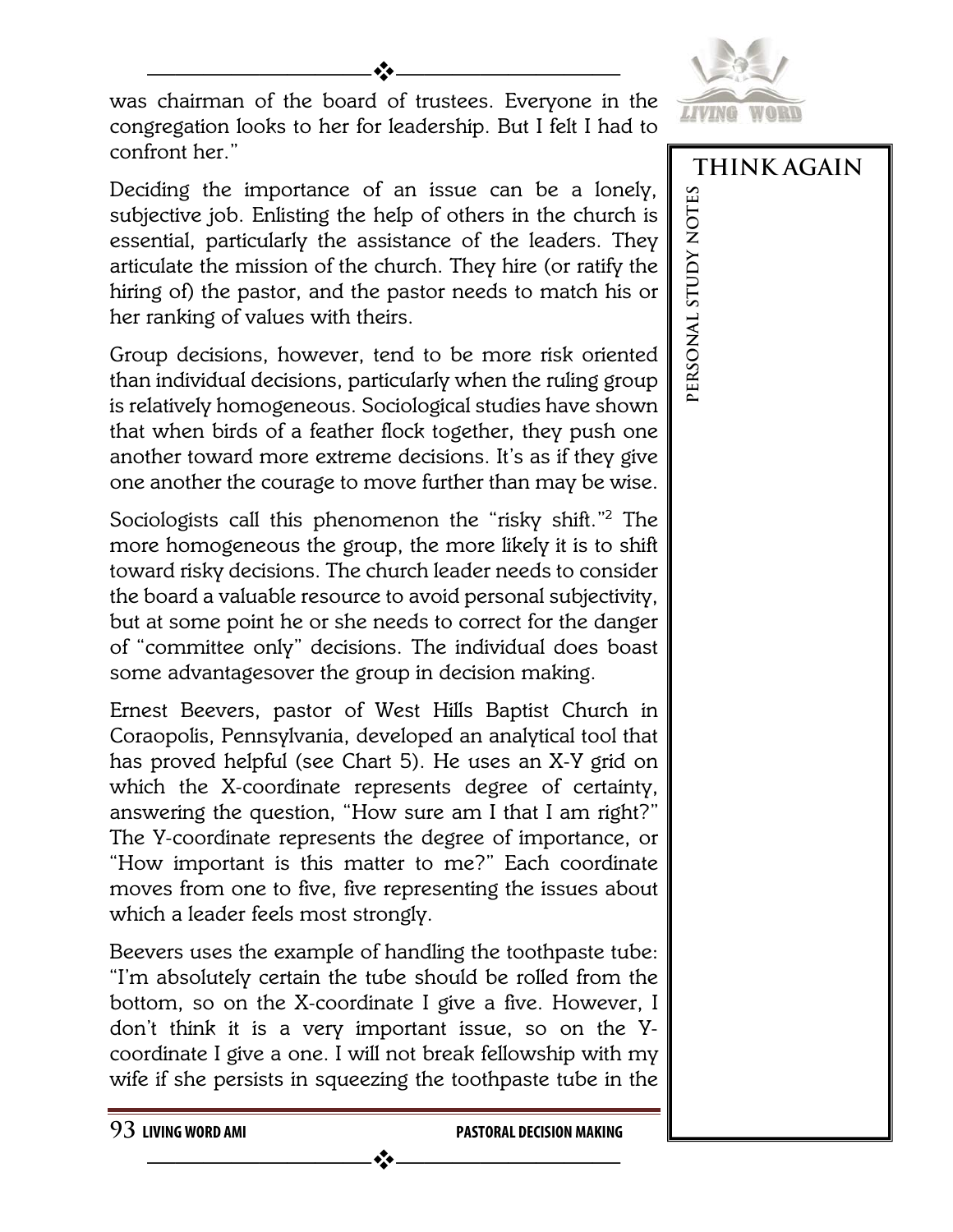

PERSONAL STUDY NOTES

*was chairman of the board of trustees. Everyone in the congregation looks to her for leadership. But I felt I had to confront her."* 

————————————————

*Deciding the importance of an issue can be a lonely, subjective job. Enlisting the help of others in the church is essential, particularly the assistance of the leaders. They articulate the mission of the church. They hire (or ratify the hiring of) the pastor, and the pastor needs to match his or her ranking of values with theirs.* 

*Group decisions, however, tend to be more risk oriented than individual decisions, particularly when the ruling group is relatively homogeneous. Sociological studies have shown that when birds of a feather flock together, they push one another toward more extreme decisions. It's as if they give one another the courage to move further than may be wise.* 

*Sociologists call this phenomenon the "risky shift."2 The more homogeneous the group, the more likely it is to shift toward risky decisions. The church leader needs to consider the board a valuable resource to avoid personal subjectivity, but at some point he or she needs to correct for the danger of "committee only" decisions. The individual does boast some advantagesover the group in decision making.* 

*Ernest Beevers, pastor of West Hills Baptist Church in Coraopolis, Pennsylvania, developed an analytical tool that has proved helpful (see Chart 5). He uses an X-Y grid on which the X-coordinate represents degree of certainty, answering the question, "How sure am I that I am right?" The Y-coordinate represents the degree of importance, or "How important is this matter to me?" Each coordinate moves from one to five, five representing the issues about which a leader feels most strongly.* 

*Beevers uses the example of handling the toothpaste tube: "I'm absolutely certain the tube should be rolled from the bottom, so on the X-coordinate I give a five. However, I don't think it is a very important issue, so on the Ycoordinate I give a one. I will not break fellowship with my wife if she persists in squeezing the toothpaste tube in the* 

 **PERSONAL STUDY NOTES THINK AGAIN**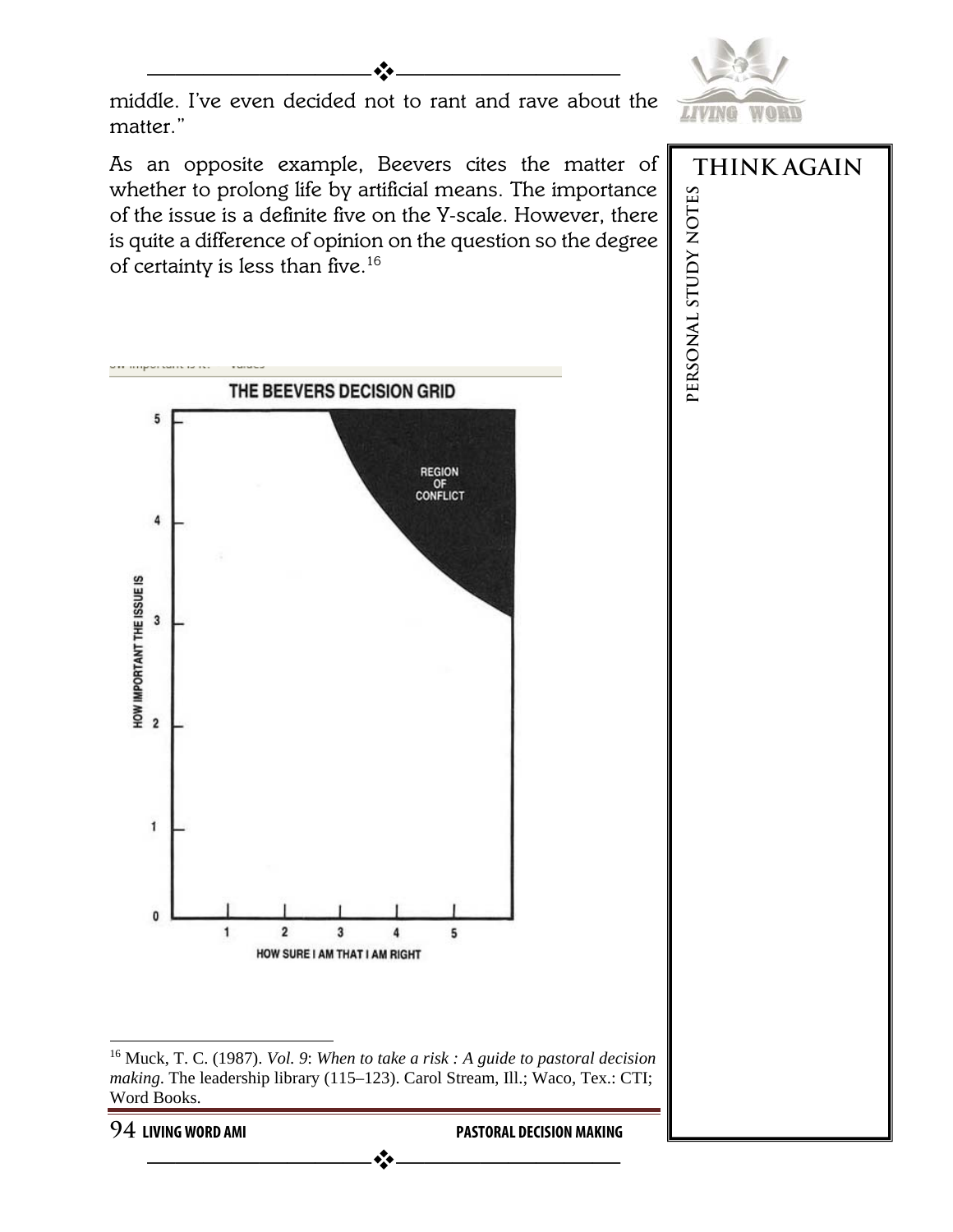

 **PERSONAL STUDY NOTES** 

PERSONAL STUDY NOTES

*middle. I've even decided not to rant and rave about the matter."* 

————————————————

*As an opposite example, Beevers cites the matter of whether to prolong life by artificial means. The importance of the issue is a definite five on the Y-scale. However, there is quite a difference of opinion on the question so the degree of certainty is less than five.16*



16 Muck, T. C. (1987). *Vol. 9*: *When to take a risk : A guide to pastoral decision making*. The leadership library (115–123). Carol Stream, Ill.; Waco, Tex.: CTI; Word Books.

————————————————

l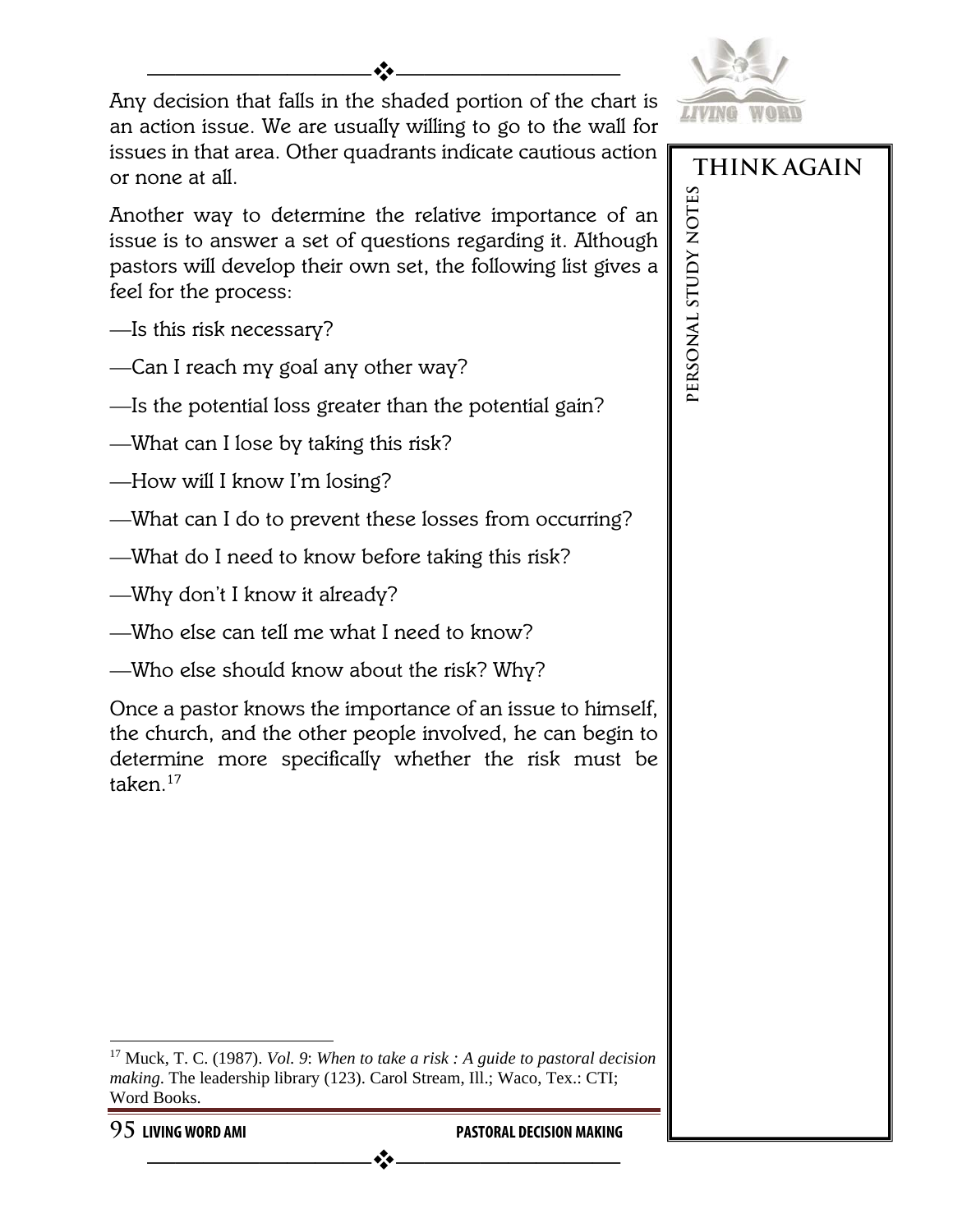

 **PERSONAL STUDY NOTES** 

PERSONAL STUDY NOTES

*Any decision that falls in the shaded portion of the chart is an action issue. We are usually willing to go to the wall for issues in that area. Other quadrants indicate cautious action or none at all.* 

————————————————

*Another way to determine the relative importance of an issue is to answer a set of questions regarding it. Although pastors will develop their own set, the following list gives a feel for the process:* 

- *—Is this risk necessary?*
- *—Can I reach my goal any other way?*
- *—Is the potential loss greater than the potential gain?*
- *—What can I lose by taking this risk?*
- *—How will I know I'm losing?*
- *—What can I do to prevent these losses from occurring?*
- *—What do I need to know before taking this risk?*
- *—Why don't I know it already?*
- *—Who else can tell me what I need to know?*
- *—Who else should know about the risk? Why?*

*Once a pastor knows the importance of an issue to himself, the church, and the other people involved, he can begin to determine more specifically whether the risk must be taken.17*



l 17 Muck, T. C. (1987). *Vol. 9*: *When to take a risk : A guide to pastoral decision making*. The leadership library (123). Carol Stream, Ill.; Waco, Tex.: CTI; Word Books.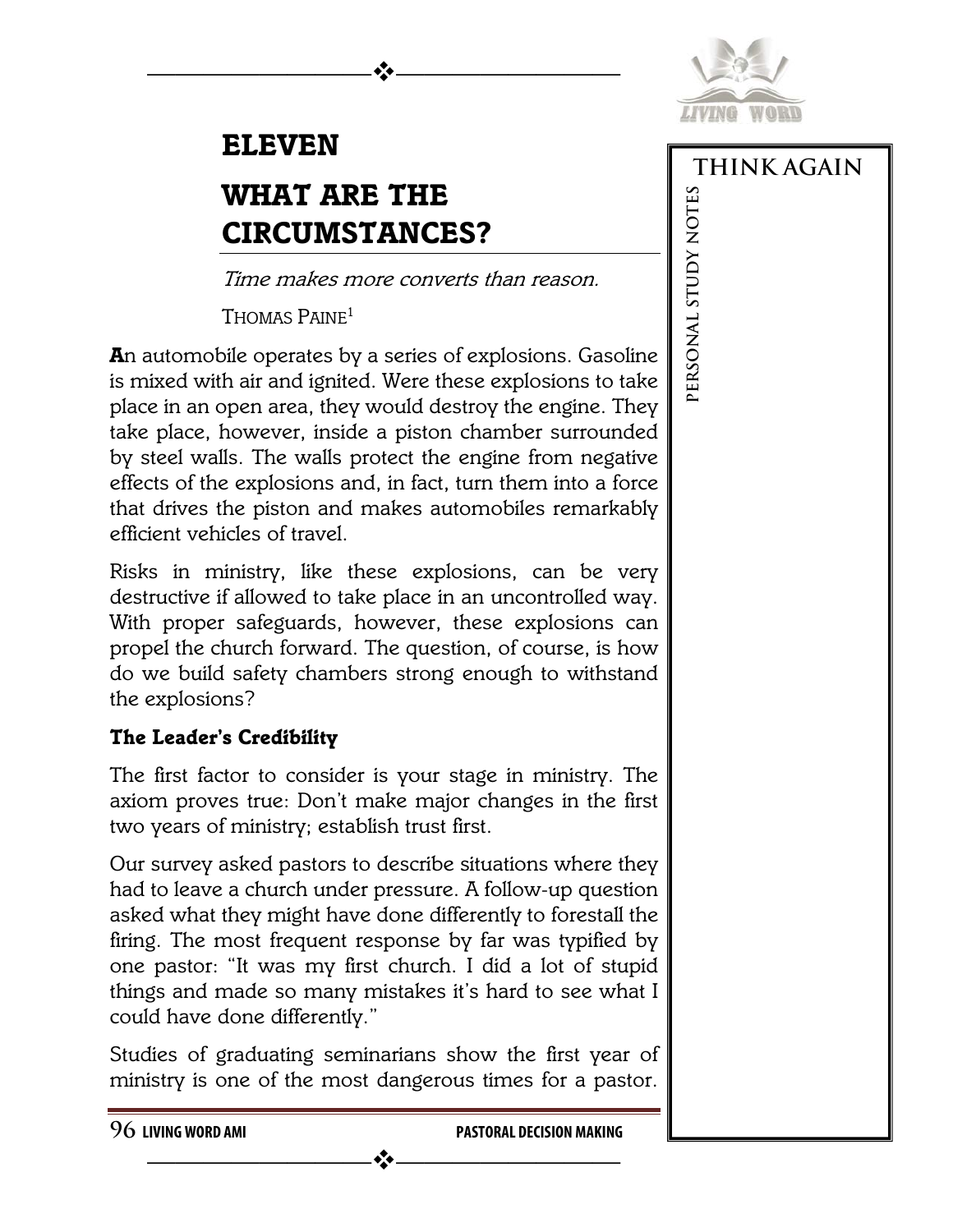

 **PERSONAL STUDY NOTES** 

PERSONAL STUDY NOTES

# *ELEVEN WHAT ARE THE CIRCUMSTANCES?*

————————————————

*Time makes more converts than reason.*

*THOMAS PAINE1*

*An automobile operates by a series of explosions. Gasoline is mixed with air and ignited. Were these explosions to take place in an open area, they would destroy the engine. They take place, however, inside a piston chamber surrounded by steel walls. The walls protect the engine from negative effects of the explosions and, in fact, turn them into a force that drives the piston and makes automobiles remarkably efficient vehicles of travel.* 

*Risks in ministry, like these explosions, can be very destructive if allowed to take place in an uncontrolled way. With proper safeguards, however, these explosions can propel the church forward. The question, of course, is how do we build safety chambers strong enough to withstand the explosions?* 

### *The Leader's Credibility*

*The first factor to consider is your stage in ministry. The axiom proves true: Don't make major changes in the first two years of ministry; establish trust first.* 

*Our survey asked pastors to describe situations where they had to leave a church under pressure. A follow-up question asked what they might have done differently to forestall the firing. The most frequent response by far was typified by one pastor: "It was my first church. I did a lot of stupid things and made so many mistakes it's hard to see what I could have done differently."* 

*Studies of graduating seminarians show the first year of ministry is one of the most dangerous times for a pastor.*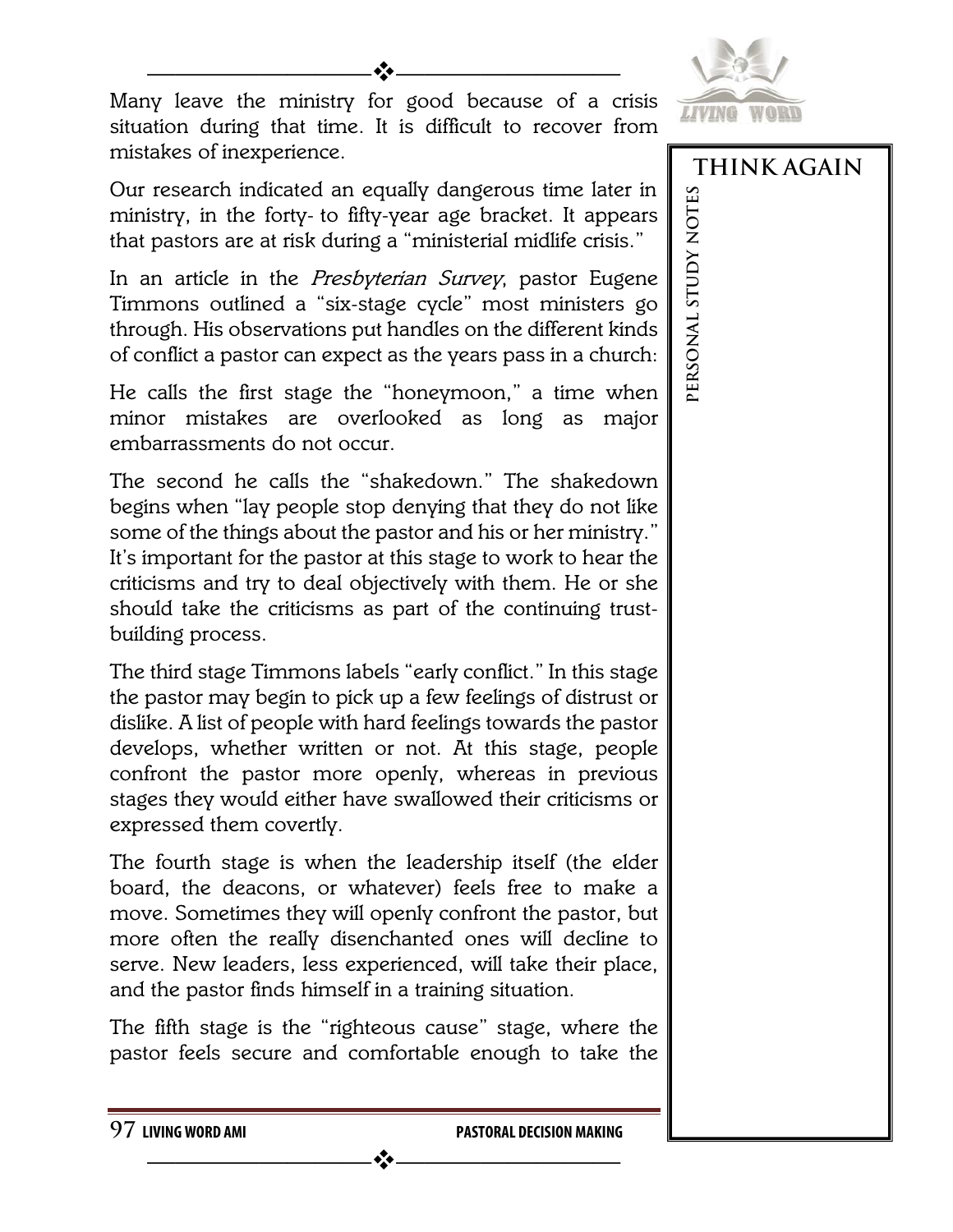

*Many leave the ministry for good because of a crisis situation during that time. It is difficult to recover from mistakes of inexperience.* 

————————————————

*Our research indicated an equally dangerous time later in ministry, in the forty- to fifty-year age bracket. It appears that pastors are at risk during a "ministerial midlife crisis."* 

*In an article in the Presbyterian Survey, pastor Eugene Timmons outlined a "six-stage cycle" most ministers go through. His observations put handles on the different kinds of conflict a pastor can expect as the years pass in a church:* 

*He calls the first stage the "honeymoon," a time when minor mistakes are overlooked as long as major embarrassments do not occur.* 

*The second he calls the "shakedown." The shakedown begins when "lay people stop denying that they do not like some of the things about the pastor and his or her ministry."*  It's important for the pastor at this stage to work to hear the *criticisms and try to deal objectively with them. He or she should take the criticisms as part of the continuing trustbuilding process.* 

*The third stage Timmons labels "early conflict." In this stage the pastor may begin to pick up a few feelings of distrust or dislike. A list of people with hard feelings towards the pastor develops, whether written or not. At this stage, people confront the pastor more openly, whereas in previous stages they would either have swallowed their criticisms or expressed them covertly.* 

*The fourth stage is when the leadership itself (the elder board, the deacons, or whatever) feels free to make a move. Sometimes they will openly confront the pastor, but more often the really disenchanted ones will decline to serve. New leaders, less experienced, will take their place, and the pastor finds himself in a training situation.* 

*The fifth stage is the "righteous cause" stage, where the pastor feels secure and comfortable enough to take the* 

————————————————

**THINK AGAIN PERSONAL STUDY NOTES**  PERSONAL STUDY NOTES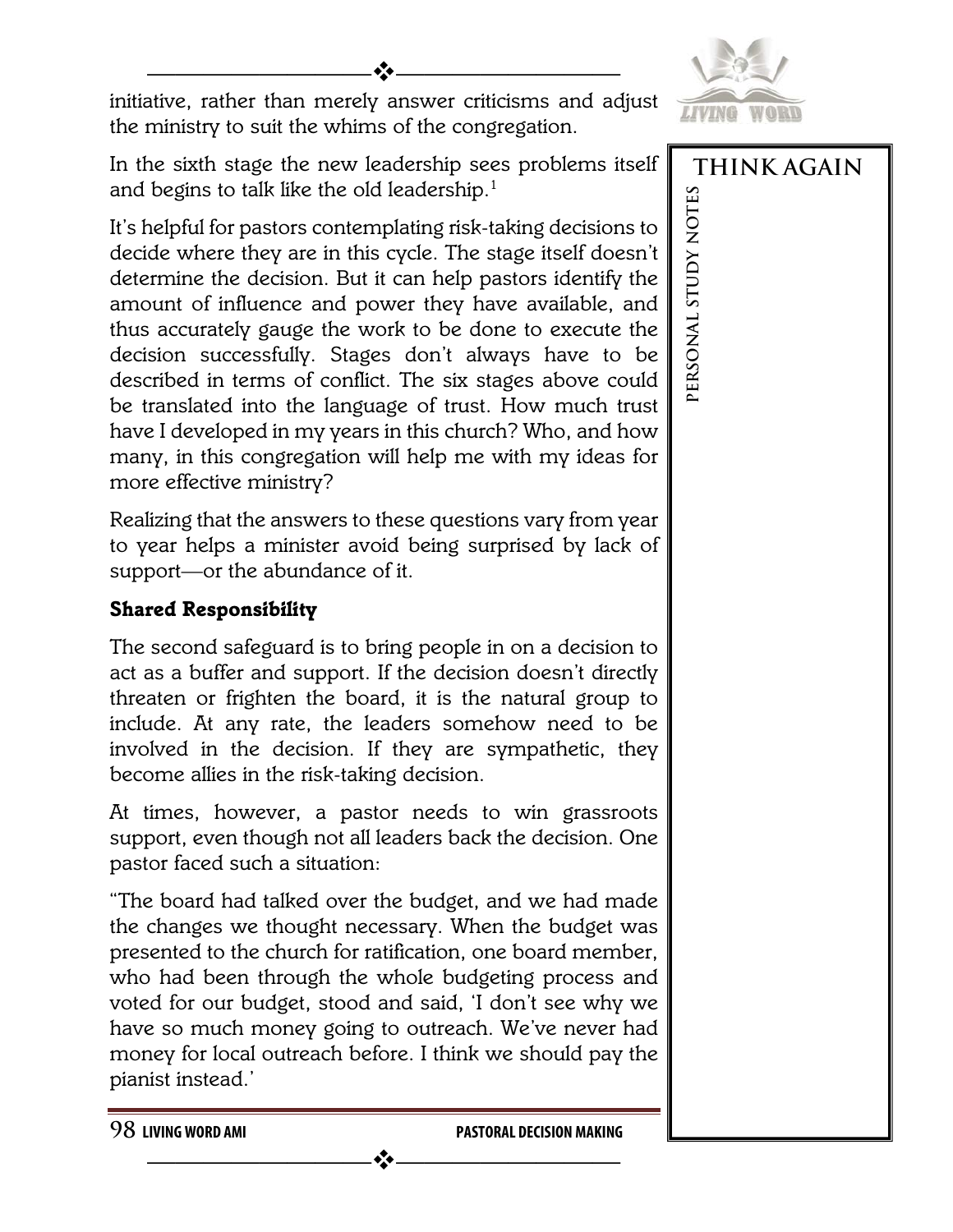

*initiative, rather than merely answer criticisms and adjust the ministry to suit the whims of the congregation.* 

————————————————

In the sixth stage the new leadership sees problems itself *and begins to talk like the old leadership.1*

*It's helpful for pastors contemplating risk-taking decisions to decide where they are in this cycle. The stage itself doesn't determine the decision. But it can help pastors identify the amount of influence and power they have available, and thus accurately gauge the work to be done to execute the decision successfully. Stages don't always have to be described in terms of conflict. The six stages above could be translated into the language of trust. How much trust have I developed in my years in this church? Who, and how many, in this congregation will help me with my ideas for more effective ministry?* 

*Realizing that the answers to these questions vary from year to year helps a minister avoid being surprised by lack of support—or the abundance of it.* 

### *Shared Responsibility*

*The second safeguard is to bring people in on a decision to act as a buffer and support. If the decision doesn't directly threaten or frighten the board, it is the natural group to include. At any rate, the leaders somehow need to be involved in the decision. If they are sympathetic, they become allies in the risk-taking decision.* 

*At times, however, a pastor needs to win grassroots support, even though not all leaders back the decision. One pastor faced such a situation:* 

*"The board had talked over the budget, and we had made the changes we thought necessary. When the budget was presented to the church for ratification, one board member, who had been through the whole budgeting process and voted for our budget, stood and said, 'I don't see why we have so much money going to outreach. We've never had money for local outreach before. I think we should pay the pianist instead.'* 

————————————————

**THINK AGAIN PERSONAL STUDY NOTES**  PERSONAL STUDY NOTES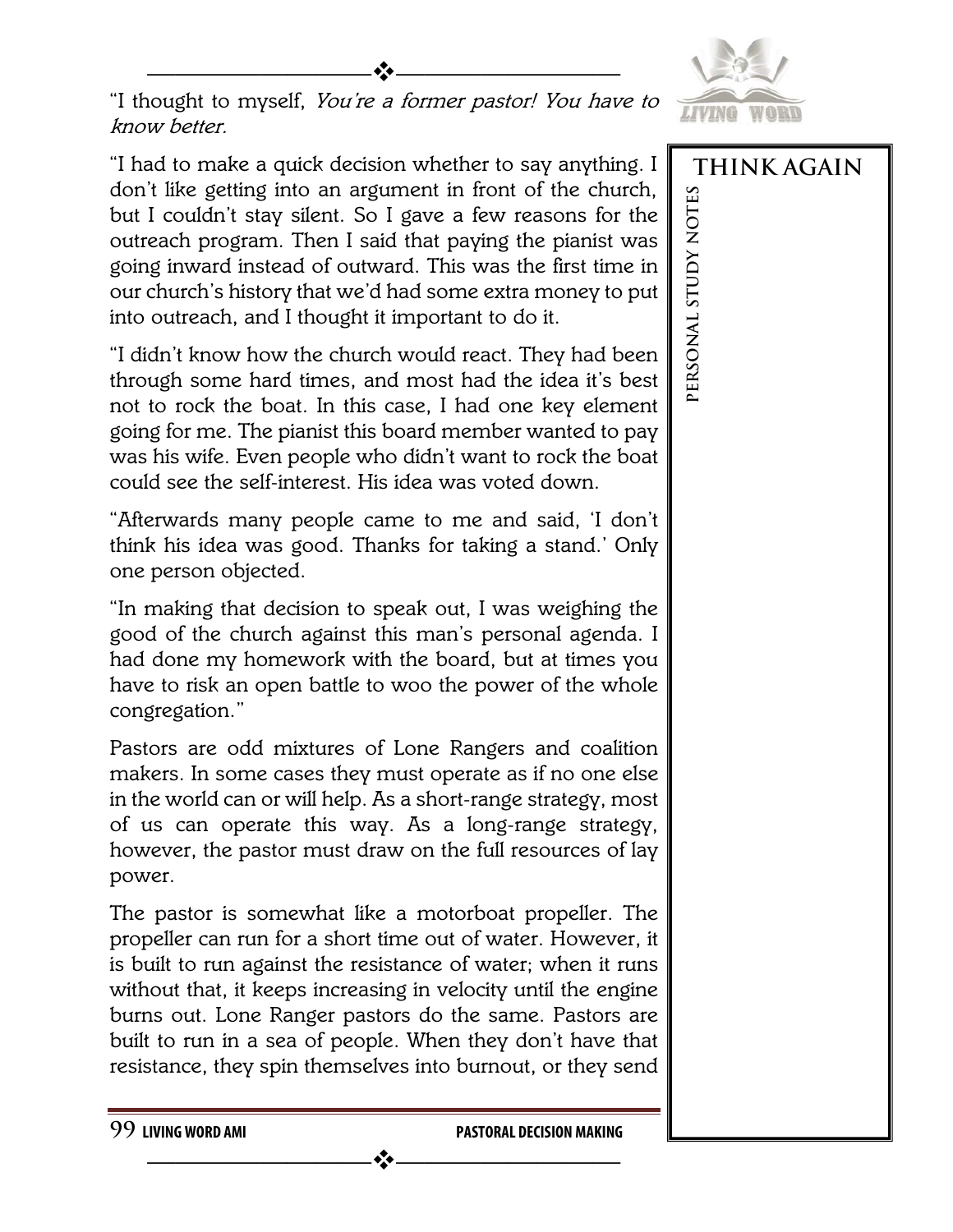

*"I thought to myself, You're a former pastor! You have to know better.*

————————————————

*"I had to make a quick decision whether to say anything. I don't like getting into an argument in front of the church, but I couldn't stay silent. So I gave a few reasons for the outreach program. Then I said that paying the pianist was going inward instead of outward. This was the first time in our church's history that we'd had some extra money to put into outreach, and I thought it important to do it.* 

*"I didn't know how the church would react. They had been through some hard times, and most had the idea it's best not to rock the boat. In this case, I had one key element going for me. The pianist this board member wanted to pay was his wife. Even people who didn't want to rock the boat could see the self-interest. His idea was voted down.* 

*"Afterwards many people came to me and said, 'I don't think his idea was good. Thanks for taking a stand.' Only one person objected.* 

*"In making that decision to speak out, I was weighing the good of the church against this man's personal agenda. I had done my homework with the board, but at times you have to risk an open battle to woo the power of the whole congregation."* 

*Pastors are odd mixtures of Lone Rangers and coalition makers. In some cases they must operate as if no one else in the world can or will help. As a short-range strategy, most of us can operate this way. As a long-range strategy, however, the pastor must draw on the full resources of lay power.* 

*The pastor is somewhat like a motorboat propeller. The propeller can run for a short time out of water. However, it is built to run against the resistance of water; when it runs without that, it keeps increasing in velocity until the engine burns out. Lone Ranger pastors do the same. Pastors are built to run in a sea of people. When they don't have that resistance, they spin themselves into burnout, or they send* 

————————————————

 **PERSONAL STUDY NOTES**  PERSONAL STUDY NOTES

**THINK AGAIN**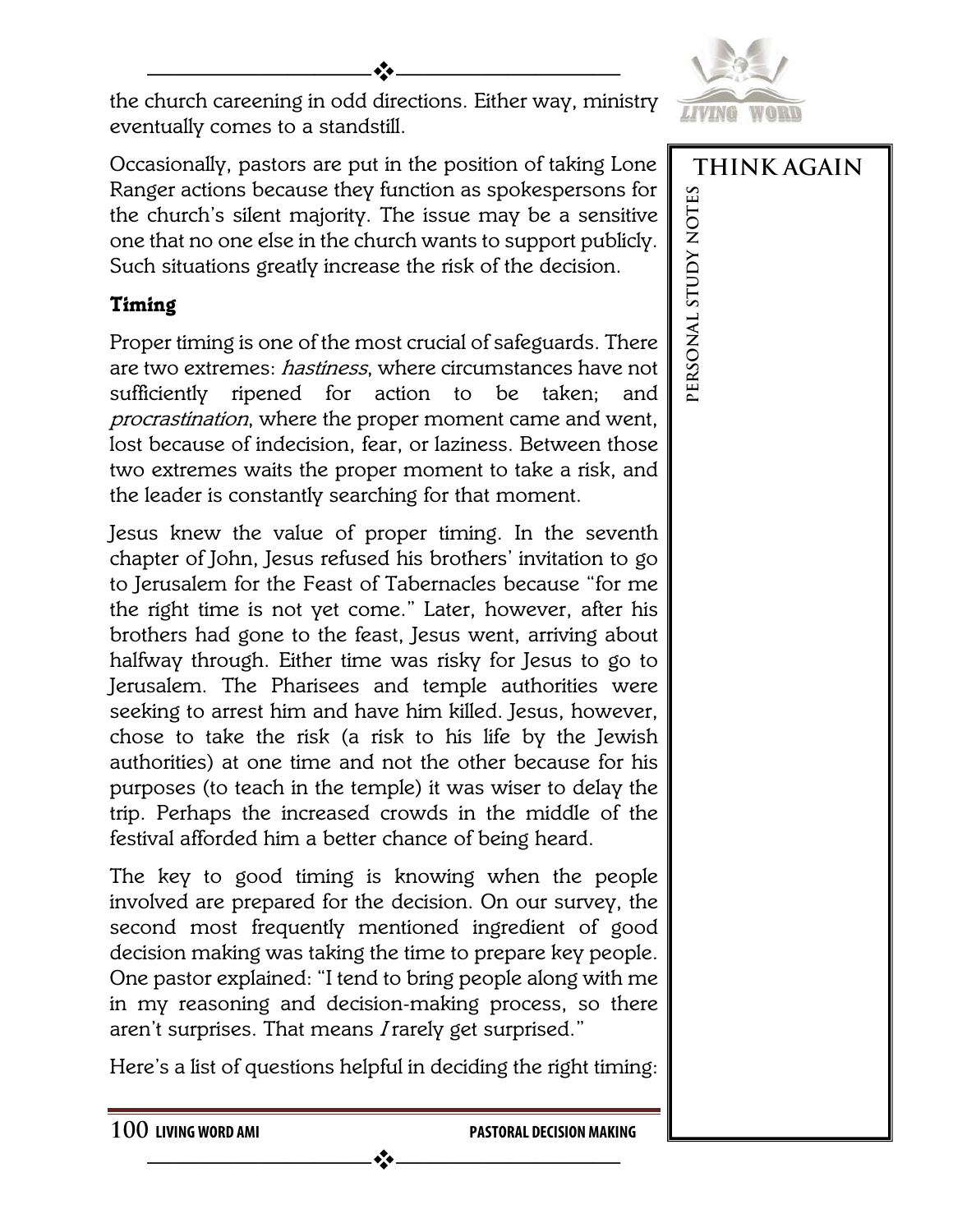

 **PERSONAL STUDY NOTES** 

PERSONAL STUDY NOTES

*the church careening in odd directions. Either way, ministry eventually comes to a standstill.* 

————————————————

*Occasionally, pastors are put in the position of taking Lone Ranger actions because they function as spokespersons for the church's silent majority. The issue may be a sensitive one that no one else in the church wants to support publicly. Such situations greatly increase the risk of the decision.* 

### *Timing*

*Proper timing is one of the most crucial of safeguards. There are two extremes: hastiness, where circumstances have not sufficiently ripened for action to be taken; and procrastination, where the proper moment came and went, lost because of indecision, fear, or laziness. Between those two extremes waits the proper moment to take a risk, and the leader is constantly searching for that moment.* 

Jesus knew the value of proper timing. In the seventh *chapter of John, Jesus refused his brothers' invitation to go to Jerusalem for the Feast of Tabernacles because "for me the right time is not yet come." Later, however, after his brothers had gone to the feast, Jesus went, arriving about halfway through. Either time was risky for Jesus to go to Jerusalem. The Pharisees and temple authorities were seeking to arrest him and have him killed. Jesus, however, chose to take the risk (a risk to his life by the Jewish authorities) at one time and not the other because for his purposes (to teach in the temple) it was wiser to delay the trip. Perhaps the increased crowds in the middle of the festival afforded him a better chance of being heard.* 

*The key to good timing is knowing when the people involved are prepared for the decision. On our survey, the second most frequently mentioned ingredient of good decision making was taking the time to prepare key people. One pastor explained: "I tend to bring people along with me in my reasoning and decision-making process, so there aren't surprises. That means I rarely get surprised."* 

*Here's a list of questions helpful in deciding the right timing:*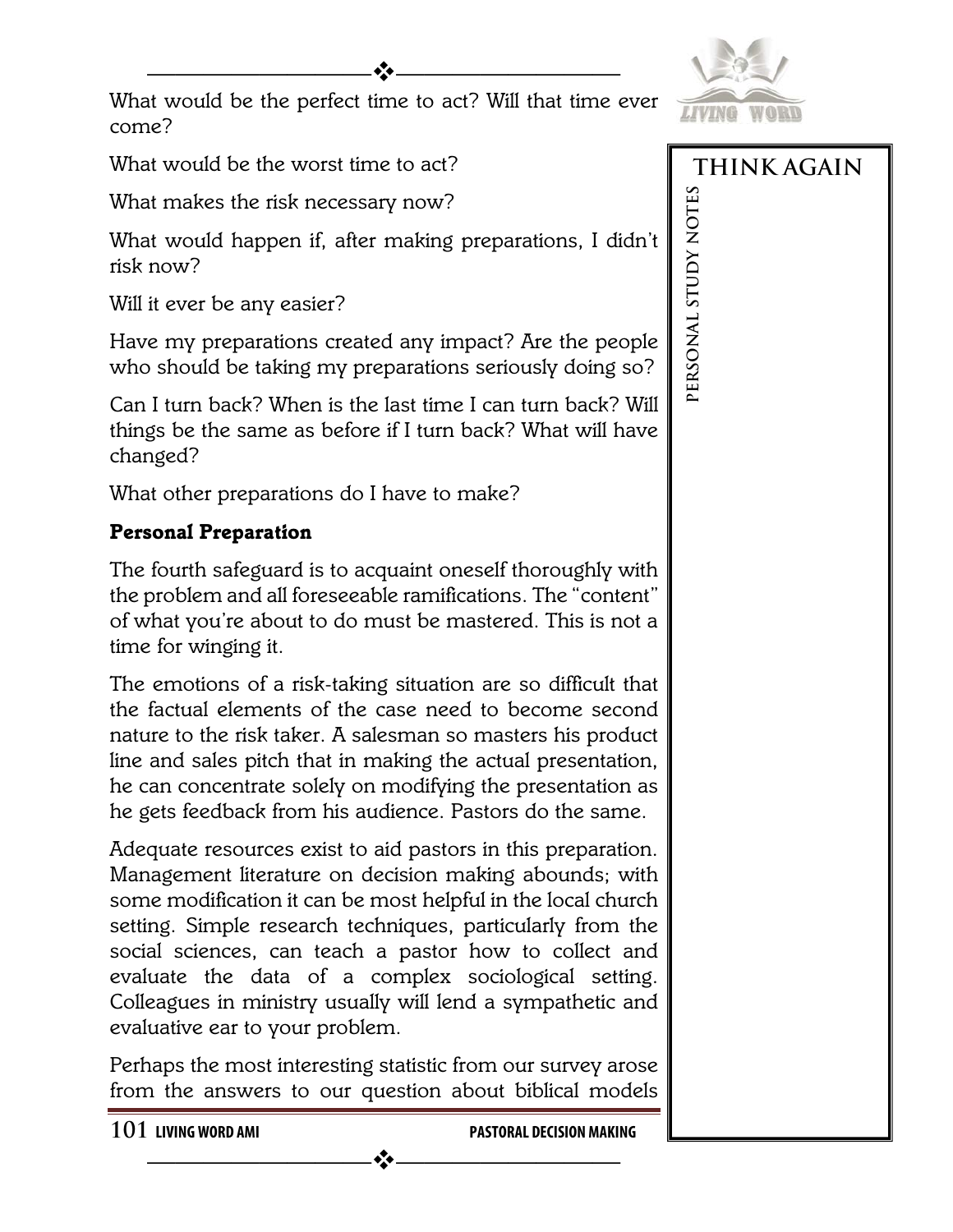

*What would be the perfect time to act? Will that time ever come?* 

————————————————

*What would be the worst time to act?* 

*What makes the risk necessary now?* 

*What would happen if, after making preparations, I didn't risk now?* 

*Will it ever be any easier?* 

*Have my preparations created any impact? Are the people who should be taking my preparations seriously doing so?* 

*Can I turn back? When is the last time I can turn back? Will things be the same as before if I turn back? What will have changed?* 

*What other preparations do I have to make?* 

### *Personal Preparation*

*The fourth safeguard is to acquaint oneself thoroughly with the problem and all foreseeable ramifications. The "content" of what you're about to do must be mastered. This is not a time for winging it.* 

*The emotions of a risk-taking situation are so difficult that the factual elements of the case need to become second nature to the risk taker. A salesman so masters his product line and sales pitch that in making the actual presentation, he can concentrate solely on modifying the presentation as he gets feedback from his audience. Pastors do the same.* 

*Adequate resources exist to aid pastors in this preparation. Management literature on decision making abounds; with some modification it can be most helpful in the local church setting. Simple research techniques, particularly from the social sciences, can teach a pastor how to collect and evaluate the data of a complex sociological setting. Colleagues in ministry usually will lend a sympathetic and evaluative ear to your problem.* 

*Perhaps the most interesting statistic from our survey arose from the answers to our question about biblical models* 

————————————————

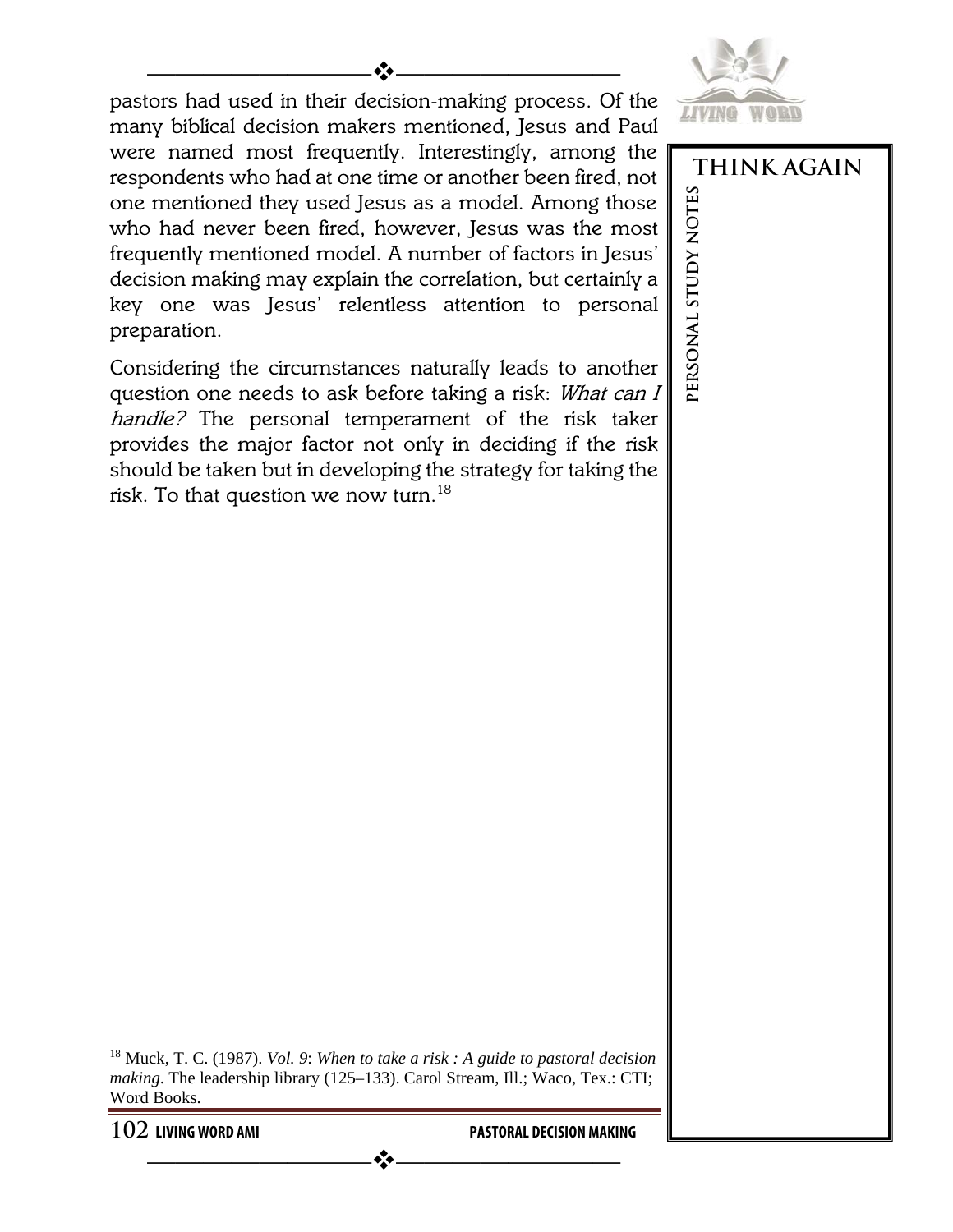

 **PERSONAL STUDY NOTES** 

PERSONAL STUDY NOTES

*pastors had used in their decision-making process. Of the many biblical decision makers mentioned, Jesus and Paul were named most frequently. Interestingly, among the respondents who had at one time or another been fired, not one mentioned they used Jesus as a model. Among those who had never been fired, however, Jesus was the most frequently mentioned model. A number of factors in Jesus' decision making may explain the correlation, but certainly a key one was Jesus' relentless attention to personal preparation.* 

————————————————

*Considering the circumstances naturally leads to another question one needs to ask before taking a risk: What can I handle? The personal temperament of the risk taker provides the major factor not only in deciding if the risk should be taken but in developing the strategy for taking the risk. To that question we now turn.18*

**THINK AGAIN** 

————————————————

**102 LIVING WORD AMI PASTORAL DECISION MAKING** 

l

<sup>18</sup> Muck, T. C. (1987). *Vol. 9*: *When to take a risk : A guide to pastoral decision making*. The leadership library (125–133). Carol Stream, Ill.; Waco, Tex.: CTI; Word Books.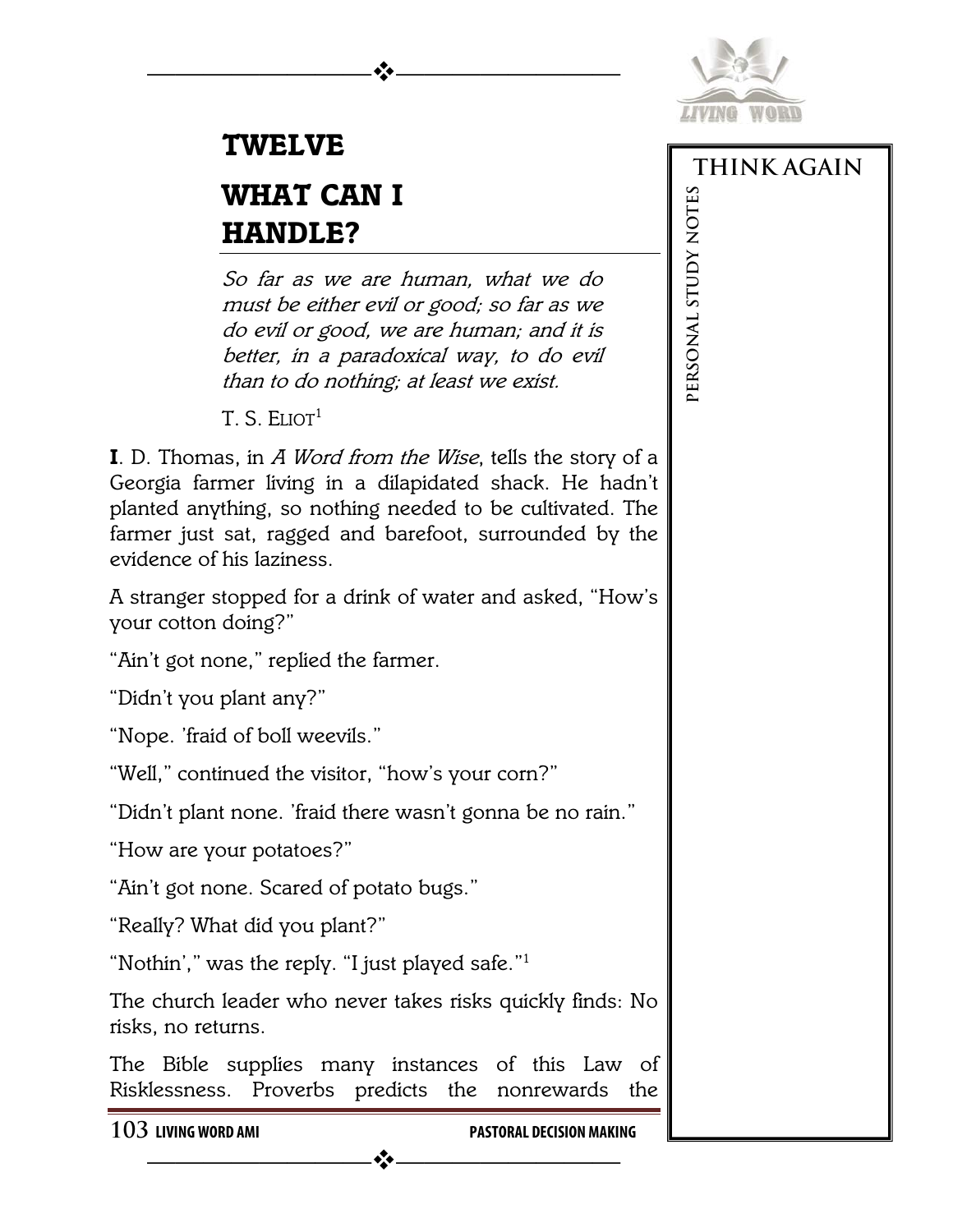

 **PERSONAL STUDY NOTES** 

PERSONAL STUDY NOTES

# *TWELVE WHAT CAN I HANDLE?*

*So far as we are human, what we do must be either evil or good; so far as we do evil or good, we are human; and it is better, in a paradoxical way, to do evil than to do nothing; at least we exist.*

————————————————

*T. S. ELIOT1*

*I. D. Thomas, in A Word from the Wise, tells the story of a Georgia farmer living in a dilapidated shack. He hadn't planted anything, so nothing needed to be cultivated. The farmer just sat, ragged and barefoot, surrounded by the evidence of his laziness.* 

*A stranger stopped for a drink of water and asked, "How's your cotton doing?"* 

*"Ain't got none," replied the farmer.* 

*"Didn't you plant any?"* 

*"Nope. 'fraid of boll weevils."* 

*"Well," continued the visitor, "how's your corn?"* 

*"Didn't plant none. 'fraid there wasn't gonna be no rain."* 

*"How are your potatoes?"* 

*"Ain't got none. Scared of potato bugs."* 

*"Really? What did you plant?"* 

*"Nothin'," was the reply. "I just played safe."1*

*The church leader who never takes risks quickly finds: No risks, no returns.* 

*The Bible supplies many instances of this Law of Risklessness. Proverbs predicts the nonrewards the* 

————————————————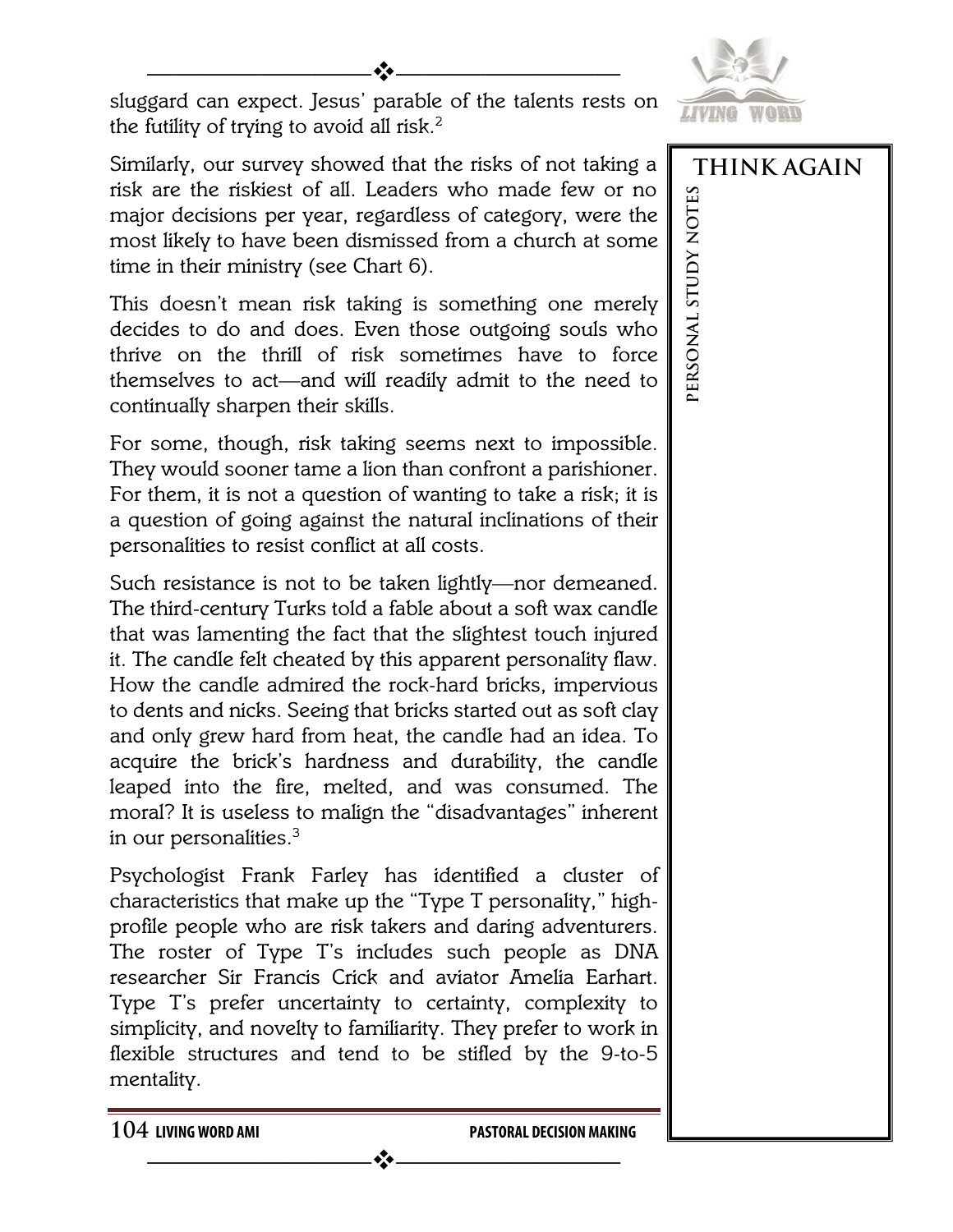

*sluggard can expect. Jesus' parable of the talents rests on the futility of trying to avoid all risk.2*

————————————————

*Similarly, our survey showed that the risks of not taking a risk are the riskiest of all. Leaders who made few or no major decisions per year, regardless of category, were the most likely to have been dismissed from a church at some time in their ministry (see Chart 6).* 

*This doesn't mean risk taking is something one merely decides to do and does. Even those outgoing souls who thrive on the thrill of risk sometimes have to force themselves to act—and will readily admit to the need to continually sharpen their skills.* 

*For some, though, risk taking seems next to impossible. They would sooner tame a lion than confront a parishioner.*  For them, it is not a question of wanting to take a risk; it is *a question of going against the natural inclinations of their personalities to resist conflict at all costs.* 

*Such resistance is not to be taken lightly—nor demeaned. The third-century Turks told a fable about a soft wax candle that was lamenting the fact that the slightest touch injured it. The candle felt cheated by this apparent personality flaw. How the candle admired the rock-hard bricks, impervious to dents and nicks. Seeing that bricks started out as soft clay and only grew hard from heat, the candle had an idea. To acquire the brick's hardness and durability, the candle leaped into the fire, melted, and was consumed. The moral? It is useless to malign the "disadvantages" inherent in our personalities.3*

*Psychologist Frank Farley has identified a cluster of characteristics that make up the "Type T personality," highprofile people who are risk takers and daring adventurers. The roster of Type T's includes such people as DNA researcher Sir Francis Crick and aviator Amelia Earhart. Type T's prefer uncertainty to certainty, complexity to simplicity, and novelty to familiarity. They prefer to work in flexible structures and tend to be stifled by the 9-to-5 mentality.* 

————————————————

**THINK AGAIN PERSONAL STUDY NOTES**  PERSONAL STUDY NOTES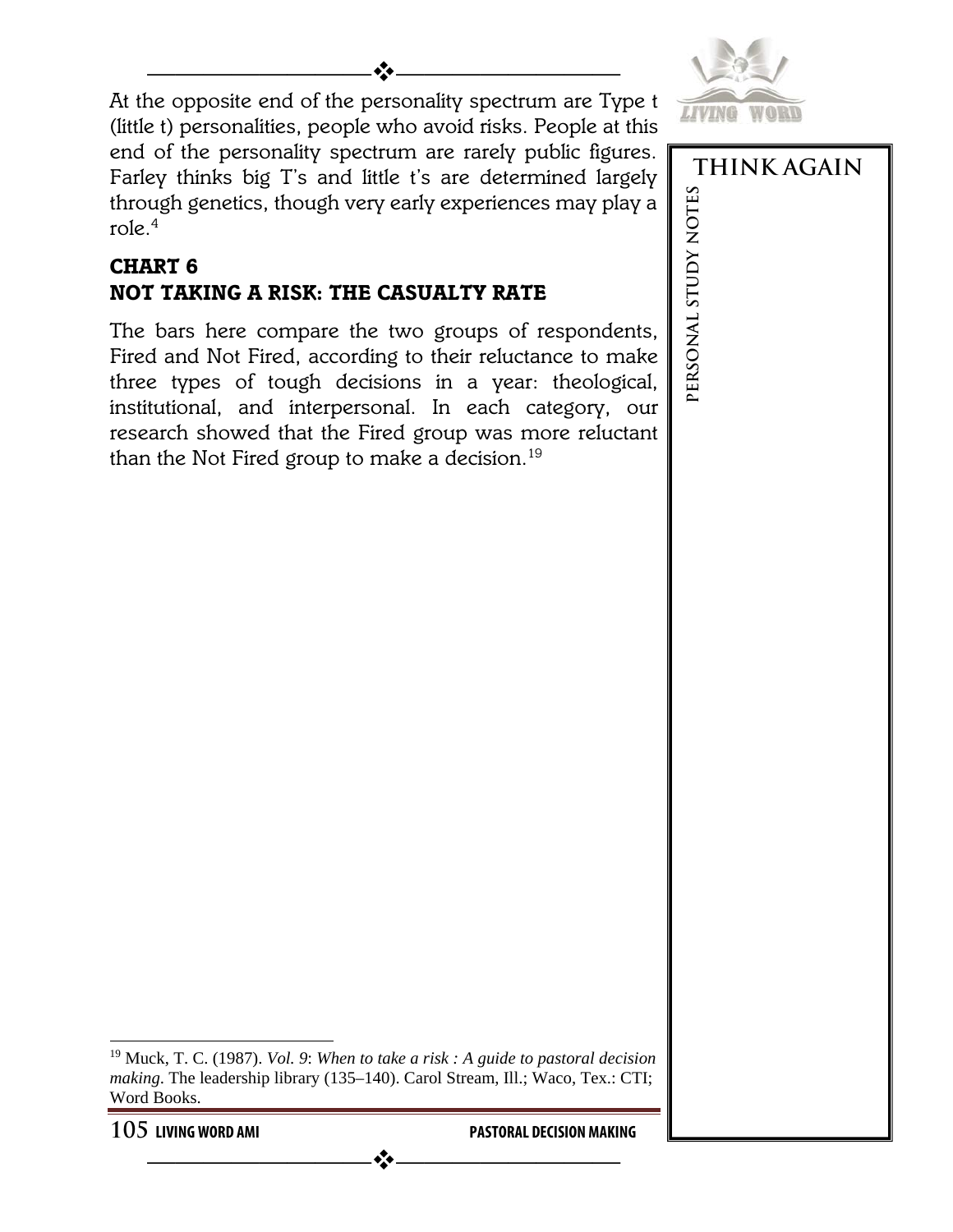———————————————— *At the opposite end of the personality spectrum are Type t (little t) personalities, people who avoid risks. People at this* 

*end of the personality spectrum are rarely public figures. Farley thinks big T's and little t's are determined largely through genetics, though very early experiences may play a role.4*

### *CHART 6 NOT TAKING A RISK: THE CASUALTY RATE*

*The bars here compare the two groups of respondents, Fired and Not Fired, according to their reluctance to make three types of tough decisions in a year: theological, institutional, and interpersonal. In each category, our research showed that the Fired group was more reluctant than the Not Fired group to make a decision.19*



**THINK AGAIN PERSONAL STUDY NOTES**  PERSONAL STUDY NOTES

l 19 Muck, T. C. (1987). *Vol. 9*: *When to take a risk : A guide to pastoral decision making*. The leadership library (135–140). Carol Stream, Ill.; Waco, Tex.: CTI; Word Books.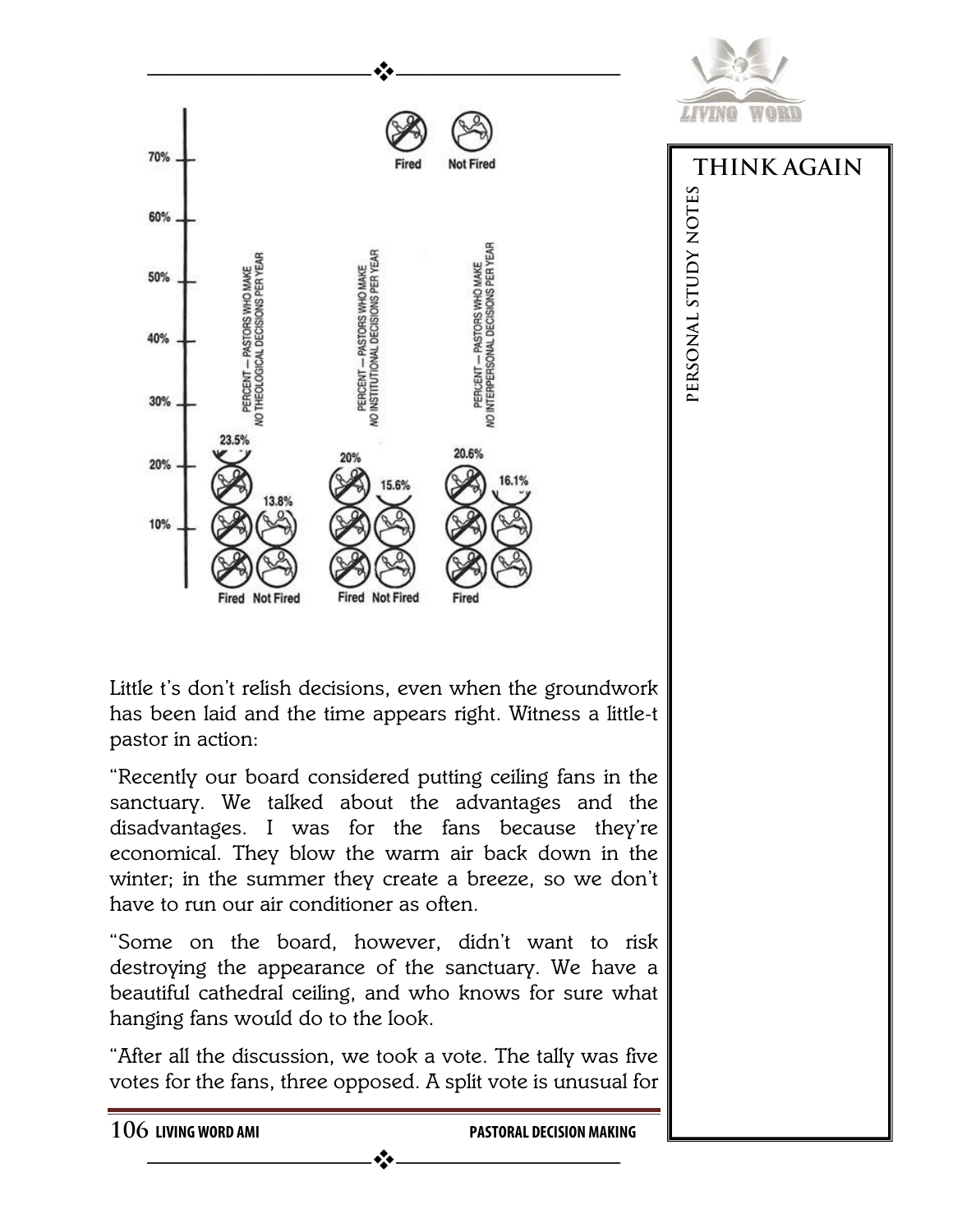

*Little t's don't relish decisions, even when the groundwork has been laid and the time appears right. Witness a little-t pastor in action:* 

*"Recently our board considered putting ceiling fans in the sanctuary. We talked about the advantages and the disadvantages. I was for the fans because they're economical. They blow the warm air back down in the winter; in the summer they create a breeze, so we don't have to run our air conditioner as often.* 

*"Some on the board, however, didn't want to risk destroying the appearance of the sanctuary. We have a beautiful cathedral ceiling, and who knows for sure what hanging fans would do to the look.* 

*"After all the discussion, we took a vote. The tally was five votes for the fans, three opposed. A split vote is unusual for* 

————————————————

 **PERSONAL STUDY NOTES** 

PERSONAL STUDY NOTES

**THINK AGAIN**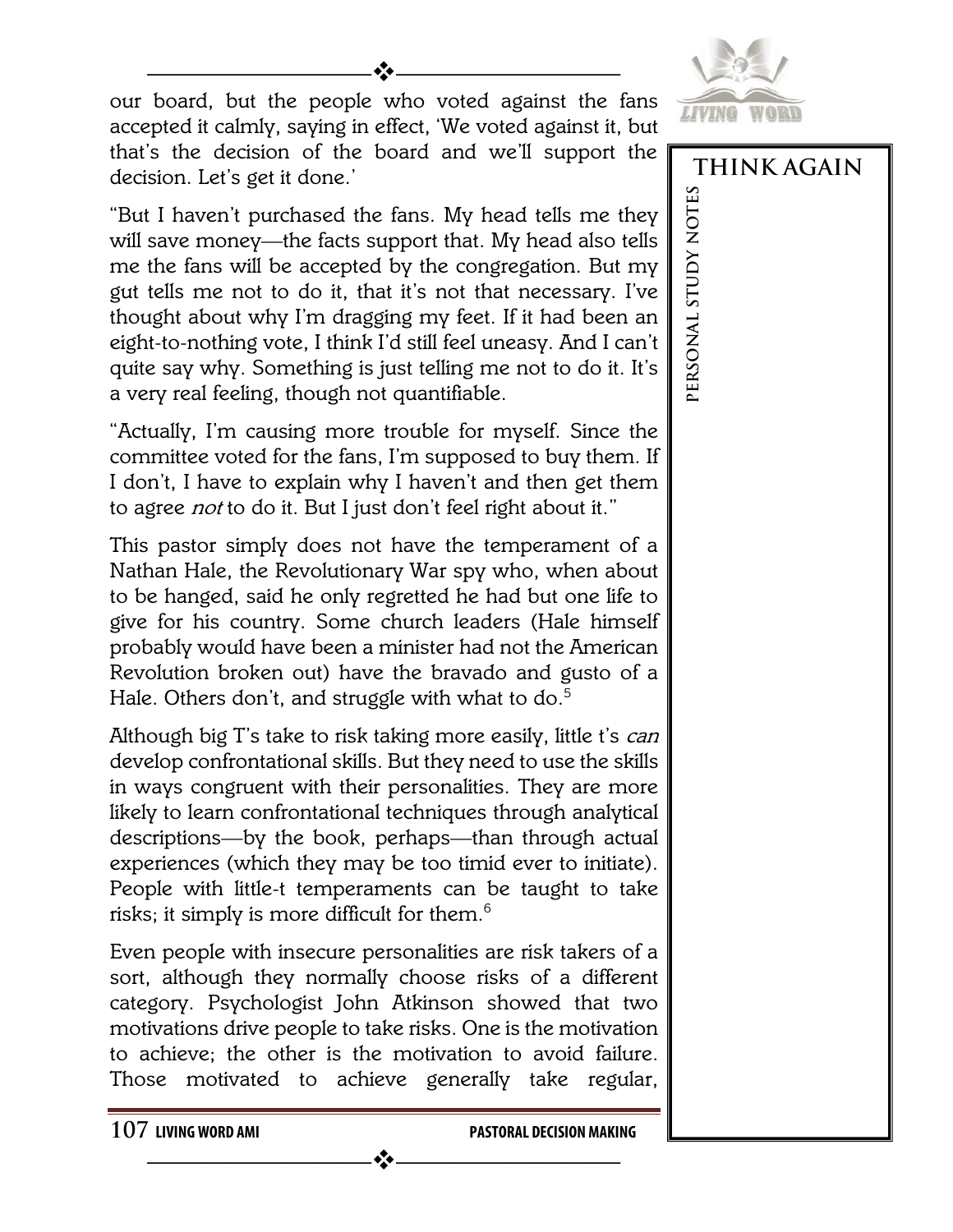

*our board, but the people who voted against the fans accepted it calmly, saying in effect, 'We voted against it, but that's the decision of the board and we'll support the decision. Let's get it done.'* 

*"But I haven't purchased the fans. My head tells me they will save money—the facts support that. My head also tells me the fans will be accepted by the congregation. But my gut tells me not to do it, that it's not that necessary. I've thought about why I'm dragging my feet. If it had been an*  eight-to-nothing vote, I think I'd still feel uneasy. And I can't *quite say why. Something is just telling me not to do it. It's a very real feeling, though not quantifiable.* 

*"Actually, I'm causing more trouble for myself. Since the committee voted for the fans, I'm supposed to buy them. If*  I don't, I have to explain why I haven't and then get them *to agree not to do it. But I just don't feel right about it."* 

*This pastor simply does not have the temperament of a Nathan Hale, the Revolutionary War spy who, when about to be hanged, said he only regretted he had but one life to give for his country. Some church leaders (Hale himself probably would have been a minister had not the American Revolution broken out) have the bravado and gusto of a Hale. Others don't, and struggle with what to do.5*

*Although big T's take to risk taking more easily, little t's can develop confrontational skills. But they need to use the skills in ways congruent with their personalities. They are more likely to learn confrontational techniques through analytical descriptions—by the book, perhaps—than through actual experiences (which they may be too timid ever to initiate). People with little-t temperaments can be taught to take risks; it simply is more difficult for them.6*

*Even people with insecure personalities are risk takers of a sort, although they normally choose risks of a different category. Psychologist John Atkinson showed that two motivations drive people to take risks. One is the motivation to achieve; the other is the motivation to avoid failure. Those motivated to achieve generally take regular,* 

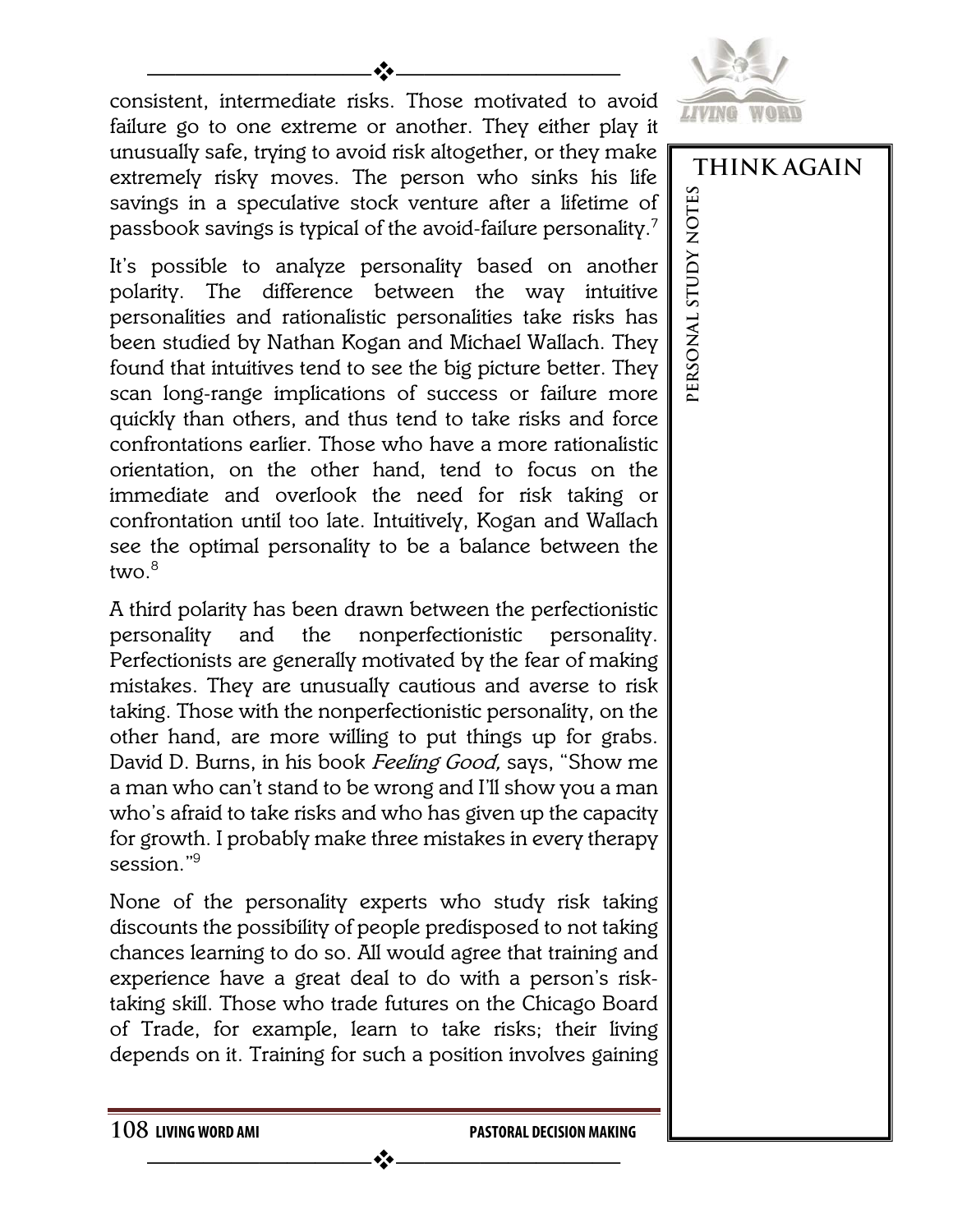

*consistent, intermediate risks. Those motivated to avoid*  failure go to one extreme or another. They either play it *unusually safe, trying to avoid risk altogether, or they make extremely risky moves. The person who sinks his life savings in a speculative stock venture after a lifetime of passbook savings is typical of the avoid-failure personality.7*

————————————————

It's possible to analyze personality based on another *polarity. The difference between the way intuitive personalities and rationalistic personalities take risks has been studied by Nathan Kogan and Michael Wallach. They found that intuitives tend to see the big picture better. They scan long-range implications of success or failure more quickly than others, and thus tend to take risks and force confrontations earlier. Those who have a more rationalistic orientation, on the other hand, tend to focus on the immediate and overlook the need for risk taking or confrontation until too late. Intuitively, Kogan and Wallach see the optimal personality to be a balance between the two.8*

*A third polarity has been drawn between the perfectionistic personality and the nonperfectionistic personality. Perfectionists are generally motivated by the fear of making mistakes. They are unusually cautious and averse to risk taking. Those with the nonperfectionistic personality, on the other hand, are more willing to put things up for grabs. David D. Burns, in his book Feeling Good, says, "Show me a man who can't stand to be wrong and I'll show you a man who's afraid to take risks and who has given up the capacity for growth. I probably make three mistakes in every therapy session."9*

*None of the personality experts who study risk taking discounts the possibility of people predisposed to not taking chances learning to do so. All would agree that training and experience have a great deal to do with a person's risktaking skill. Those who trade futures on the Chicago Board of Trade, for example, learn to take risks; their living depends on it. Training for such a position involves gaining* 

————————————————

**THINK AGAIN PERSONAL STUDY NOTES**  PERSONAL STUDY NOTES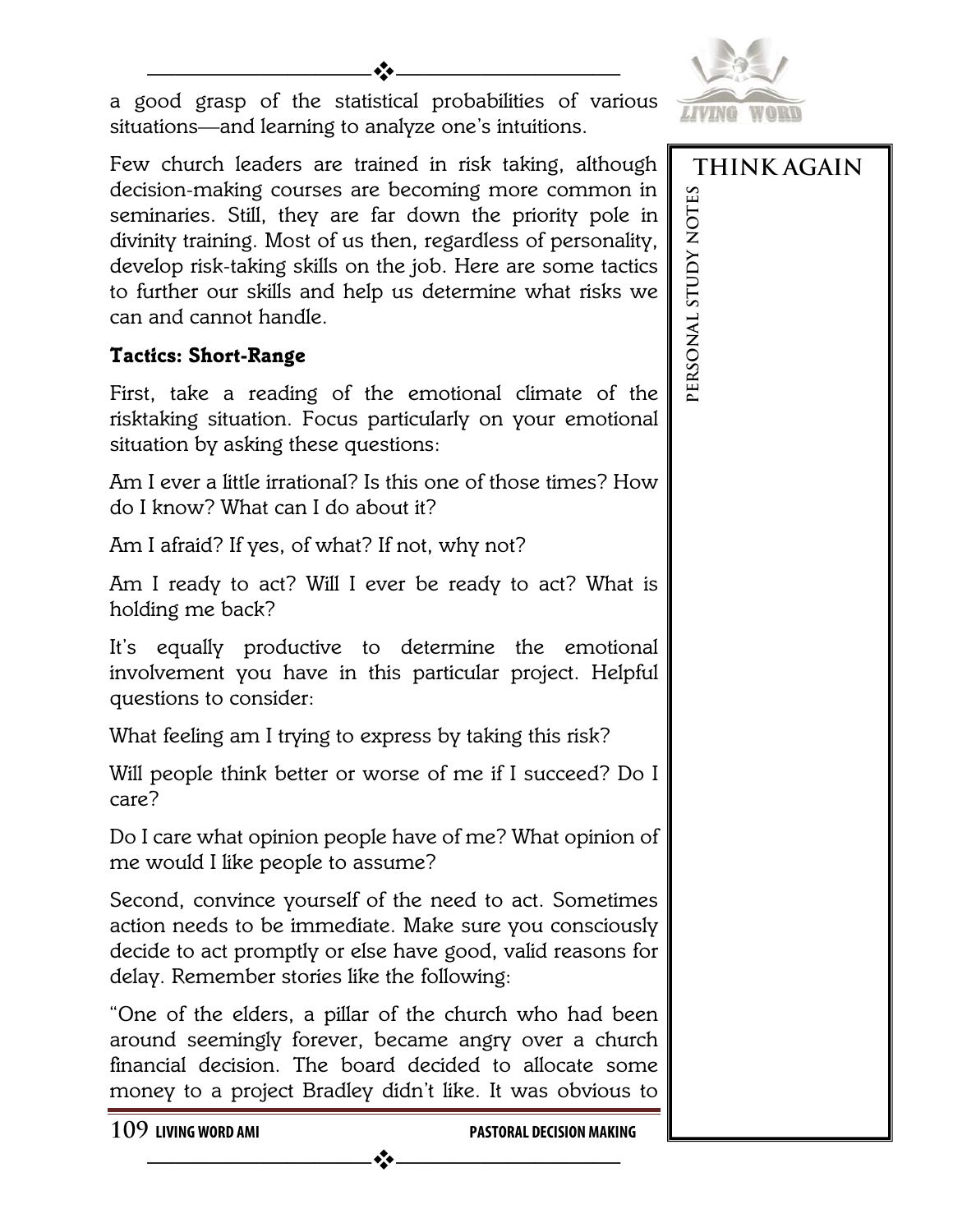

 **PERSONAL STUDY NOTES** 

**ERSONAL STUDY NOTES** 

*a good grasp of the statistical probabilities of various situations—and learning to analyze one's intuitions.* 

————————————————

*Few church leaders are trained in risk taking, although decision-making courses are becoming more common in seminaries. Still, they are far down the priority pole in divinity training. Most of us then, regardless of personality, develop risk-taking skills on the job. Here are some tactics to further our skills and help us determine what risks we can and cannot handle.* 

# *Tactics: Short-Range*

First, take a reading of the emotional climate of the *risktaking situation. Focus particularly on your emotional situation by asking these questions:* 

*Am I ever a little irrational? Is this one of those times? How do I know? What can I do about it?* 

*Am I afraid? If yes, of what? If not, why not?* 

*Am I ready to act? Will I ever be ready to act? What is holding me back?* 

*It's equally productive to determine the emotional involvement you have in this particular project. Helpful questions to consider:* 

*What feeling am I trying to express by taking this risk?* 

Will people think better or worse of me if I succeed? Do I *care?* 

*Do I care what opinion people have of me? What opinion of me would I like people to assume?* 

*Second, convince yourself of the need to act. Sometimes action needs to be immediate. Make sure you consciously decide to act promptly or else have good, valid reasons for delay. Remember stories like the following:* 

*"One of the elders, a pillar of the church who had been around seemingly forever, became angry over a church financial decision. The board decided to allocate some money to a project Bradley didn't like. It was obvious to* 

————————————————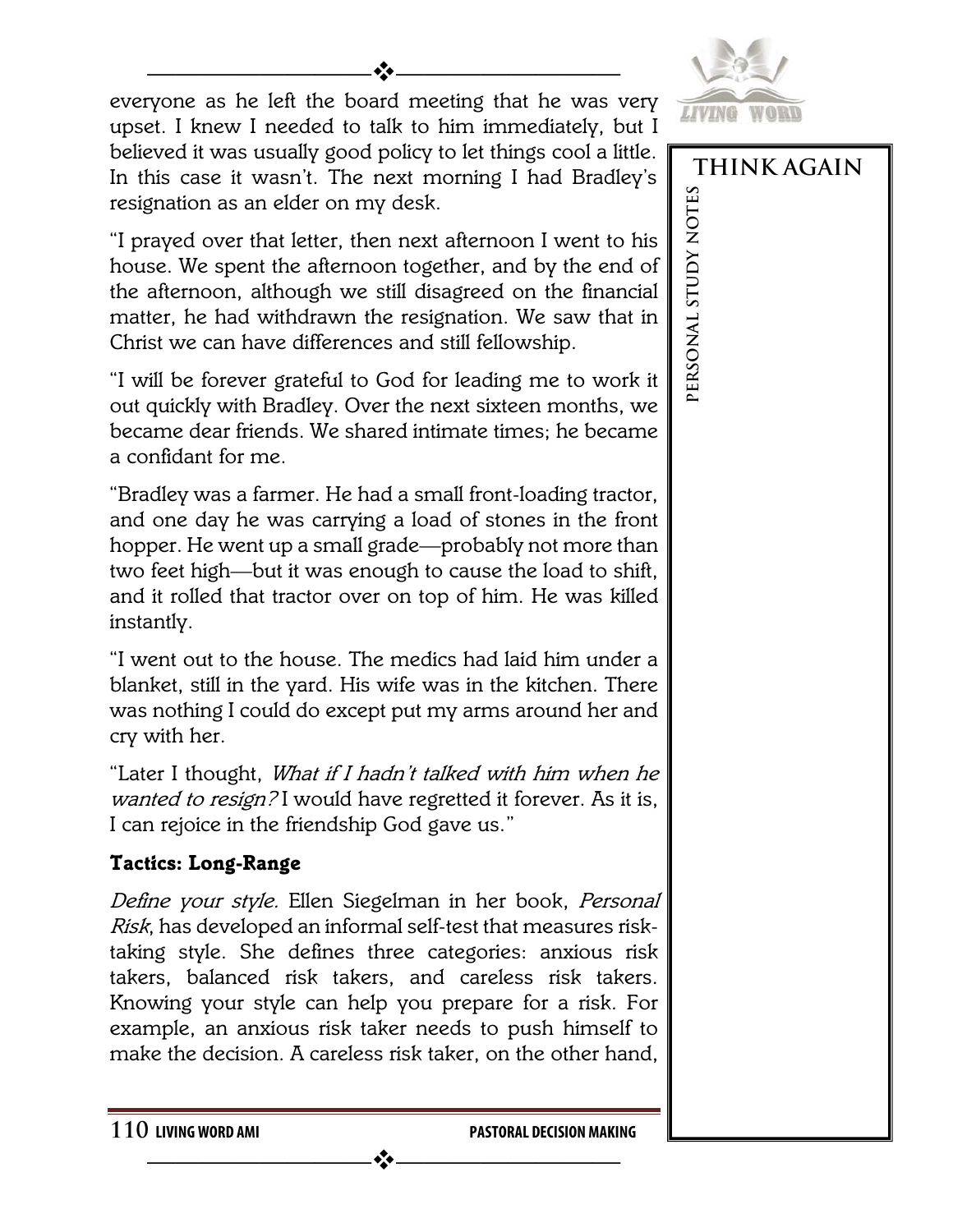*everyone as he left the board meeting that he was very upset. I knew I needed to talk to him immediately, but I believed it was usually good policy to let things cool a little. In this case it wasn't. The next morning I had Bradley's resignation as an elder on my desk.* 

————————————————

*"I prayed over that letter, then next afternoon I went to his*  house. We spent the afternoon together, and by the end of *the afternoon, although we still disagreed on the financial matter, he had withdrawn the resignation. We saw that in Christ we can have differences and still fellowship.* 

*"I will be forever grateful to God for leading me to work it out quickly with Bradley. Over the next sixteen months, we became dear friends. We shared intimate times; he became a confidant for me.* 

*"Bradley was a farmer. He had a small front-loading tractor, and one day he was carrying a load of stones in the front hopper. He went up a small grade—probably not more than two feet high—but it was enough to cause the load to shift, and it rolled that tractor over on top of him. He was killed instantly.* 

*"I went out to the house. The medics had laid him under a blanket, still in the yard. His wife was in the kitchen. There was nothing I could do except put my arms around her and cry with her.* 

*"Later I thought, What if I hadn't talked with him when he wanted to resign? I would have regretted it forever. As it is, I can rejoice in the friendship God gave us."* 

# *Tactics: Long-Range*

*Define your style. Ellen Siegelman in her book, Personal Risk, has developed an informal self-test that measures risktaking style. She defines three categories: anxious risk takers, balanced risk takers, and careless risk takers. Knowing your style can help you prepare for a risk. For example, an anxious risk taker needs to push himself to make the decision. A careless risk taker, on the other hand,* 

————————————————



**THINK AGAIN PERSONAL STUDY NOTES**  PERSONAL STUDY NOTES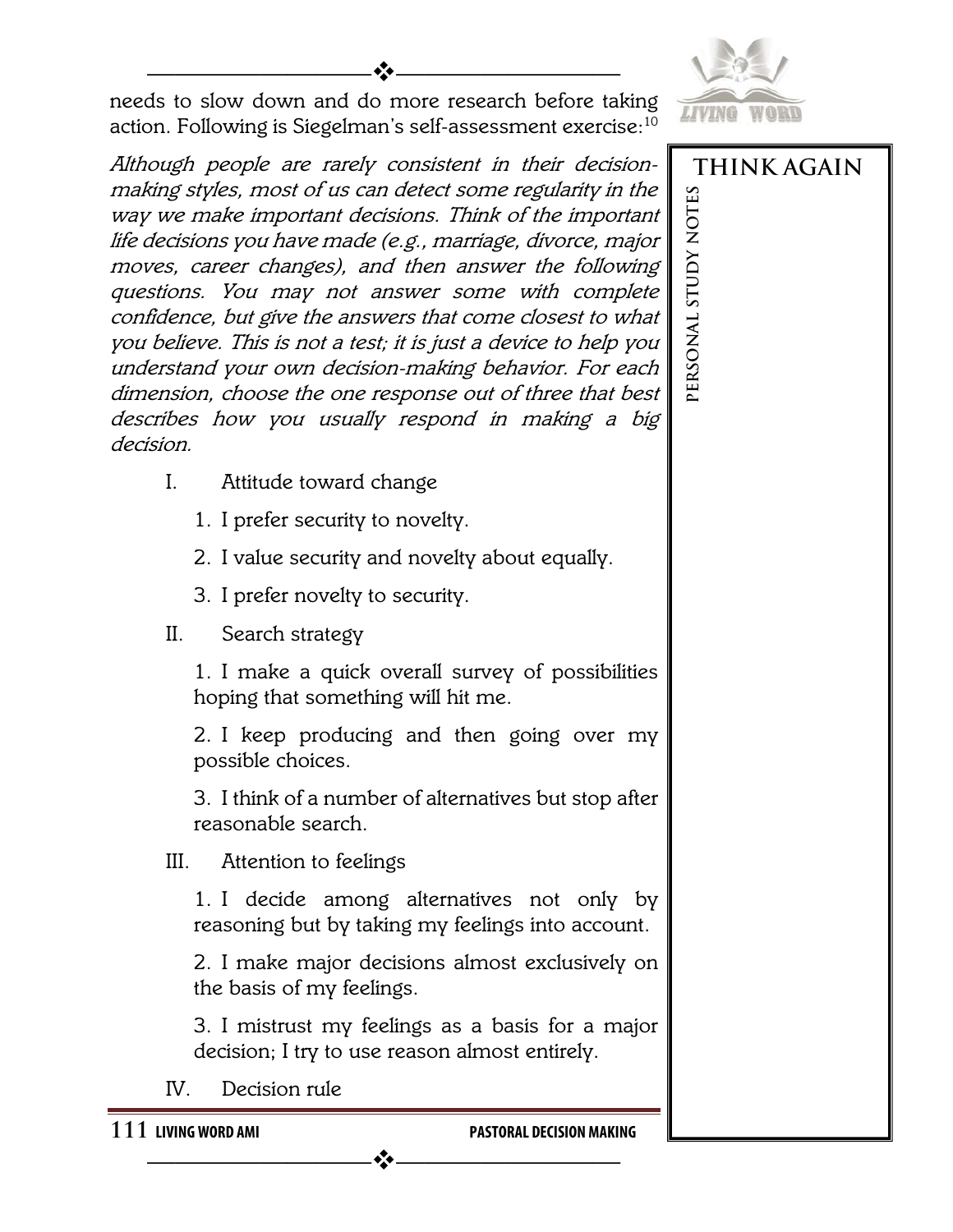

 **PERSONAL STUDY NOTES** 

PERSONAL STUDY NOTES

*needs to slow down and do more research before taking action. Following is Siegelman's self-assessment exercise:10*

————————————————

*Although people are rarely consistent in their decisionmaking styles, most of us can detect some regularity in the way we make important decisions. Think of the important life decisions you have made (e.g., marriage, divorce, major moves, career changes), and then answer the following questions. You may not answer some with complete confidence, but give the answers that come closest to what you believe. This is not a test; it is just a device to help you understand your own decision-making behavior. For each dimension, choose the one response out of three that best describes how you usually respond in making a big decision.*

- *I. Attitude toward change* 
	- *1. I prefer security to novelty.*
	- *2. I value security and novelty about equally.*
	- *3. I prefer novelty to security.*
- *II. Search strategy*

*1. I make a quick overall survey of possibilities hoping that something will hit me.* 

*2. I keep producing and then going over my possible choices.* 

*3. I think of a number of alternatives but stop after reasonable search.* 

*III. Attention to feelings* 

*1. I decide among alternatives not only by reasoning but by taking my feelings into account.* 

*2. I make major decisions almost exclusively on the basis of my feelings.* 

*3. I mistrust my feelings as a basis for a major decision; I try to use reason almost entirely.* 

————————————————

*IV. Decision rule*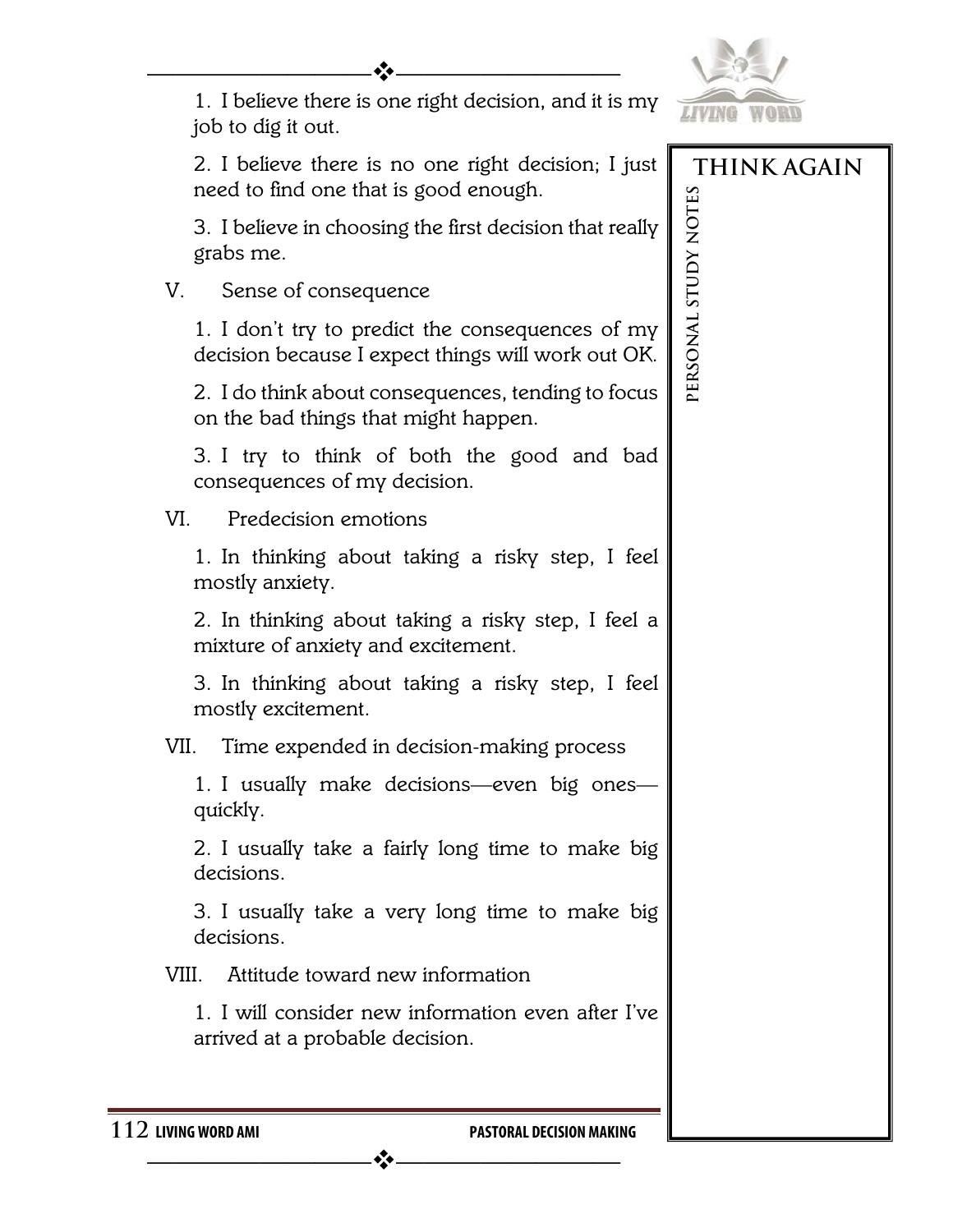

 **PERSONAL STUDY NOTES** 

PERSONAL STUDY NOTES

*1. I believe there is one right decision, and it is my job to dig it out.* 

————————————————

*2. I believe there is no one right decision; I just need to find one that is good enough.* 

*3. I believe in choosing the first decision that really grabs me.* 

*V. Sense of consequence* 

*1. I don't try to predict the consequences of my decision because I expect things will work out OK.* 

*2. I do think about consequences, tending to focus on the bad things that might happen.* 

*3. I try to think of both the good and bad consequences of my decision.* 

*VI. Predecision emotions* 

*1. In thinking about taking a risky step, I feel mostly anxiety.* 

*2. In thinking about taking a risky step, I feel a mixture of anxiety and excitement.* 

*3. In thinking about taking a risky step, I feel mostly excitement.* 

*VII. Time expended in decision-making process* 

*1. I usually make decisions—even big ones quickly.* 

*2. I usually take a fairly long time to make big decisions.* 

*3. I usually take a very long time to make big decisions.* 

*VIII. Attitude toward new information* 

*1. I will consider new information even after I've arrived at a probable decision.* 

————————————————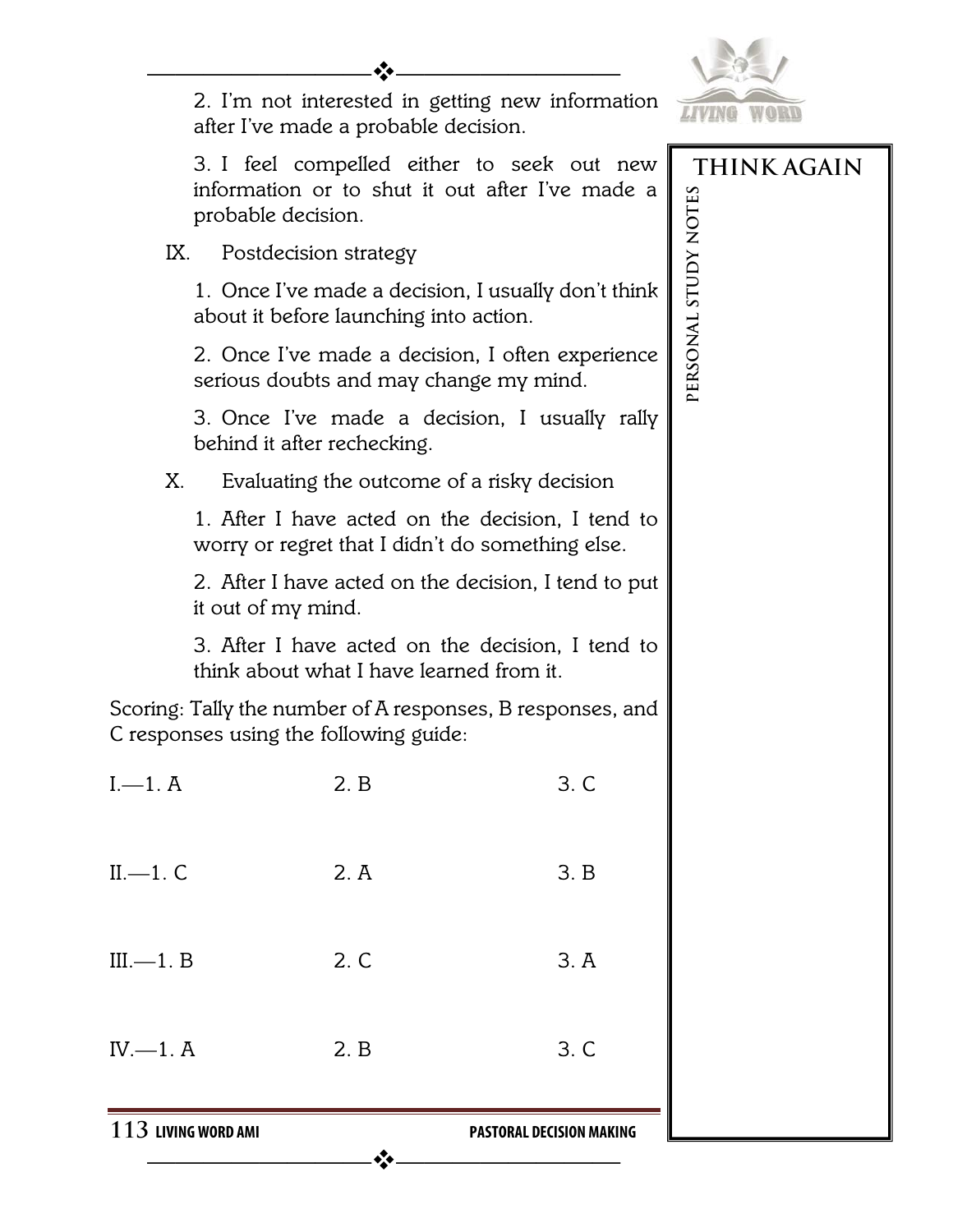

 **PERSONAL STUDY NOTES** 

PERSONAL STUDY NOTES

*2. I'm not interested in getting new information after I've made a probable decision.* 

————————————————

*3. I feel compelled either to seek out new information or to shut it out after I've made a probable decision.* 

### *IX. Postdecision strategy*

*1. Once I've made a decision, I usually don't think about it before launching into action.* 

*2. Once I've made a decision, I often experience serious doubts and may change my mind.* 

*3. Once I've made a decision, I usually rally behind it after rechecking.* 

*X. Evaluating the outcome of a risky decision* 

*1. After I have acted on the decision, I tend to worry or regret that I didn't do something else.* 

*2. After I have acted on the decision, I tend to put it out of my mind.* 

*3. After I have acted on the decision, I tend to think about what I have learned from it.* 

*Scoring: Tally the number of A responses, B responses, and C responses using the following guide:* 

| $I. -1. A$   | 2. B | 3. C |
|--------------|------|------|
| $II$ —1. $C$ | 2. A | 3. B |
| $III. -1. B$ | 2. C | 3. A |
| $IV. -1. A$  | 2.B  | 3. C |

————————————————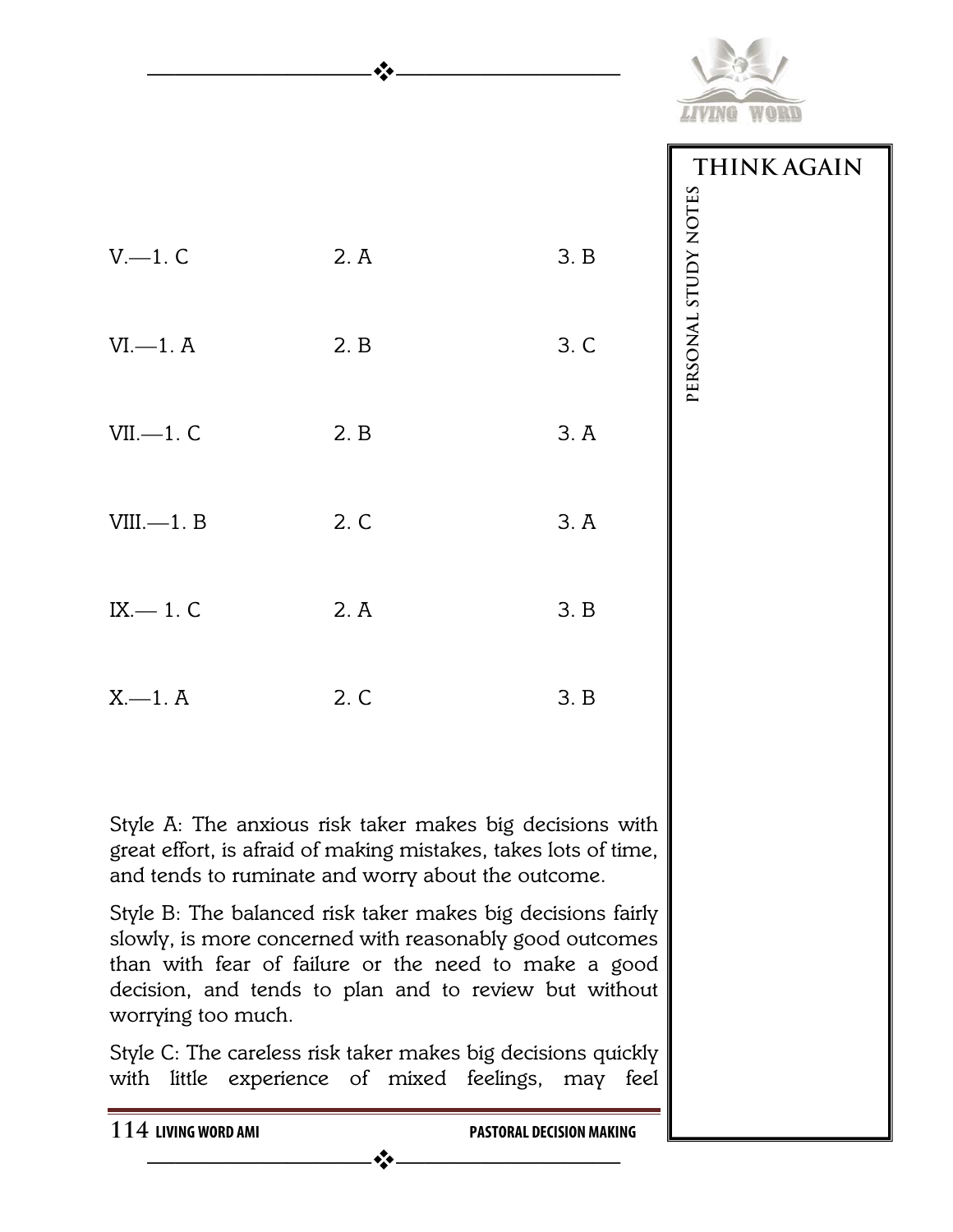

|                                                                                                                                       |      | <b>THINK AGAIN</b>   |
|---------------------------------------------------------------------------------------------------------------------------------------|------|----------------------|
|                                                                                                                                       |      |                      |
| 2. A                                                                                                                                  | 3. B |                      |
| 2. B                                                                                                                                  | 3. C | PERSONAL STUDY NOTES |
| 2. B                                                                                                                                  | 3. A |                      |
| 2. C                                                                                                                                  | 3. A |                      |
| 2. A                                                                                                                                  | 3. B |                      |
| 2. C                                                                                                                                  | 3. B |                      |
|                                                                                                                                       |      |                      |
| anxious risk taker makes big decisions with<br>afraid of making mistakes, takes lots of time,<br>uminate and worry about the outcome. |      |                      |
| alanced risk taker makes big decisions fairly<br>e concerned with reasonably good outcomes<br>u al failure aduna annuncia da u        |      |                      |

*Style A: The anxious risk taker makes big decisions with great effort, is afraid of making mistakes, takes lots of time, and tends to ruminate and worry about the outcome.* 

————————————————

*Style B: The balanced risk taker makes big decisions fairly slowly, is more concerned with reasonably good outcomes than with fear of failure or the need to make a good decision, and tends to plan and to review but without worrying too much.* 

*Style C: The careless risk taker makes big decisions quickly with little experience of mixed feelings, may feel* 

————————————————

*V.—1. C 2. A 3. B* 

*VI.*—1. A

*VII.—1. C 2. B 3. A* 

*VIII.*—1. B

*IX.*— 1. C

*X.—1. A 2. C 3. B*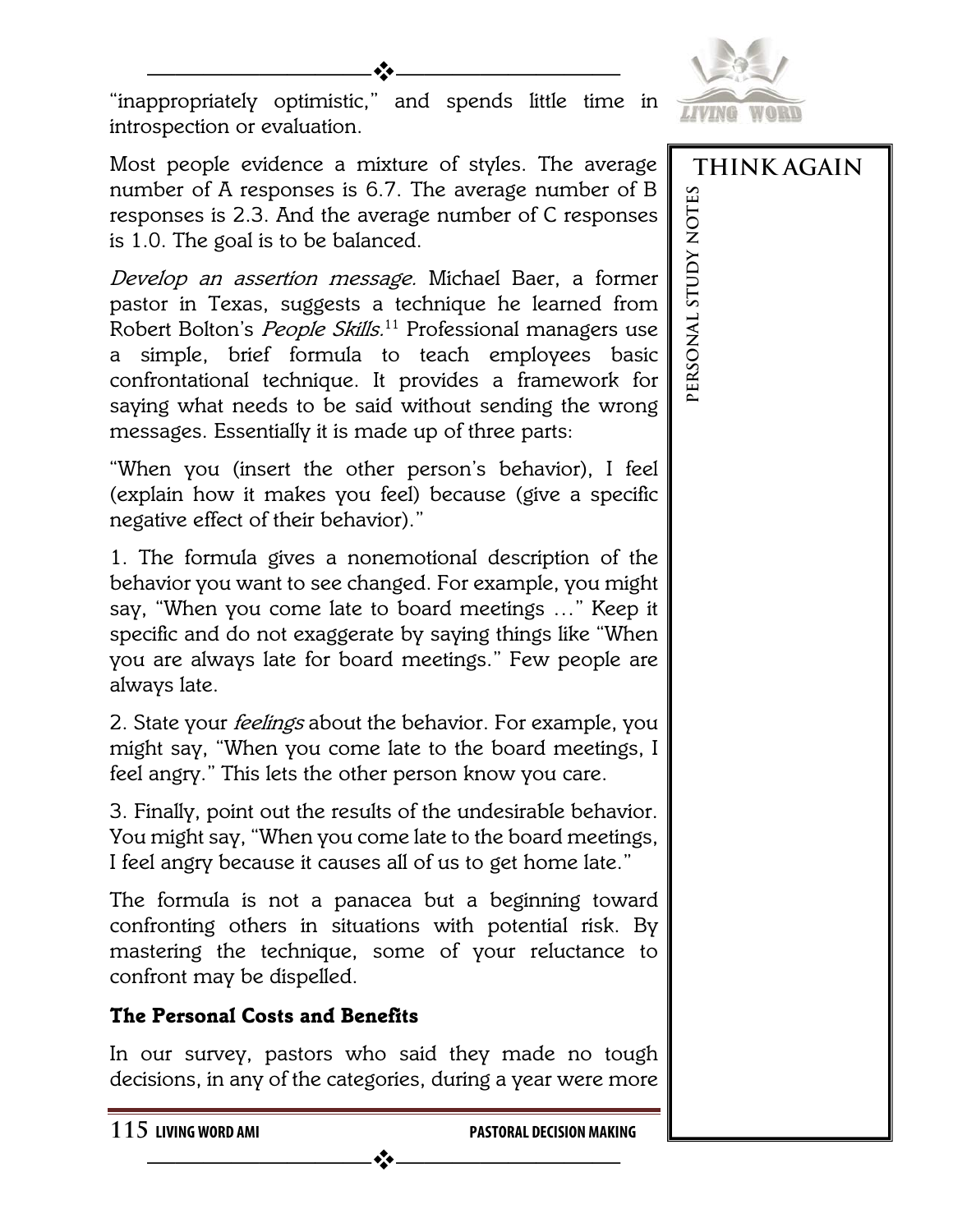

*"inappropriately optimistic," and spends little time in introspection or evaluation.* 

————————————————

*Most people evidence a mixture of styles. The average number of A responses is 6.7. The average number of B responses is 2.3. And the average number of C responses is 1.0. The goal is to be balanced.* 

*Develop an assertion message. Michael Baer, a former pastor in Texas, suggests a technique he learned from Robert Bolton's People Skills.11 Professional managers use a simple, brief formula to teach employees basic confrontational technique. It provides a framework for saying what needs to be said without sending the wrong messages. Essentially it is made up of three parts:* 

*"When you (insert the other person's behavior), I feel (explain how it makes you feel) because (give a specific negative effect of their behavior)."* 

*1. The formula gives a nonemotional description of the behavior you want to see changed. For example, you might say, "When you come late to board meetings …" Keep it specific and do not exaggerate by saying things like "When you are always late for board meetings." Few people are always late.* 

*2. State your feelings about the behavior. For example, you might say, "When you come late to the board meetings, I feel angry." This lets the other person know you care.* 

*3. Finally, point out the results of the undesirable behavior. You might say, "When you come late to the board meetings, I feel angry because it causes all of us to get home late."* 

*The formula is not a panacea but a beginning toward confronting others in situations with potential risk. By mastering the technique, some of your reluctance to confront may be dispelled.* 

# *The Personal Costs and Benefits*

*In our survey, pastors who said they made no tough decisions, in any of the categories, during a year were more* 

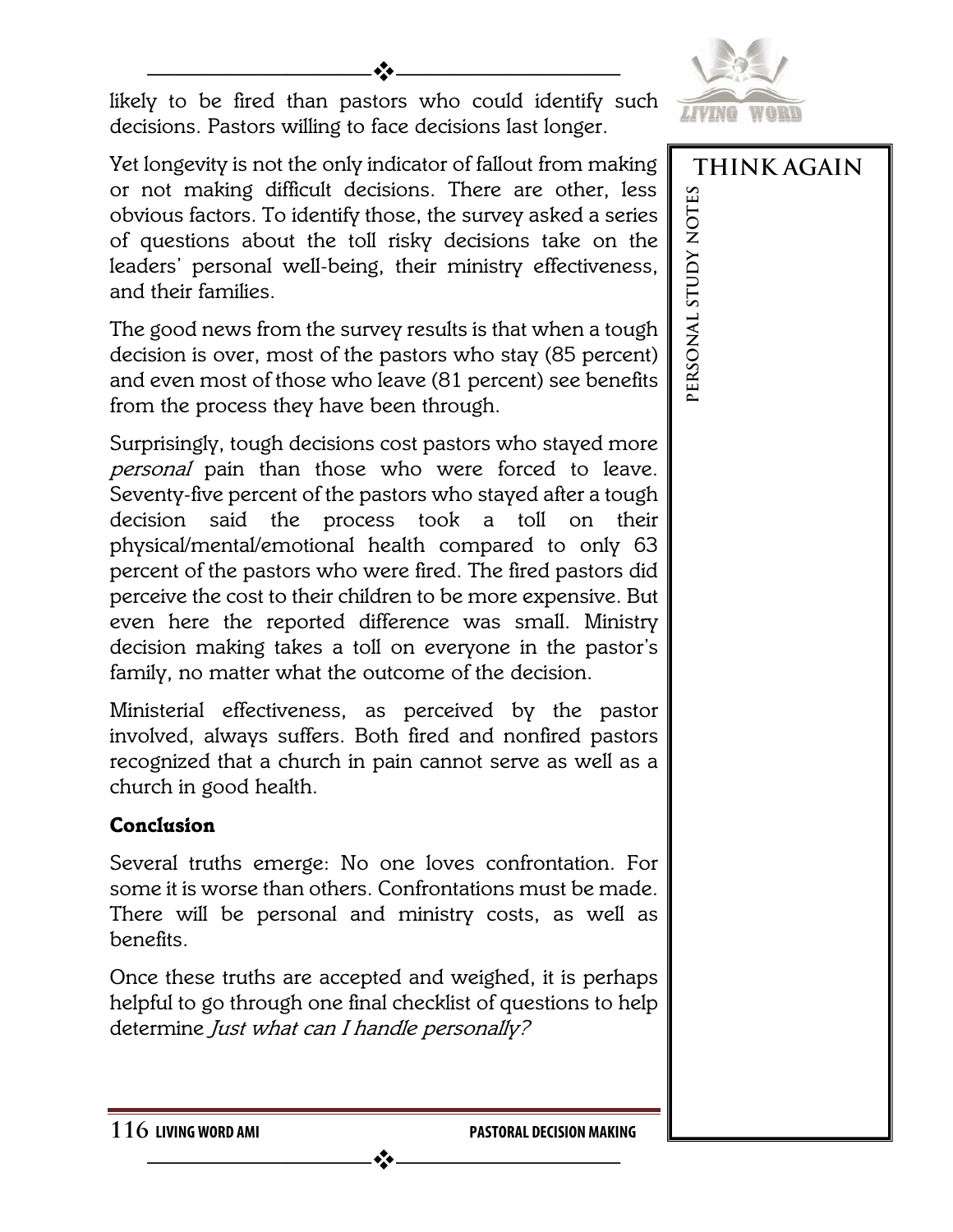

*likely to be fired than pastors who could identify such decisions. Pastors willing to face decisions last longer.* 

————————————————

*Yet longevity is not the only indicator of fallout from making or not making difficult decisions. There are other, less obvious factors. To identify those, the survey asked a series of questions about the toll risky decisions take on the leaders' personal well-being, their ministry effectiveness,* 

*The good news from the survey results is that when a tough decision is over, most of the pastors who stay (85 percent) and even most of those who leave (81 percent) see benefits from the process they have been through.* 

*Surprisingly, tough decisions cost pastors who stayed more personal pain than those who were forced to leave. Seventy-five percent of the pastors who stayed after a tough decision said the process took a toll on their physical/mental/emotional health compared to only 63 percent of the pastors who were fired. The fired pastors did perceive the cost to their children to be more expensive. But even here the reported difference was small. Ministry decision making takes a toll on everyone in the pastor's family, no matter what the outcome of the decision.* 

*Ministerial effectiveness, as perceived by the pastor involved, always suffers. Both fired and nonfired pastors recognized that a church in pain cannot serve as well as a church in good health.* 

#### *Conclusion*

*and their families.* 

*Several truths emerge: No one loves confrontation. For some it is worse than others. Confrontations must be made. There will be personal and ministry costs, as well as benefits.* 

*Once these truths are accepted and weighed, it is perhaps helpful to go through one final checklist of questions to help determine Just what can I handle personally?*

————————————————

**THINK AGAIN** 

 **PERSONAL STUDY NOTES**  PERSONAL STUDY NOTES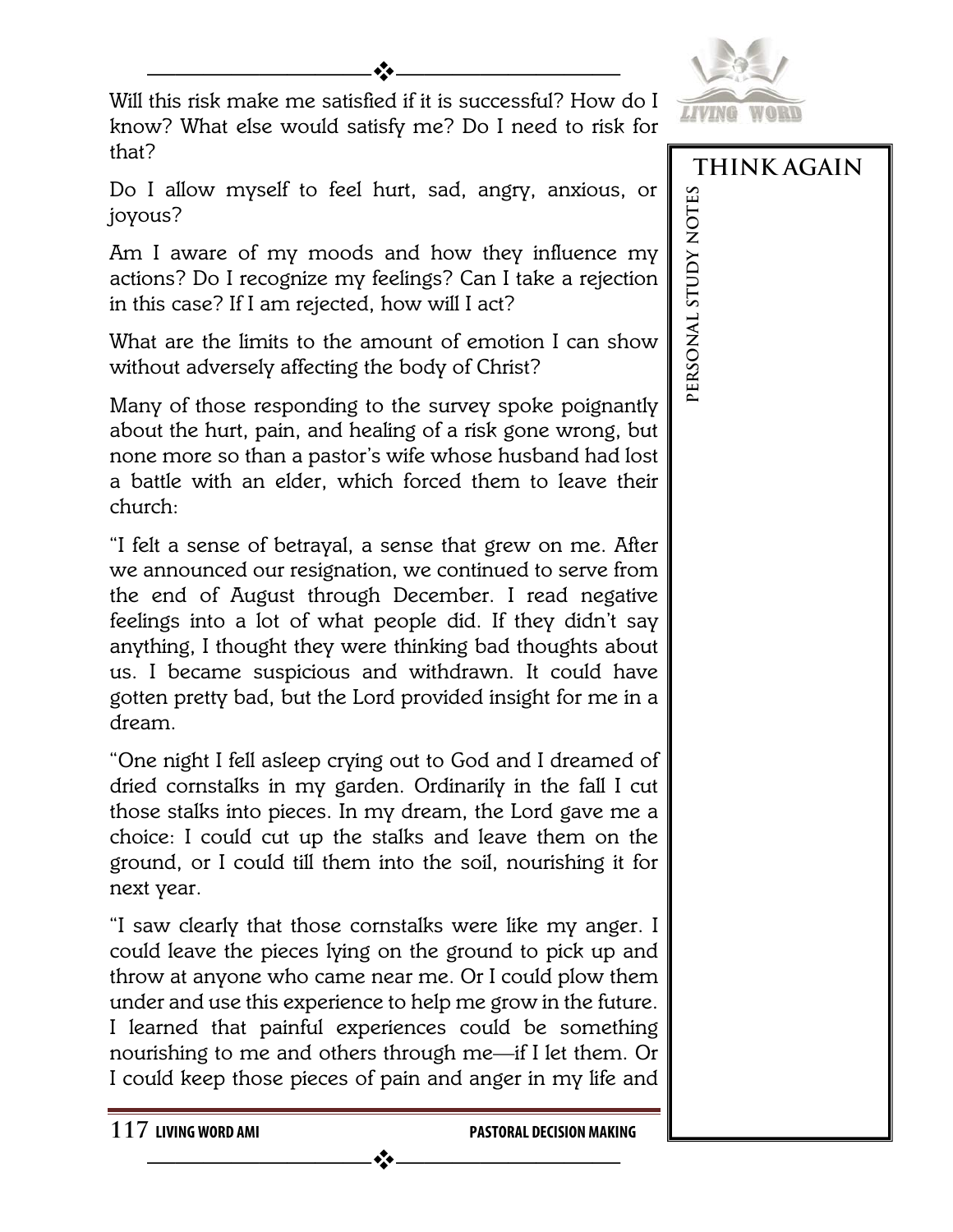

*Will this risk make me satisfied if it is successful? How do I know? What else would satisfy me? Do I need to risk for that?* 

————————————————

*Do I allow myself to feel hurt, sad, angry, anxious, or joyous?* 

*Am I aware of my moods and how they influence my actions? Do I recognize my feelings? Can I take a rejection in this case? If I am rejected, how will I act?* 

*What are the limits to the amount of emotion I can show without adversely affecting the body of Christ?* 

*Many of those responding to the survey spoke poignantly about the hurt, pain, and healing of a risk gone wrong, but none more so than a pastor's wife whose husband had lost a battle with an elder, which forced them to leave their church:* 

*"I felt a sense of betrayal, a sense that grew on me. After we announced our resignation, we continued to serve from the end of August through December. I read negative feelings into a lot of what people did. If they didn't say anything, I thought they were thinking bad thoughts about us. I became suspicious and withdrawn. It could have gotten pretty bad, but the Lord provided insight for me in a dream.* 

*"One night I fell asleep crying out to God and I dreamed of dried cornstalks in my garden. Ordinarily in the fall I cut those stalks into pieces. In my dream, the Lord gave me a choice: I could cut up the stalks and leave them on the ground, or I could till them into the soil, nourishing it for next year.* 

*"I saw clearly that those cornstalks were like my anger. I could leave the pieces lying on the ground to pick up and throw at anyone who came near me. Or I could plow them under and use this experience to help me grow in the future. I learned that painful experiences could be something nourishing to me and others through me—if I let them. Or I could keep those pieces of pain and anger in my life and* 

————————————————

**THINK AGAIN PERSONAL STUDY NOTES**  PERSONAL STUDY NOTES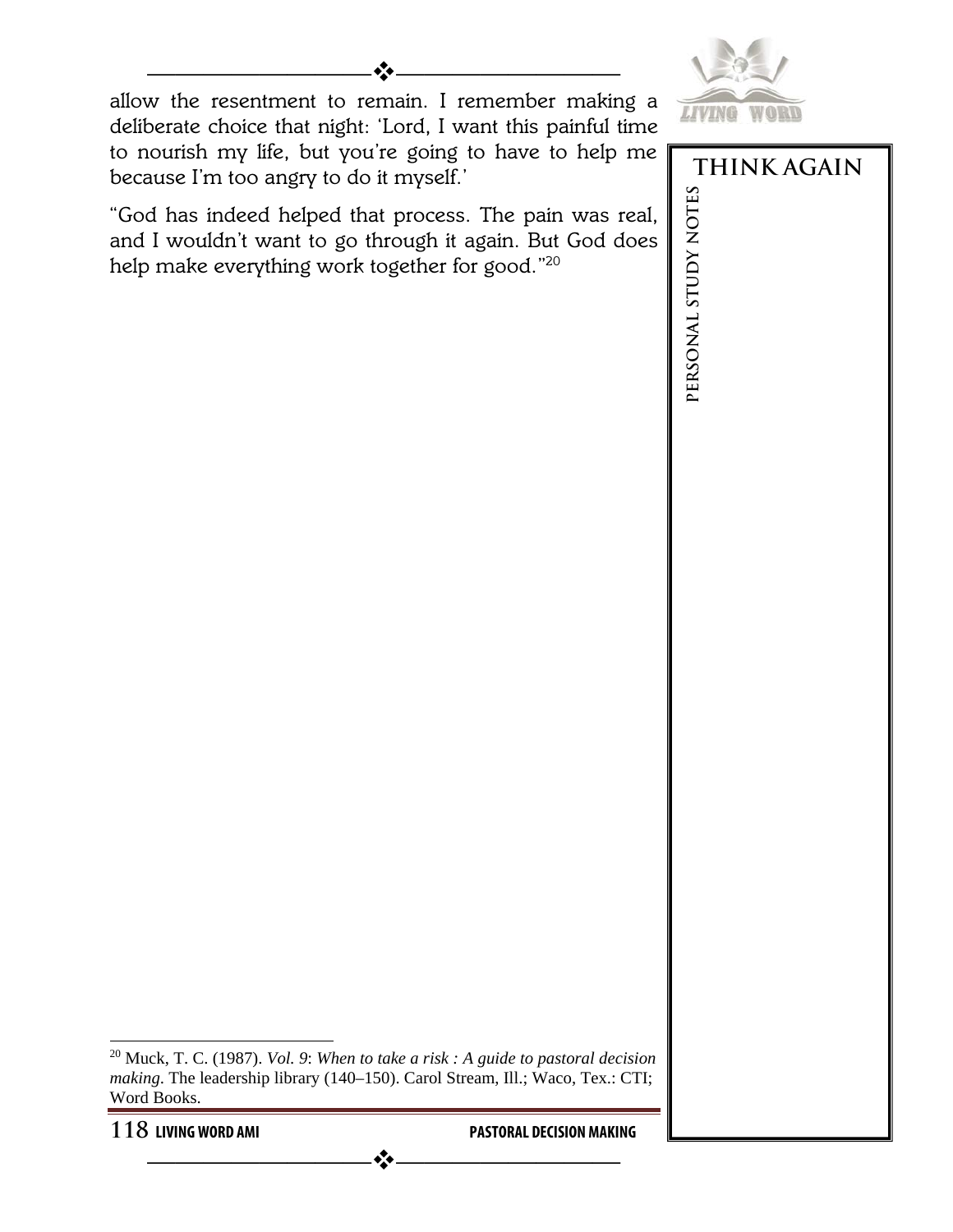

*allow the resentment to remain. I remember making a deliberate choice that night: 'Lord, I want this painful time to nourish my life, but you're going to have to help me because I'm too angry to do it myself.'* 

————————————————

*"God has indeed helped that process. The pain was real, and I wouldn't want to go through it again. But God does help make everything work together for good."20*



————————————————

**118 LIVING WORD AMI PASTORAL DECISION MAKING** 

l

<sup>20</sup> Muck, T. C. (1987). *Vol. 9*: *When to take a risk : A guide to pastoral decision making*. The leadership library (140–150). Carol Stream, Ill.; Waco, Tex.: CTI; Word Books.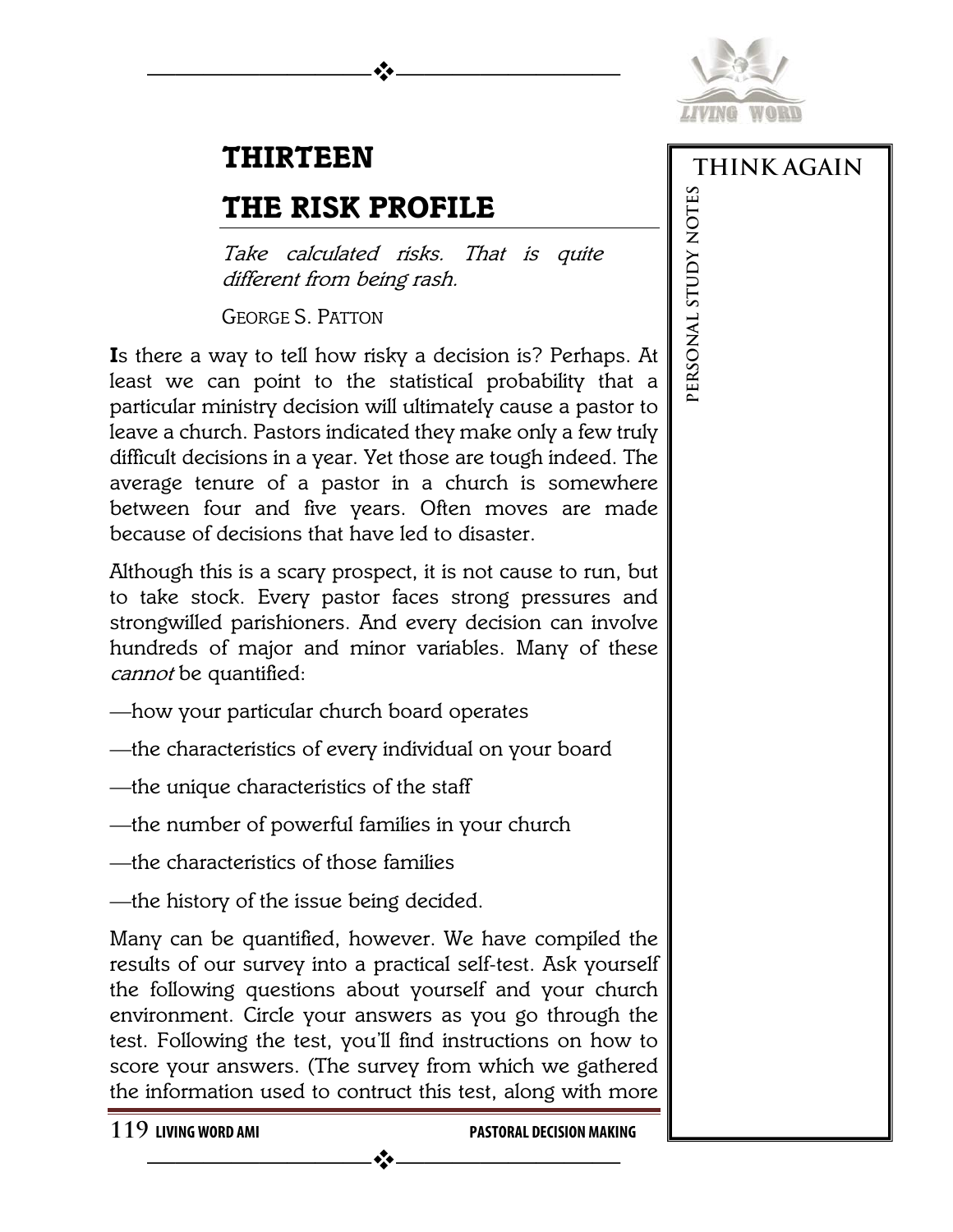

 **PERSONAL STUDY NOTES** 

PERSONAL STUDY NOTES

# **THIRTEEN THINK AGAIN**

# *THE RISK PROFILE*

————————————————

*Take calculated risks. That is quite different from being rash.*

*GEORGE S. PATTON*

*Is there a way to tell how risky a decision is? Perhaps. At*  least we can point to the statistical probability that a *particular ministry decision will ultimately cause a pastor to leave a church. Pastors indicated they make only a few truly difficult decisions in a year. Yet those are tough indeed. The average tenure of a pastor in a church is somewhere between four and five years. Often moves are made because of decisions that have led to disaster.* 

*Although this is a scary prospect, it is not cause to run, but to take stock. Every pastor faces strong pressures and strongwilled parishioners. And every decision can involve hundreds of major and minor variables. Many of these cannot be quantified:* 

- *—how your particular church board operates*
- *—the characteristics of every individual on your board*
- *—the unique characteristics of the staff*
- *—the number of powerful families in your church*
- *—the characteristics of those families*
- *—the history of the issue being decided.*

*Many can be quantified, however. We have compiled the results of our survey into a practical self-test. Ask yourself the following questions about yourself and your church environment. Circle your answers as you go through the test. Following the test, you'll find instructions on how to score your answers. (The survey from which we gathered the information used to contruct this test, along with more* 

————————————————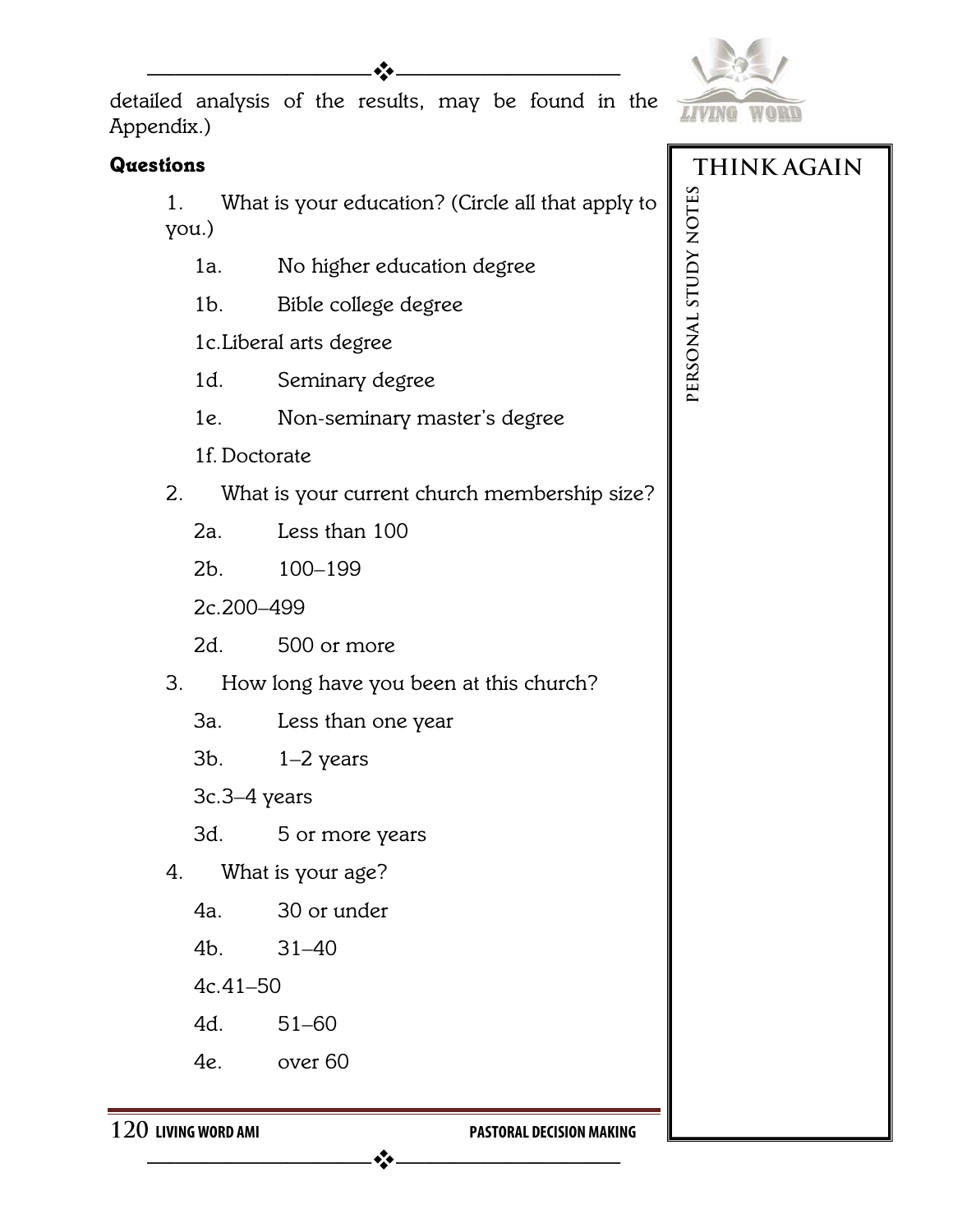

 **PERSONAL STUDY NOTES** 

PERSONAL STUDY NOTES

*detailed analysis of the results, may be found in the Appendix.)* 

————————————————

# *Questions*

*1. What is your education? (Circle all that apply to you.)* 

- *1a. No higher education degree*
- *1b. Bible college degree*
- *1c. Liberal arts degree*
- *1d. Seminary degree*
- *1e. Non-seminary master's degree*
- *1f. Doctorate*
- *2. What is your current church membership size?* 
	- *2a. Less than 100*
	- *2b. 100–199*
	- *2c. 200–499*
	- *2d. 500 or more*
- *3. How long have you been at this church?*

————————————————

- *3a. Less than one year*
- *3b. 1–2 years*
- *3c. 3–4 years*
- *3d. 5 or more years*
- *4. What is your age?* 
	- *4a. 30 or under*
	- *4b. 31–40*

*4c. 41–50* 

- *4d. 51–60*
- *4e. over 60*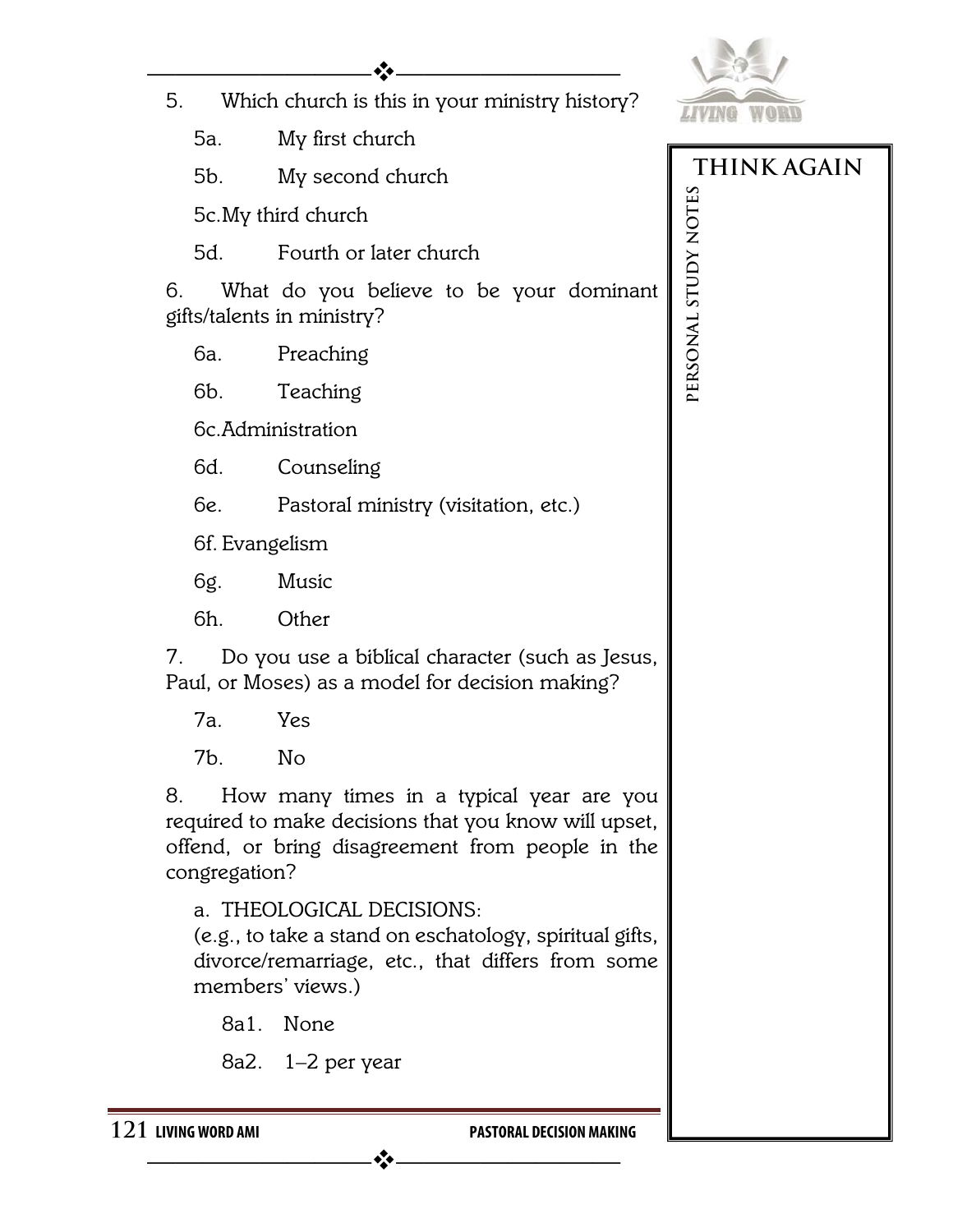

 **PERSONAL STUDY NOTES** 

PERSONAL STUDY NOTES

*5. Which church is this in your ministry history?* 

————————————————

*5a. My first church* 

*5b. My second church* 

*5c. My third church* 

*5d. Fourth or later church* 

*6. What do you believe to be your dominant gifts/talents in ministry?* 

*6a. Preaching* 

*6b. Teaching* 

*6c. Administration* 

*6d. Counseling* 

*6e. Pastoral ministry (visitation, etc.)* 

*6f. Evangelism* 

*6g. Music* 

*6h. Other* 

*7. Do you use a biblical character (such as Jesus, Paul, or Moses) as a model for decision making?* 

*7a. Yes* 

*7b. No* 

*8. How many times in a typical year are you required to make decisions that you know will upset, offend, or bring disagreement from people in the congregation?* 

*a. THEOLOGICAL DECISIONS:* 

*(e.g., to take a stand on eschatology, spiritual gifts, divorce/remarriage, etc., that differs from some members' views.)* 

————————————————

*8a1. None* 

*8a2. 1–2 per year*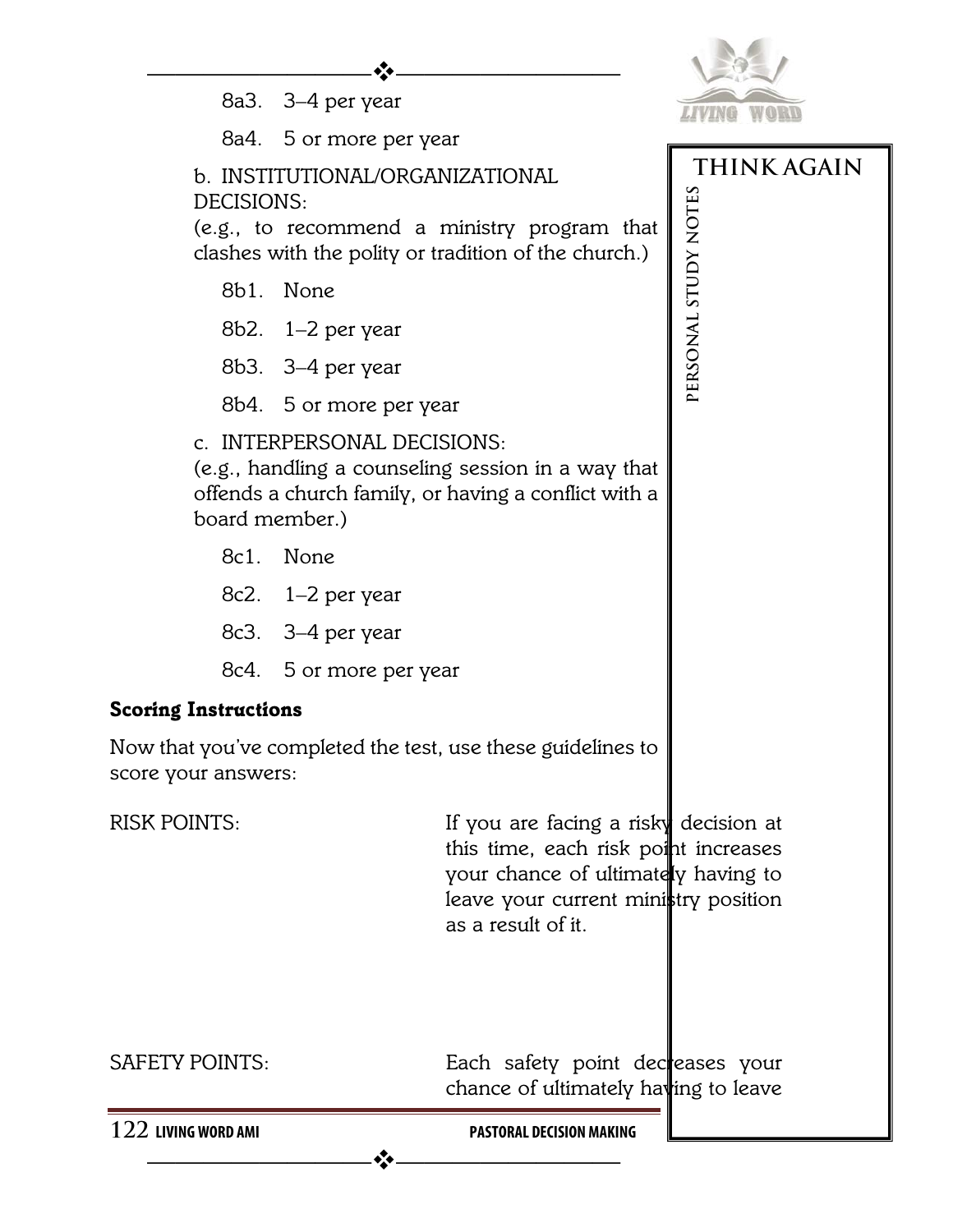

PERSONAL STUDY NOTES

**THINK AGAIN** 

*8a3. 3–4 per year* 

*8a4. 5 or more per year* 

*b. INSTITUTIONAL/ORGANIZATIONAL DECISIONS:* 

————————————————

*(e.g., to recommend a ministry program that clashes with the polity or tradition of the church.)* 

- *8b1. None*
- *8b2. 1–2 per year*
- *8b3. 3–4 per year*
- *8b4. 5 or more per year*
- *c. INTERPERSONAL DECISIONS:*

*(e.g., handling a counseling session in a way that offends a church family, or having a conflict with a board member.)* 

- *8c1. None*
- *8c2. 1–2 per year*
- *8c3. 3–4 per year*
- *8c4. 5 or more per year*

# *Scoring Instructions*

*Now that you've completed the test, use these guidelines to score your answers:* 

————————————————

**PERSONAL STUDY NOTES**  PERSONAL STUDY NOTES **1** *RISK POINTS: If you are facing a risky decision at this time, each risk point increases your chance of ultimately having to leave your current ministry position as a result of it.* 

*SAFETY POINTS: Each safety point decreases your chance of ultimately having to leave*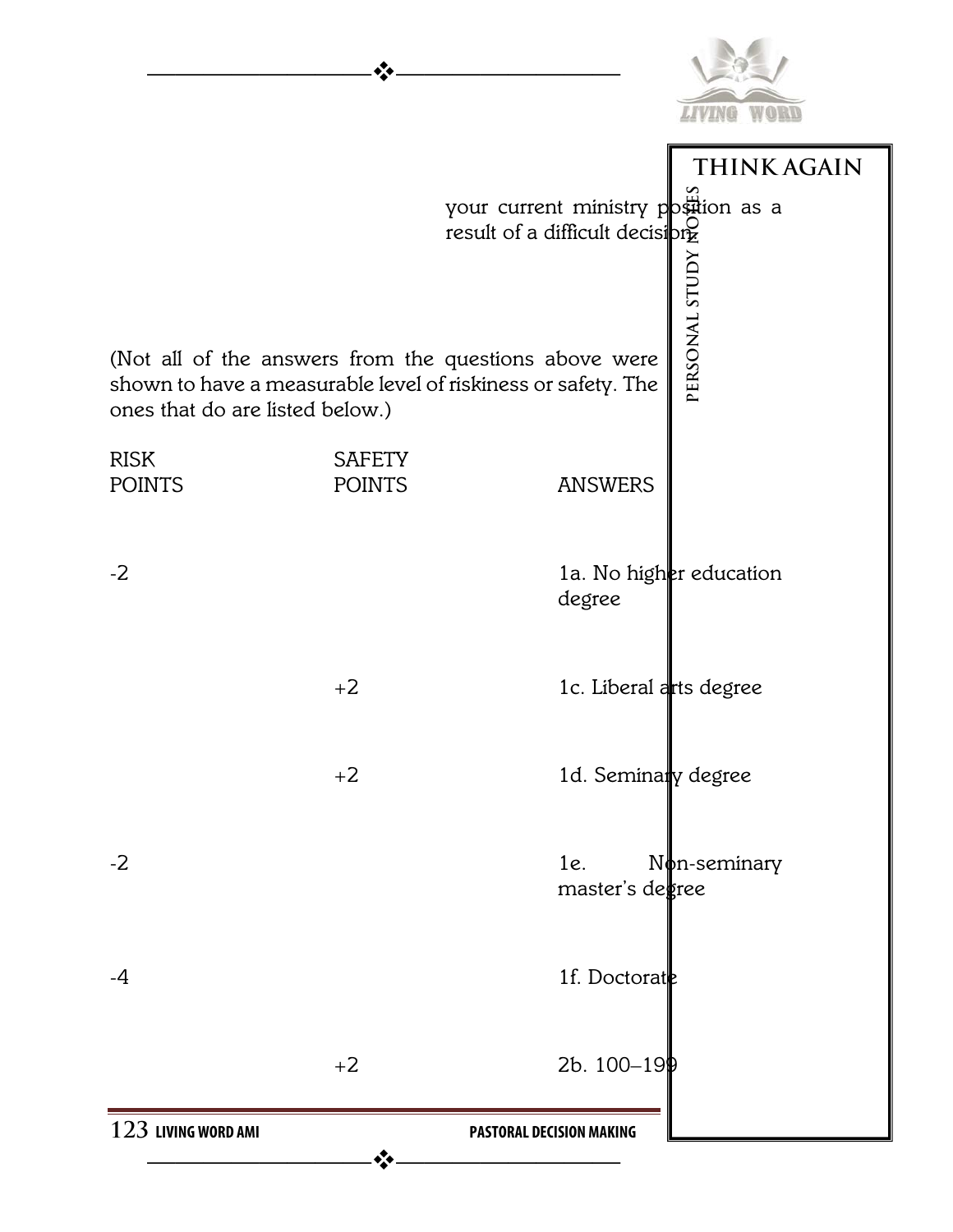|                                                                                                                                                          |                                | your current ministry postion as a<br>result of a difficult decisibly | <b>THINK AGAIN</b>      |
|----------------------------------------------------------------------------------------------------------------------------------------------------------|--------------------------------|-----------------------------------------------------------------------|-------------------------|
| (Not all of the answers from the questions above were<br>shown to have a measurable level of riskiness or safety. The<br>ones that do are listed below.) | PERSONAL STUDY                 |                                                                       |                         |
| <b>RISK</b><br><b>POINTS</b>                                                                                                                             | <b>SAFETY</b><br><b>POINTS</b> | <b>ANSWERS</b>                                                        |                         |
| $-2$                                                                                                                                                     |                                | degree                                                                | 1a. No higher education |
|                                                                                                                                                          | $+2$                           | 1c. Liberal arts degree                                               |                         |
|                                                                                                                                                          | $+2$                           | 1d. Seminary degree                                                   |                         |
| $-2$                                                                                                                                                     |                                | le.<br>master's degree                                                | Non-seminary            |
| -4                                                                                                                                                       |                                | 1f. Doctorate                                                         |                         |
|                                                                                                                                                          | $+2$                           | 2b. $100 - 19$                                                        |                         |
| 123 LIVING WORD AMI                                                                                                                                      |                                | <b>PASTORAL DECISION MAKING</b>                                       |                         |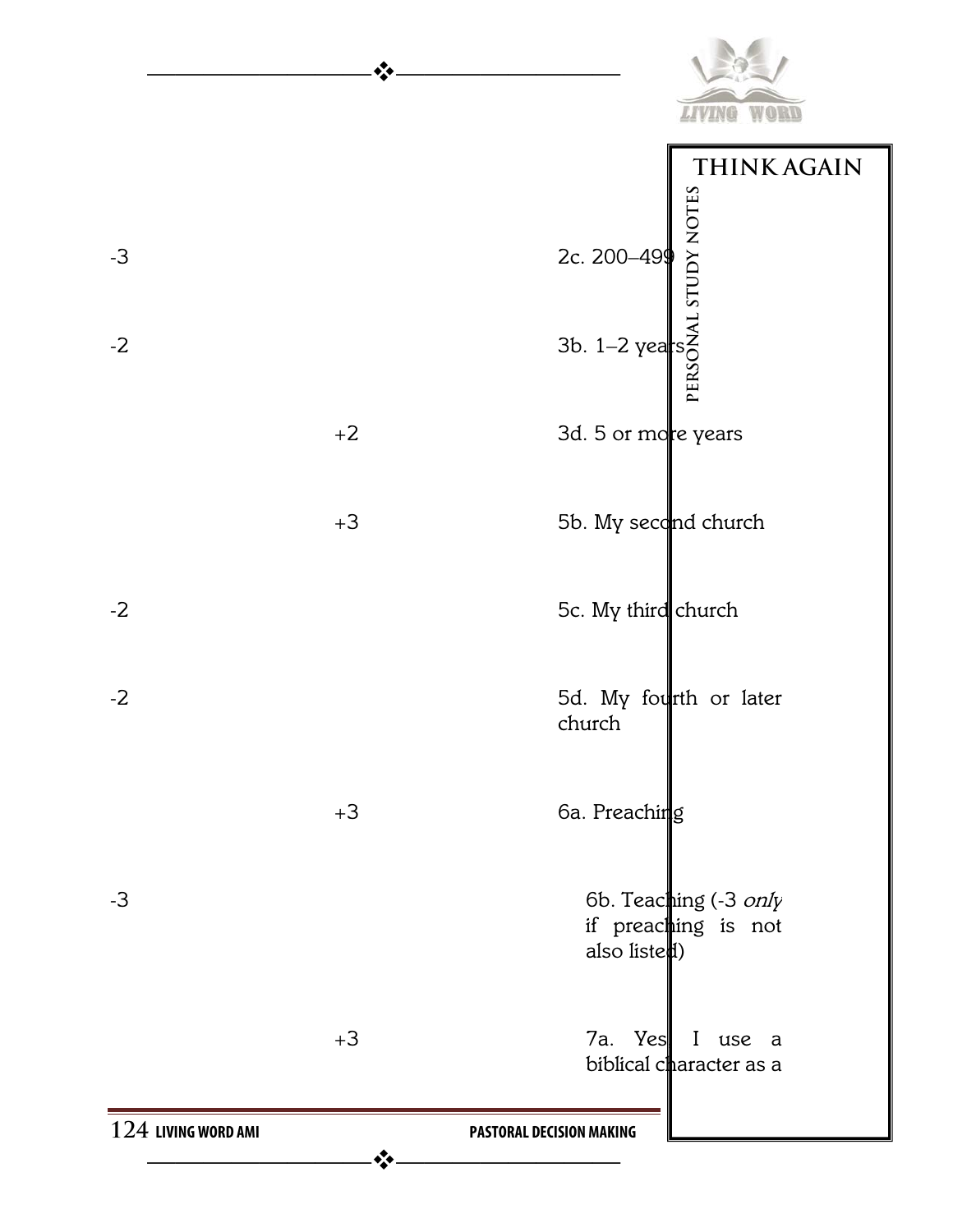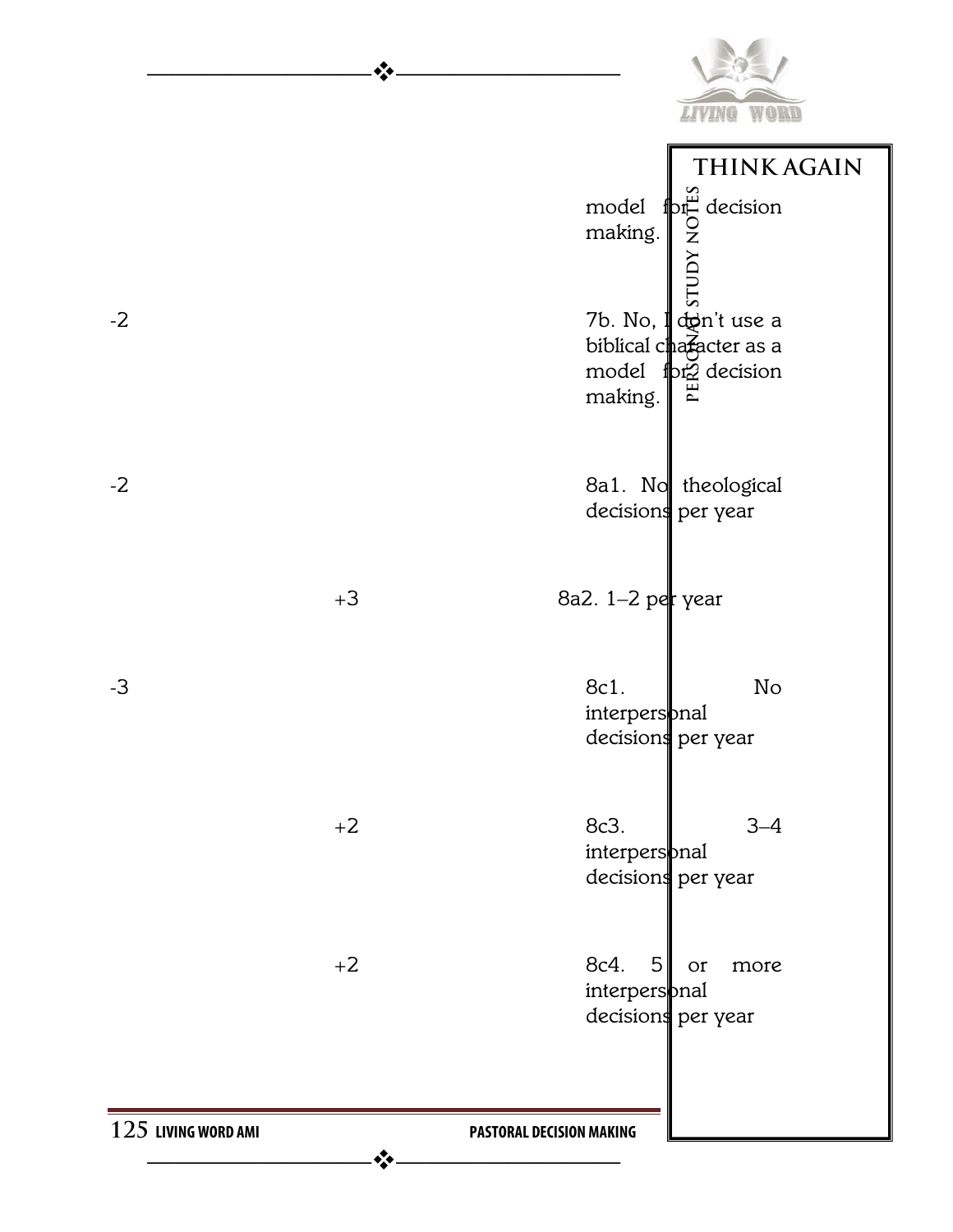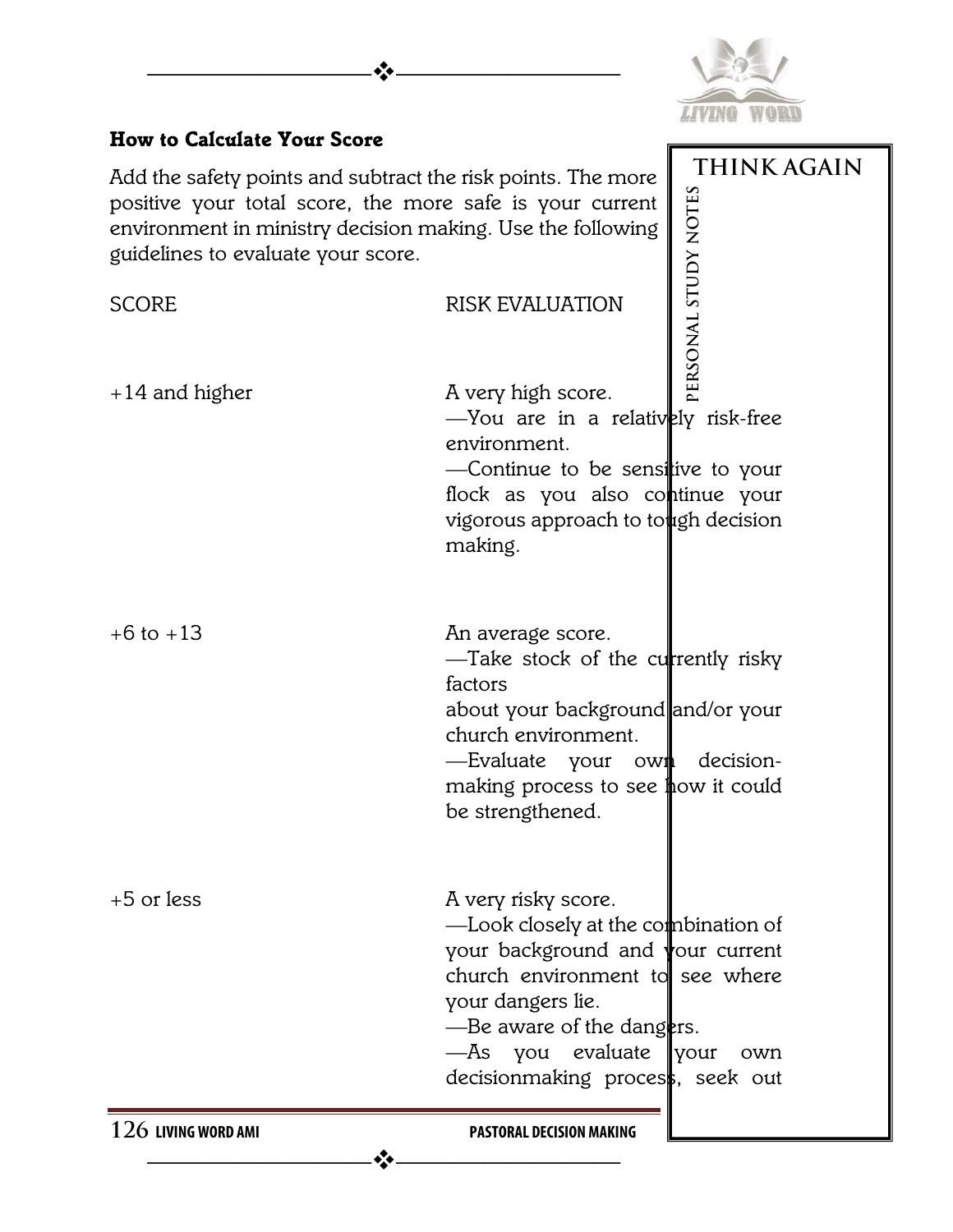

# *How to Calculate Your Score* **THINK AGAIN**  *Add the safety points and subtract the risk points. The more*  **PERSONAL STUDY NOTES IT AS A PERSONAL STUDY NOTES AND NOTES AND NOTES AND NOTES AND NOTES AND NOTES AND NOTES AND NO** PERSONAL STUDY NOTES *positive your total score, the more safe is your current environment in ministry decision making. Use the following guidelines to evaluate your score.*  SCORE RISK EVALUATION *+14 and higher A very high score. —You are in a relatively risk-free environment. —Continue to be sensitive to your flock as you also continue your*  vigorous approach to tough decision *making. +6 to +13 An average score. —Take stock of the currently risky factors about your background and/or your church environment.*  —Evaluate your own decision*making process to see how it could be strengthened. +5 or less A very risky score. —Look closely at the combination of your background and your current church environment to* see where *your dangers lie. —Be aware of the dangers. —As you evaluate your own decisionmaking process, seek out* **126 LIVING WORD AMI PASTORAL DECISION MAKING**  ————————————————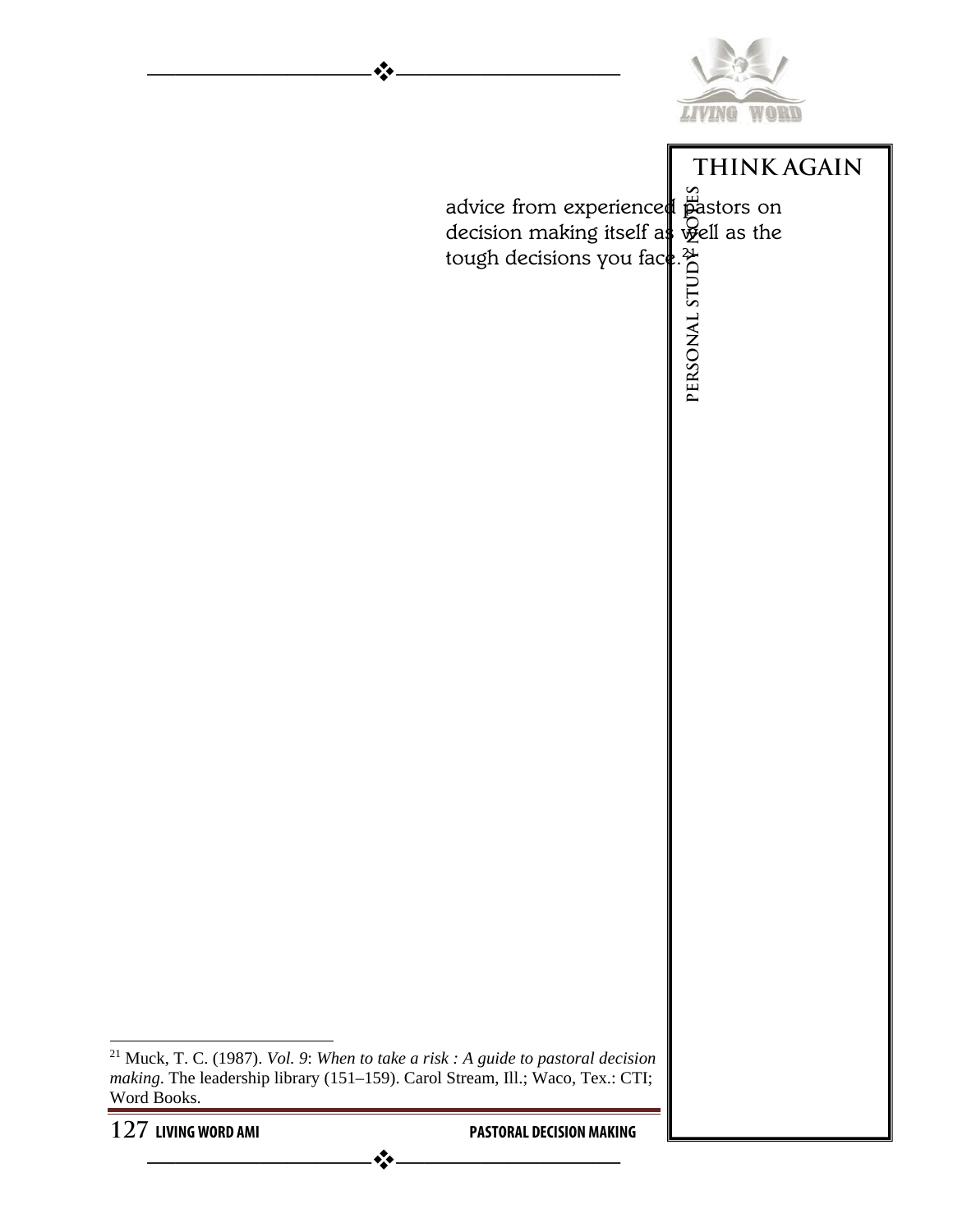

**<sup>127</sup> LIVING WORD AMI PASTORAL DECISION MAKING**  Word Books.

l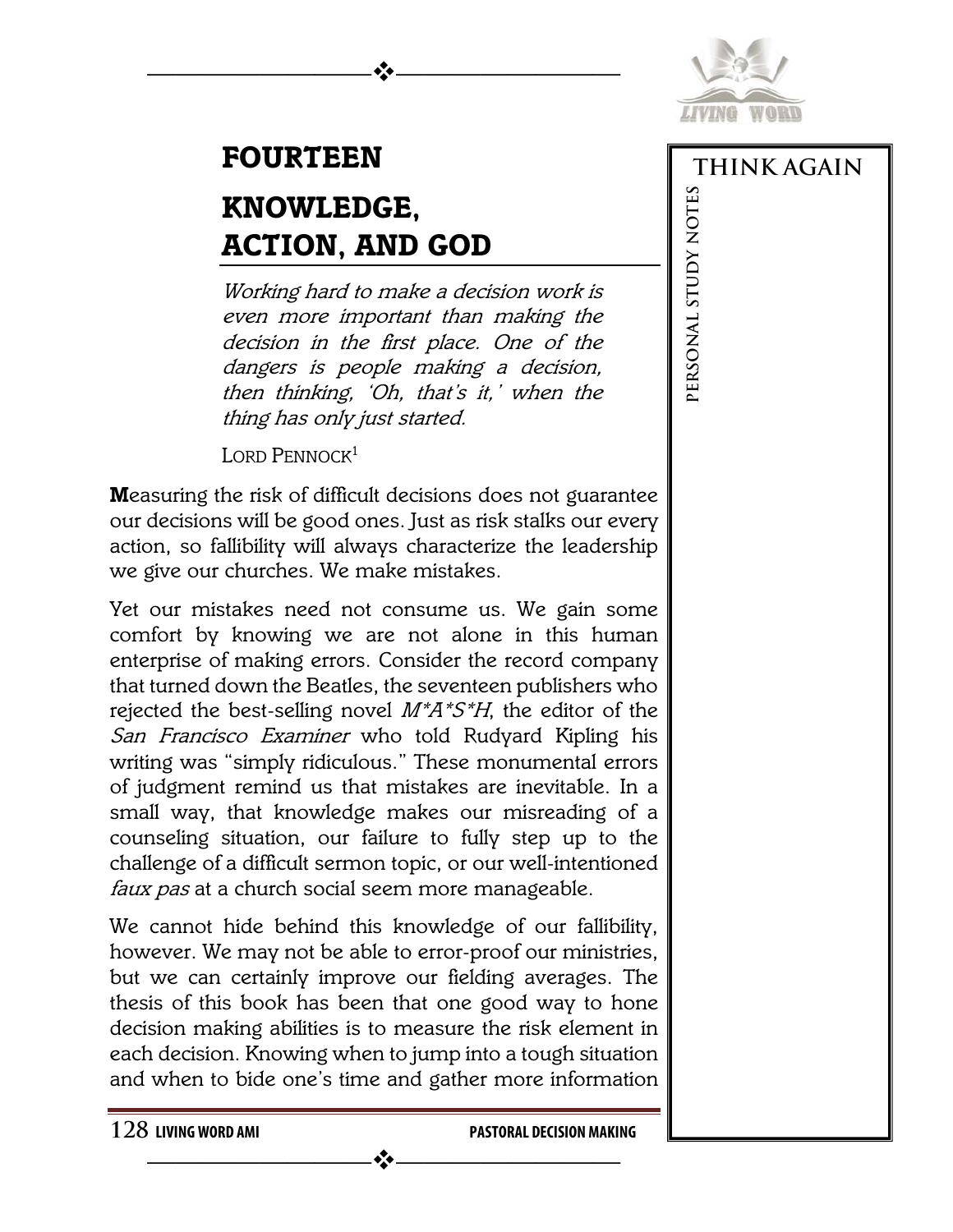

 **PERSONAL STUDY NOTES** 

PERSONAL STUDY NOTES

# **FOURTEEN THINK AGAIN** *KNOWLEDGE, ACTION, AND GOD*

————————————————

*Working hard to make a decision work is even more important than making the decision in the first place. One of the dangers is people making a decision, then thinking, 'Oh, that's it,' when the thing has only just started.*

*LORD PENNOCK1*

*Measuring the risk of difficult decisions does not guarantee our decisions will be good ones. Just as risk stalks our every action, so fallibility will always characterize the leadership we give our churches. We make mistakes.* 

*Yet our mistakes need not consume us. We gain some comfort by knowing we are not alone in this human enterprise of making errors. Consider the record company that turned down the Beatles, the seventeen publishers who rejected the best-selling novel M\*A\*S\*H, the editor of the San Francisco Examiner who told Rudyard Kipling his writing was "simply ridiculous." These monumental errors of judgment remind us that mistakes are inevitable. In a small way, that knowledge makes our misreading of a counseling situation, our failure to fully step up to the challenge of a difficult sermon topic, or our well-intentioned faux pas at a church social seem more manageable.* 

*We cannot hide behind this knowledge of our fallibility, however. We may not be able to error-proof our ministries, but we can certainly improve our fielding averages. The thesis of this book has been that one good way to hone decision making abilities is to measure the risk element in each decision. Knowing when to jump into a tough situation and when to bide one's time and gather more information*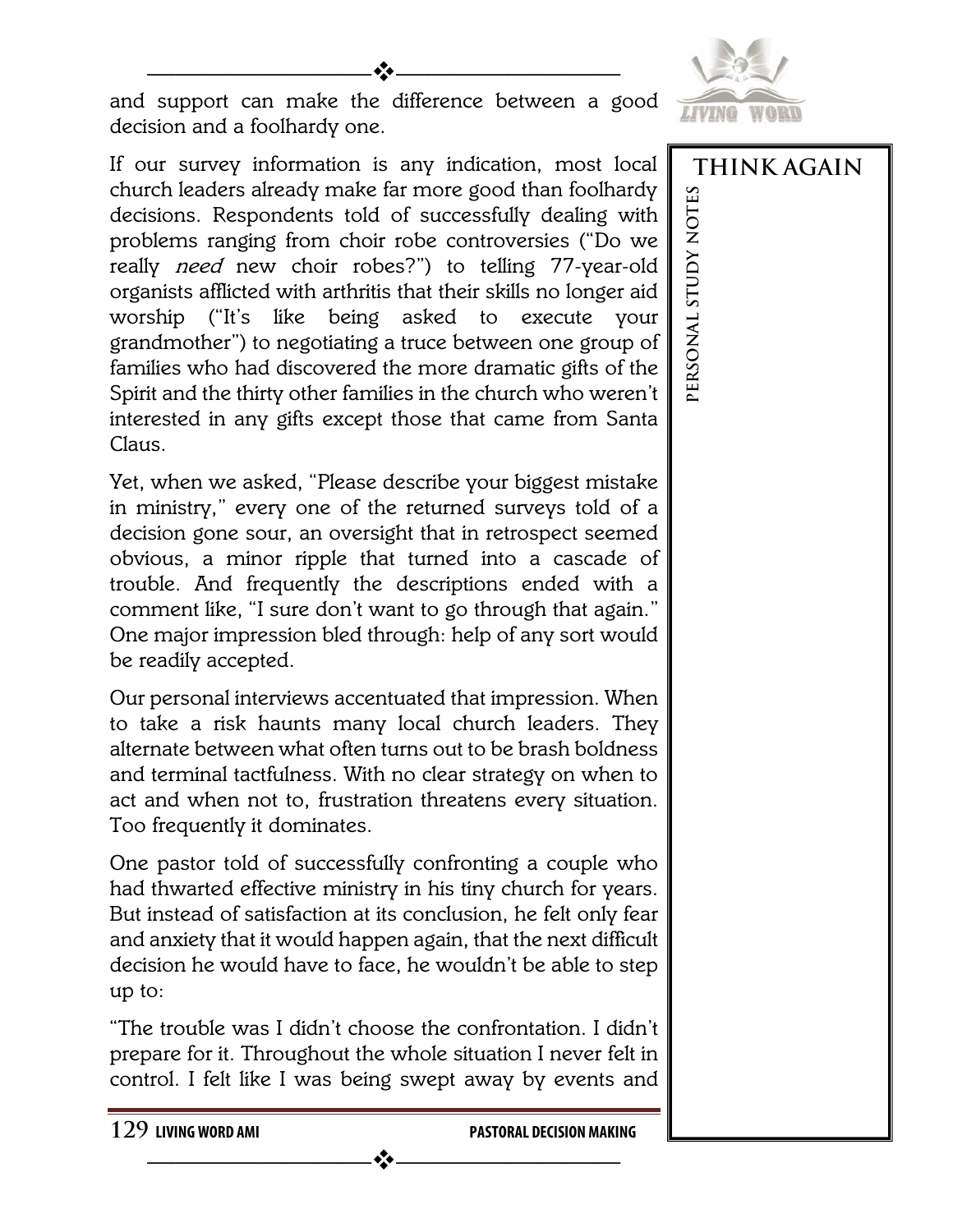

*and support can make the difference between a good decision and a foolhardy one.* 

————————————————

*If our survey information is any indication, most local church leaders already make far more good than foolhardy decisions. Respondents told of successfully dealing with problems ranging from choir robe controversies ("Do we really need new choir robes?") to telling 77-year-old organists afflicted with arthritis that their skills no longer aid worship ("It's like being asked to execute your grandmother") to negotiating a truce between one group of families who had discovered the more dramatic gifts of the Spirit and the thirty other families in the church who weren't interested in any gifts except those that came from Santa Claus.* 

*Yet, when we asked, "Please describe your biggest mistake in ministry," every one of the returned surveys told of a decision gone sour, an oversight that in retrospect seemed obvious, a minor ripple that turned into a cascade of trouble. And frequently the descriptions ended with a comment like, "I sure don't want to go through that again." One major impression bled through: help of any sort would be readily accepted.* 

*Our personal interviews accentuated that impression. When to take a risk haunts many local church leaders. They alternate between what often turns out to be brash boldness and terminal tactfulness. With no clear strategy on when to act and when not to, frustration threatens every situation. Too frequently it dominates.* 

*One pastor told of successfully confronting a couple who had thwarted effective ministry in his tiny church for years. But instead of satisfaction at its conclusion, he felt only fear and anxiety that it would happen again, that the next difficult decision he would have to face, he wouldn't be able to step up to:* 

*"The trouble was I didn't choose the confrontation. I didn't prepare for it. Throughout the whole situation I never felt in control. I felt like I was being swept away by events and* 

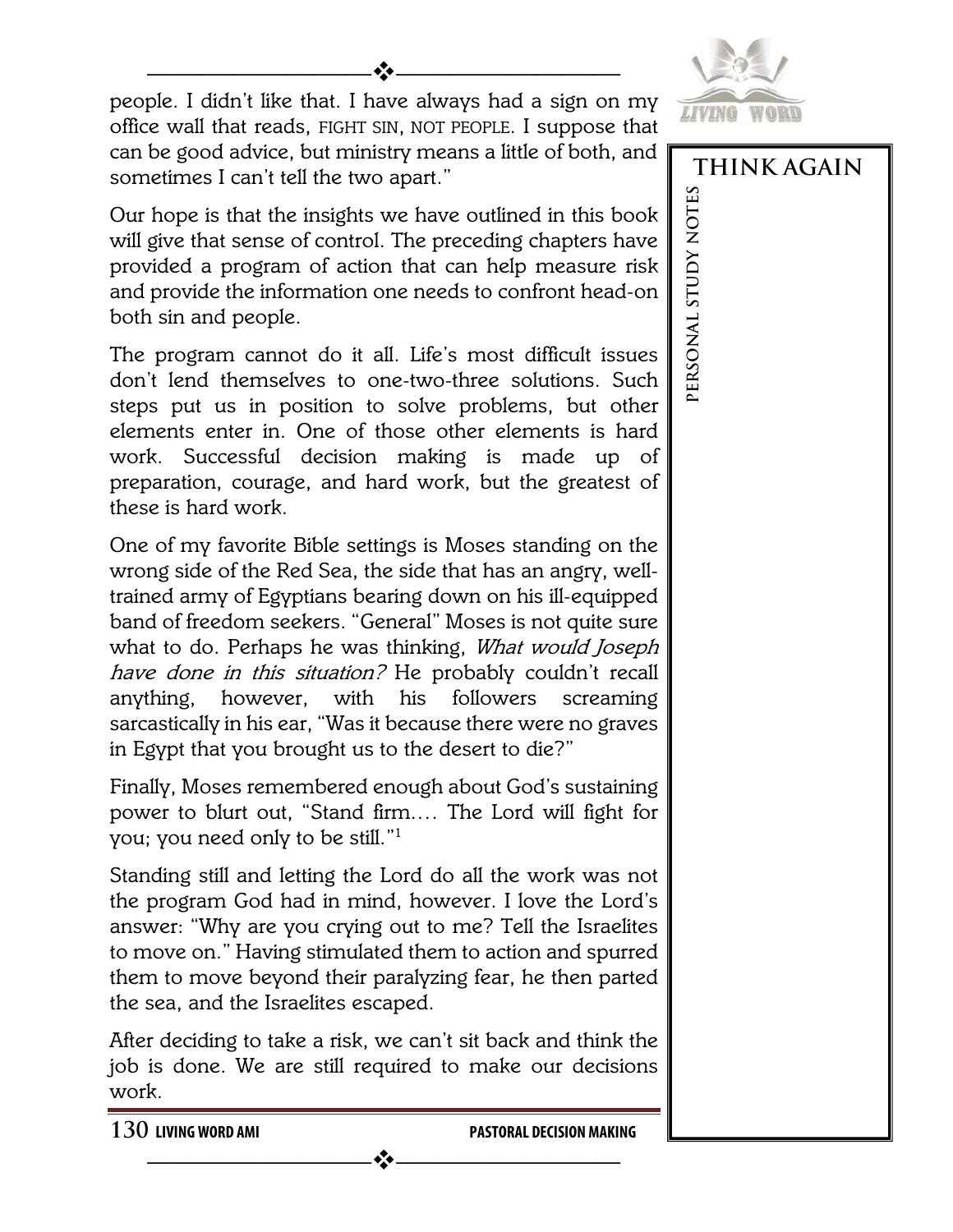

*people. I didn't like that. I have always had a sign on my office wall that reads, FIGHT SIN, NOT PEOPLE. I suppose that can be good advice, but ministry means a little of both, and sometimes I can't tell the two apart."* 

————————————————

*Our hope is that the insights we have outlined in this book will give that sense of control. The preceding chapters have provided a program of action that can help measure risk and provide the information one needs to confront head-on both sin and people.* 

*The program cannot do it all. Life's most difficult issues don't lend themselves to one-two-three solutions. Such steps put us in position to solve problems, but other elements enter in. One of those other elements is hard work. Successful decision making is made up of preparation, courage, and hard work, but the greatest of these is hard work.* 

*One of my favorite Bible settings is Moses standing on the wrong side of the Red Sea, the side that has an angry, welltrained army of Egyptians bearing down on his ill-equipped band of freedom seekers. "General" Moses is not quite sure what to do. Perhaps he was thinking, What would Joseph have done in this situation? He probably couldn't recall anything, however, with his followers screaming sarcastically in his ear, "Was it because there were no graves in Egypt that you brought us to the desert to die?"* 

*Finally, Moses remembered enough about God's sustaining power to blurt out, "Stand firm.… The Lord will fight for you; you need only to be still."1*

*Standing still and letting the Lord do all the work was not the program God had in mind, however. I love the Lord's answer: "Why are you crying out to me? Tell the Israelites to move on." Having stimulated them to action and spurred them to move beyond their paralyzing fear, he then parted the sea, and the Israelites escaped.* 

*After deciding to take a risk, we can't sit back and think the job is done. We are still required to make our decisions work.* 

————————————————

**THINK AGAIN PERSONAL STUDY NOTES**  PERSONAL STUDY NOTES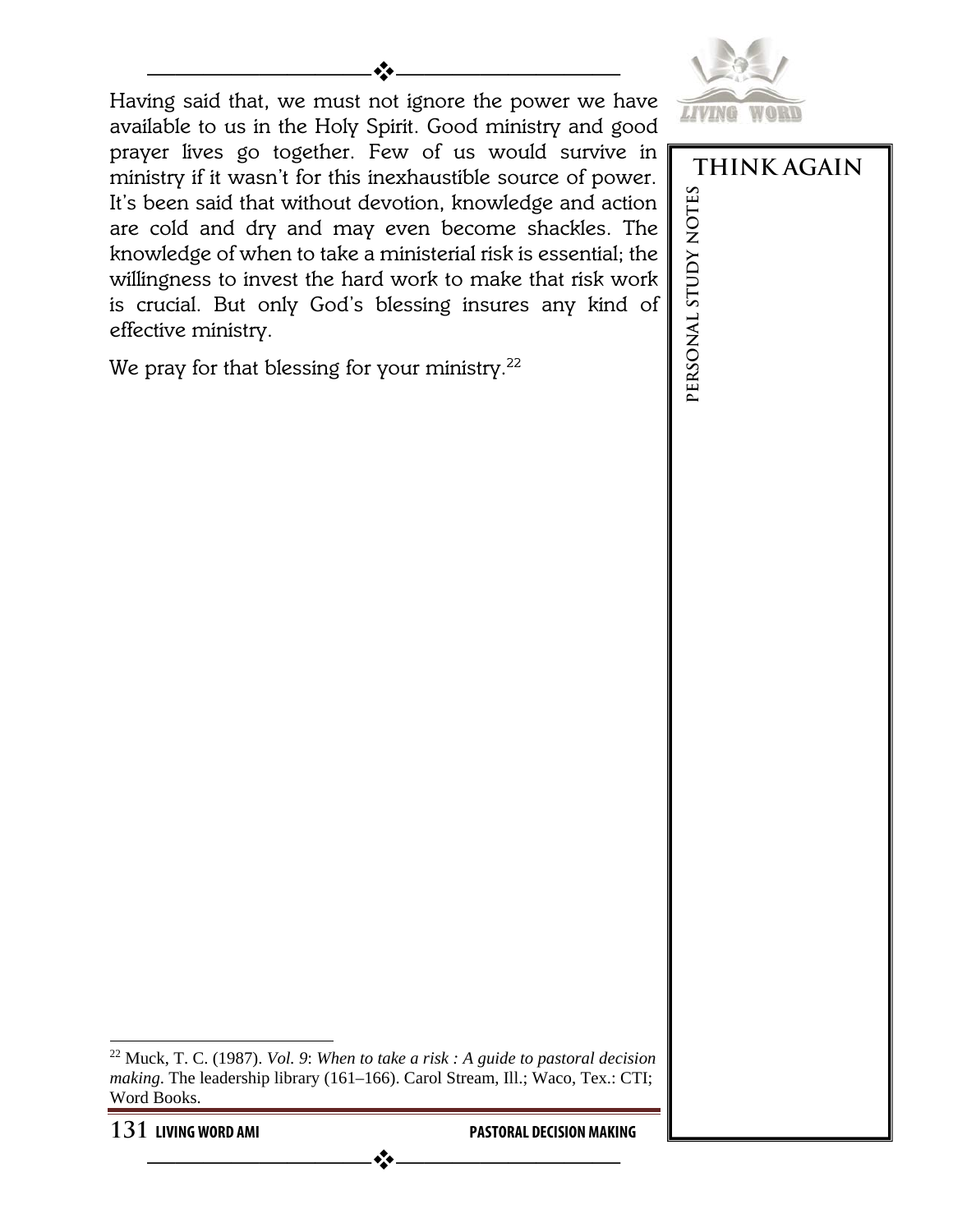———————————————— *Having said that, we must not ignore the power we have available to us in the Holy Spirit. Good ministry and good prayer lives go together. Few of us would survive in ministry if it wasn't for this inexhaustible source of power. It's been said that without devotion, knowledge and action are cold and dry and may even become shackles. The knowledge of when to take a ministerial risk is essential; the willingness to invest the hard work to make that risk work is crucial. But only God's blessing insures any kind of effective ministry.* 

*We pray for that blessing for your ministry.22*



**THINK AGAIN PERSONAL STUDY NOTES**  PERSONAL STUDY NOTES

————————————————

l

<sup>22</sup> Muck, T. C. (1987). *Vol. 9*: *When to take a risk : A guide to pastoral decision making*. The leadership library (161–166). Carol Stream, Ill.; Waco, Tex.: CTI; Word Books.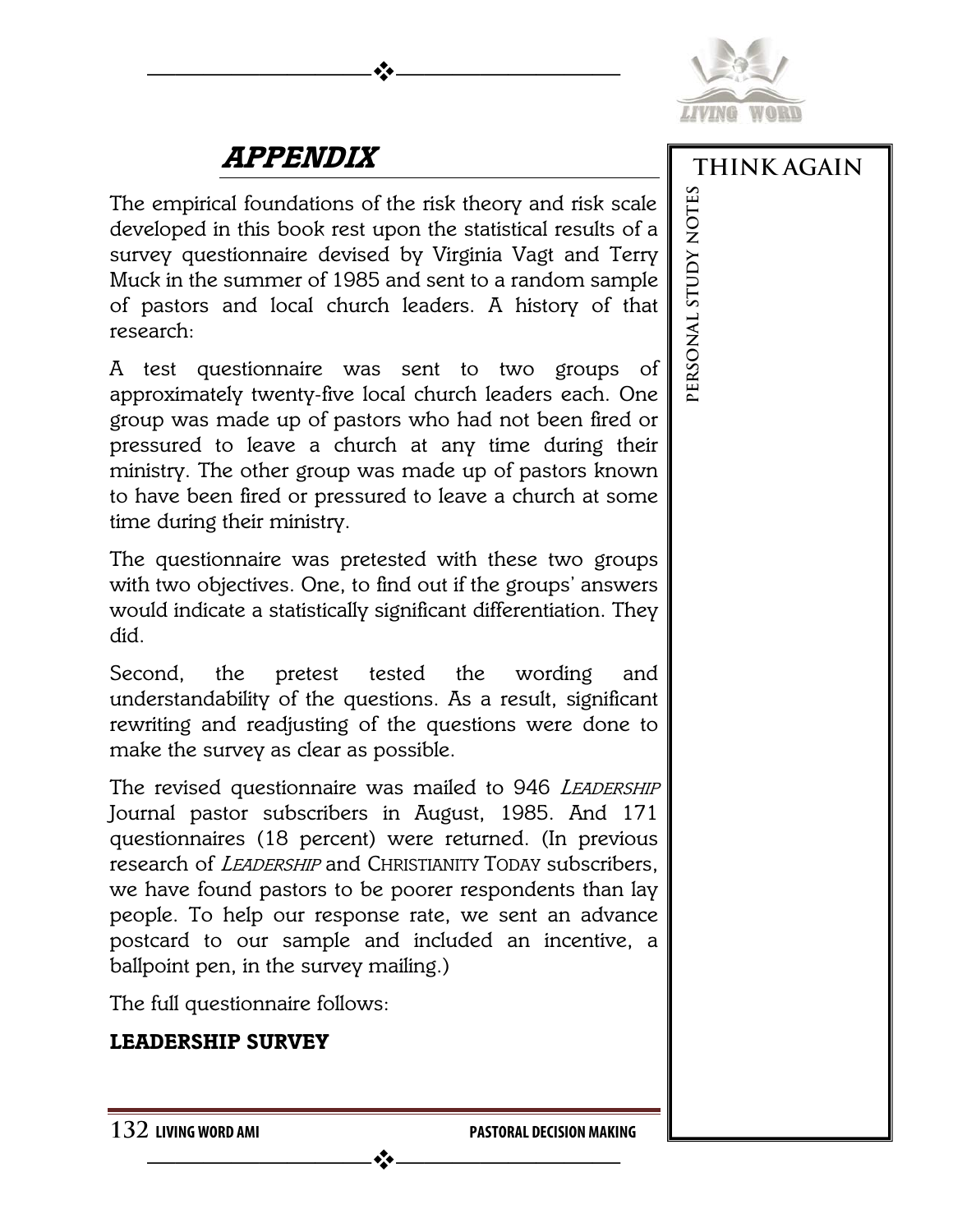

 **PERSONAL STUDY NOTES** 

PERSONAL STUDY NOTES

# *APPENDIX* THINK AGAIN

*The empirical foundations of the risk theory and risk scale developed in this book rest upon the statistical results of a survey questionnaire devised by Virginia Vagt and Terry Muck in the summer of 1985 and sent to a random sample of pastors and local church leaders. A history of that research:* 

————————————————

*A test questionnaire was sent to two groups of approximately twenty-five local church leaders each. One group was made up of pastors who had not been fired or pressured to leave a church at any time during their ministry. The other group was made up of pastors known to have been fired or pressured to leave a church at some time during their ministry.* 

*The questionnaire was pretested with these two groups with two objectives. One, to find out if the groups' answers would indicate a statistically significant differentiation. They did.* 

*Second, the pretest tested the wording and understandability of the questions. As a result, significant rewriting and readjusting of the questions were done to make the survey as clear as possible.* 

*The revised questionnaire was mailed to 946 <sup>L</sup>EADERSHIP Journal pastor subscribers in August, 1985. And 171 questionnaires (18 percent) were returned. (In previous research of <sup>L</sup>EADERSHIP and CHRISTIANITY TODAY subscribers, we have found pastors to be poorer respondents than lay people. To help our response rate, we sent an advance postcard to our sample and included an incentive, a ballpoint pen, in the survey mailing.)* 

————————————————

*The full questionnaire follows:* 

# *LEADERSHIP SURVEY*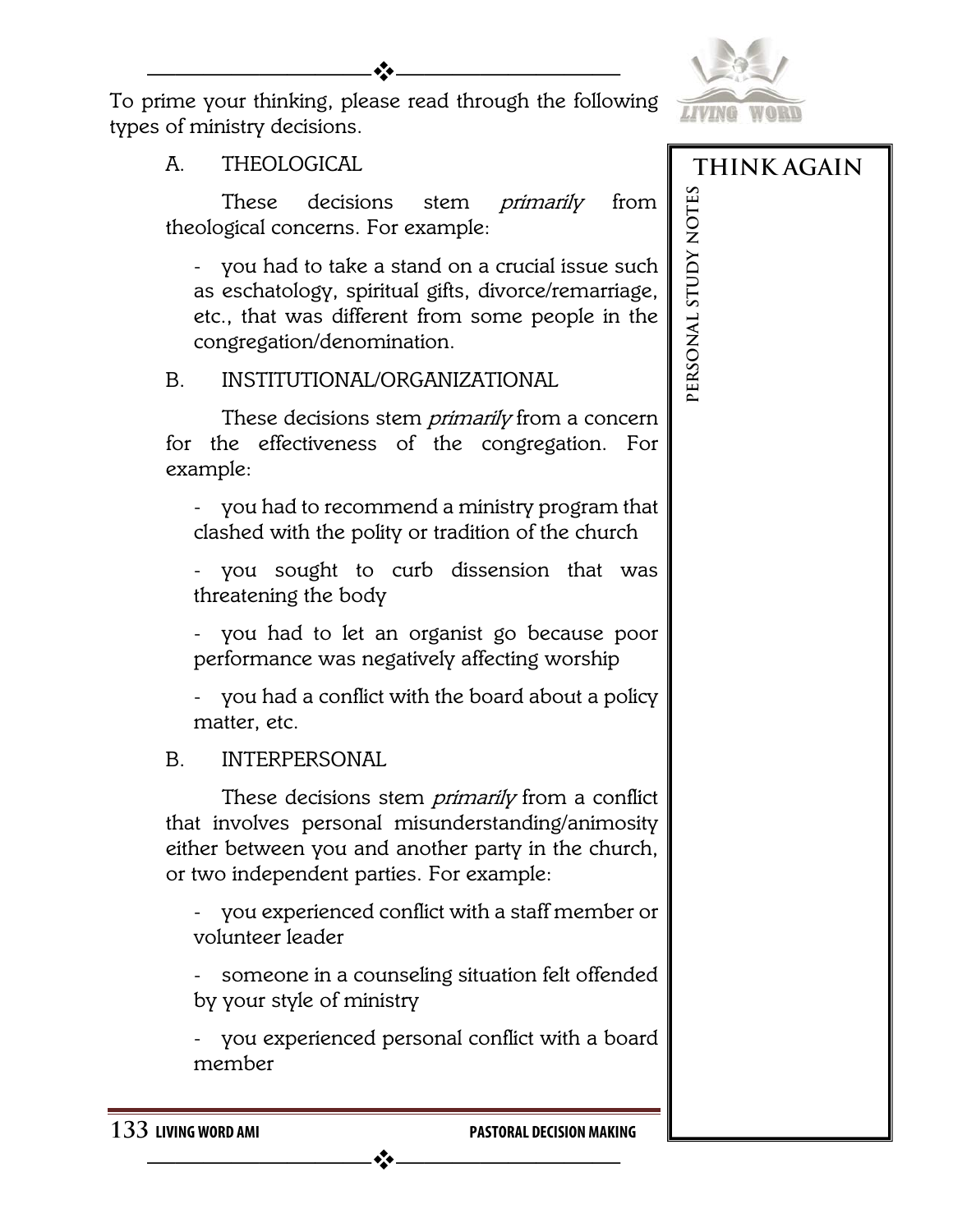

 **PERSONAL STUDY NOTES** 

PERSONAL STUDY NOTES

*To prime your thinking, please read through the following types of ministry decisions.* 

————————————————

*A. THEOLOGICAL* 

 *These decisions stem primarily from theological concerns. For example:* 

*- you had to take a stand on a crucial issue such as eschatology, spiritual gifts, divorce/remarriage, etc., that was different from some people in the congregation/denomination.* 

# *B. INSTITUTIONAL/ORGANIZATIONAL*

 *These decisions stem primarily from a concern for the effectiveness of the congregation. For example:* 

*- you had to recommend a ministry program that clashed with the polity or tradition of the church* 

*- you sought to curb dissension that was threatening the body* 

*- you had to let an organist go because poor performance was negatively affecting worship* 

*- you had a conflict with the board about a policy matter, etc.* 

# *B. INTERPERSONAL*

 *These decisions stem primarily from a conflict that involves personal misunderstanding/animosity either between you and another party in the church, or two independent parties. For example:* 

*- you experienced conflict with a staff member or volunteer leader* 

*- someone in a counseling situation felt offended by your style of ministry* 

*- you experienced personal conflict with a board member* 

————————————————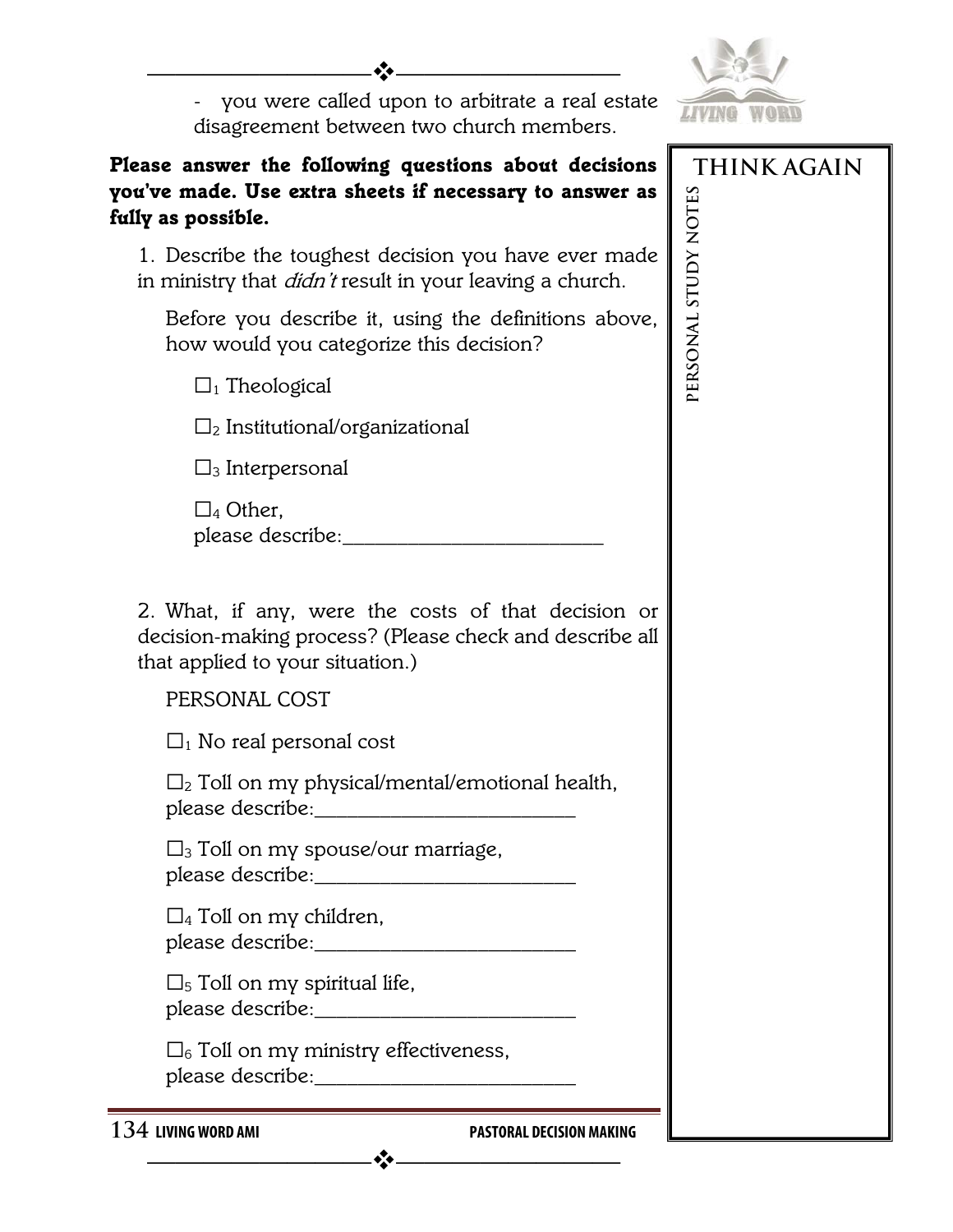

 **PERSONAL STUDY NOTES** 

PERSONAL STUDY NOTES

*- you were called upon to arbitrate a real estate disagreement between two church members.* 

# *Please answer the following questions about decisions you've made. Use extra sheets if necessary to answer as fully as possible.*

————————————————

*1. Describe the toughest decision you have ever made in ministry that didn't result in your leaving a church.* 

*Before you describe it, using the definitions above, how would you categorize this decision?* 

☐*1 Theological* 

☐*2 Institutional/organizational* 

☐*3 Interpersonal* 

☐*4 Other, please describe:\_\_\_\_\_\_\_\_\_\_\_\_\_\_\_\_\_\_\_\_\_\_\_\_* 

*2. What, if any, were the costs of that decision or decision-making process? (Please check and describe all that applied to your situation.)* 

*PERSONAL COST* 

☐*1 No real personal cost* 

☐*2 Toll on my physical/mental/emotional health,*  please describe:

☐*3 Toll on my spouse/our marriage, please describe:\_\_\_\_\_\_\_\_\_\_\_\_\_\_\_\_\_\_\_\_\_\_\_\_* 

☐*4 Toll on my children,*  please describe:

☐*5 Toll on my spiritual life,*  please describe:

☐*6 Toll on my ministry effectiveness, please describe:\_\_\_\_\_\_\_\_\_\_\_\_\_\_\_\_\_\_\_\_\_\_\_\_* 

————————————————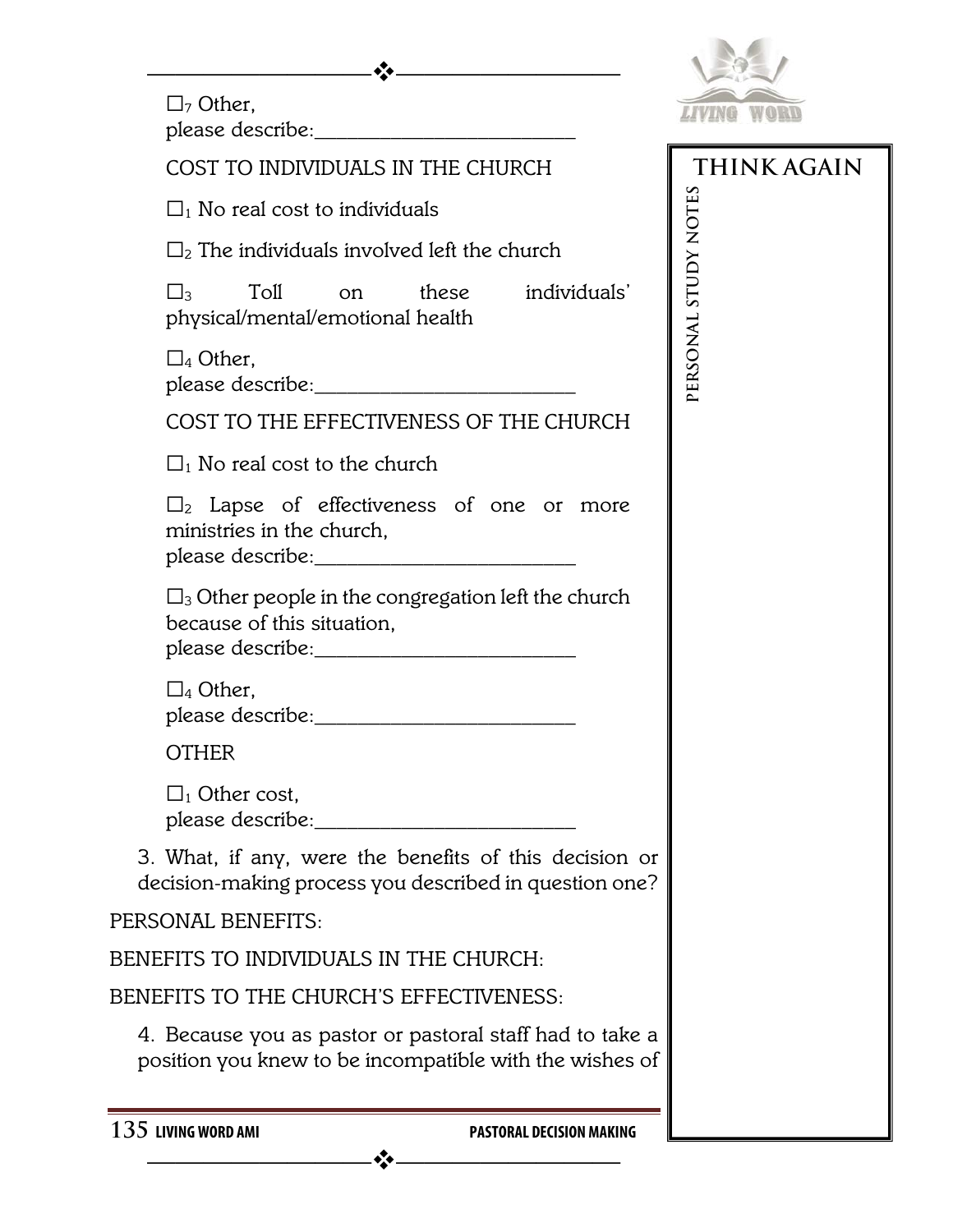☐*7 Other,* 

please describe:

# *COST TO INDIVIDUALS IN THE CHURCH*

————————————————

☐*1 No real cost to individuals* 

☐*2 The individuals involved left the church* 

☐*3 Toll on these individuals' physical/mental/emotional health* 

☐*4 Other,* 

*please describe:\_\_\_\_\_\_\_\_\_\_\_\_\_\_\_\_\_\_\_\_\_\_\_\_* 

*COST TO THE EFFECTIVENESS OF THE CHURCH* 

☐*1 No real cost to the church* 

☐*2 Lapse of effectiveness of one or more ministries in the church, please describe:\_\_\_\_\_\_\_\_\_\_\_\_\_\_\_\_\_\_\_\_\_\_\_\_* 

☐*3 Other people in the congregation left the church because of this situation, please describe:\_\_\_\_\_\_\_\_\_\_\_\_\_\_\_\_\_\_\_\_\_\_\_\_* 

☐*4 Other, please describe:\_\_\_\_\_\_\_\_\_\_\_\_\_\_\_\_\_\_\_\_\_\_\_\_* 

*OTHER* 

☐*1 Other cost, please describe:\_\_\_\_\_\_\_\_\_\_\_\_\_\_\_\_\_\_\_\_\_\_\_\_* 

*3. What, if any, were the benefits of this decision or decision-making process you described in question one?* 

*PERSONAL BENEFITS:* 

*BENEFITS TO INDIVIDUALS IN THE CHURCH:* 

*BENEFITS TO THE CHURCH'S EFFECTIVENESS:* 

*4. Because you as pastor or pastoral staff had to take a position you knew to be incompatible with the wishes of* 

————————————————

**135 LIVING WORD AMI PASTORAL DECISION MAKING** 

 **PERSONAL STUDY NOTES** 

PERSONAL STUDY NOTES

**THINK AGAIN**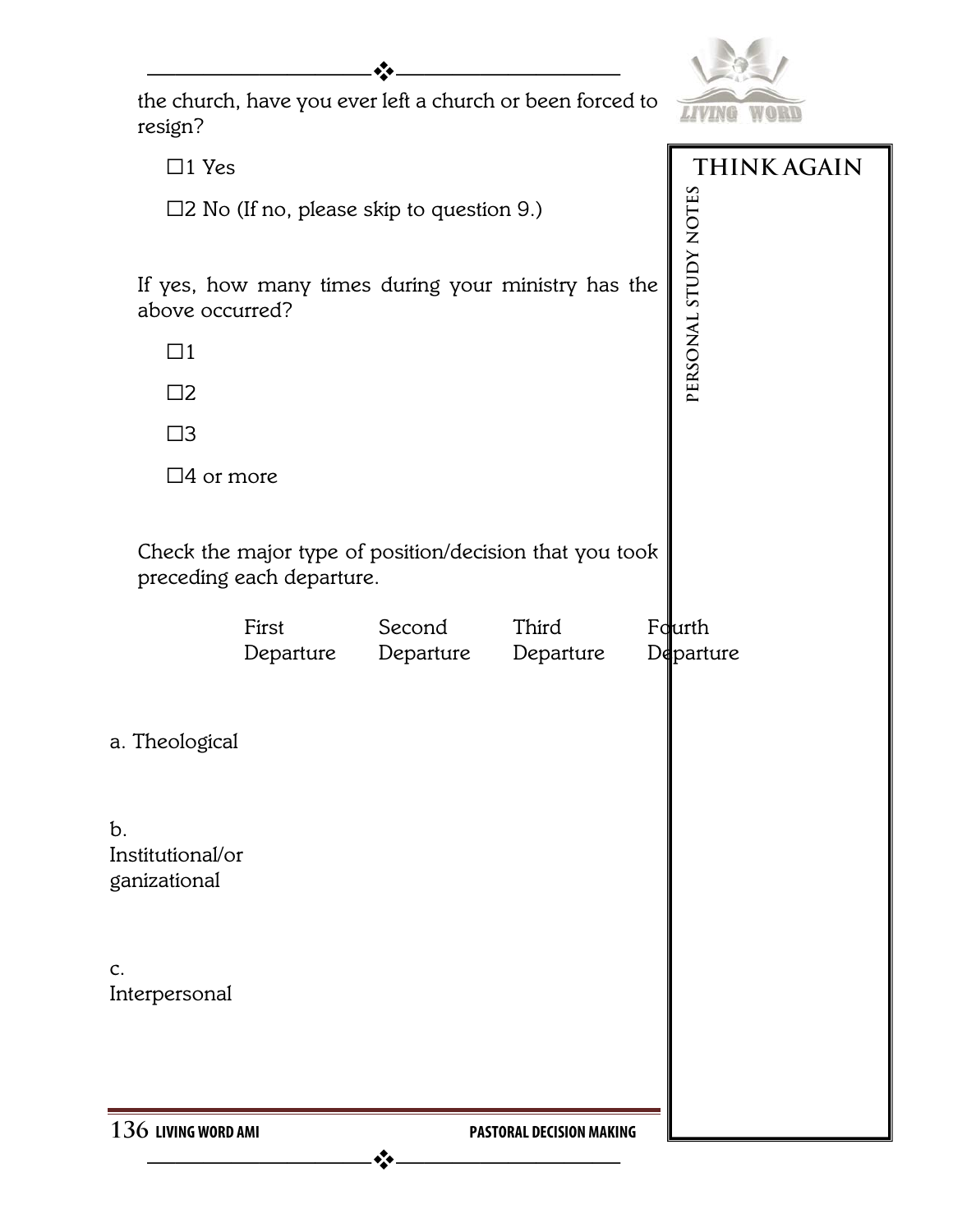

**THINK AGAIN** 

*the church, have you ever left a church or been forced to resign?* 

————————————————

☐*1 Yes* 

| 136 LIVING WORD AMI                                                                  |           | <b>PASTORAL DECISION MAKING</b> |                      |
|--------------------------------------------------------------------------------------|-----------|---------------------------------|----------------------|
|                                                                                      |           |                                 |                      |
| Interpersonal                                                                        |           |                                 |                      |
| c.                                                                                   |           |                                 |                      |
| Institutional/or<br>ganizational                                                     |           |                                 |                      |
| b.                                                                                   |           |                                 |                      |
| a. Theological                                                                       |           |                                 |                      |
| Departure                                                                            | Departure | Departure                       | Departure            |
| First                                                                                | Second    | Third                           | Fourth               |
| Check the major type of position/decision that you took<br>preceding each departure. |           |                                 |                      |
| $\square$ 4 or more                                                                  |           |                                 |                      |
| $\square$ 3                                                                          |           |                                 |                      |
| $\square$                                                                            |           |                                 |                      |
| $\square$ 1                                                                          |           |                                 |                      |
| If yes, how many times during your ministry has the<br>above occurred?               |           |                                 | PERSONAL STUDY NOTES |
| $\square$ 2 No (If no, please skip to question 9.)                                   |           |                                 |                      |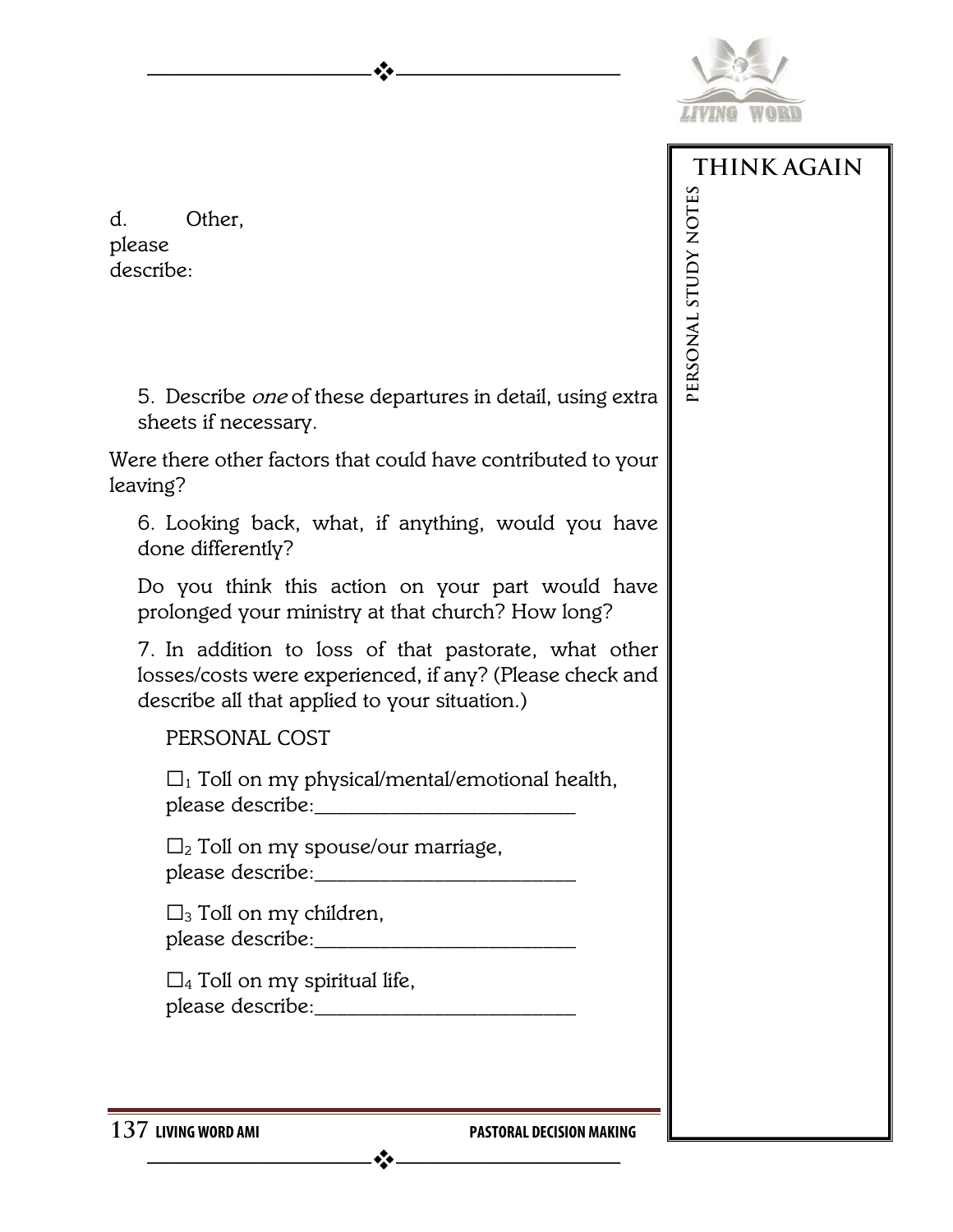

 **PERSONAL STUDY NOTES** 

PERSONAL STUDY NOTES

*d. Other, please describe:* 

> *5. Describe one of these departures in detail, using extra sheets if necessary.*

*Were there other factors that could have contributed to your leaving?* 

————————————————

*6. Looking back, what, if anything, would you have done differently?* 

*Do you think this action on your part would have prolonged your ministry at that church? How long?* 

*7. In addition to loss of that pastorate, what other losses/costs were experienced, if any? (Please check and describe all that applied to your situation.)* 

*PERSONAL COST* 

☐*1 Toll on my physical/mental/emotional health, please describe:\_\_\_\_\_\_\_\_\_\_\_\_\_\_\_\_\_\_\_\_\_\_\_\_* 

————————————————

☐*2 Toll on my spouse/our marriage, please describe:\_\_\_\_\_\_\_\_\_\_\_\_\_\_\_\_\_\_\_\_\_\_\_\_* 

☐*3 Toll on my children, please describe:\_\_\_\_\_\_\_\_\_\_\_\_\_\_\_\_\_\_\_\_\_\_\_\_* 

☐*4 Toll on my spiritual life, please describe:\_\_\_\_\_\_\_\_\_\_\_\_\_\_\_\_\_\_\_\_\_\_\_\_*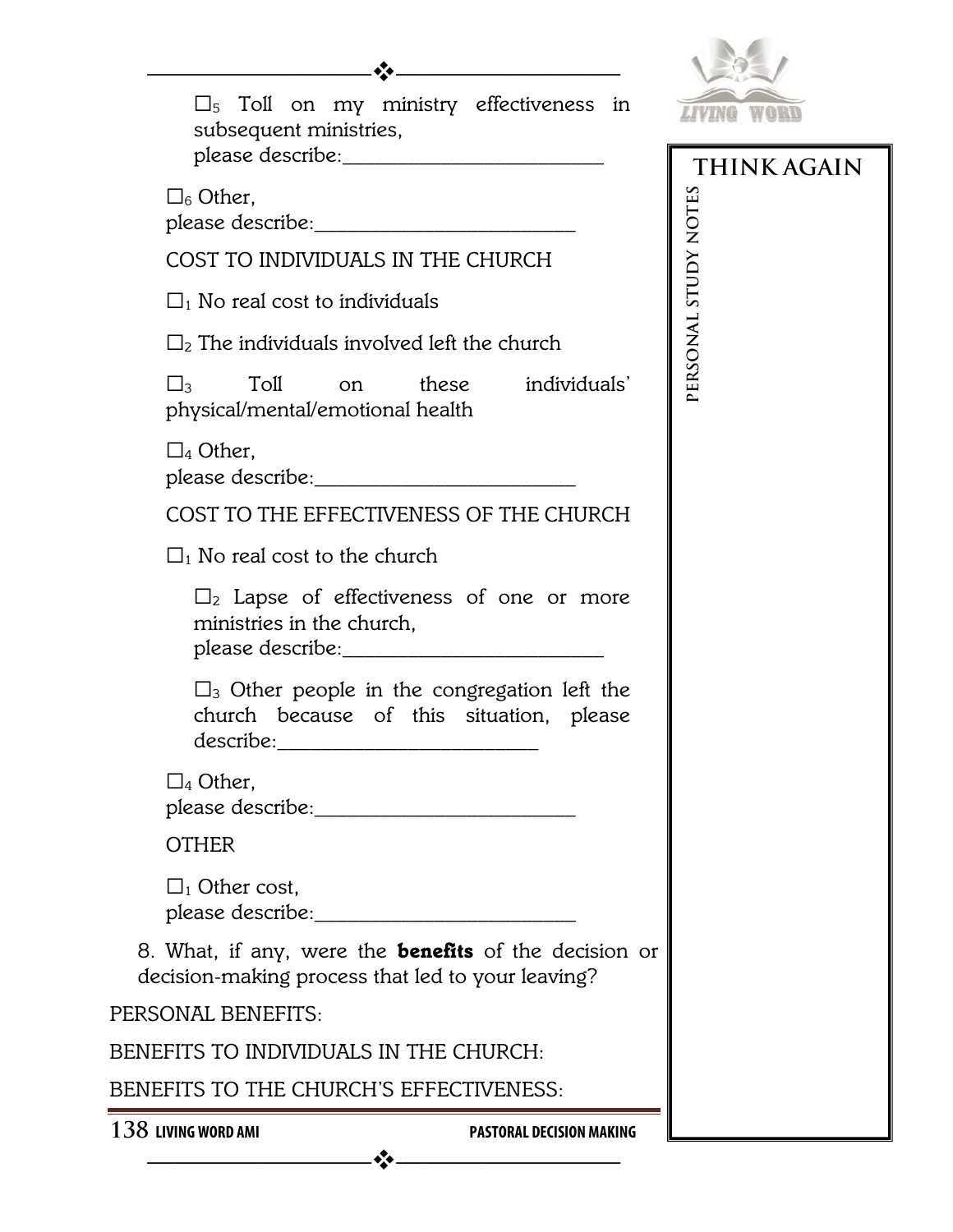| $\square_5$ Toll on my ministry effectiveness in<br>subsequent ministries,                                                                               | <b>THINK AGAIN</b>   |
|----------------------------------------------------------------------------------------------------------------------------------------------------------|----------------------|
| $\square_6$ Other,                                                                                                                                       | PERSONAL STUDY NOTES |
| COST TO INDIVIDUALS IN THE CHURCH                                                                                                                        |                      |
| $\Box$ No real cost to individuals                                                                                                                       |                      |
| $\Box$ The individuals involved left the church                                                                                                          |                      |
| these individuals'<br>Toll<br>$\Box$ 3<br><sub>on</sub><br>physical/mental/emotional health                                                              |                      |
| $\Box_4$ Other,                                                                                                                                          |                      |
| COST TO THE EFFECTIVENESS OF THE CHURCH                                                                                                                  |                      |
| $\Box$ No real cost to the church                                                                                                                        |                      |
| $\square$ <sub>2</sub> Lapse of effectiveness of one or more<br>ministries in the church,                                                                |                      |
| $\square$ <sub>3</sub> Other people in the congregation left the<br>church because of this situation, please<br>describe:_______________________________ |                      |
| $\Box_4$ Other,                                                                                                                                          |                      |
| <b>OTHER</b>                                                                                                                                             |                      |
| $\Box_1$ Other cost,                                                                                                                                     |                      |
| . What, if any, were the <b>benefits</b> of the decision or                                                                                              |                      |

*8. What, if any, were the benefits of the decision or decision-making process that led to your leaving?* 

————————————————

*PERSONAL BENEFITS:* 

*BENEFITS TO INDIVIDUALS IN THE CHURCH:* 

*BENEFITS TO THE CHURCH'S EFFECTIVENESS:*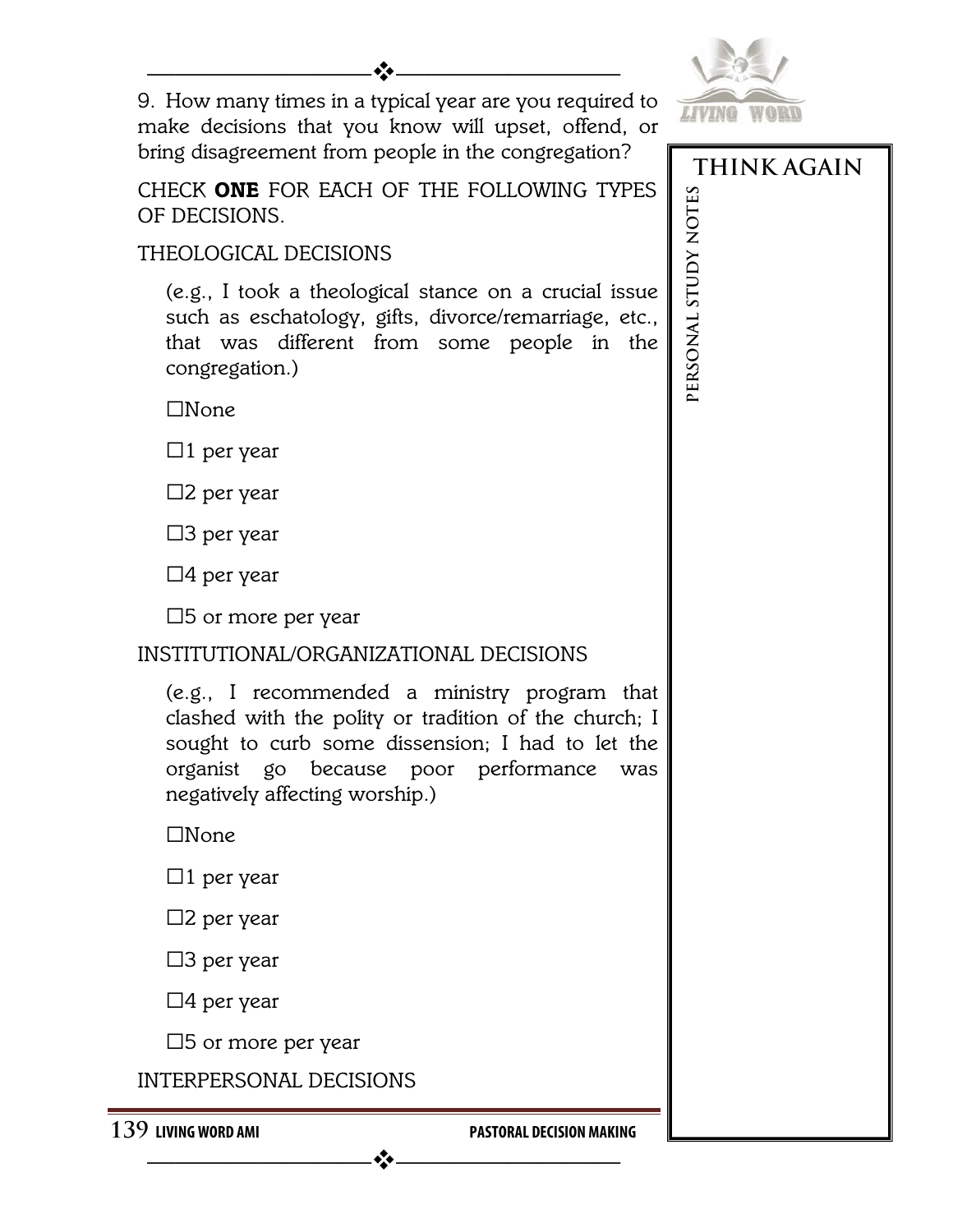*9. How many times in a typical year are you required to make decisions that you know will upset, offend, or bring disagreement from people in the congregation?* 

————————————————

*CHECK ONE FOR EACH OF THE FOLLOWING TYPES OF DECISIONS.* 

### *THEOLOGICAL DECISIONS*

*(e.g., I took a theological stance on a crucial issue such as eschatology, gifts, divorce/remarriage, etc., that was different from some people in the congregation.)* 

☐*None* 

☐*1 per year* 

☐*2 per year* 

☐*3 per year* 

☐*4 per year* 

☐*5 or more per year* 

# *INSTITUTIONAL/ORGANIZATIONAL DECISIONS*

*(e.g., I recommended a ministry program that clashed with the polity or tradition of the church; I sought to curb some dissension; I had to let the organist go because poor performance was negatively affecting worship.)* 

————————————————

☐*None* 

☐*1 per year* 

☐*2 per year* 

☐*3 per year* 

☐*4 per year* 

☐*5 or more per year* 

*INTERPERSONAL DECISIONS* 

**139 LIVING WORD AMI PASTORAL DECISION MAKING** 



**THINK AGAIN** 

 **PERSONAL STUDY NOTES** 

PERSONAL STUDY NOTES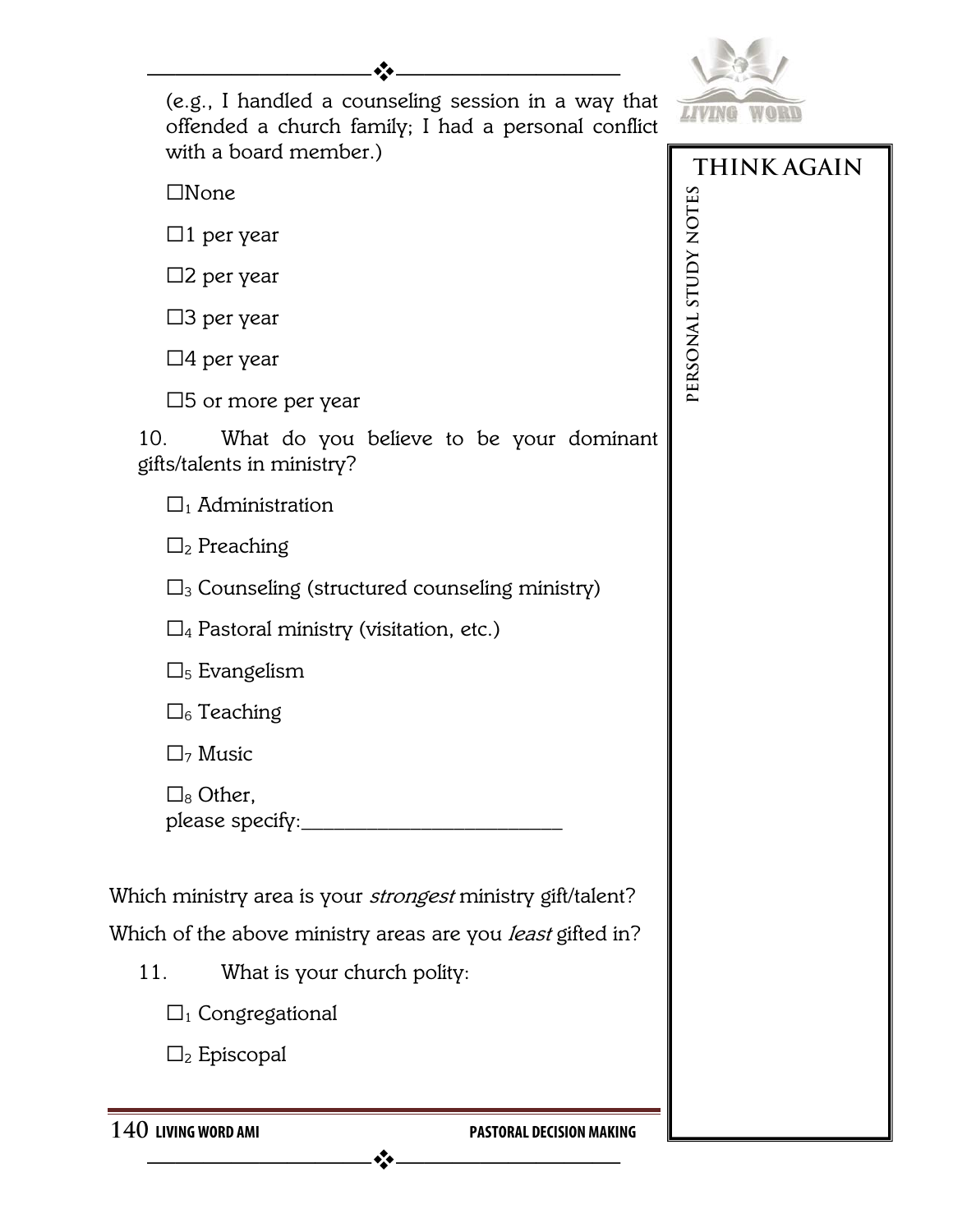

 **PERSONAL STUDY NOTES** 

PERSONAL STUDY NOTES

———————————————— *(e.g., I handled a counseling session in a way that offended a church family; I had a personal conflict with a board member.)* 

☐*None* 

☐*1 per year* 

☐*2 per year* 

☐*3 per year* 

☐*4 per year* 

☐*5 or more per year* 

*10. What do you believe to be your dominant gifts/talents in ministry?* 

☐*1 Administration* 

☐*2 Preaching* 

☐*3 Counseling (structured counseling ministry)* 

☐*4 Pastoral ministry (visitation, etc.)* 

☐*5 Evangelism* 

☐*6 Teaching* 

☐*7 Music* 

☐*8 Other,* 

*please specify:\_\_\_\_\_\_\_\_\_\_\_\_\_\_\_\_\_\_\_\_\_\_\_\_* 

*Which ministry area is your strongest ministry gift/talent?* 

*Which of the above ministry areas are you least gifted in?* 

————————————————

*11. What is your church polity:* 

☐*1 Congregational* 

☐*2 Episcopal*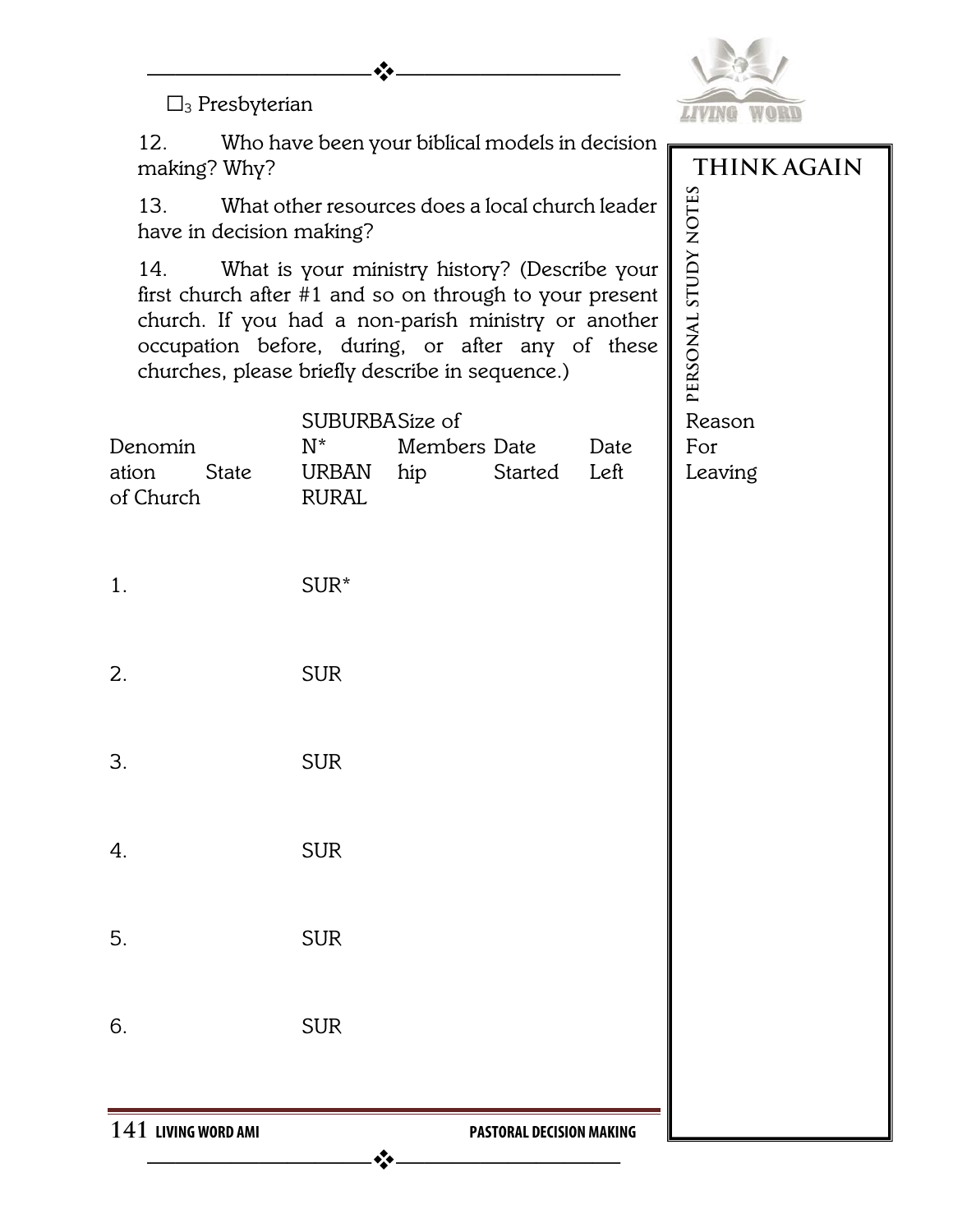

☐*3 Presbyterian* 

*12. Who have been your biblical models in decision making? Why?* 

————————————————

| 141 LIVING WORD AMI                                                                                                                                                                                                                                                                                       |                                                  |                     | <b>PASTORAL DECISION MAKING</b> |              |                          |  |
|-----------------------------------------------------------------------------------------------------------------------------------------------------------------------------------------------------------------------------------------------------------------------------------------------------------|--------------------------------------------------|---------------------|---------------------------------|--------------|--------------------------|--|
|                                                                                                                                                                                                                                                                                                           |                                                  |                     |                                 |              |                          |  |
| 6.                                                                                                                                                                                                                                                                                                        | <b>SUR</b>                                       |                     |                                 |              |                          |  |
| 5.                                                                                                                                                                                                                                                                                                        | <b>SUR</b>                                       |                     |                                 |              |                          |  |
| 4.                                                                                                                                                                                                                                                                                                        | <b>SUR</b>                                       |                     |                                 |              |                          |  |
| 3.                                                                                                                                                                                                                                                                                                        | <b>SUR</b>                                       |                     |                                 |              |                          |  |
| 2.                                                                                                                                                                                                                                                                                                        | <b>SUR</b>                                       |                     |                                 |              |                          |  |
| 1.                                                                                                                                                                                                                                                                                                        | SUR*                                             |                     |                                 |              |                          |  |
| Denomin<br><b>State</b><br>ation<br>of Church                                                                                                                                                                                                                                                             | SUBURBASize of<br>$N^*$<br>URBAN<br><b>RURAL</b> | Members Date<br>hip | Started                         | Date<br>Left | Reason<br>For<br>Leaving |  |
| have in decision making?<br>What is your ministry history? (Describe your<br>14.<br>first church after #1 and so on through to your present<br>church. If you had a non-parish ministry or another<br>occupation before, during, or after any of these<br>churches, please briefly describe in sequence.) |                                                  |                     |                                 |              | PERSONAL STUDY NOTES     |  |
| 13.                                                                                                                                                                                                                                                                                                       | What other resources does a local church leader  |                     |                                 |              |                          |  |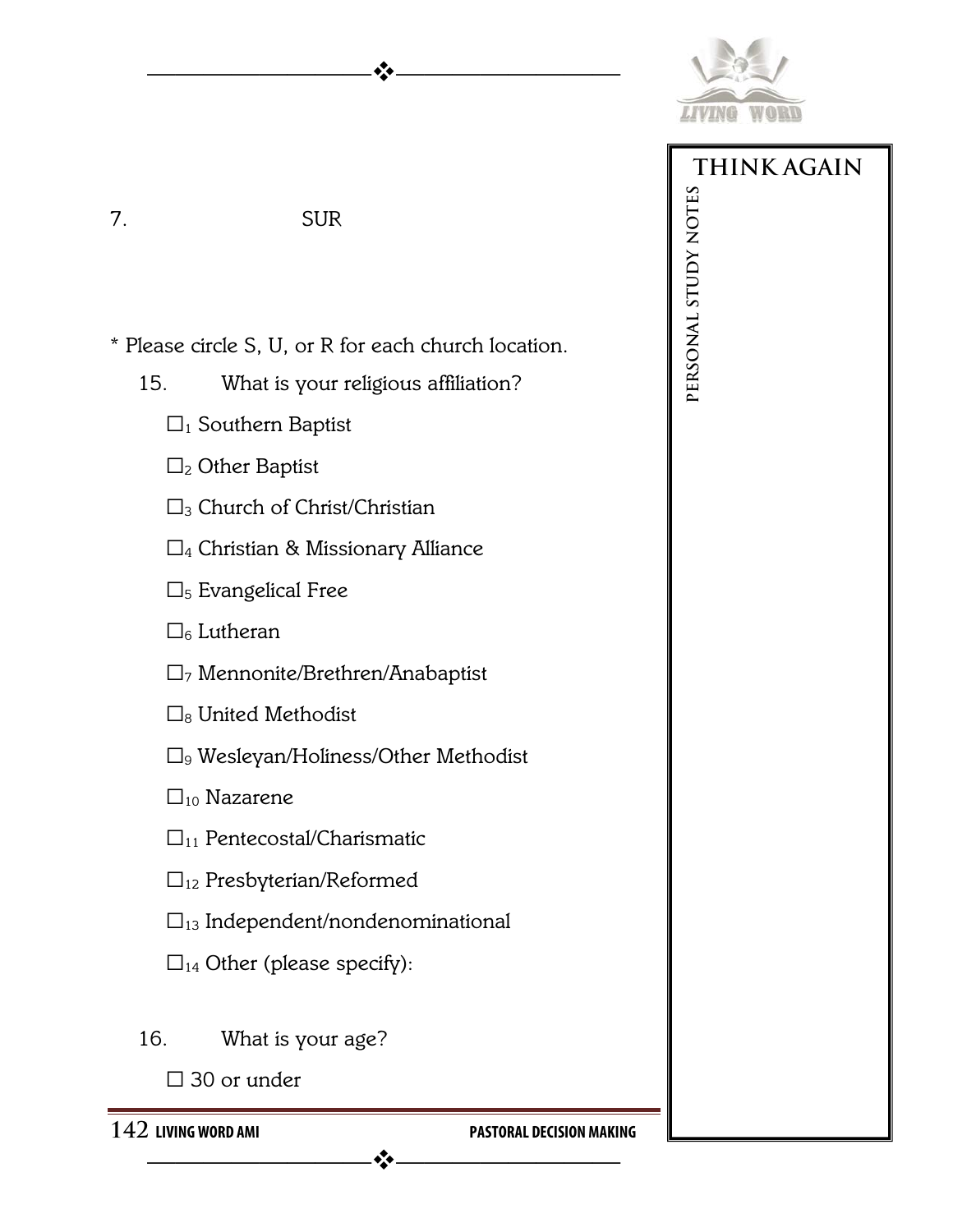



*7. SUR* 

*\* Please circle S, U, or R for each church location.* 

————————————————

- *15. What is your religious affiliation?* 
	- ☐*1 Southern Baptist*
	- ☐*2 Other Baptist*
	- ☐*3 Church of Christ/Christian*
	- ☐*4 Christian & Missionary Alliance*
	- ☐*5 Evangelical Free*
	- ☐*6 Lutheran*
	- ☐*7 Mennonite/Brethren/Anabaptist*
	- ☐*8 United Methodist*
	- ☐*9 Wesleyan/Holiness/Other Methodist*
	- ☐*10 Nazarene*
	- ☐*11 Pentecostal/Charismatic*
	- ☐*12 Presbyterian/Reformed*
	- ☐*13 Independent/nondenominational*

————————————————

- ☐*14 Other (please specify):*
- *16. What is your age?* 
	- ☐ *30 or under*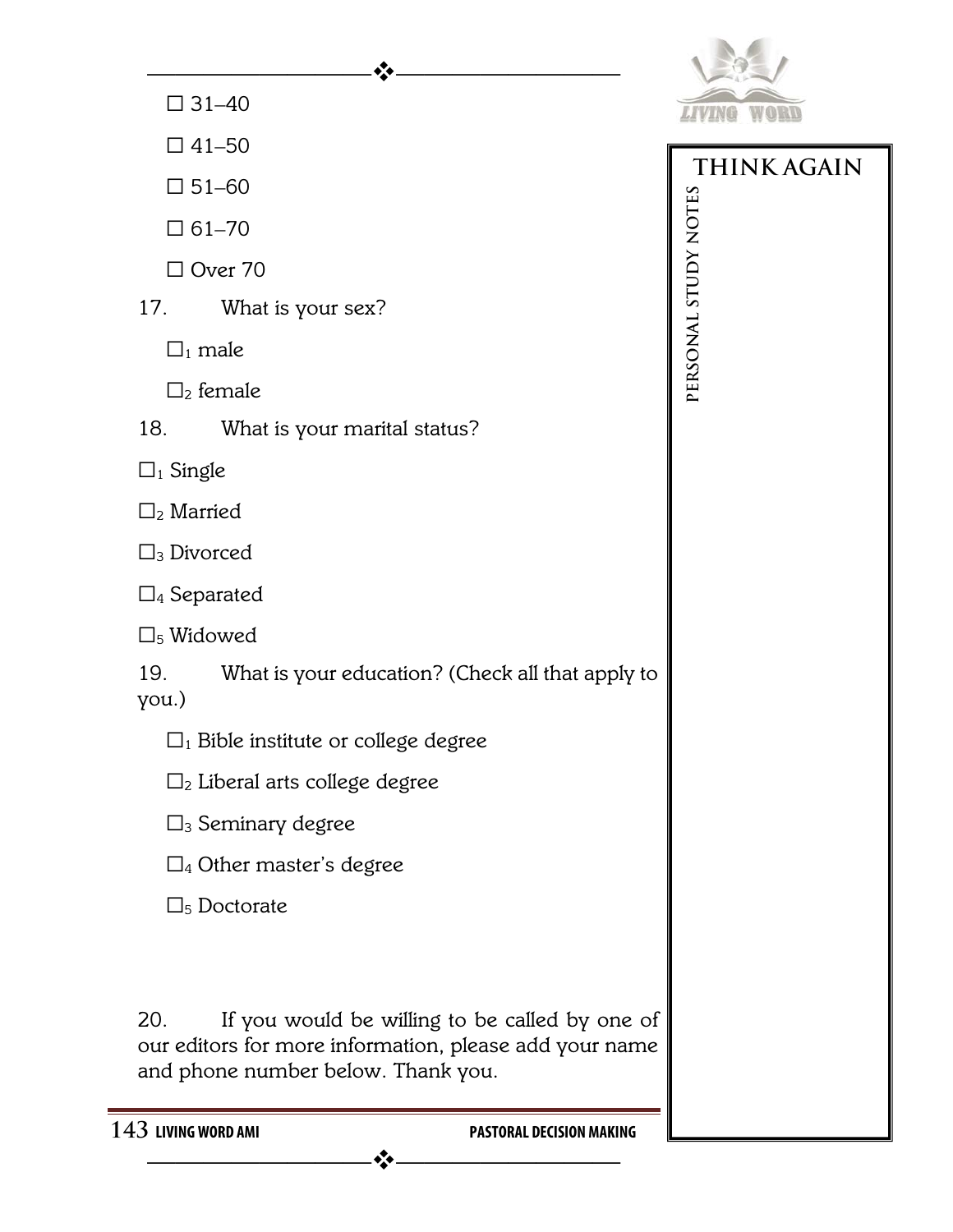

**143 LIVING WORD AMI PASTORAL DECISION MAKING**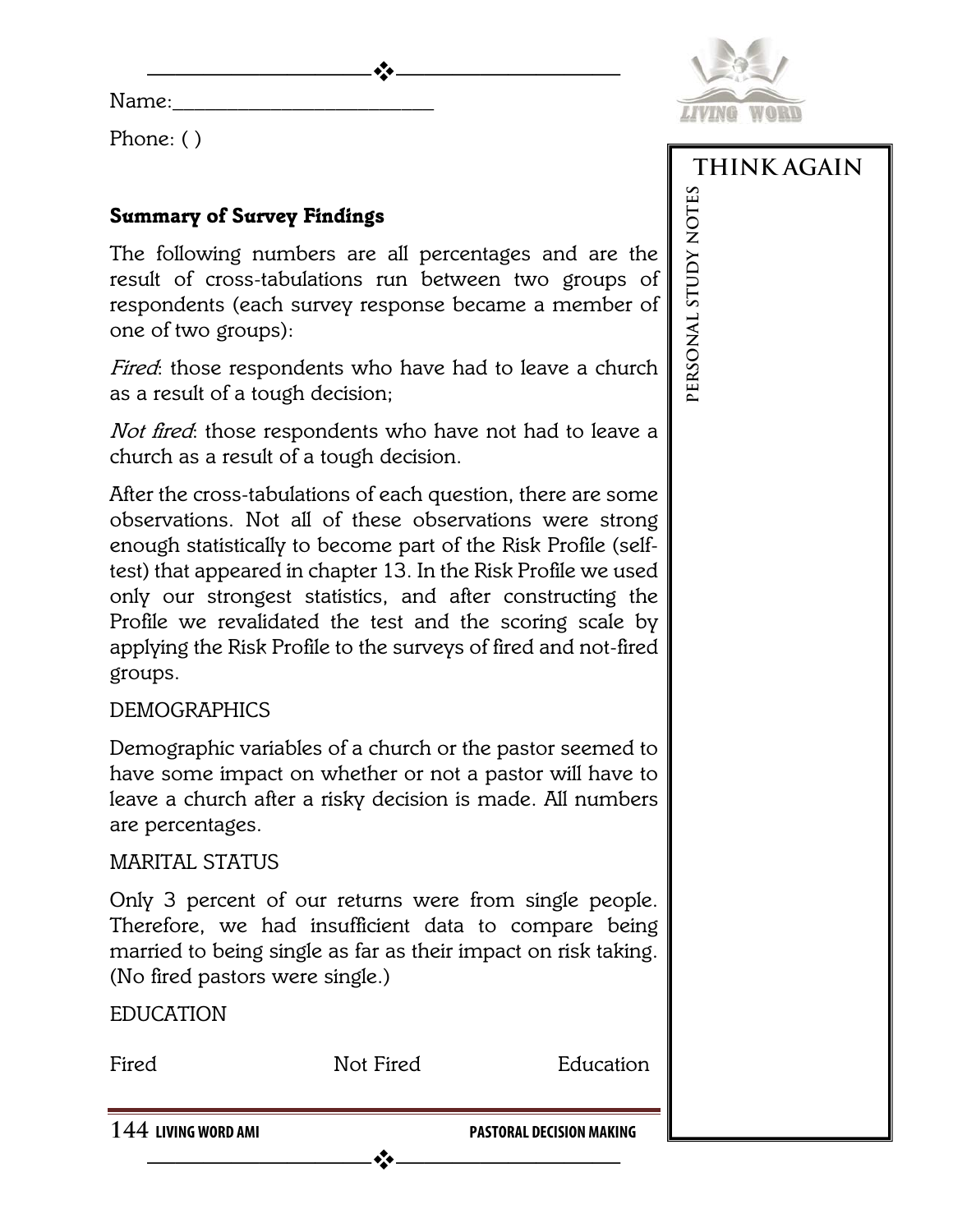

 **PERSONAL STUDY NOTES** 

PERSONAL STUDY NOTES

———————————————— *Name:\_\_\_\_\_\_\_\_\_\_\_\_\_\_\_\_\_\_\_\_\_\_\_\_* 

*Phone: ( )* 

# *Summary of Survey Findings*

*The following numbers are all percentages and are the result of cross-tabulations run between two groups of respondents (each survey response became a member of one of two groups):* 

*Fired: those respondents who have had to leave a church as a result of a tough decision;* 

*Not fired: those respondents who have not had to leave a church as a result of a tough decision.* 

*After the cross-tabulations of each question, there are some observations. Not all of these observations were strong enough statistically to become part of the Risk Profile (selftest) that appeared in chapter 13. In the Risk Profile we used only our strongest statistics, and after constructing the Profile we revalidated the test and the scoring scale by applying the Risk Profile to the surveys of fired and not-fired groups.* 

# *DEMOGRAPHICS*

*Demographic variables of a church or the pastor seemed to have some impact on whether or not a pastor will have to leave a church after a risky decision is made. All numbers are percentages.* 

# *MARITAL STATUS*

*Only 3 percent of our returns were from single people. Therefore, we had insufficient data to compare being married to being single as far as their impact on risk taking. (No fired pastors were single.)* 

*EDUCATION* 

————————————————

*Fired Not Fired Education*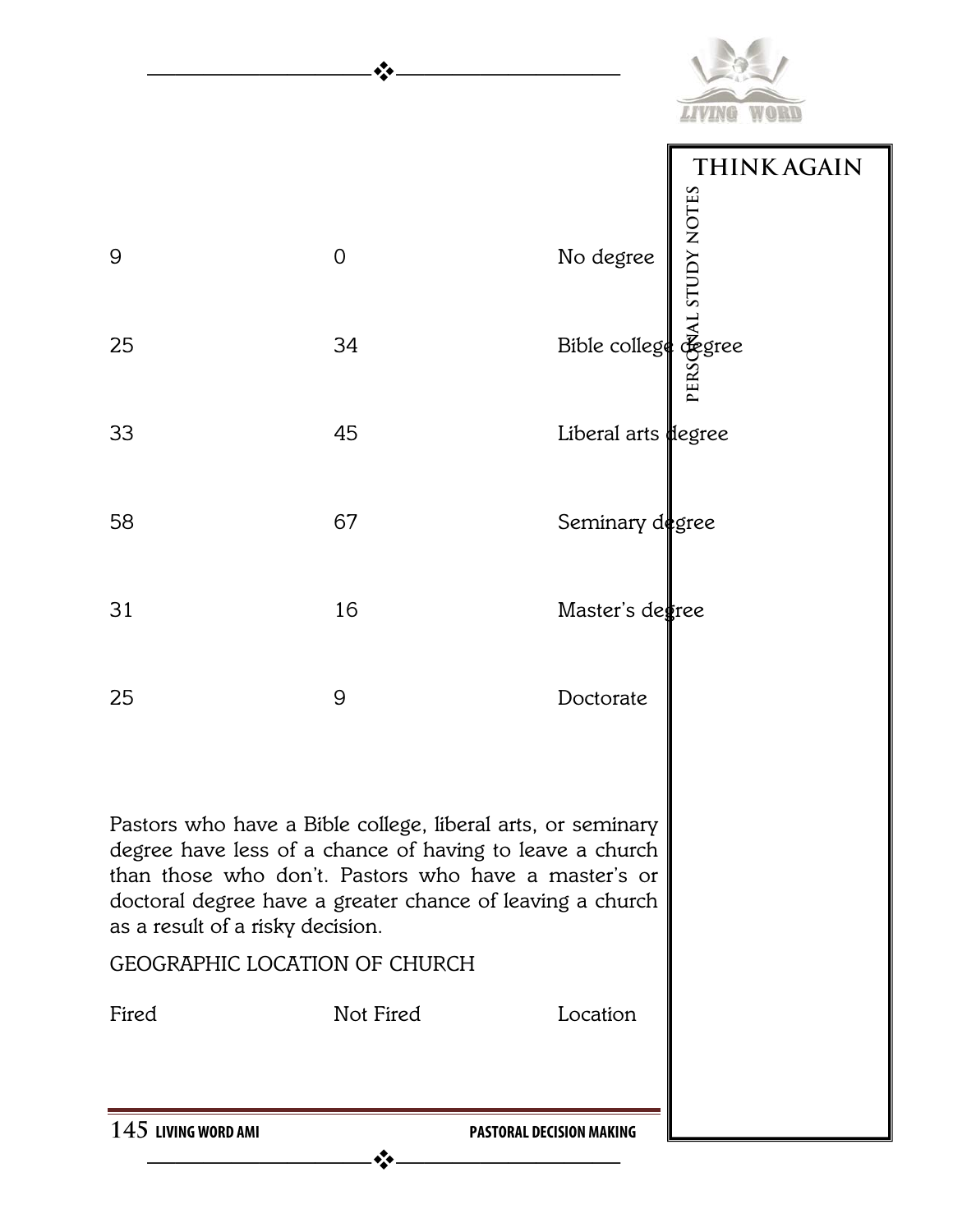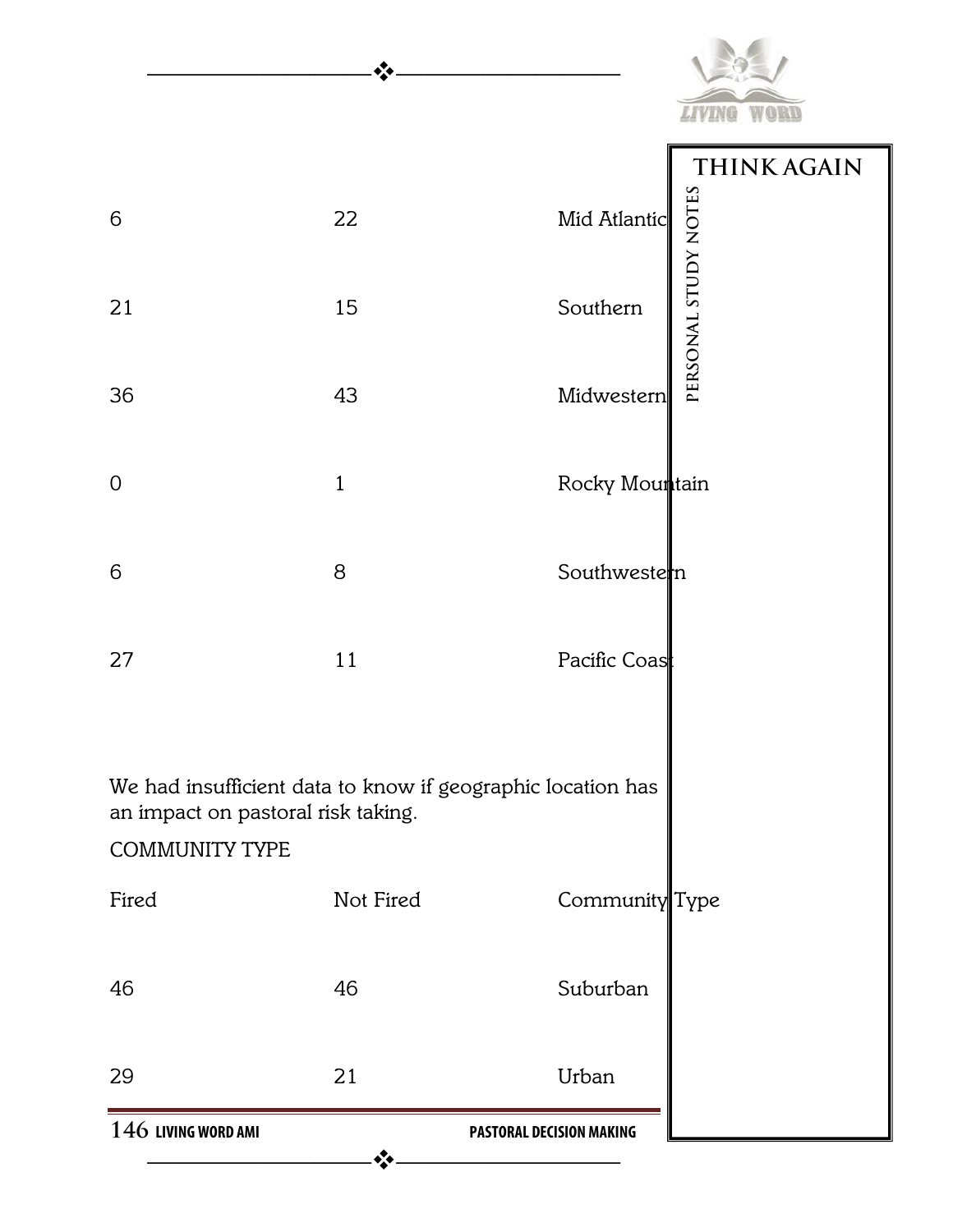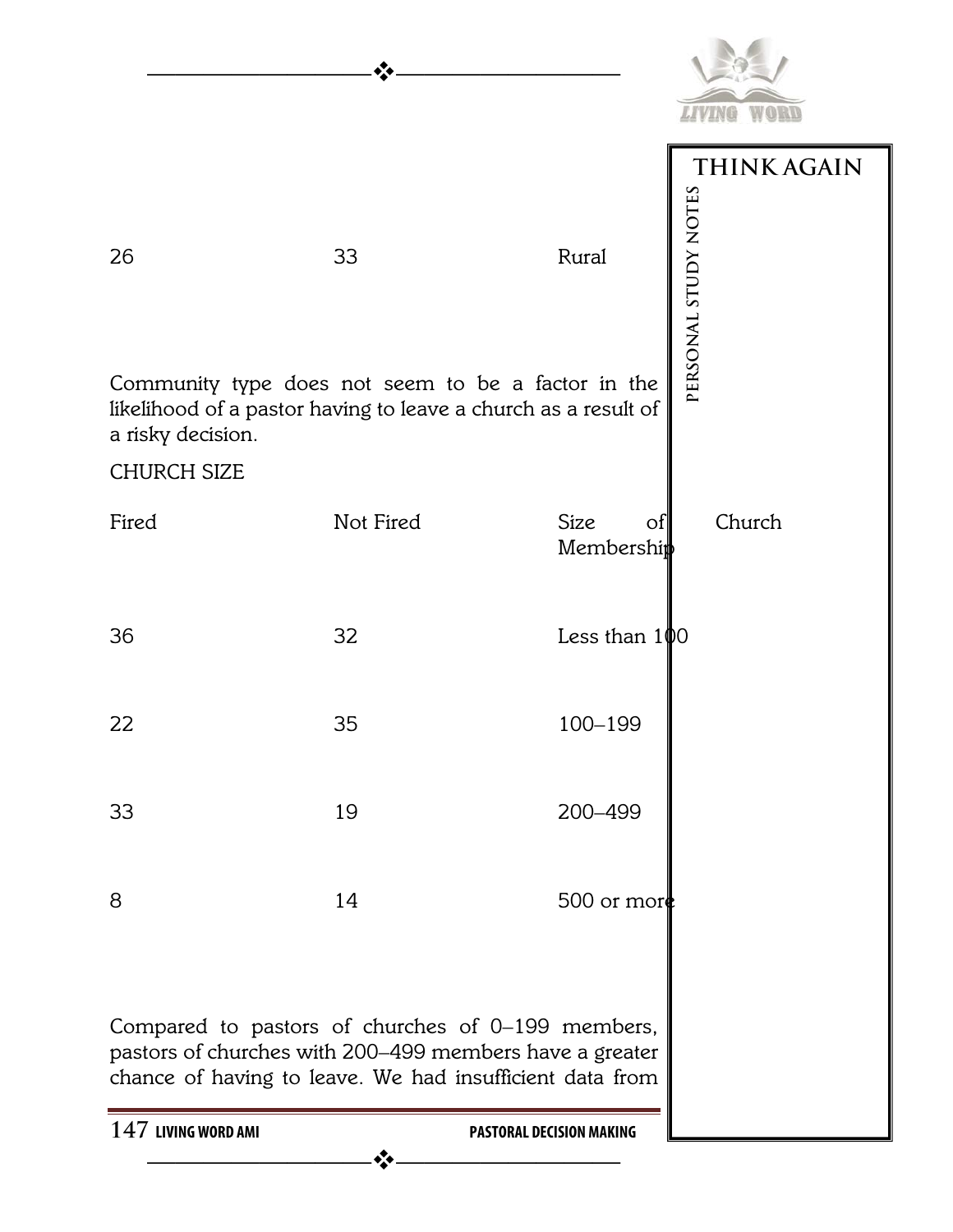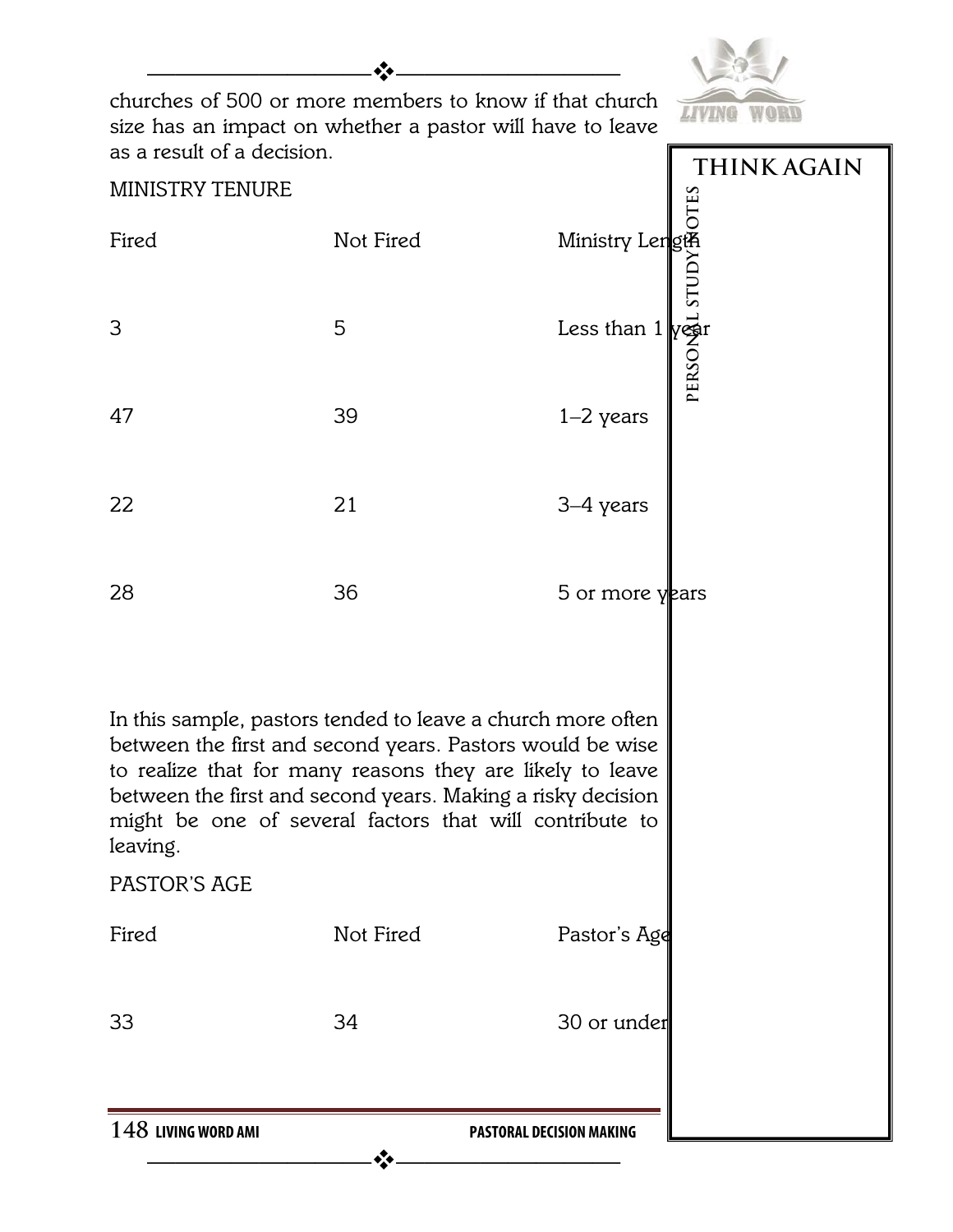

*churches of 500 or more members to know if that church size has an impact on whether a pastor will have to leave as a result of a decision.* 

————————————————

| as a result vi a uccisión.<br>MINISTRY TENURE |                                                                                                                                                                                                                                                                                                                                    |                                                      | <b>THINK AGAIN</b> |
|-----------------------------------------------|------------------------------------------------------------------------------------------------------------------------------------------------------------------------------------------------------------------------------------------------------------------------------------------------------------------------------------|------------------------------------------------------|--------------------|
| Fired                                         | Not Fired                                                                                                                                                                                                                                                                                                                          | Ministry Length<br>Ministry Length<br>And D          |                    |
| 3                                             | 5                                                                                                                                                                                                                                                                                                                                  | Less than $1 \times 2 \times 2 \times 1$<br>-2 years |                    |
| 47                                            | 39                                                                                                                                                                                                                                                                                                                                 |                                                      |                    |
| 22                                            | 21                                                                                                                                                                                                                                                                                                                                 | 3–4 years                                            |                    |
| 28                                            | 36                                                                                                                                                                                                                                                                                                                                 | 5 or more years                                      |                    |
| leaving.<br>PASTOR'S AGE<br>Fired<br>33       | In this sample, pastors tended to leave a church more often<br>between the first and second years. Pastors would be wise<br>to realize that for many reasons they are likely to leave<br>between the first and second years. Making a risky decision<br>might be one of several factors that will contribute to<br>Not Fired<br>34 | Pastor's Age<br>30 or under                          |                    |
|                                               |                                                                                                                                                                                                                                                                                                                                    |                                                      |                    |
| 148 LIVING WORD AMI                           |                                                                                                                                                                                                                                                                                                                                    | <b>PASTORAL DECISION MAKING</b>                      |                    |

————————————————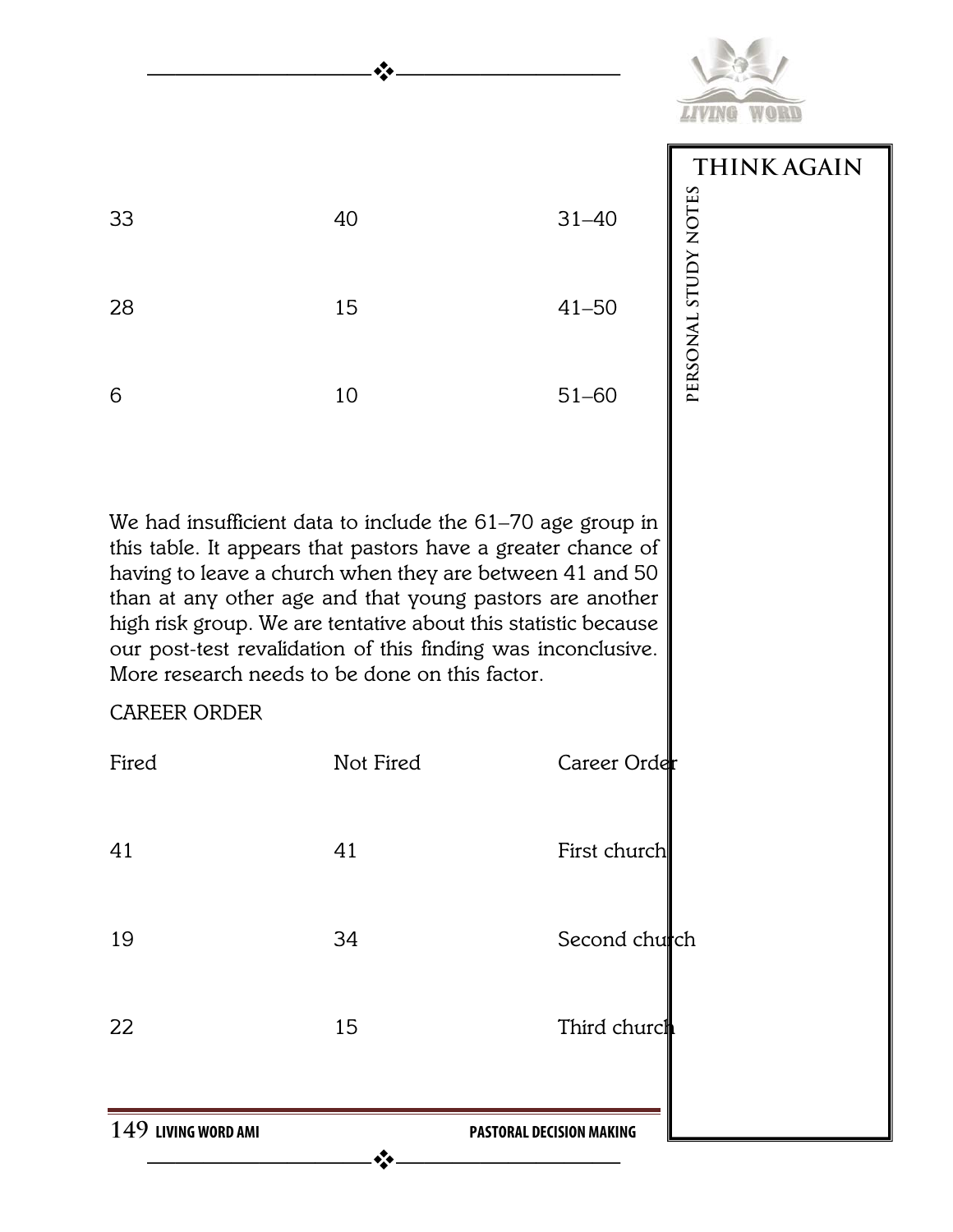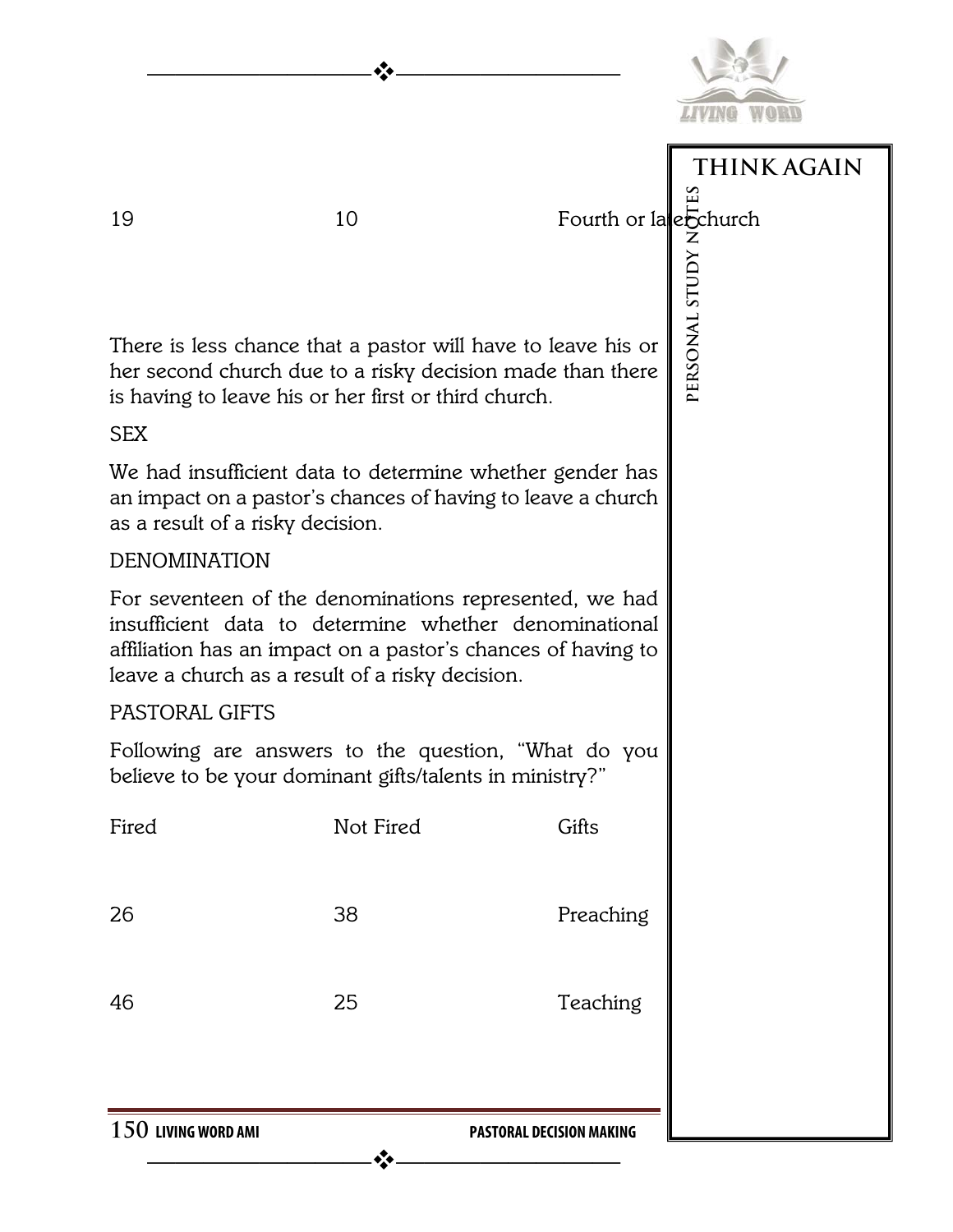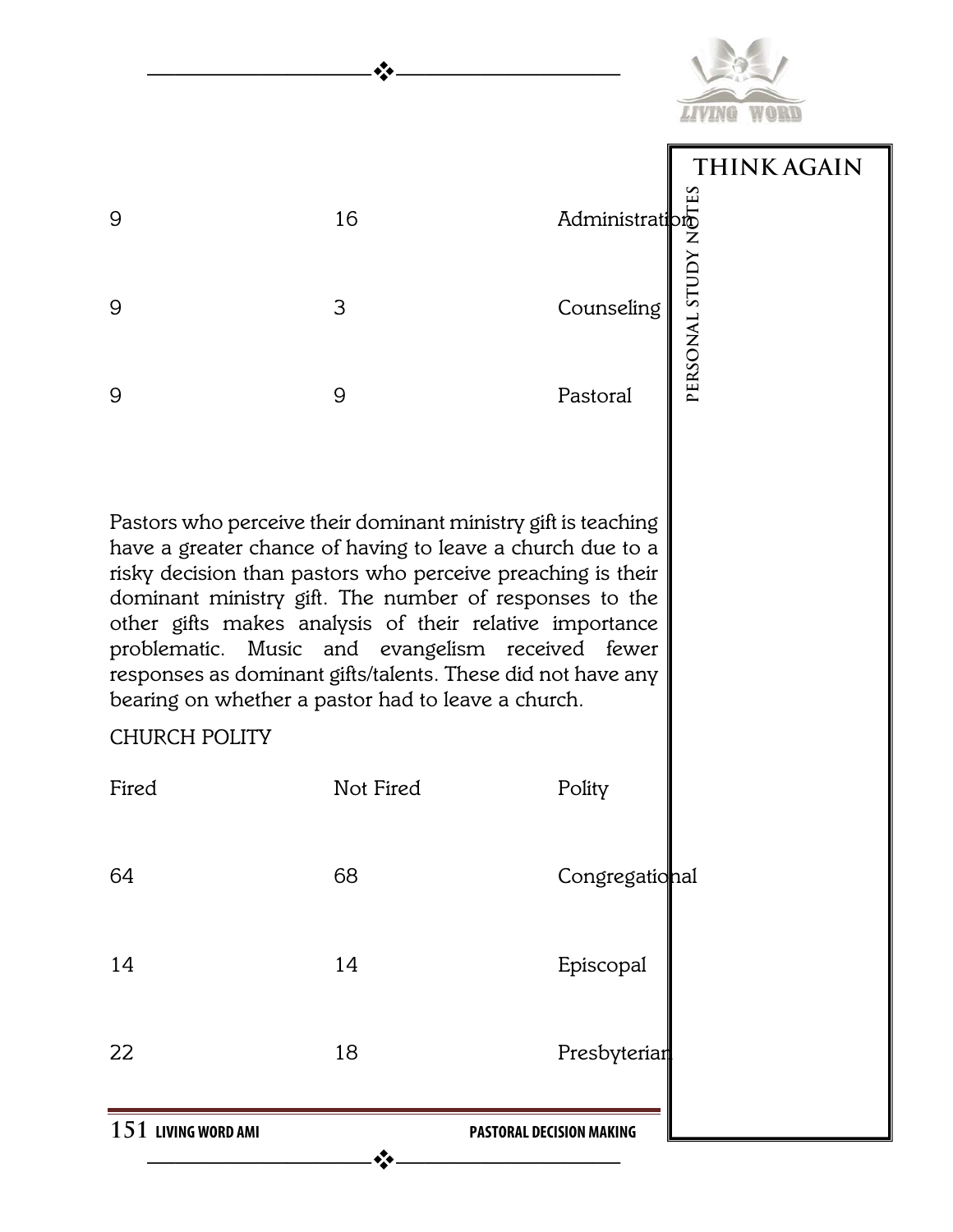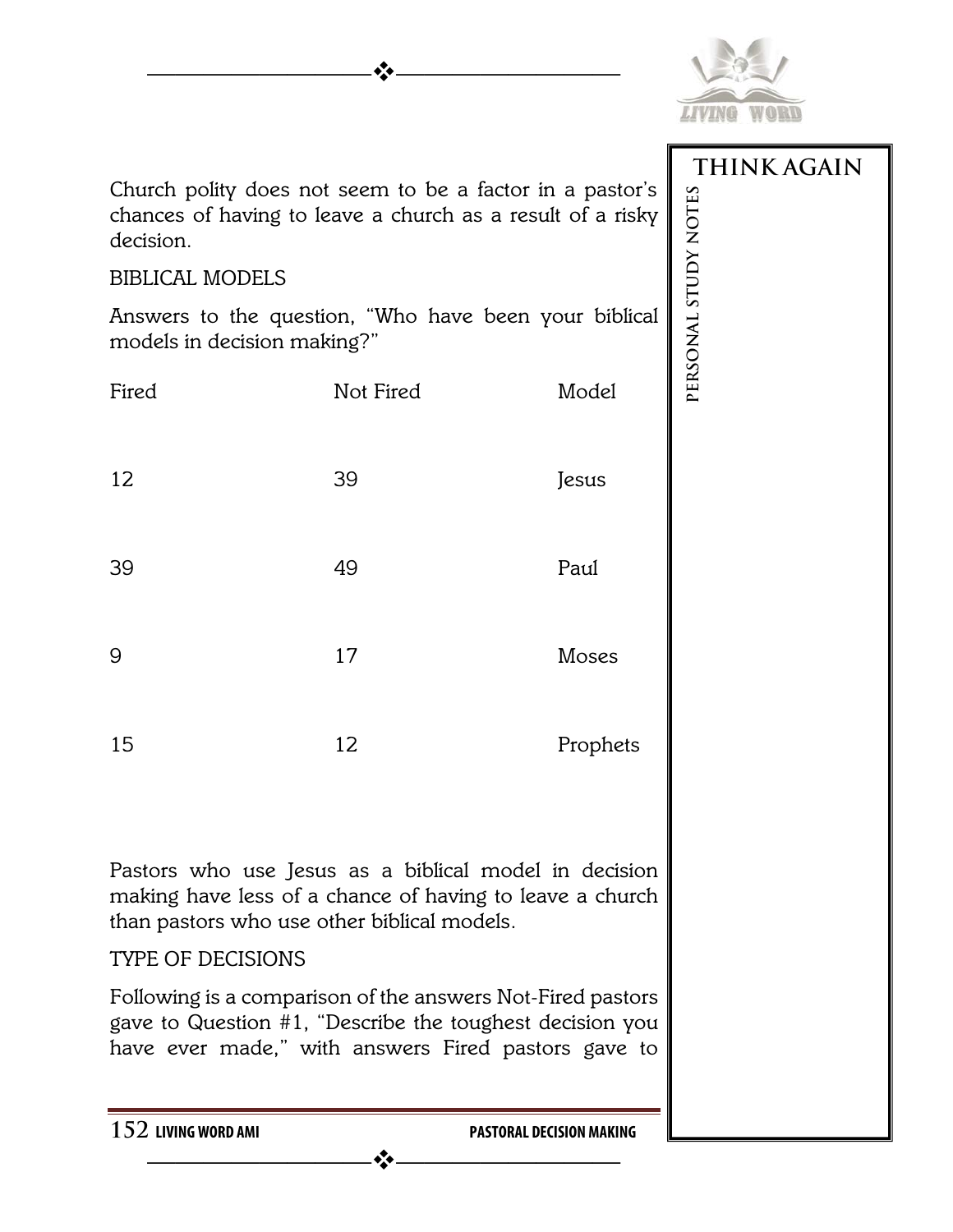

**THINK AGAIN** 

 **PERSONAL STUDY NOTES** 

PERSONAL STUDY NOTES

| Church polity does not seem to be a factor in a pastor's   |
|------------------------------------------------------------|
| chances of having to leave a church as a result of a risky |
| decision.                                                  |

————————————————

## *BIBLICAL MODELS*

*Answers to the question, "Who have been your biblical models in decision making?"* 

| Fired | Not Fired | Model    |
|-------|-----------|----------|
| 12    | 39        | Jesus    |
| 39    | 49        | Paul     |
| 9     | 17        | Moses    |
| 15    | 12        | Prophets |

*Pastors who use Jesus as a biblical model in decision making have less of a chance of having to leave a church than pastors who use other biblical models.* 

## *TYPE OF DECISIONS*

*Following is a comparison of the answers Not-Fired pastors gave to Question #1, "Describe the toughest decision you have ever made," with answers Fired pastors gave to* 

————————————————

**152 LIVING WORD AMI PASTORAL DECISION MAKING**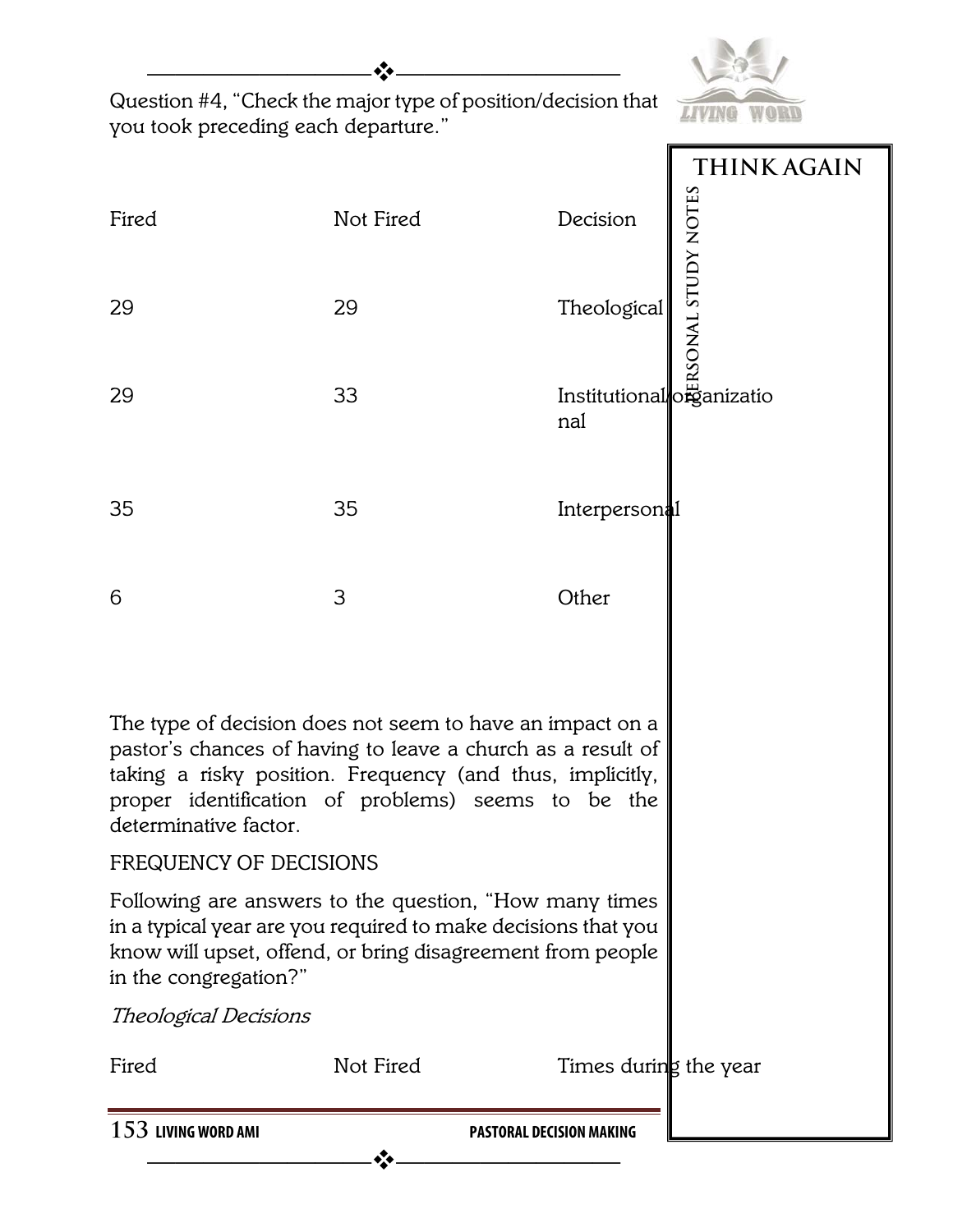

Ī

*Question #4, "Check the major type of position/decision that you took preceding each departure."* 

————————————————

————————————————

|                                                                                                                                                                                                                                                                      |           |                                                                                                                                                                                                                                                      | <b>THINK AGAIN</b> |
|----------------------------------------------------------------------------------------------------------------------------------------------------------------------------------------------------------------------------------------------------------------------|-----------|------------------------------------------------------------------------------------------------------------------------------------------------------------------------------------------------------------------------------------------------------|--------------------|
| Fired                                                                                                                                                                                                                                                                | Not Fired |                                                                                                                                                                                                                                                      |                    |
| 29                                                                                                                                                                                                                                                                   | 29        | Decision<br>Theological<br>Theological<br>Santa Santa Santa Santa Santa Santa Santa Santa Santa Santa Santa Santa Santa Santa Santa Santa Santa Santa Santa Santa Santa Santa Santa Santa Santa Santa Santa Santa Santa Santa Santa<br>$Theological$ |                    |
| 29                                                                                                                                                                                                                                                                   | 33        | nal                                                                                                                                                                                                                                                  |                    |
| 35                                                                                                                                                                                                                                                                   | 35        | Interpersonal                                                                                                                                                                                                                                        |                    |
| 6                                                                                                                                                                                                                                                                    | 3         | Other                                                                                                                                                                                                                                                |                    |
| The type of decision does not seem to have an impact on a<br>pastor's chances of having to leave a church as a result of<br>taking a risky position. Frequency (and thus, implicitly,<br>proper identification of problems) seems to be the<br>determinative factor. |           |                                                                                                                                                                                                                                                      |                    |
| FREQUENCY OF DECISIONS                                                                                                                                                                                                                                               |           |                                                                                                                                                                                                                                                      |                    |
| Following are answers to the question, "How many times<br>in a typical year are you required to make decisions that you<br>know will upset, offend, or bring disagreement from people<br>in the congregation?"                                                       |           |                                                                                                                                                                                                                                                      |                    |
| Theological Decisions                                                                                                                                                                                                                                                |           |                                                                                                                                                                                                                                                      |                    |
| Fired                                                                                                                                                                                                                                                                | Not Fired | Times during the year                                                                                                                                                                                                                                |                    |
| 153 LIVING WORD AMI                                                                                                                                                                                                                                                  |           | PASTORAL DECISION MAKING                                                                                                                                                                                                                             |                    |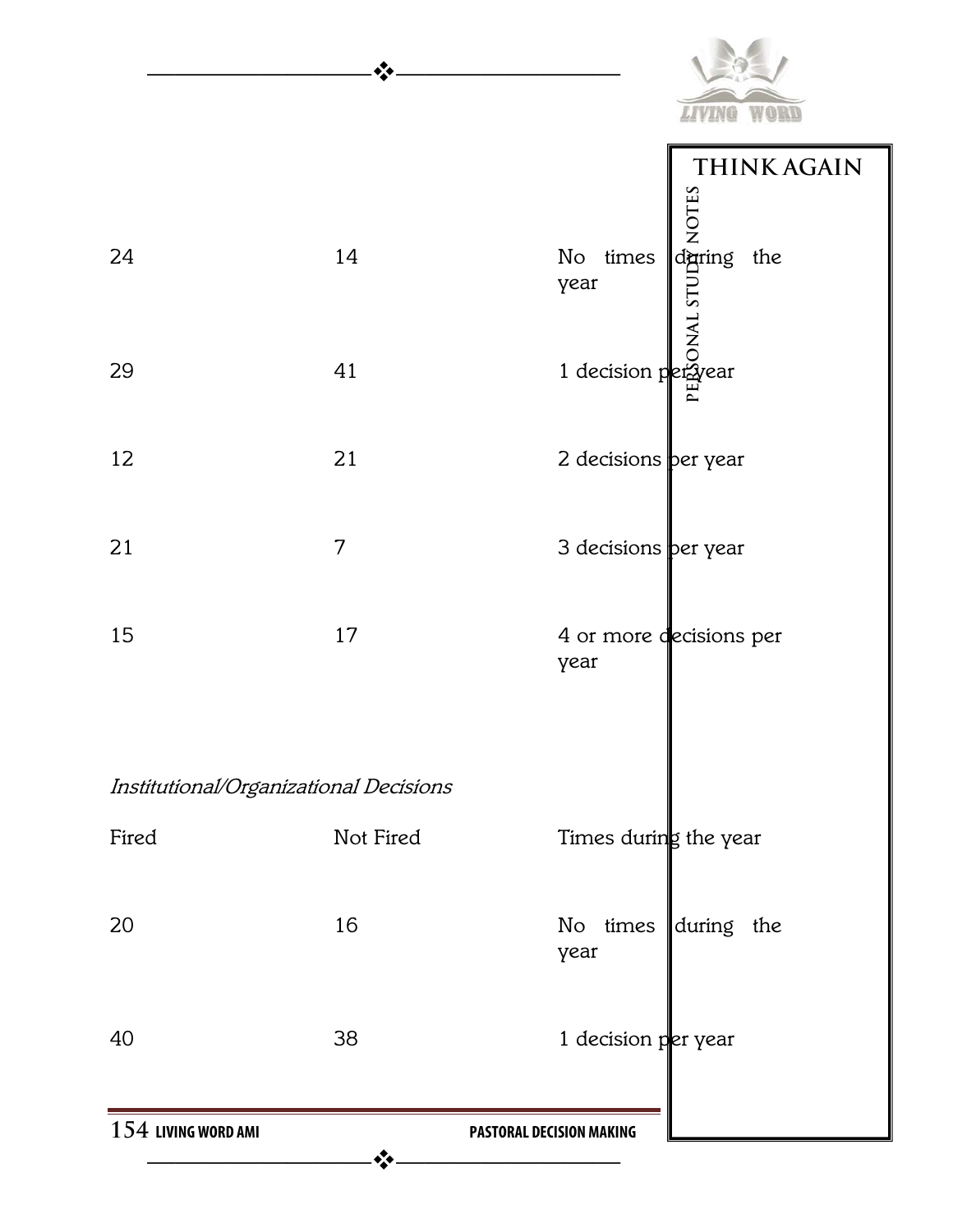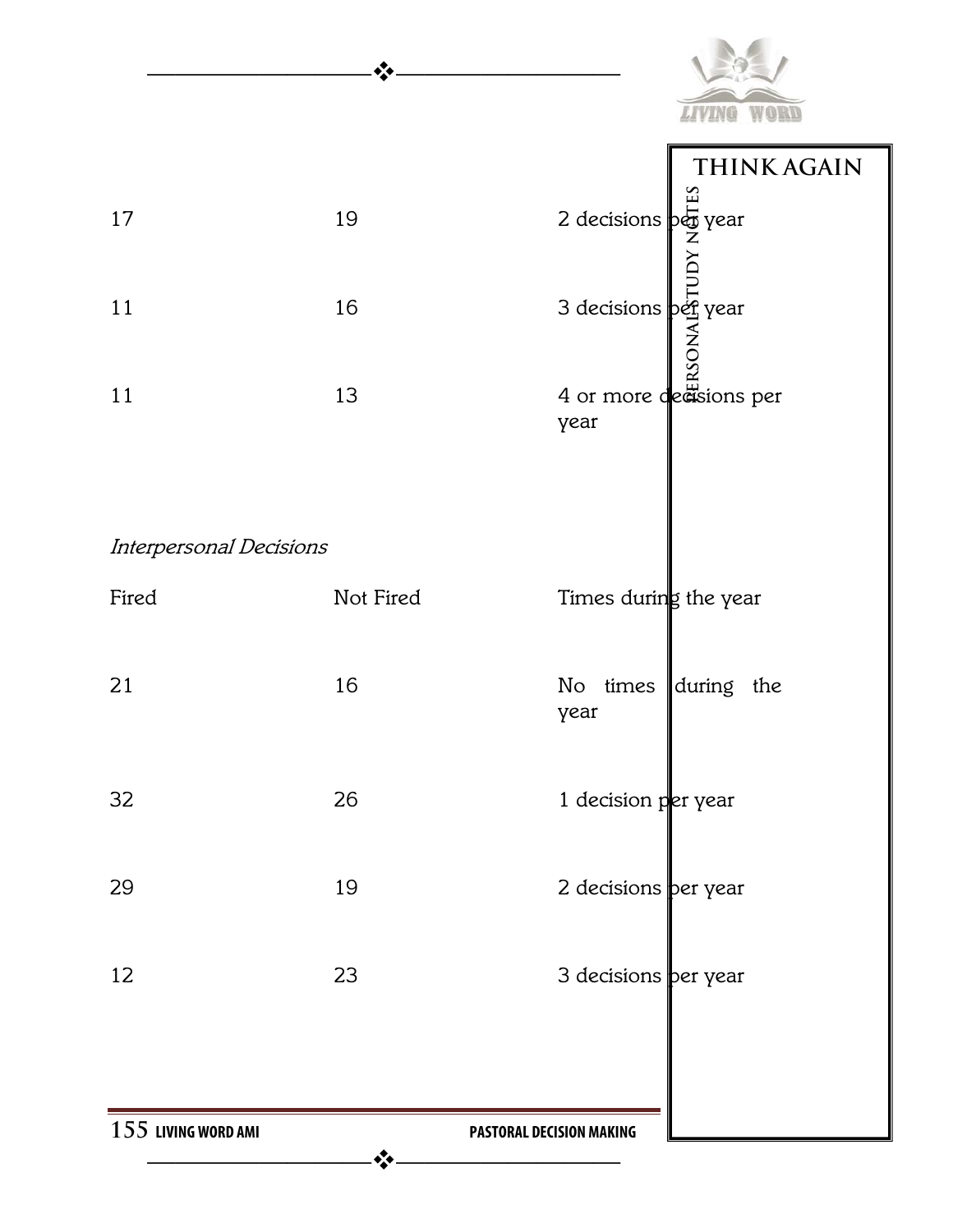|                         |           |                                 | <b>THINK AGAIN</b>                                                                           |
|-------------------------|-----------|---------------------------------|----------------------------------------------------------------------------------------------|
| 17                      | 19        | 2 decisions $\frac{1}{2}$ year  |                                                                                              |
| 11                      | 16        |                                 | 3 decisions $\begin{bmatrix} 1 \\ 2 \\ 3 \\ 4 \end{bmatrix}$ year<br>4 or more decisions per |
| 11                      | 13        | year                            |                                                                                              |
|                         |           |                                 |                                                                                              |
| Interpersonal Decisions |           |                                 |                                                                                              |
| Fired                   | Not Fired | Times during the year           |                                                                                              |
| 21                      | 16        | No times<br>year                | during the                                                                                   |
| 32                      | 26        | 1 decision per year             |                                                                                              |
| 29                      | 19        | 2 decisions per year            |                                                                                              |
| 12                      | 23        | 3 decisions per year            |                                                                                              |
|                         |           |                                 |                                                                                              |
| 155 LIVING WORD AMI     |           | <b>PASTORAL DECISION MAKING</b> |                                                                                              |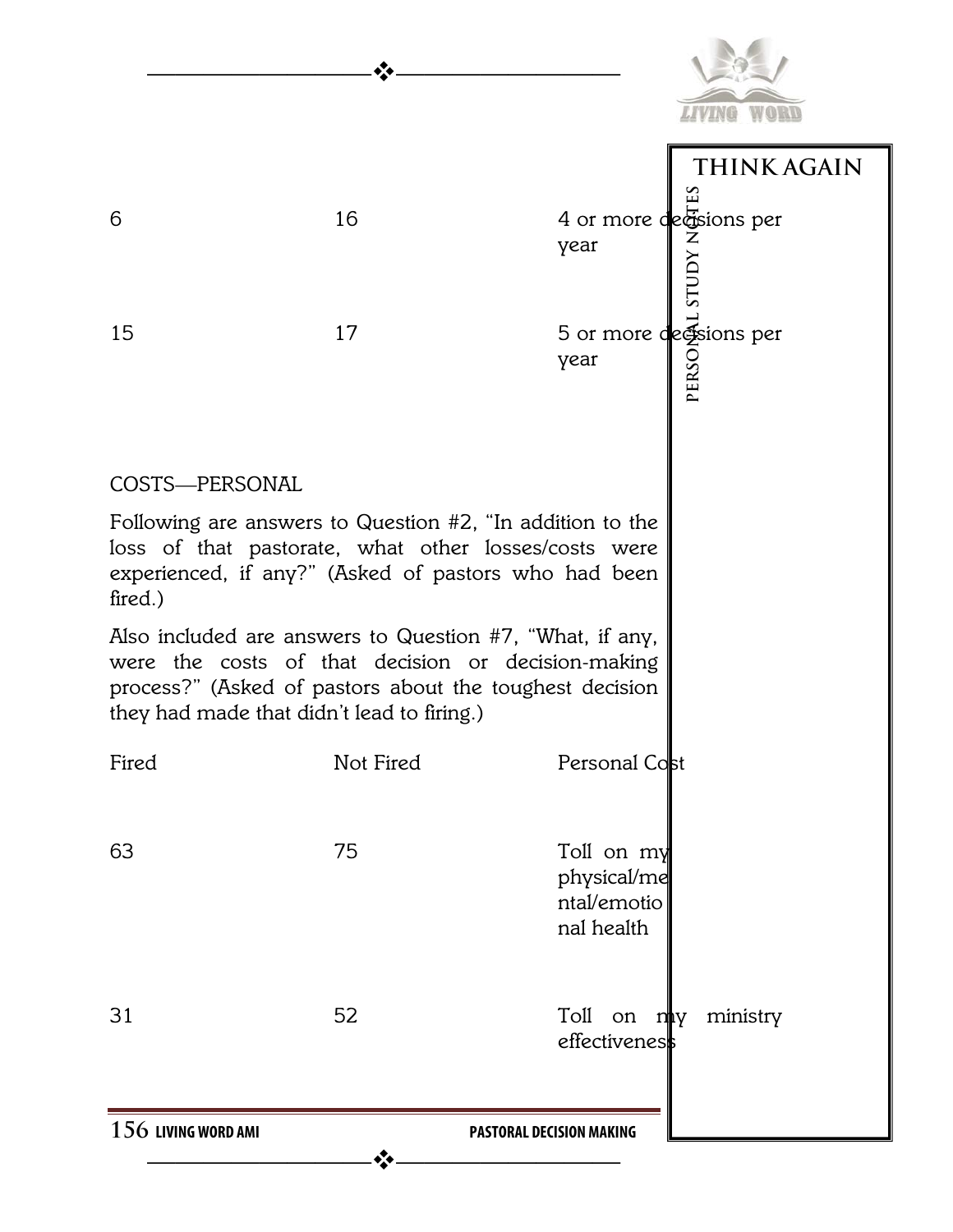| <b>THINK AGAIN</b><br>4 or more decsions per<br>16<br>6<br>year<br>5 or more dessions per<br>15<br>17<br>PERSO<br>year<br>COSTS-PERSONAL<br>Following are answers to Question #2, "In addition to the<br>loss of that pastorate, what other losses/costs were<br>experienced, if any?" (Asked of pastors who had been<br>$\text{fired.}$ )<br>Also included are answers to Question #7, "What, if any,<br>were the costs of that decision or decision-making<br>process?" (Asked of pastors about the toughest decision<br>they had made that didn't lead to firing.) | WORI |
|-----------------------------------------------------------------------------------------------------------------------------------------------------------------------------------------------------------------------------------------------------------------------------------------------------------------------------------------------------------------------------------------------------------------------------------------------------------------------------------------------------------------------------------------------------------------------|------|
|                                                                                                                                                                                                                                                                                                                                                                                                                                                                                                                                                                       |      |
|                                                                                                                                                                                                                                                                                                                                                                                                                                                                                                                                                                       |      |
|                                                                                                                                                                                                                                                                                                                                                                                                                                                                                                                                                                       |      |
|                                                                                                                                                                                                                                                                                                                                                                                                                                                                                                                                                                       |      |
|                                                                                                                                                                                                                                                                                                                                                                                                                                                                                                                                                                       |      |
|                                                                                                                                                                                                                                                                                                                                                                                                                                                                                                                                                                       |      |
| Fired<br>Not Fired<br>Personal Cost                                                                                                                                                                                                                                                                                                                                                                                                                                                                                                                                   |      |
| 63<br>75<br>Toll on my<br>physical/me<br>ntal/emotio<br>nal health                                                                                                                                                                                                                                                                                                                                                                                                                                                                                                    |      |
| 52<br>31<br>ministry<br>Toll<br>on $n\psi$<br>effectiveness                                                                                                                                                                                                                                                                                                                                                                                                                                                                                                           |      |
| 156 LIVING WORD AMI<br><b>PASTORAL DECISION MAKING</b>                                                                                                                                                                                                                                                                                                                                                                                                                                                                                                                |      |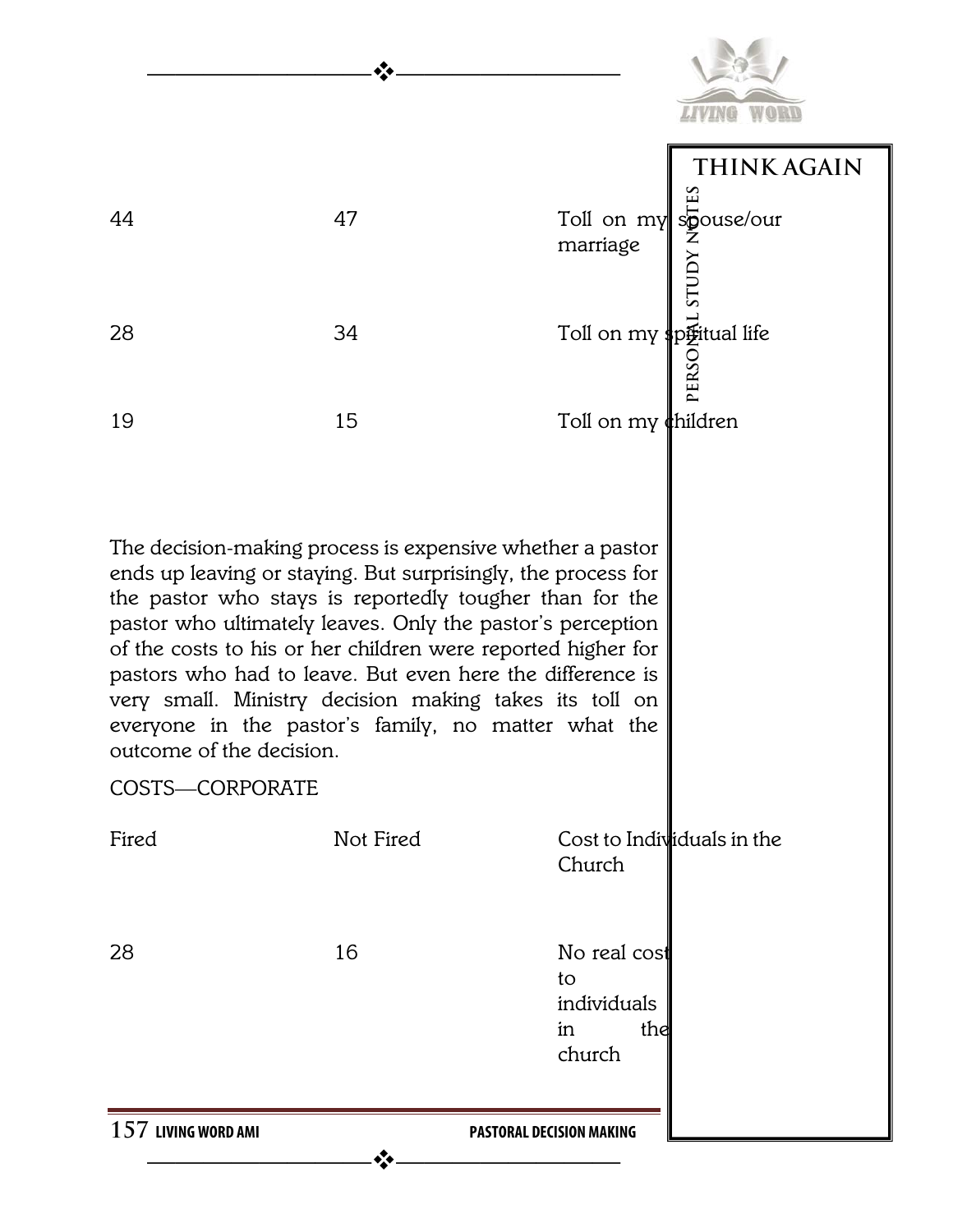| 44                                          | 47                                                                                                                                                                                                                                                                                                                                                                                                                                                                                                | <b>THINK AGAIN</b><br>Toll on my $\frac{18}{2}$ pouse/our marriage |
|---------------------------------------------|---------------------------------------------------------------------------------------------------------------------------------------------------------------------------------------------------------------------------------------------------------------------------------------------------------------------------------------------------------------------------------------------------------------------------------------------------------------------------------------------------|--------------------------------------------------------------------|
| 28                                          | 34                                                                                                                                                                                                                                                                                                                                                                                                                                                                                                | Toll on my $\frac{\sum_{i=1}^{n} f(x_i)}{\sum_{i=1}^{n} f(x_i)}$   |
| 19                                          | 15                                                                                                                                                                                                                                                                                                                                                                                                                                                                                                | Toll on my thildren                                                |
| outcome of the decision.<br>COSTS-CORPORATE | The decision-making process is expensive whether a pastor<br>ends up leaving or staying. But surprisingly, the process for<br>the pastor who stays is reportedly tougher than for the<br>pastor who ultimately leaves. Only the pastor's perception<br>of the costs to his or her children were reported higher for<br>pastors who had to leave. But even here the difference is<br>very small. Ministry decision making takes its toll on<br>everyone in the pastor's family, no matter what the |                                                                    |
| Fired                                       | Not Fired                                                                                                                                                                                                                                                                                                                                                                                                                                                                                         | Cost to Individuals in the<br>Church                               |
| 28                                          | 16                                                                                                                                                                                                                                                                                                                                                                                                                                                                                                | No real cost<br>to<br>individuals<br>the<br>in<br>church           |
| 157 LIVING WORD AMI                         |                                                                                                                                                                                                                                                                                                                                                                                                                                                                                                   | <b>PASTORAL DECISION MAKING</b>                                    |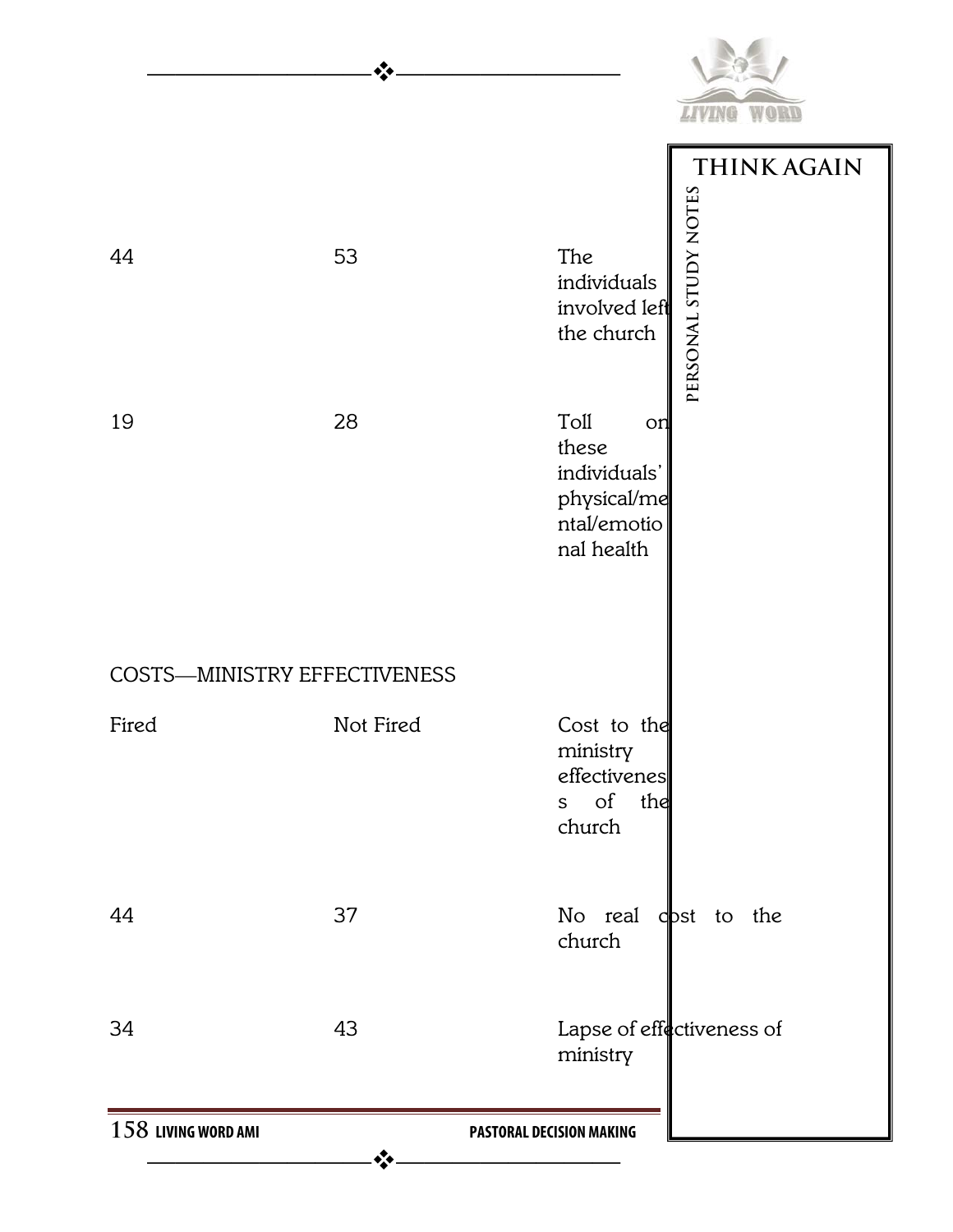

|                              |           |                                                                                 | <b>THINK AGAIN</b>        |
|------------------------------|-----------|---------------------------------------------------------------------------------|---------------------------|
| 44                           | 53        | The<br>individuals<br>involved left<br>the church                               | PERSONAL STUDY NOTES      |
| 19                           | 28        | Toll<br>on<br>these<br>individuals'<br>physical/me<br>ntal/emotio<br>nal health |                           |
| COSTS-MINISTRY EFFECTIVENESS |           |                                                                                 |                           |
| Fired                        | Not Fired | Cost to the<br>ministry<br>effectivenes<br>of<br>the<br>S<br>church             |                           |
| 44                           | 37        | church                                                                          | No real cost to the       |
| 34                           | 43        | ministry                                                                        | Lapse of effectiveness of |
| 158 LIVING WORD AMI          |           | <b>PASTORAL DECISION MAKING</b>                                                 |                           |

————————————————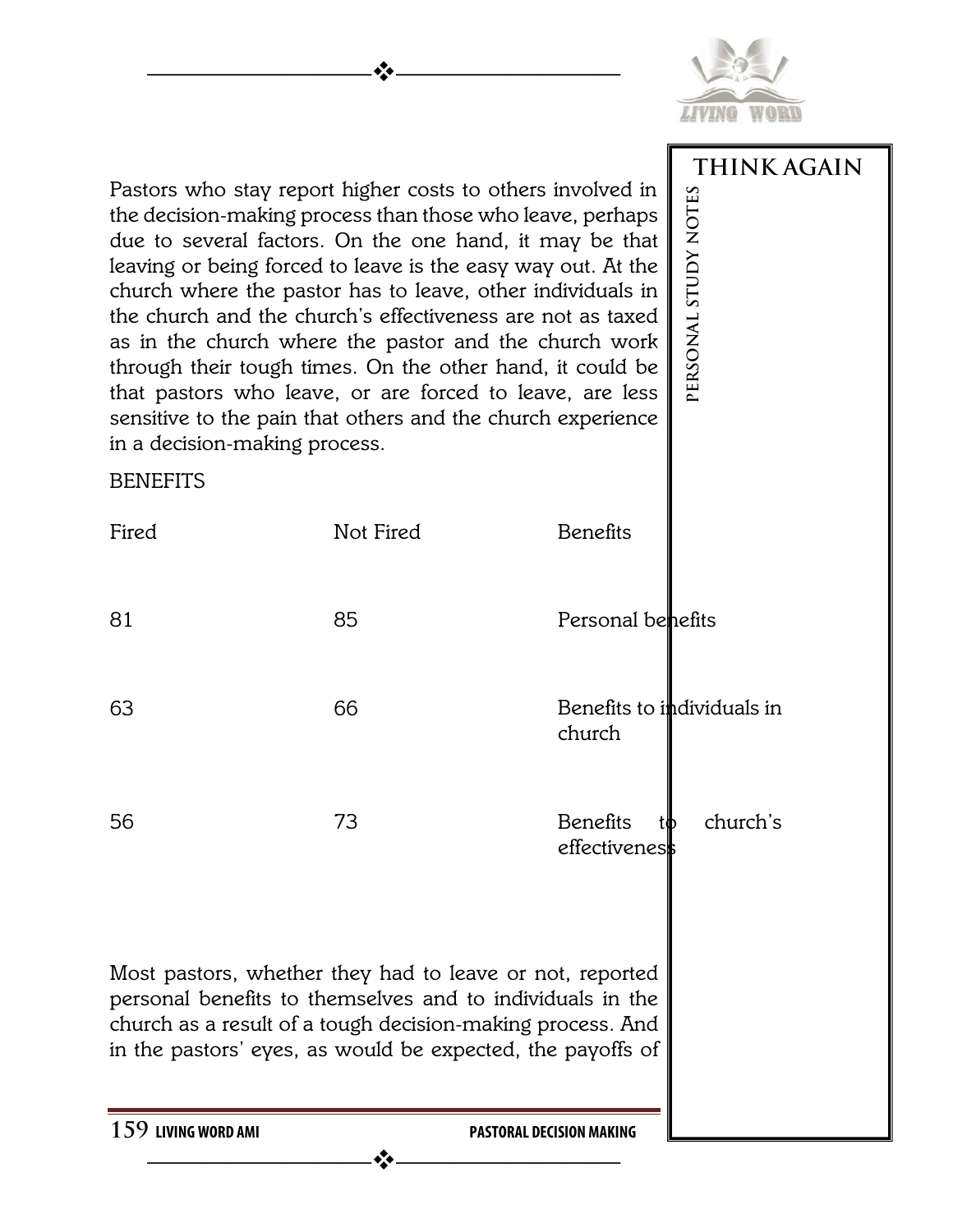

————————————————

## **THINK AGAIN**  PERSONAL STUDY NOTES

| Pastors who stay report higher costs to others involved in<br>the decision-making process than those who leave, perhaps<br>due to several factors. On the one hand, it may be that<br>leaving or being forced to leave is the easy way out. At the<br>church where the pastor has to leave, other individuals in<br>the church and the church's effectiveness are not as taxed<br>as in the church where the pastor and the church work<br>through their tough times. On the other hand, it could be<br>that pastors who leave, or are forced to leave, are less<br>sensitive to the pain that others and the church experience<br>in a decision-making process. |                 |                                    |  |  |
|------------------------------------------------------------------------------------------------------------------------------------------------------------------------------------------------------------------------------------------------------------------------------------------------------------------------------------------------------------------------------------------------------------------------------------------------------------------------------------------------------------------------------------------------------------------------------------------------------------------------------------------------------------------|-----------------|------------------------------------|--|--|
|                                                                                                                                                                                                                                                                                                                                                                                                                                                                                                                                                                                                                                                                  |                 |                                    |  |  |
| Not Fired                                                                                                                                                                                                                                                                                                                                                                                                                                                                                                                                                                                                                                                        | <b>Benefits</b> |                                    |  |  |
| 85                                                                                                                                                                                                                                                                                                                                                                                                                                                                                                                                                                                                                                                               |                 |                                    |  |  |
| 66                                                                                                                                                                                                                                                                                                                                                                                                                                                                                                                                                                                                                                                               | church          | Benefits to individuals in         |  |  |
| 73                                                                                                                                                                                                                                                                                                                                                                                                                                                                                                                                                                                                                                                               | <b>Benefits</b> | church's                           |  |  |
|                                                                                                                                                                                                                                                                                                                                                                                                                                                                                                                                                                                                                                                                  |                 | Personal benefits<br>effectiveness |  |  |

*Most pastors, whether they had to leave or not, reported personal benefits to themselves and to individuals in the church as a result of a tough decision-making process. And in the pastors' eyes, as would be expected, the payoffs of* 

————————————————

**159 LIVING WORD AMI PASTORAL DECISION MAKING**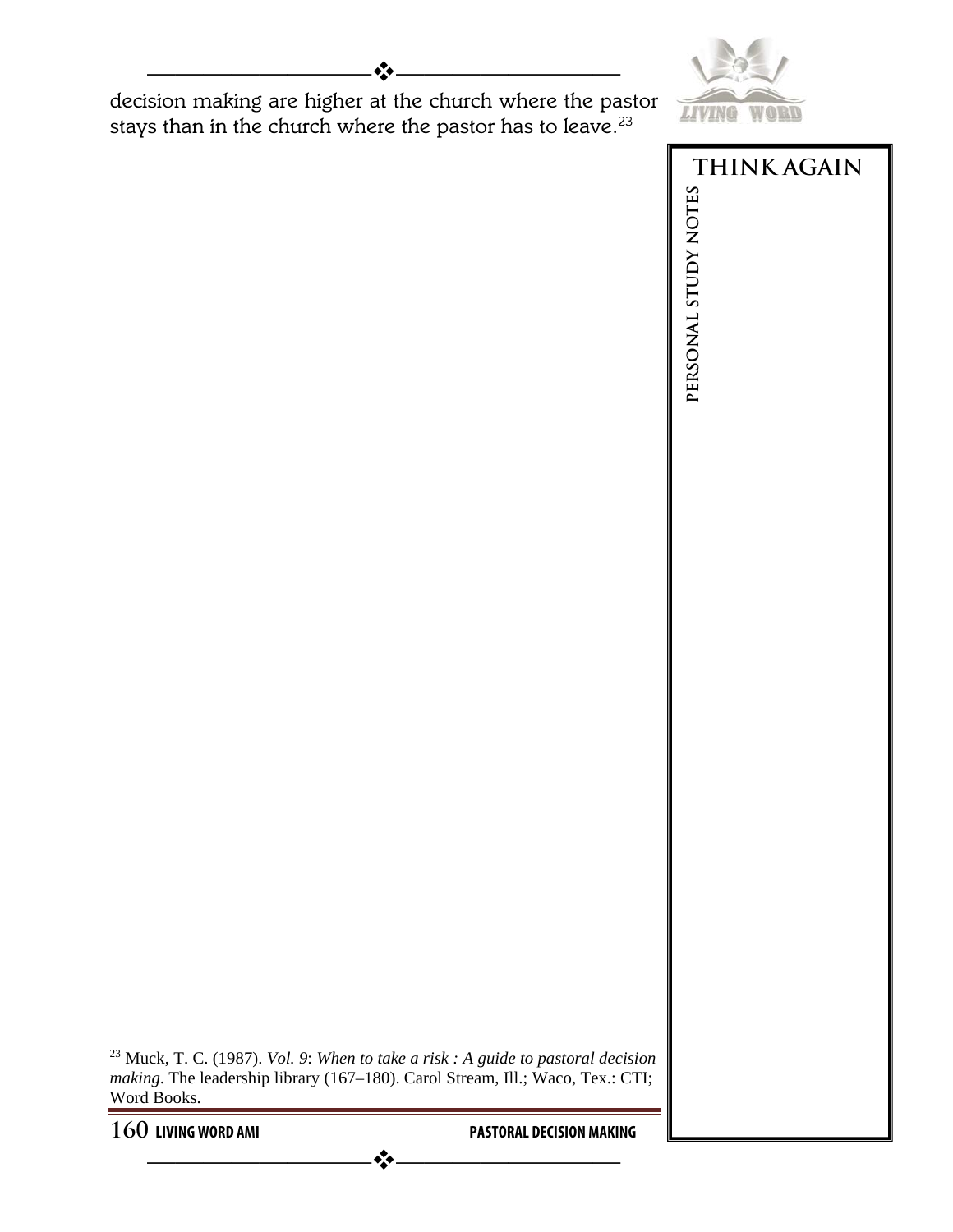

*decision making are higher at the church where the pastor stays than in the church where the pastor has to leave.23*

————————————————



————————————————

l

**160 LIVING WORD AMI PASTORAL DECISION MAKING** 

<sup>23</sup> Muck, T. C. (1987). *Vol. 9*: *When to take a risk : A guide to pastoral decision making*. The leadership library (167–180). Carol Stream, Ill.; Waco, Tex.: CTI; Word Books.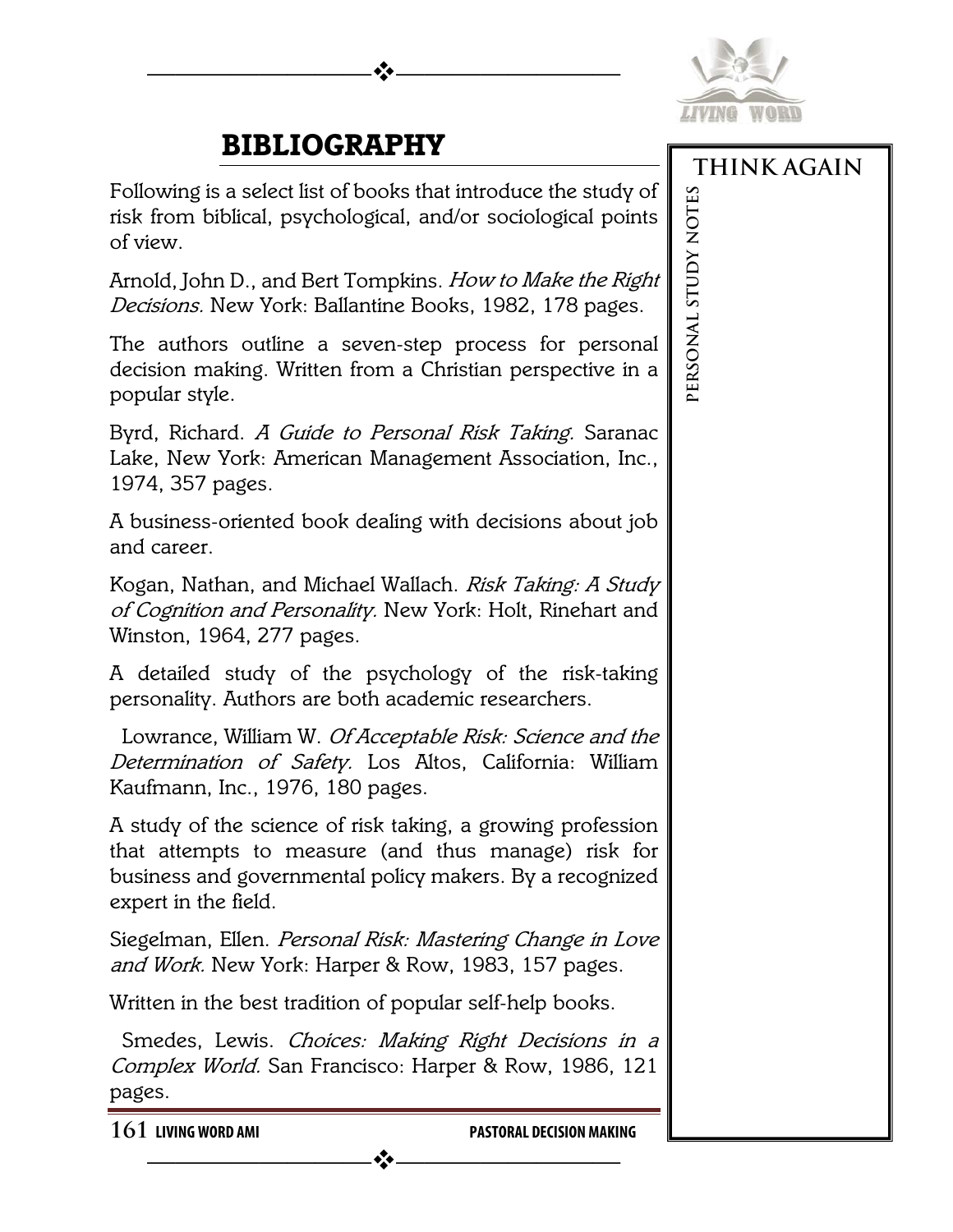

 **PERSONAL STUDY NOTES** 

PERSONAL STUDY NOTES

## *BIBLIOGRAPHY*

*Following is a select list of books that introduce the study of risk from biblical, psychological, and/or sociological points of view.* 

————————————————

*Arnold, John D., and Bert Tompkins. How to Make the Right Decisions. New York: Ballantine Books, 1982, 178 pages.* 

*The authors outline a seven-step process for personal decision making. Written from a Christian perspective in a popular style.* 

*Byrd, Richard. A Guide to Personal Risk Taking. Saranac Lake, New York: American Management Association, Inc., 1974, 357 pages.* 

*A business-oriented book dealing with decisions about job and career.* 

*Kogan, Nathan, and Michael Wallach. Risk Taking: A Study of Cognition and Personality. New York: Holt, Rinehart and Winston, 1964, 277 pages.* 

*A detailed study of the psychology of the risk-taking personality. Authors are both academic researchers.* 

 *Lowrance, William W. Of Acceptable Risk: Science and the Determination of Safety. Los Altos, California: William Kaufmann, Inc., 1976, 180 pages.* 

*A study of the science of risk taking, a growing profession that attempts to measure (and thus manage) risk for business and governmental policy makers. By a recognized expert in the field.* 

*Siegelman, Ellen. Personal Risk: Mastering Change in Love and Work. New York: Harper & Row, 1983, 157 pages.* 

*Written in the best tradition of popular self-help books.* 

 *Smedes, Lewis. Choices: Making Right Decisions in a Complex World. San Francisco: Harper & Row, 1986, 121 pages.* 

————————————————

**161 LIVING WORD AMI PASTORAL DECISION MAKING** 

**THINK AGAIN**